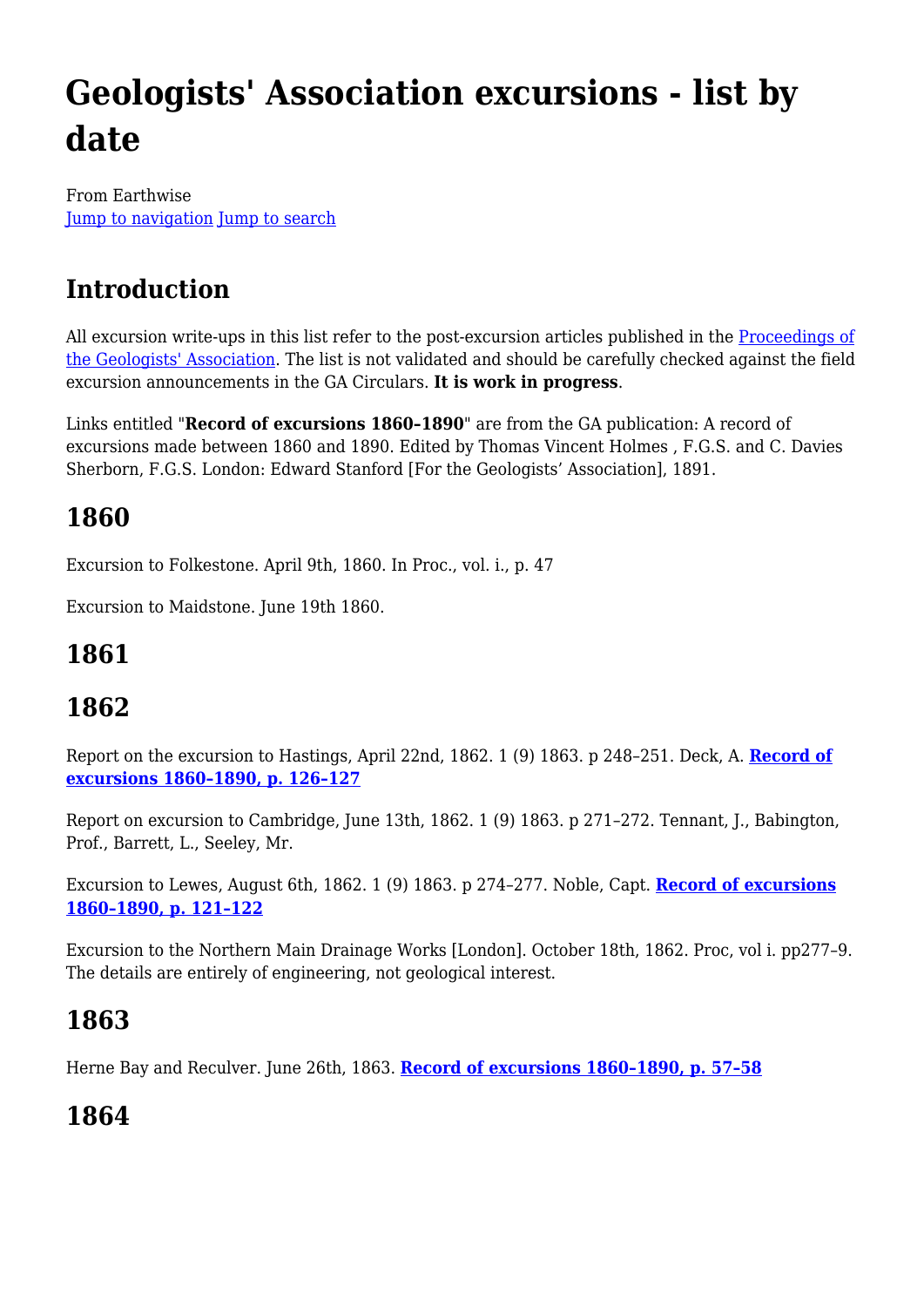# **Geologists' Association excursions - list by date**

From Earthwise [Jump to navigation](#page--1-0) [Jump to search](#page--1-0)

# **Introduction**

All excursion write-ups in this list refer to the post-excursion articles published in the [Proceedings of](https://www.sciencedirect.com/journal/proceedings-of-the-geologists-association/issues) [the Geologists' Association.](https://www.sciencedirect.com/journal/proceedings-of-the-geologists-association/issues) The list is not validated and should be carefully checked against the field excursion announcements in the GA Circulars. **It is work in progress**.

Links entitled "**Record of excursions 1860–1890**" are from the GA publication: A record of excursions made between 1860 and 1890. Edited by Thomas Vincent Holmes , F.G.S. and C. Davies Sherborn, F.G.S. London: Edward Stanford [For the Geologists' Association], 1891.

# **1860**

Excursion to Folkestone. April 9th, 1860. In Proc., vol. i., p. 47

Excursion to Maidstone. June 19th 1860.

# **1861**

# **1862**

Report on the excursion to Hastings, April 22nd, 1862. 1 (9) 1863. p 248–251. Deck, A. **[Record of](http://earthwise.bgs.ac.uk/index.php/Excursion_to_Hastings._22nd_of_April_1862_-_Geologists%27_Association_excursion) [excursions 1860–1890, p. 126–127](http://earthwise.bgs.ac.uk/index.php/Excursion_to_Hastings._22nd_of_April_1862_-_Geologists%27_Association_excursion)**

Report on excursion to Cambridge, June 13th, 1862. 1 (9) 1863. p 271–272. Tennant, J., Babington, Prof., Barrett, L., Seeley, Mr.

Excursion to Lewes, August 6th, 1862. 1 (9) 1863. p 274–277. Noble, Capt. **[Record of excursions](http://earthwise.bgs.ac.uk/index.php/Excursion_to_Lewes._August_6th,_1862_-_Geologists%27_Association_excursion) [1860–1890, p. 121–122](http://earthwise.bgs.ac.uk/index.php/Excursion_to_Lewes._August_6th,_1862_-_Geologists%27_Association_excursion)**

Excursion to the Northern Main Drainage Works [London]. October 18th, 1862. Proc, vol i. pp277–9. The details are entirely of engineering, not geological interest.

# **1863**

Herne Bay and Reculver. June 26th, 1863. **[Record of excursions 1860–1890, p. 57–58](http://earthwise.bgs.ac.uk/index.php/Herne_Bay_and_Reculver._June_26th,_1863_-_Geologists%27_Association_excursion)**

# **1864**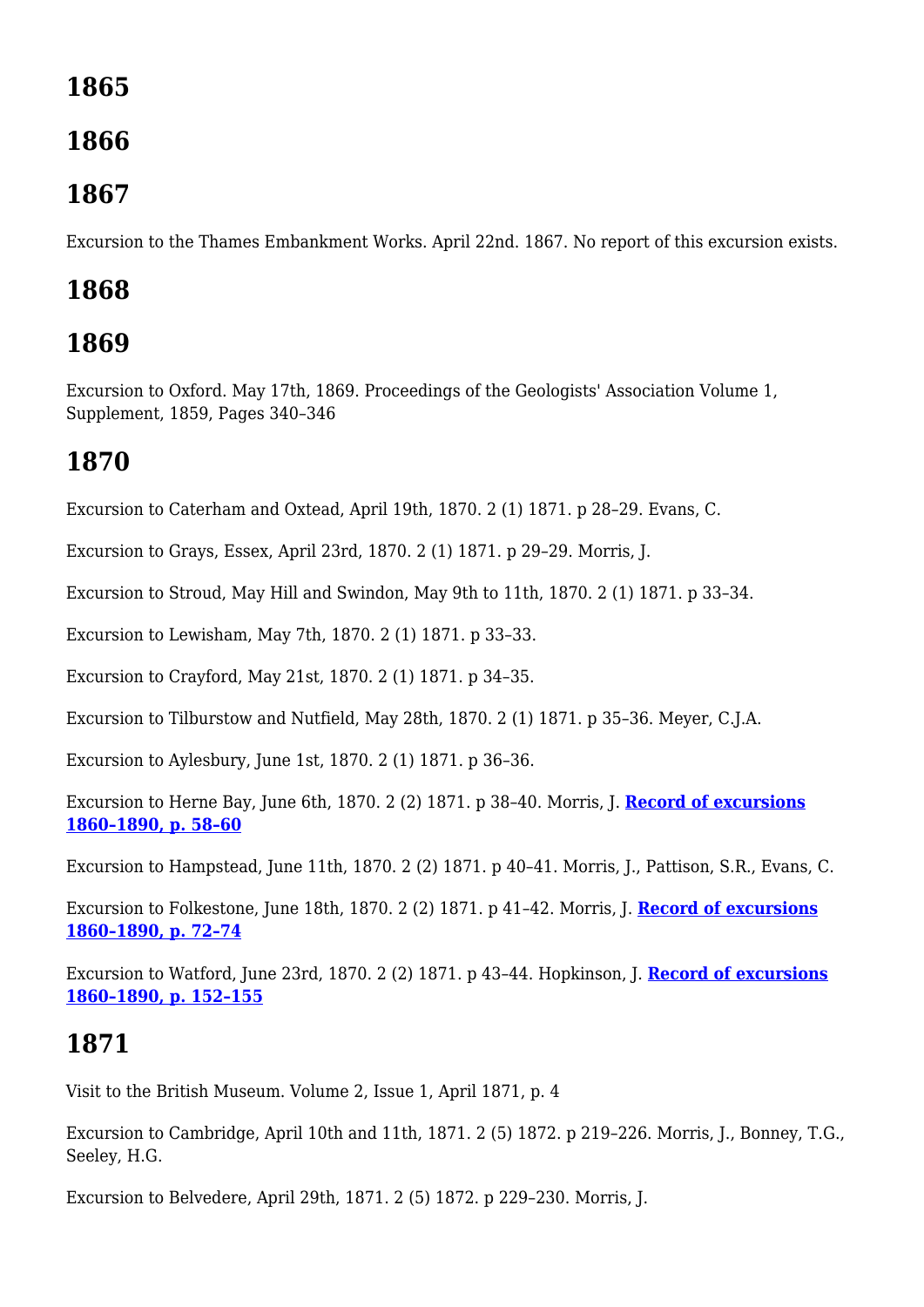# **1865**

## **1866**

#### **1867**

Excursion to the Thames Embankment Works. April 22nd. 1867. No report of this excursion exists.

# **1868**

# **1869**

Excursion to Oxford. May 17th, 1869. Proceedings of the Geologists' Association Volume 1, Supplement, 1859, Pages 340–346

# **1870**

Excursion to Caterham and Oxtead, April 19th, 1870. 2 (1) 1871. p 28–29. Evans, C.

Excursion to Grays, Essex, April 23rd, 1870. 2 (1) 1871. p 29–29. Morris, J.

Excursion to Stroud, May Hill and Swindon, May 9th to 11th, 1870. 2 (1) 1871. p 33–34.

Excursion to Lewisham, May 7th, 1870. 2 (1) 1871. p 33–33.

Excursion to Crayford, May 21st, 1870. 2 (1) 1871. p 34–35.

Excursion to Tilburstow and Nutfield, May 28th, 1870. 2 (1) 1871. p 35–36. Meyer, C.J.A.

Excursion to Aylesbury, June 1st, 1870. 2 (1) 1871. p 36–36.

Excursion to Herne Bay, June 6th, 1870. 2 (2) 1871. p 38–40. Morris, J. **[Record of excursions](http://earthwise.bgs.ac.uk/index.php/Excursion_to_Herne_Bay,_6th_June,_1870_-_Geologists%27_Association_excursion) [1860–1890, p. 58–60](http://earthwise.bgs.ac.uk/index.php/Excursion_to_Herne_Bay,_6th_June,_1870_-_Geologists%27_Association_excursion)**

Excursion to Hampstead, June 11th, 1870. 2 (2) 1871. p 40–41. Morris, J., Pattison, S.R., Evans, C.

Excursion to Folkestone, June 18th, 1870. 2 (2) 1871. p 41–42. Morris, J. **[Record of excursions](http://earthwise.bgs.ac.uk/index.php/Excursion_to_Folkestone._18th_June,_1870_-_Geologists%27_Association_excursion) [1860–1890, p. 72–74](http://earthwise.bgs.ac.uk/index.php/Excursion_to_Folkestone._18th_June,_1870_-_Geologists%27_Association_excursion)**

Excursion to Watford, June 23rd, 1870. 2 (2) 1871. p 43–44. Hopkinson, J. **[Record of excursions](http://earthwise.bgs.ac.uk/index.php/Excursion_to_Watford,_June_23rd,_1870_-_Geologists%27_Association_excursion) [1860–1890, p. 152–155](http://earthwise.bgs.ac.uk/index.php/Excursion_to_Watford,_June_23rd,_1870_-_Geologists%27_Association_excursion)**

# **1871**

Visit to the British Museum. Volume 2, Issue 1, April 1871, p. 4

Excursion to Cambridge, April 10th and 11th, 1871. 2 (5) 1872. p 219–226. Morris, J., Bonney, T.G., Seeley, H.G.

Excursion to Belvedere, April 29th, 1871. 2 (5) 1872. p 229–230. Morris, J.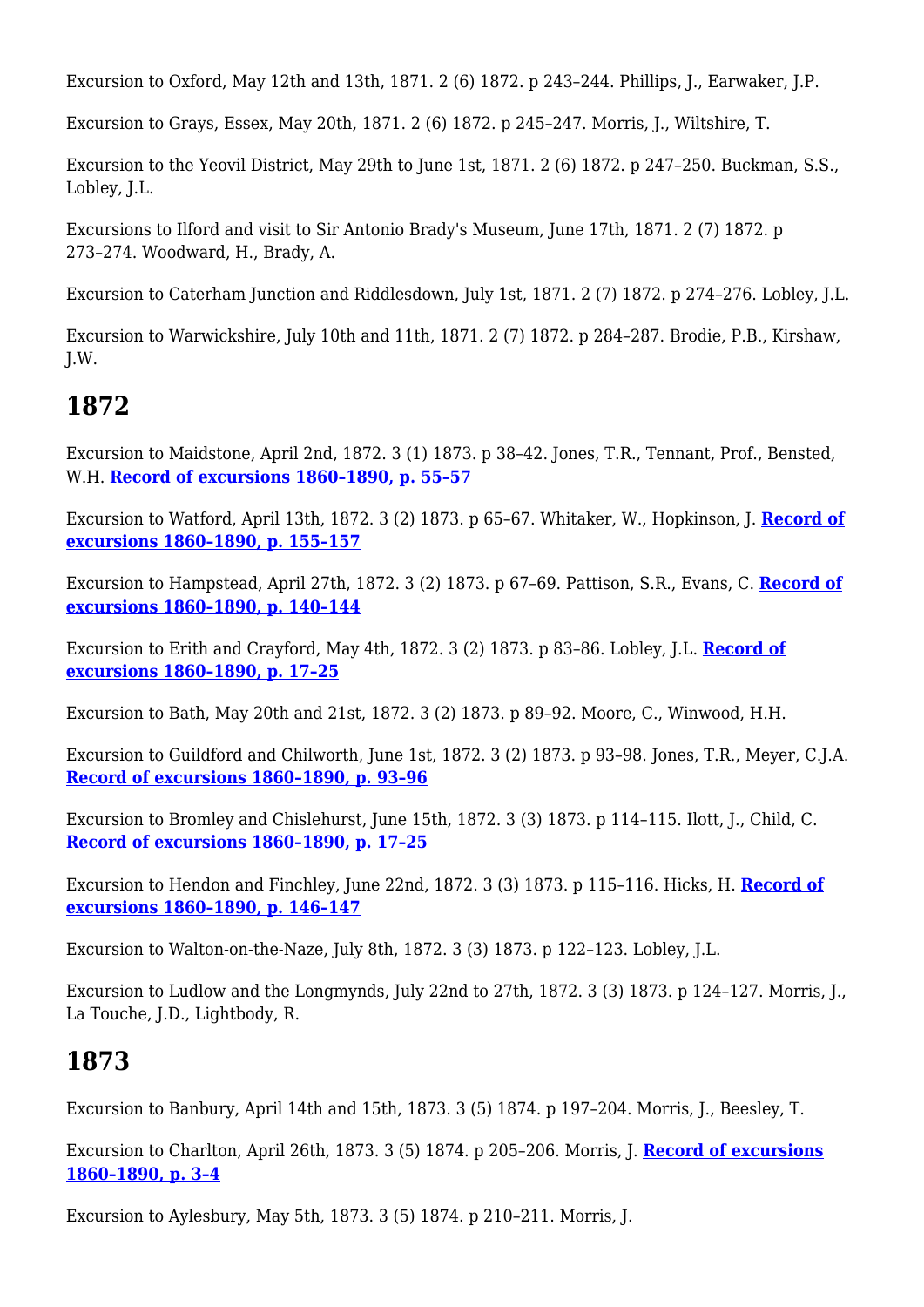Excursion to Oxford, May 12th and 13th, 1871. 2 (6) 1872. p 243–244. Phillips, J., Earwaker, J.P.

Excursion to Grays, Essex, May 20th, 1871. 2 (6) 1872. p 245–247. Morris, J., Wiltshire, T.

Excursion to the Yeovil District, May 29th to June 1st, 1871. 2 (6) 1872. p 247–250. Buckman, S.S., Lobley, J.L.

Excursions to Ilford and visit to Sir Antonio Brady's Museum, June 17th, 1871. 2 (7) 1872. p 273–274. Woodward, H., Brady, A.

Excursion to Caterham Junction and Riddlesdown, July 1st, 1871. 2 (7) 1872. p 274–276. Lobley, J.L.

Excursion to Warwickshire, July 10th and 11th, 1871. 2 (7) 1872. p 284–287. Brodie, P.B., Kirshaw, J.W.

# **1872**

Excursion to Maidstone, April 2nd, 1872. 3 (1) 1873. p 38–42. Jones, T.R., Tennant, Prof., Bensted, W.H. **[Record of excursions 1860–1890, p. 55–57](http://earthwise.bgs.ac.uk/index.php/Excursion_to_Maidstone._April_2nd,_1872_-_Geologists%27_Association_excursion)**

Excursion to Watford, April 13th, 1872. 3 (2) 1873. p 65–67. Whitaker, W., Hopkinson, J. **[Record of](http://earthwise.bgs.ac.uk/index.php/Excursion_to_Watford._April_13th,_1872_-_Geologists%27_Association_excursion) [excursions 1860–1890, p. 155–157](http://earthwise.bgs.ac.uk/index.php/Excursion_to_Watford._April_13th,_1872_-_Geologists%27_Association_excursion)**

Excursion to Hampstead, April 27th, 1872. 3 (2) 1873. p 67–69. Pattison, S.R., Evans, C. **[Record of](http://earthwise.bgs.ac.uk/index.php/Excursion_to_Hampstead._April_27th,_1872_-_Geologists%27_Association_excursion) [excursions 1860–1890, p. 140–144](http://earthwise.bgs.ac.uk/index.php/Excursion_to_Hampstead._April_27th,_1872_-_Geologists%27_Association_excursion)**

Excursion to Erith and Crayford, May 4th, 1872. 3 (2) 1873. p 83–86. Lobley, J.L. **[Record of](http://earthwise.bgs.ac.uk/index.php/Excursion_to_Erith_and_Crayford._May_4th,_1872_-_Geologists%27_Association_excursion) [excursions 1860–1890, p. 17–25](http://earthwise.bgs.ac.uk/index.php/Excursion_to_Erith_and_Crayford._May_4th,_1872_-_Geologists%27_Association_excursion)**

Excursion to Bath, May 20th and 21st, 1872. 3 (2) 1873. p 89–92. Moore, C., Winwood, H.H.

Excursion to Guildford and Chilworth, June 1st, 1872. 3 (2) 1873. p 93–98. Jones, T.R., Meyer, C.J.A. **[Record of excursions 1860–1890, p. 93–96](http://earthwise.bgs.ac.uk/index.php/Excursion_to_Guildford_and_Chilworth._June_1st,_1872_-_Geologists%27_Association_excursion)**

Excursion to Bromley and Chislehurst, June 15th, 1872. 3 (3) 1873. p 114–115. Ilott, J., Child, C. **[Record of excursions 1860–1890, p. 17–25](http://earthwise.bgs.ac.uk/index.php/Excursion_to_Bromley,_Sundridge,_and_Chiselhurst._April_22nd,_1876_-_Geologists%27_Association_excursion)**

Excursion to Hendon and Finchley, June 22nd, 1872. 3 (3) 1873. p 115–116. Hicks, H. **[Record of](http://earthwise.bgs.ac.uk/index.php/Excursion_to_Hendon_and_Finchley._June_22nd,_1872_-_Geologists%27_Association_excursion) [excursions 1860–1890, p. 146–147](http://earthwise.bgs.ac.uk/index.php/Excursion_to_Hendon_and_Finchley._June_22nd,_1872_-_Geologists%27_Association_excursion)**

Excursion to Walton-on-the-Naze, July 8th, 1872. 3 (3) 1873. p 122–123. Lobley, J.L.

Excursion to Ludlow and the Longmynds, July 22nd to 27th, 1872. 3 (3) 1873. p 124–127. Morris, J., La Touche, J.D., Lightbody, R.

## **1873**

Excursion to Banbury, April 14th and 15th, 1873. 3 (5) 1874. p 197–204. Morris, J., Beesley, T.

Excursion to Charlton, April 26th, 1873. 3 (5) 1874. p 205–206. Morris, J. **[Record of excursions](http://earthwise.bgs.ac.uk/index.php/Excursion_to_Charlton._April_26th_1873_-_Geologists%27_Association_excursion) [1860–1890, p. 3–4](http://earthwise.bgs.ac.uk/index.php/Excursion_to_Charlton._April_26th_1873_-_Geologists%27_Association_excursion)**

Excursion to Aylesbury, May 5th, 1873. 3 (5) 1874. p 210–211. Morris, J.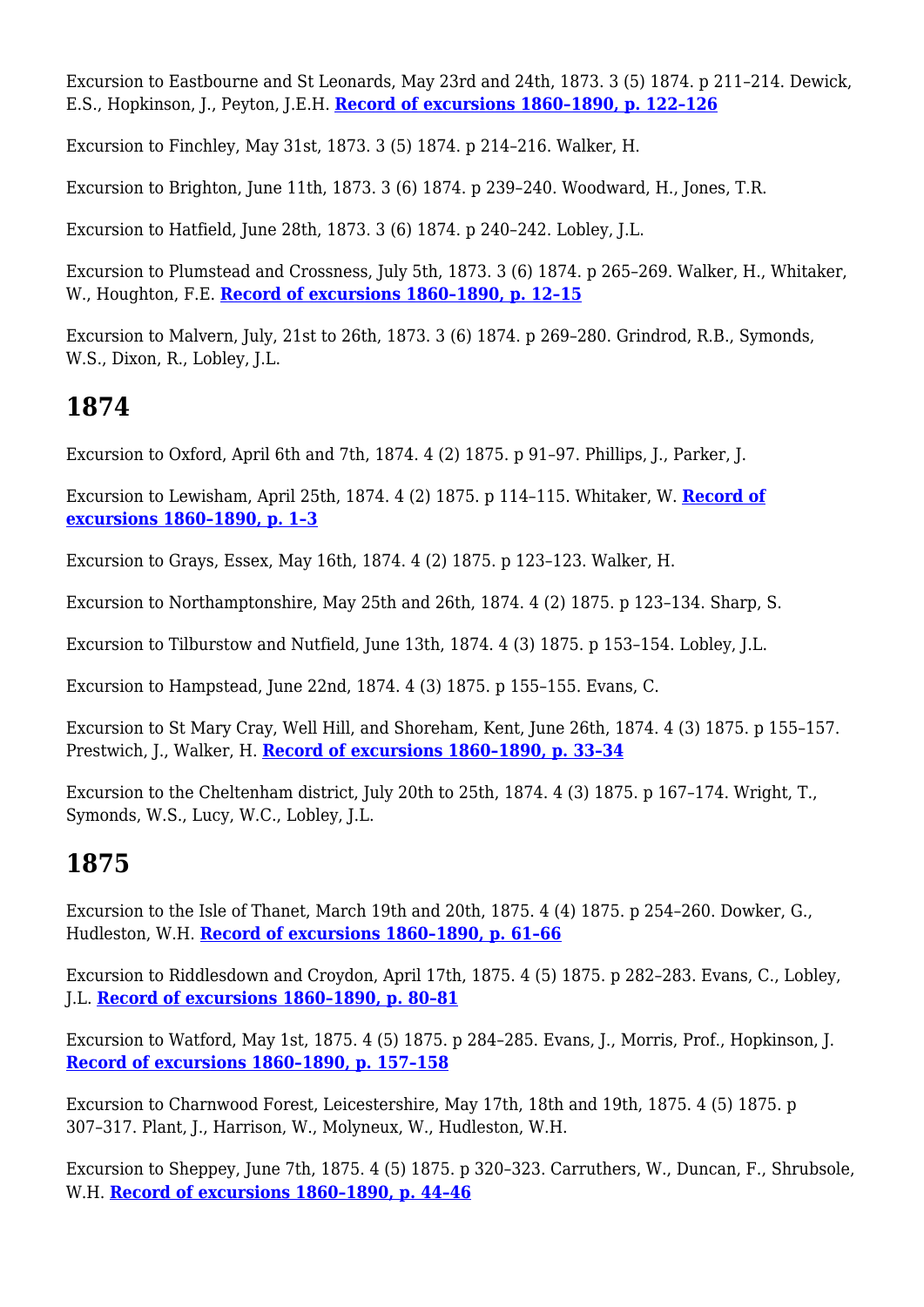Excursion to Eastbourne and St Leonards, May 23rd and 24th, 1873. 3 (5) 1874. p 211–214. Dewick, E.S., Hopkinson, J., Peyton, J.E.H. **[Record of excursions 1860–1890, p. 122–126](http://earthwise.bgs.ac.uk/index.php/Excursion_to_Eastbourne_and_St._Leonards._May_23rd_and_24th,_1873_-_Geologists%27_Association_excursion)**

Excursion to Finchley, May 31st, 1873. 3 (5) 1874. p 214–216. Walker, H.

Excursion to Brighton, June 11th, 1873. 3 (6) 1874. p 239–240. Woodward, H., Jones, T.R.

Excursion to Hatfield, June 28th, 1873. 3 (6) 1874. p 240–242. Lobley, J.L.

Excursion to Plumstead and Crossness, July 5th, 1873. 3 (6) 1874. p 265–269. Walker, H., Whitaker, W., Houghton, F.E. **[Record of excursions 1860–1890, p. 12–15](http://earthwise.bgs.ac.uk/index.php/Excursion_to_Plumstead_and_Crossness._July_5,_1873_-_Geologists%27_Association_excursion)**

Excursion to Malvern, July, 21st to 26th, 1873. 3 (6) 1874. p 269–280. Grindrod, R.B., Symonds, W.S., Dixon, R., Lobley, J.L.

## **1874**

Excursion to Oxford, April 6th and 7th, 1874. 4 (2) 1875. p 91–97. Phillips, J., Parker, J.

Excursion to Lewisham, April 25th, 1874. 4 (2) 1875. p 114–115. Whitaker, W. **[Record of](http://earthwise.bgs.ac.uk/index.php/Excursion_to_Lewisham._April_25th,_1874_-_Geologists%27_Association_excursion) [excursions 1860–1890, p. 1–3](http://earthwise.bgs.ac.uk/index.php/Excursion_to_Lewisham._April_25th,_1874_-_Geologists%27_Association_excursion)**

Excursion to Grays, Essex, May 16th, 1874. 4 (2) 1875. p 123–123. Walker, H.

Excursion to Northamptonshire, May 25th and 26th, 1874. 4 (2) 1875. p 123–134. Sharp, S.

Excursion to Tilburstow and Nutfield, June 13th, 1874. 4 (3) 1875. p 153–154. Lobley, J.L.

Excursion to Hampstead, June 22nd, 1874. 4 (3) 1875. p 155–155. Evans, C.

Excursion to St Mary Cray, Well Hill, and Shoreham, Kent, June 26th, 1874. 4 (3) 1875. p 155–157. Prestwich, J., Walker, H. **[Record of excursions 1860–1890, p. 33–34](http://earthwise.bgs.ac.uk/index.php/Excursion_to_St._Mary%27s_Cray,_Well_Hill,_and_Shoreham,_Kent._Saturday,_June_26th,_1874_-_Geologists%27_Association_excursion)**

Excursion to the Cheltenham district, July 20th to 25th, 1874. 4 (3) 1875. p 167–174. Wright, T., Symonds, W.S., Lucy, W.C., Lobley, J.L.

# **1875**

Excursion to the Isle of Thanet, March 19th and 20th, 1875. 4 (4) 1875. p 254–260. Dowker, G., Hudleston, W.H. **[Record of excursions 1860–1890, p. 61–66](http://earthwise.bgs.ac.uk/index.php/Excursion_to_the_Isle_of_Thanet._Easter_Monday,_March_29th,_1875,_and_following_day_-_Geologists%27_Association_excursion)**

Excursion to Riddlesdown and Croydon, April 17th, 1875. 4 (5) 1875. p 282–283. Evans, C., Lobley, J.L. **[Record of excursions 1860–1890, p. 80–81](http://earthwise.bgs.ac.uk/index.php/Excursion_to_Riddlesdown_and_Croydon._April_17th,_1875_-_Geologists%27_Association_excursion)**

Excursion to Watford, May 1st, 1875. 4 (5) 1875. p 284–285. Evans, J., Morris, Prof., Hopkinson, J. **[Record of excursions 1860–1890, p. 157–158](http://earthwise.bgs.ac.uk/index.php/Excursion_to_Watford._May_1st,_1875_-_Geologists%27_Association_excursion)**

Excursion to Charnwood Forest, Leicestershire, May 17th, 18th and 19th, 1875. 4 (5) 1875. p 307–317. Plant, J., Harrison, W., Molyneux, W., Hudleston, W.H.

Excursion to Sheppey, June 7th, 1875. 4 (5) 1875. p 320–323. Carruthers, W., Duncan, F., Shrubsole, W.H. **[Record of excursions 1860–1890, p. 44–46](http://earthwise.bgs.ac.uk/index.php/Excursion_to_the_Isle_of_Sheppey._June_7th,_1875_-_Geologists%27_Association_excursion)**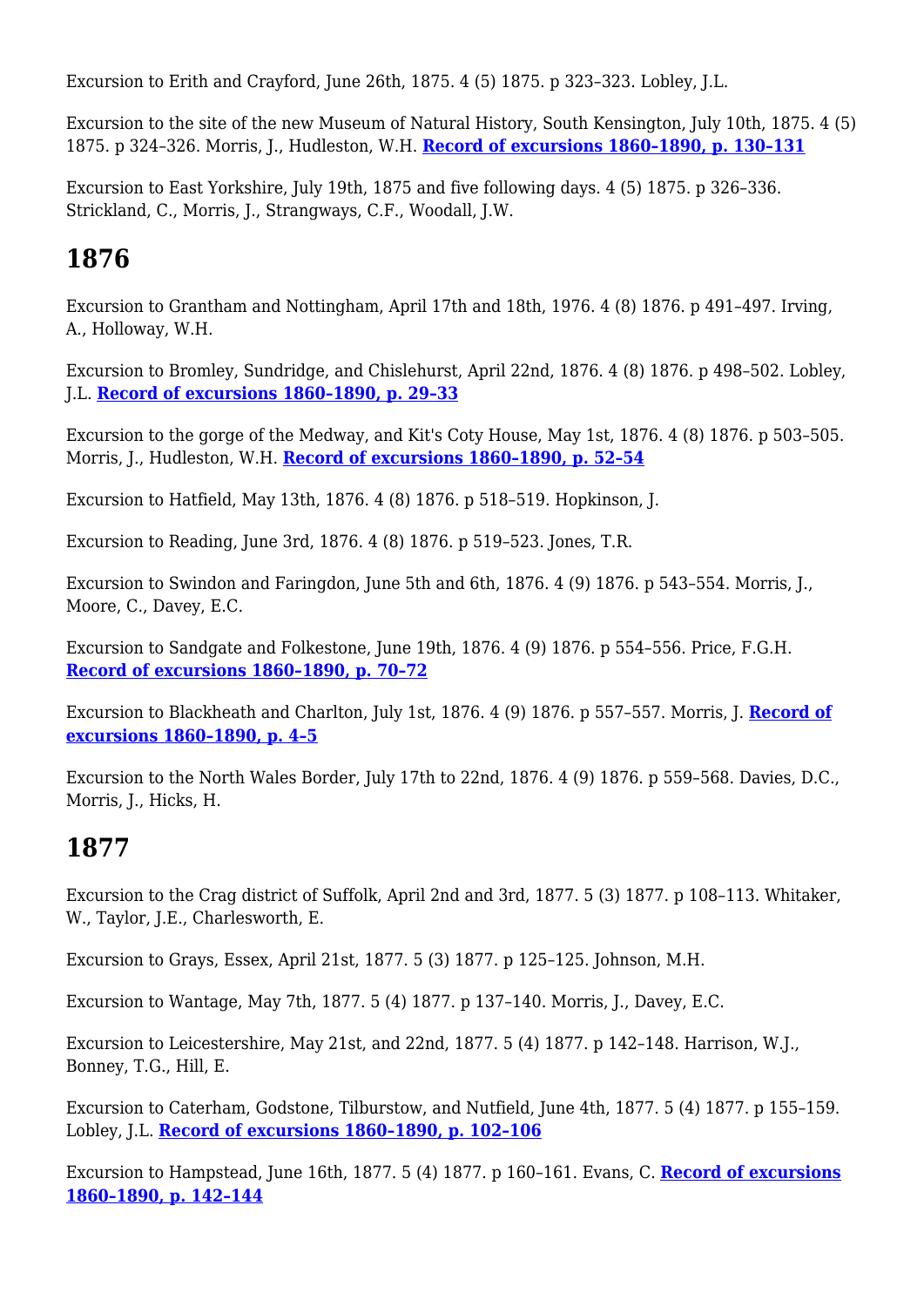Excursion to Erith and Crayford, June 26th, 1875. 4 (5) 1875. p 323–323. Lobley, J.L.

Excursion to the site of the new Museum of Natural History, South Kensington, July 10th, 1875. 4 (5) 1875. p 324–326. Morris, J., Hudleston, W.H. **[Record of excursions 1860–1890, p. 130–131](http://earthwise.bgs.ac.uk/index.php/Excursion_to_the_site_of_the_New_Museum_of_Natural_History,_South_Kensington._July_10th,_1875_-_Geologists%27_Association_excursion)**

Excursion to East Yorkshire, July 19th, 1875 and five following days. 4 (5) 1875. p 326–336. Strickland, C., Morris, J., Strangways, C.F., Woodall, J.W.

### **1876**

Excursion to Grantham and Nottingham, April 17th and 18th, 1976. 4 (8) 1876. p 491–497. Irving, A., Holloway, W.H.

Excursion to Bromley, Sundridge, and Chislehurst, April 22nd, 1876. 4 (8) 1876. p 498–502. Lobley, J.L. **[Record of excursions 1860–1890, p. 29–33](http://earthwise.bgs.ac.uk/index.php/Excursion_to_Bromley,_Sundridge,_and_Chiselhurst._April_22nd,_1876_-_Geologists%27_Association_excursion)**

Excursion to the gorge of the Medway, and Kit's Coty House, May 1st, 1876. 4 (8) 1876. p 503–505. Morris, J., Hudleston, W.H. **[Record of excursions 1860–1890, p. 52–54](http://earthwise.bgs.ac.uk/index.php/Excursion_to_The_Gorge_of_the_Medway,_and_Kit%27s_Coty_House._Monday,_May_1st,_1876_-_Geologists%27_Association_excursion)**

Excursion to Hatfield, May 13th, 1876. 4 (8) 1876. p 518–519. Hopkinson, J.

Excursion to Reading, June 3rd, 1876. 4 (8) 1876. p 519–523. Jones, T.R.

Excursion to Swindon and Faringdon, June 5th and 6th, 1876. 4 (9) 1876. p 543–554. Morris, J., Moore, C., Davey, E.C.

Excursion to Sandgate and Folkestone, June 19th, 1876. 4 (9) 1876. p 554–556. Price, F.G.H. **[Record of excursions 1860–1890, p. 70–72](http://earthwise.bgs.ac.uk/index.php/Excursion_to_Sandgate_and_Folkestone._June_19th,_1876_-_Geologists%27_Association_excursion)**

Excursion to Blackheath and Charlton, July 1st, 1876. 4 (9) 1876. p 557–557. Morris, J. **[Record of](http://earthwise.bgs.ac.uk/index.php/Excursion_to_Blackheath_and_Charlton._July_1st,_1876_-_Geologists%27_Association_excursion) [excursions 1860–1890, p. 4–5](http://earthwise.bgs.ac.uk/index.php/Excursion_to_Blackheath_and_Charlton._July_1st,_1876_-_Geologists%27_Association_excursion)**

Excursion to the North Wales Border, July 17th to 22nd, 1876. 4 (9) 1876. p 559–568. Davies, D.C., Morris, J., Hicks, H.

#### **1877**

Excursion to the Crag district of Suffolk, April 2nd and 3rd, 1877. 5 (3) 1877. p 108–113. Whitaker, W., Taylor, J.E., Charlesworth, E.

Excursion to Grays, Essex, April 21st, 1877. 5 (3) 1877. p 125–125. Johnson, M.H.

Excursion to Wantage, May 7th, 1877. 5 (4) 1877. p 137–140. Morris, J., Davey, E.C.

Excursion to Leicestershire, May 21st, and 22nd, 1877. 5 (4) 1877. p 142–148. Harrison, W.J., Bonney, T.G., Hill, E.

Excursion to Caterham, Godstone, Tilburstow, and Nutfield, June 4th, 1877. 5 (4) 1877. p 155–159. Lobley, J.L. **[Record of excursions 1860–1890, p. 102–106](http://earthwise.bgs.ac.uk/index.php/Excursion_to_Caterham,_Godstone,_Tilburstow,_and_Nutfield._Monday,_June_4th,_1877_-_Geologists%27_Association_excursion)**

Excursion to Hampstead, June 16th, 1877. 5 (4) 1877. p 160–161. Evans, C. **[Record of excursions](http://earthwise.bgs.ac.uk/index.php/Excursion_to_Hampstead._June_16th,_1877_-_Geologists%27_Association_excursion) [1860–1890, p. 142–144](http://earthwise.bgs.ac.uk/index.php/Excursion_to_Hampstead._June_16th,_1877_-_Geologists%27_Association_excursion)**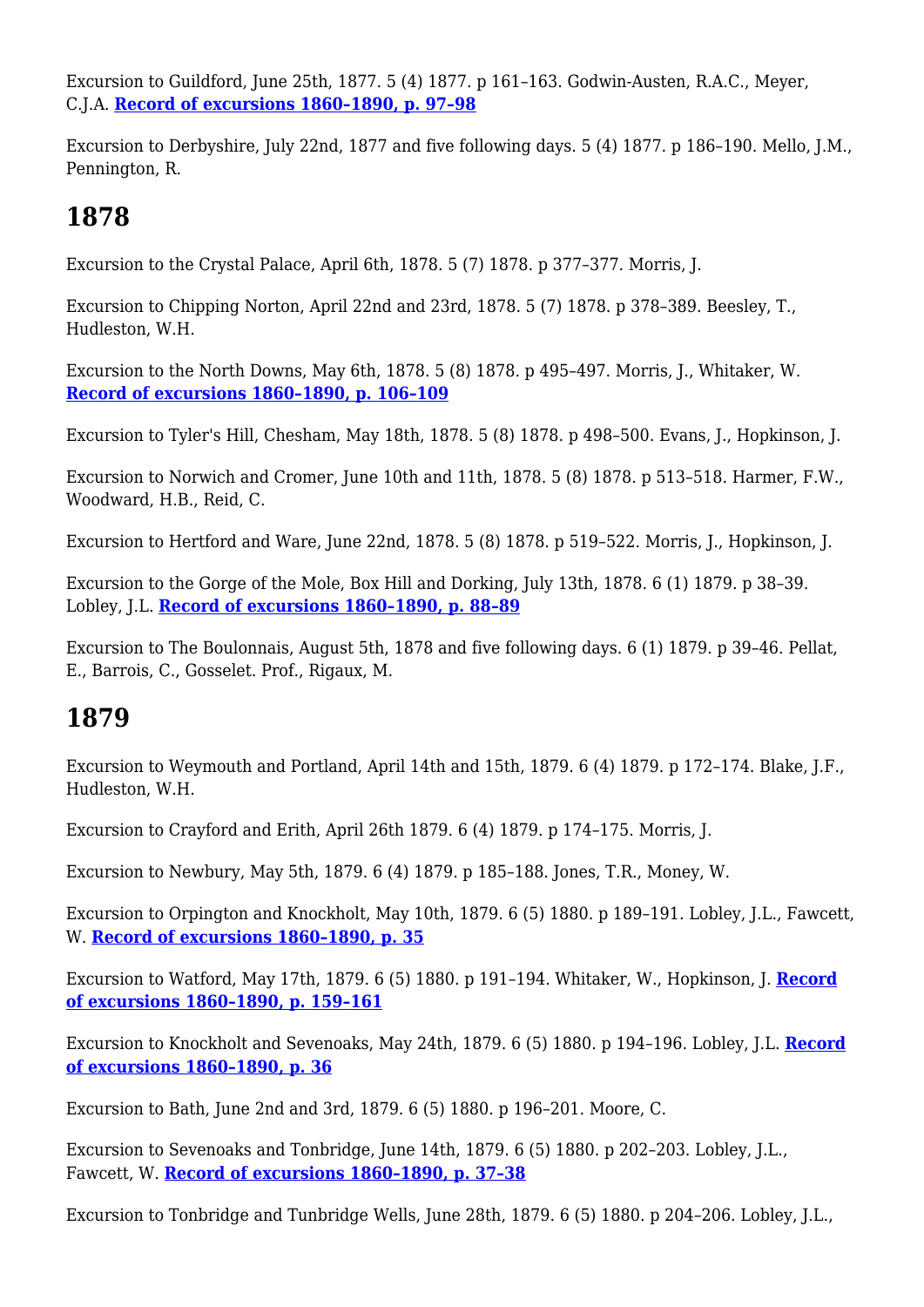Excursion to Guildford, June 25th, 1877. 5 (4) 1877. p 161–163. Godwin-Austen, R.A.C., Meyer, C.J.A. **[Record of excursions 1860–1890, p. 97–98](http://earthwise.bgs.ac.uk/index.php/Excursion_to_Guildford._June_25th,_1877_-_Geologists%27_Association_excursion)**

Excursion to Derbyshire, July 22nd, 1877 and five following days. 5 (4) 1877. p 186–190. Mello, J.M., Pennington, R.

#### **1878**

Excursion to the Crystal Palace, April 6th, 1878. 5 (7) 1878. p 377–377. Morris, J.

Excursion to Chipping Norton, April 22nd and 23rd, 1878. 5 (7) 1878. p 378–389. Beesley, T., Hudleston, W.H.

Excursion to the North Downs, May 6th, 1878. 5 (8) 1878. p 495–497. Morris, J., Whitaker, W. **[Record of excursions 1860–1890, p. 106–109](http://earthwise.bgs.ac.uk/index.php/Excursion_to_the_North_Downs,_Surrey._Monday,_6th_May,_1878_-_Geologists%27_Association_excursion)**

Excursion to Tyler's Hill, Chesham, May 18th, 1878. 5 (8) 1878. p 498–500. Evans, J., Hopkinson, J.

Excursion to Norwich and Cromer, June 10th and 11th, 1878. 5 (8) 1878. p 513–518. Harmer, F.W., Woodward, H.B., Reid, C.

Excursion to Hertford and Ware, June 22nd, 1878. 5 (8) 1878. p 519–522. Morris, J., Hopkinson, J.

Excursion to the Gorge of the Mole, Box Hill and Dorking, July 13th, 1878. 6 (1) 1879. p 38–39. Lobley, J.L. **[Record of excursions 1860–1890, p. 88–89](http://earthwise.bgs.ac.uk/index.php/Excursion_to_the_Gorge_of_the_Mole,_Box_Hill,_and_Dorking._Saturday,_July_13th,_1878_-_Geologists%27_Association_excursion)**

Excursion to The Boulonnais, August 5th, 1878 and five following days. 6 (1) 1879. p 39–46. Pellat, E., Barrois, C., Gosselet. Prof., Rigaux, M.

#### **1879**

Excursion to Weymouth and Portland, April 14th and 15th, 1879. 6 (4) 1879. p 172–174. Blake, J.F., Hudleston, W.H.

Excursion to Crayford and Erith, April 26th 1879. 6 (4) 1879. p 174–175. Morris, J.

Excursion to Newbury, May 5th, 1879. 6 (4) 1879. p 185–188. Jones, T.R., Money, W.

Excursion to Orpington and Knockholt, May 10th, 1879. 6 (5) 1880. p 189–191. Lobley, J.L., Fawcett, W. **[Record of excursions 1860–1890, p. 35](http://earthwise.bgs.ac.uk/index.php/Excursion_to_Orpington_and_Knockholt._Saturday,_May_10th,_1879_(First_of_the_Weald_Series)_-_Geologists%27_Association_excursion)**

Excursion to Watford, May 17th, 1879. 6 (5) 1880. p 191–194. Whitaker, W., Hopkinson, J. **[Record](http://earthwise.bgs.ac.uk/index.php/Excursion_to_Watford._May_17th,_1879_-_Geologists%27_Association_excursion) [of excursions 1860–1890, p. 159–161](http://earthwise.bgs.ac.uk/index.php/Excursion_to_Watford._May_17th,_1879_-_Geologists%27_Association_excursion)**

Excursion to Knockholt and Sevenoaks, May 24th, 1879. 6 (5) 1880. p 194–196. Lobley, J.L. **[Record](http://earthwise.bgs.ac.uk/index.php/Excursion_to_Knockholt_and_Sevenoaks._Saturday,_May_24th,_1879._(Second_of_the_Weald_Series)_-_Geologists%27_Association_excursion) [of excursions 1860–1890, p. 36](http://earthwise.bgs.ac.uk/index.php/Excursion_to_Knockholt_and_Sevenoaks._Saturday,_May_24th,_1879._(Second_of_the_Weald_Series)_-_Geologists%27_Association_excursion)**

Excursion to Bath, June 2nd and 3rd, 1879. 6 (5) 1880. p 196–201. Moore, C.

Excursion to Sevenoaks and Tonbridge, June 14th, 1879, 6 (5) 1880, p 202–203. Lobley, J.L., Fawcett, W. **[Record of excursions 1860–1890, p. 37–38](http://earthwise.bgs.ac.uk/index.php/Excursion_to_Sevenoaks_and_Tonbridge,_Saturday,_June_14th,_1879._(Third_of_the_Weald_Series)_-_Geologists%27_Association_excursion)**

Excursion to Tonbridge and Tunbridge Wells, June 28th, 1879. 6 (5) 1880. p 204–206. Lobley, J.L.,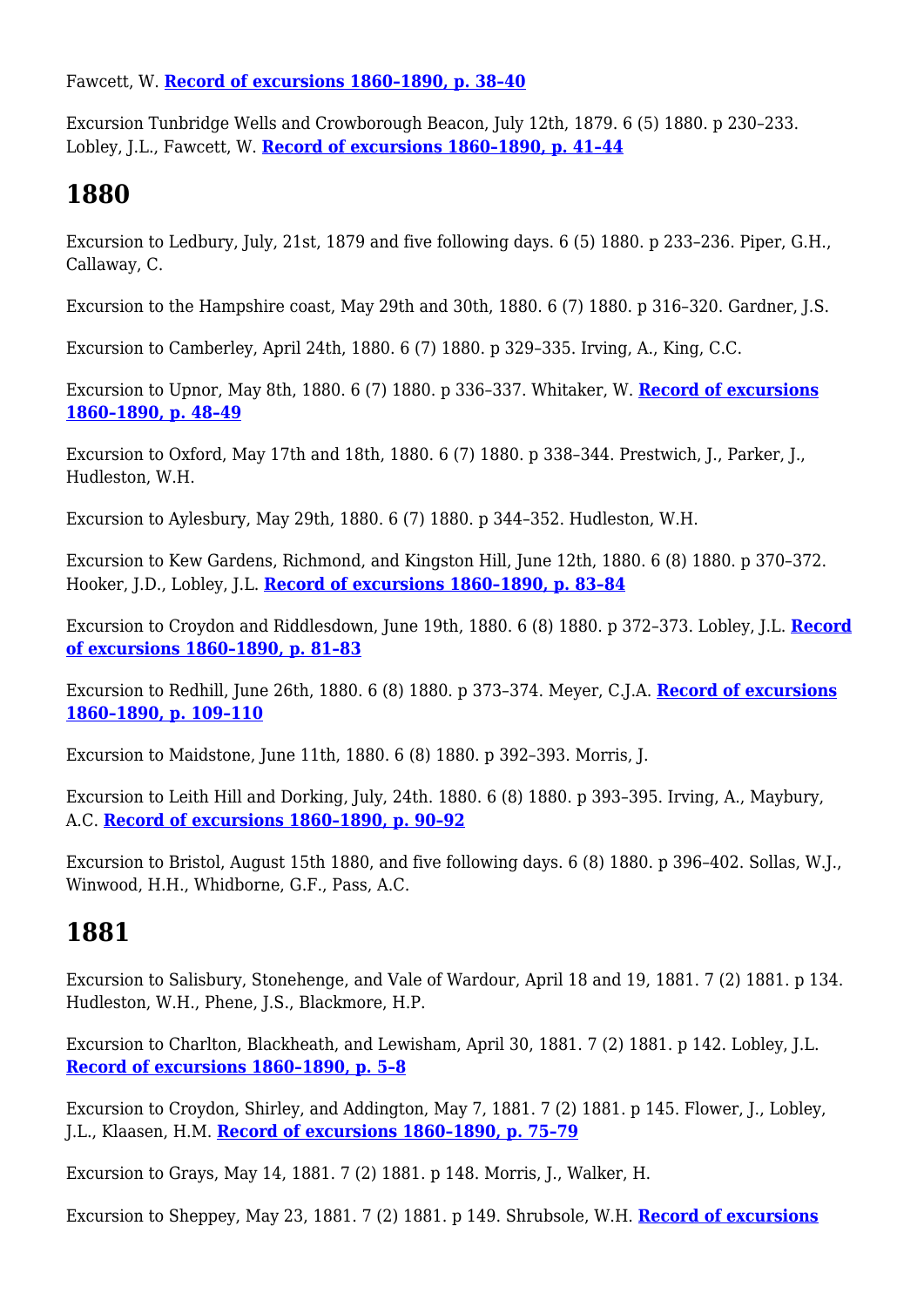Fawcett, W. **[Record of excursions 1860–1890, p. 38–40](http://earthwise.bgs.ac.uk/index.php/Excursion_to_Tonbridge_and_Tunbridge_Wells._Saturday,_June_28th,_1879._(Fourth_of_the_Weald_Series)_-_Geologists%27_Association_excursion)**

Excursion Tunbridge Wells and Crowborough Beacon, July 12th, 1879. 6 (5) 1880. p 230–233. Lobley, J.L., Fawcett, W. **[Record of excursions 1860–1890, p. 41–44](http://earthwise.bgs.ac.uk/index.php/Excursion_to_Tunbridge_Wells_and_Crowborough_Beacon._Monday,_July_12th,_1879._(Fifth_of_the_Weald_Series)_-_Geologists%27_Association_excursion)**

#### **1880**

Excursion to Ledbury, July, 21st, 1879 and five following days. 6 (5) 1880. p 233–236. Piper, G.H., Callaway, C.

Excursion to the Hampshire coast, May 29th and 30th, 1880. 6 (7) 1880. p 316–320. Gardner, J.S.

Excursion to Camberley, April 24th, 1880. 6 (7) 1880. p 329–335. Irving, A., King, C.C.

Excursion to Upnor, May 8th, 1880. 6 (7) 1880. p 336–337. Whitaker, W. **[Record of excursions](http://earthwise.bgs.ac.uk/index.php/Excursion_to_Upnor._Saturday,_May_8th,_1880_-_Geologists%27_Association_excursion) [1860–1890, p. 48–49](http://earthwise.bgs.ac.uk/index.php/Excursion_to_Upnor._Saturday,_May_8th,_1880_-_Geologists%27_Association_excursion)**

Excursion to Oxford, May 17th and 18th, 1880. 6 (7) 1880. p 338–344. Prestwich, J., Parker, J., Hudleston, W.H.

Excursion to Aylesbury, May 29th, 1880. 6 (7) 1880. p 344–352. Hudleston, W.H.

Excursion to Kew Gardens, Richmond, and Kingston Hill, June 12th, 1880. 6 (8) 1880. p 370–372. Hooker, J.D., Lobley, J.L. **[Record of excursions 1860–1890, p. 83–84](http://earthwise.bgs.ac.uk/index.php/Excursion_to_Kew_Gardens,_Richmond,_and_Kingston_Hill._Saturday,_June_12th,_1880_-_Geologists%27_Association_excursion)**

Excursion to Croydon and Riddlesdown, June 19th, 1880. 6 (8) 1880. p 372–373. Lobley, J.L. **[Record](http://earthwise.bgs.ac.uk/index.php/Excursion_to_Croydon_and_Riddlesdown._Saturday,_June_19th,_1880_-_Geologists%27_Association_excursion) [of excursions 1860–1890, p. 81–83](http://earthwise.bgs.ac.uk/index.php/Excursion_to_Croydon_and_Riddlesdown._Saturday,_June_19th,_1880_-_Geologists%27_Association_excursion)**

Excursion to Redhill, June 26th, 1880. 6 (8) 1880. p 373–374. Meyer, C.J.A. **[Record of excursions](http://earthwise.bgs.ac.uk/index.php/Excursion_to_Redhill._Saturday,_26th_June,_1880_-_Geologists%27_Association_excursion) [1860–1890, p. 109–110](http://earthwise.bgs.ac.uk/index.php/Excursion_to_Redhill._Saturday,_26th_June,_1880_-_Geologists%27_Association_excursion)**

Excursion to Maidstone, June 11th, 1880. 6 (8) 1880. p 392–393. Morris, J.

Excursion to Leith Hill and Dorking, July, 24th. 1880. 6 (8) 1880. p 393–395. Irving, A., Maybury, A.C. **[Record of excursions 1860–1890, p. 90–92](http://earthwise.bgs.ac.uk/index.php/Excursion_to_Leith_Hill_and_Dorking._Saturday,_July_24th,_1880_-_Geologists%27_Association_excursion)**

Excursion to Bristol, August 15th 1880, and five following days. 6 (8) 1880. p 396–402. Sollas, W.J., Winwood, H.H., Whidborne, G.F., Pass, A.C.

#### **1881**

Excursion to Salisbury, Stonehenge, and Vale of Wardour, April 18 and 19, 1881. 7 (2) 1881. p 134. Hudleston, W.H., Phene, J.S., Blackmore, H.P.

Excursion to Charlton, Blackheath, and Lewisham, April 30, 1881. 7 (2) 1881. p 142. Lobley, J.L. **[Record of excursions 1860–1890, p. 5–8](http://earthwise.bgs.ac.uk/index.php/Charlton,_Blackheath,_and_Lewisham._April_30th,_1881_-_Geologists%27_Association_excursion)**

Excursion to Croydon, Shirley, and Addington, May 7, 1881. 7 (2) 1881. p 145. Flower, J., Lobley, J.L., Klaasen, H.M. **[Record of excursions 1860–1890, p. 75–79](http://earthwise.bgs.ac.uk/index.php/Excursion_to_Croydon,_Shirley,_and_Addington._May_7th,_1881_-_Geologists%27_Association_excursion)**

Excursion to Grays, May 14, 1881. 7 (2) 1881. p 148. Morris, J., Walker, H.

Excursion to Sheppey, May 23, 1881. 7 (2) 1881. p 149. Shrubsole, W.H. **[Record of excursions](http://earthwise.bgs.ac.uk/index.php/Excursion_to_Sheppey,_Monday,_May_23rd,_1881_-_Geologists%27_Association_excursion)**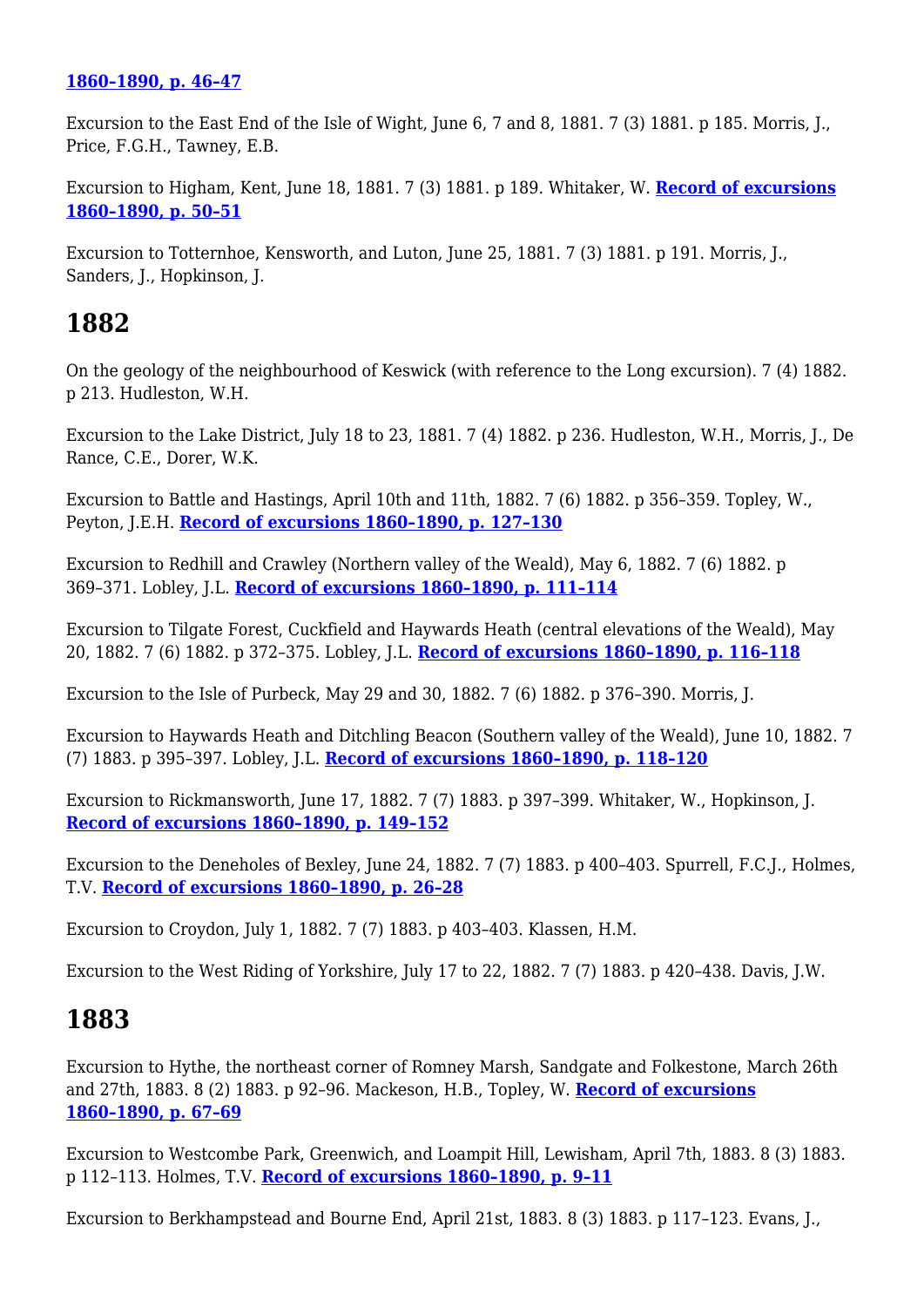#### **[1860–1890, p. 46–47](http://earthwise.bgs.ac.uk/index.php/Excursion_to_Sheppey,_Monday,_May_23rd,_1881_-_Geologists%27_Association_excursion)**

Excursion to the East End of the Isle of Wight, June 6, 7 and 8, 1881. 7 (3) 1881. p 185. Morris, J., Price, F.G.H., Tawney, E.B.

Excursion to Higham, Kent, June 18, 1881. 7 (3) 1881. p 189. Whitaker, W. **[Record of excursions](http://earthwise.bgs.ac.uk/index.php/Excursion_to_Higham,_Kent._June_18th,_1881_-_Geologists%27_Association_excursion) [1860–1890, p. 50–51](http://earthwise.bgs.ac.uk/index.php/Excursion_to_Higham,_Kent._June_18th,_1881_-_Geologists%27_Association_excursion)**

Excursion to Totternhoe, Kensworth, and Luton, June 25, 1881. 7 (3) 1881. p 191. Morris, J., Sanders, J., Hopkinson, J.

#### **1882**

On the geology of the neighbourhood of Keswick (with reference to the Long excursion). 7 (4) 1882. p 213. Hudleston, W.H.

Excursion to the Lake District, July 18 to 23, 1881. 7 (4) 1882. p 236. Hudleston, W.H., Morris, J., De Rance, C.E., Dorer, W.K.

Excursion to Battle and Hastings, April 10th and 11th, 1882. 7 (6) 1882. p 356–359. Topley, W., Peyton, J.E.H. **[Record of excursions 1860–1890, p. 127–130](http://earthwise.bgs.ac.uk/index.php/Excursion_to_Battle_and_Hastings._Easter_Monday_and_Tuesday,_April_10th_and_11th,_1882_-_Geologists%27_Association_excursion)**

Excursion to Redhill and Crawley (Northern valley of the Weald), May 6, 1882. 7 (6) 1882. p 369–371. Lobley, J.L. **[Record of excursions 1860–1890, p. 111–114](http://earthwise.bgs.ac.uk/index.php/Excursion_to_Redhill_and_Crawley_(Northern_valley_of_the_Weald)._Saturday,_May_6th,_1882_-_Geologists%27_Association_excursion)**

Excursion to Tilgate Forest, Cuckfield and Haywards Heath (central elevations of the Weald), May 20, 1882. 7 (6) 1882. p 372–375. Lobley, J.L. **[Record of excursions 1860–1890, p. 116–118](http://earthwise.bgs.ac.uk/index.php/Excursion_to_Tilgate_Forest,_Cuckfield,_and_Hayward%27s_Heath._(Central_elevations_of_The_Weald.)_Saturday,_May_20th,_1882_-_Geologists%27_Association_excursion)**

Excursion to the Isle of Purbeck, May 29 and 30, 1882. 7 (6) 1882. p 376–390. Morris, J.

Excursion to Haywards Heath and Ditchling Beacon (Southern valley of the Weald), June 10, 1882. 7 (7) 1883. p 395–397. Lobley, J.L. **[Record of excursions 1860–1890, p. 118–120](http://earthwise.bgs.ac.uk/index.php/Excursion_to_Hayward%27s_Heath_and_Ditchling_Beacon._Saturday,_June_70th,_1882_-_Geologists%27_Association_excursion)**

Excursion to Rickmansworth, June 17, 1882. 7 (7) 1883. p 397–399. Whitaker, W., Hopkinson, J. **[Record of excursions 1860–1890, p. 149–152](http://earthwise.bgs.ac.uk/index.php/Excursion_to_Rickmansworth._Saturday,_June_17th,_1882_-_Geologists%27_Association_excursion)**

Excursion to the Deneholes of Bexley, June 24, 1882. 7 (7) 1883. p 400–403. Spurrell, F.C.J., Holmes, T.V. **[Record of excursions 1860–1890, p. 26–28](http://earthwise.bgs.ac.uk/index.php/Excursion_to_the_deneholes_of_Bexley._June_24th,_1882_-_Geologists%27_Association_excursion)**

Excursion to Croydon, July 1, 1882. 7 (7) 1883. p 403–403. Klassen, H.M.

Excursion to the West Riding of Yorkshire, July 17 to 22, 1882. 7 (7) 1883. p 420–438. Davis, J.W.

#### **1883**

Excursion to Hythe, the northeast corner of Romney Marsh, Sandgate and Folkestone, March 26th and 27th, 1883. 8 (2) 1883. p 92–96. Mackeson, H.B., Topley, W. **[Record of excursions](http://earthwise.bgs.ac.uk/index.php/Excursion_to_Hythe,_the_N.E._corner_of_Romney_Marsh,_Sandgate_and_Folkestone._March_26th_and_27th,_1883_-_Geologists%27_Association_excursion) [1860–1890, p. 67–69](http://earthwise.bgs.ac.uk/index.php/Excursion_to_Hythe,_the_N.E._corner_of_Romney_Marsh,_Sandgate_and_Folkestone._March_26th_and_27th,_1883_-_Geologists%27_Association_excursion)**

Excursion to Westcombe Park, Greenwich, and Loampit Hill, Lewisham, April 7th, 1883. 8 (3) 1883. p 112–113. Holmes, T.V. **[Record of excursions 1860–1890, p. 9–11](http://earthwise.bgs.ac.uk/index.php/Westcombe_Park,_Greenwich,_and_Loampit_Hill,_Lewisham._April_7th,_1883_-_Geologists%27_Association_excursion)**

Excursion to Berkhampstead and Bourne End, April 21st, 1883. 8 (3) 1883. p 117–123. Evans, J.,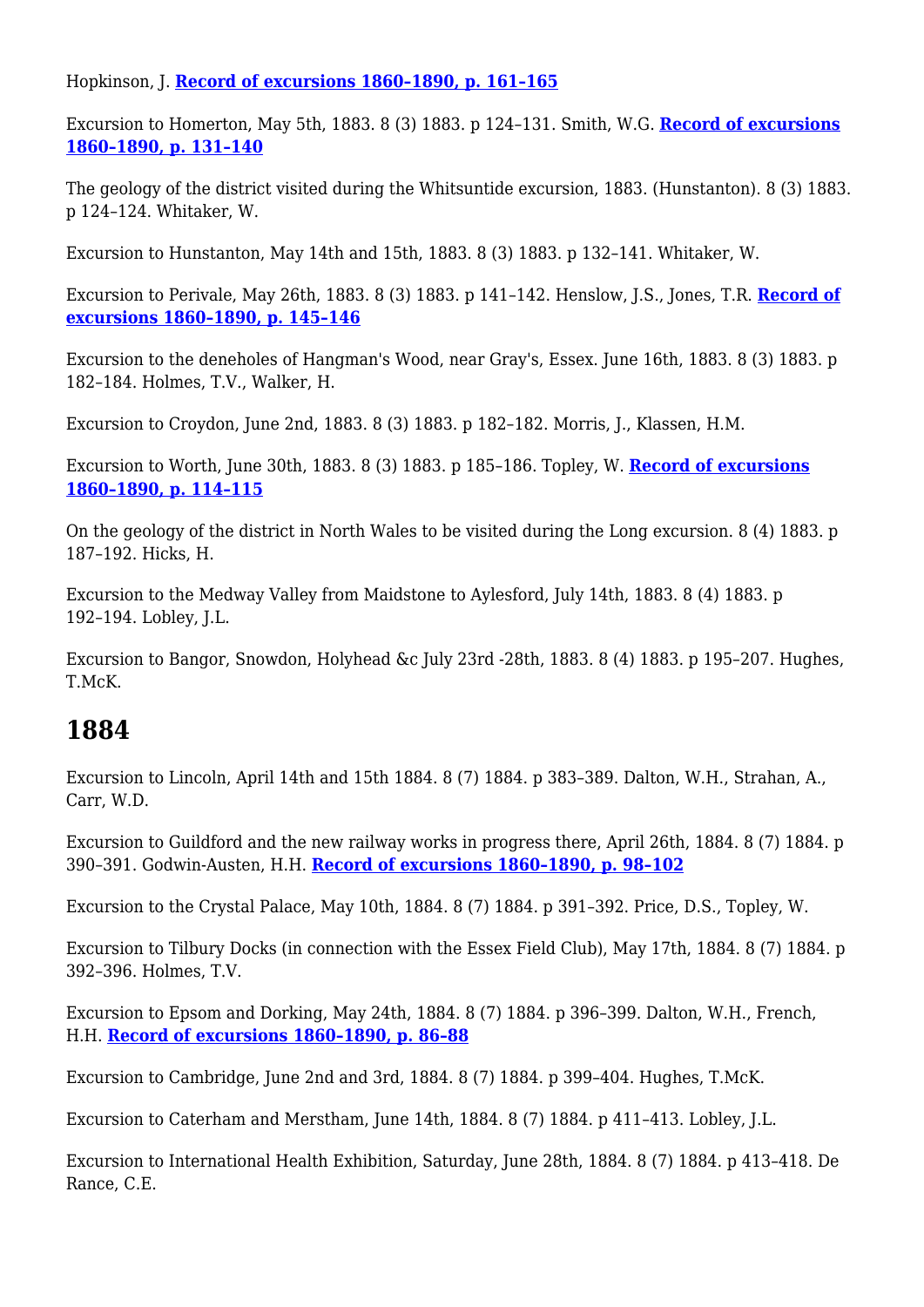#### Hopkinson, J. **[Record of excursions 1860–1890, p. 161–165](http://earthwise.bgs.ac.uk/index.php/Excursion_to_Berkhampstead_and_Bourne_End._Saturday,_21st_April,_1883_-_Geologists%27_Association_excursion)**

Excursion to Homerton, May 5th, 1883. 8 (3) 1883. p 124–131. Smith, W.G. **[Record of excursions](http://earthwise.bgs.ac.uk/index.php/Excursion_to_Homerton._Saturday,_May_5th,_1883_-_Geologists%27_Association_excursion) [1860–1890, p. 131–140](http://earthwise.bgs.ac.uk/index.php/Excursion_to_Homerton._Saturday,_May_5th,_1883_-_Geologists%27_Association_excursion)**

The geology of the district visited during the Whitsuntide excursion, 1883. (Hunstanton). 8 (3) 1883. p 124–124. Whitaker, W.

Excursion to Hunstanton, May 14th and 15th, 1883. 8 (3) 1883. p 132–141. Whitaker, W.

Excursion to Perivale, May 26th, 1883. 8 (3) 1883. p 141–142. Henslow, J.S., Jones, T.R. **[Record of](http://earthwise.bgs.ac.uk/index.php/Excursion_to_Perivale._Saturday,_May_26th,_1883_-_Geologists%27_Association_excursion) [excursions 1860–1890, p. 145–146](http://earthwise.bgs.ac.uk/index.php/Excursion_to_Perivale._Saturday,_May_26th,_1883_-_Geologists%27_Association_excursion)**

Excursion to the deneholes of Hangman's Wood, near Gray's, Essex. June 16th, 1883. 8 (3) 1883. p 182–184. Holmes, T.V., Walker, H.

Excursion to Croydon, June 2nd, 1883. 8 (3) 1883. p 182–182. Morris, J., Klassen, H.M.

Excursion to Worth, June 30th, 1883. 8 (3) 1883. p 185–186. Topley, W. **[Record of excursions](http://earthwise.bgs.ac.uk/index.php/Excursion_to_Worth._June_30th,_1883_-_Geologists%27_Association_excursion) [1860–1890, p. 114–115](http://earthwise.bgs.ac.uk/index.php/Excursion_to_Worth._June_30th,_1883_-_Geologists%27_Association_excursion)**

On the geology of the district in North Wales to be visited during the Long excursion. 8 (4) 1883. p 187–192. Hicks, H.

Excursion to the Medway Valley from Maidstone to Aylesford, July 14th, 1883. 8 (4) 1883. p 192–194. Lobley, J.L.

Excursion to Bangor, Snowdon, Holyhead &c July 23rd -28th, 1883. 8 (4) 1883. p 195–207. Hughes, T.McK.

## **1884**

Excursion to Lincoln, April 14th and 15th 1884. 8 (7) 1884. p 383–389. Dalton, W.H., Strahan, A., Carr, W.D.

Excursion to Guildford and the new railway works in progress there, April 26th, 1884. 8 (7) 1884. p 390–391. Godwin-Austen, H.H. **[Record of excursions 1860–1890, p. 98–102](http://earthwise.bgs.ac.uk/index.php/Excursion_to_Guildford_and_the_new_railway_works_in_progress_there._Saturday,_April_26th,_1884_-_Geologists%27_Association_excursion)**

Excursion to the Crystal Palace, May 10th, 1884. 8 (7) 1884. p 391–392. Price, D.S., Topley, W.

Excursion to Tilbury Docks (in connection with the Essex Field Club), May 17th, 1884. 8 (7) 1884. p 392–396. Holmes, T.V.

Excursion to Epsom and Dorking, May 24th, 1884. 8 (7) 1884. p 396–399. Dalton, W.H., French, H.H. **[Record of excursions 1860–1890, p. 86–88](http://earthwise.bgs.ac.uk/index.php/Excursion_to_Epsom_and_Dorking_May_24th,_1884_-_Geologists%27_Association_excursion)**

Excursion to Cambridge, June 2nd and 3rd, 1884. 8 (7) 1884. p 399–404. Hughes, T.McK.

Excursion to Caterham and Merstham, June 14th, 1884. 8 (7) 1884. p 411–413. Lobley, J.L.

Excursion to International Health Exhibition, Saturday, June 28th, 1884. 8 (7) 1884. p 413–418. De Rance, C.E.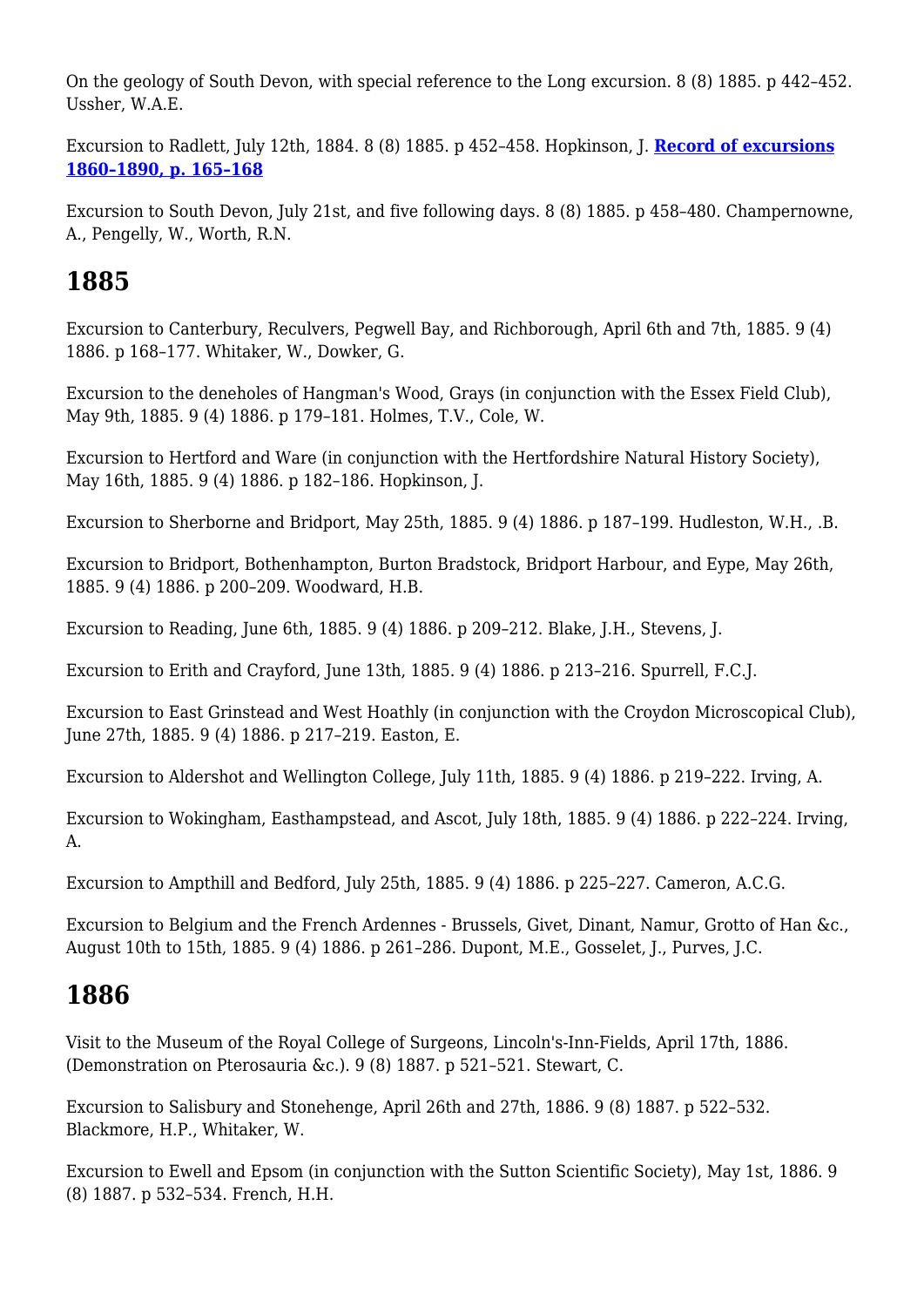On the geology of South Devon, with special reference to the Long excursion. 8 (8) 1885. p 442–452. Ussher, W.A.E.

Excursion to Radlett, July 12th, 1884. 8 (8) 1885. p 452–458. Hopkinson, J. **[Record of excursions](http://earthwise.bgs.ac.uk/index.php/Excursion_To_Radlett._July_12th,_1884_-_Geologists%27_Association_excursion) [1860–1890, p. 165–168](http://earthwise.bgs.ac.uk/index.php/Excursion_To_Radlett._July_12th,_1884_-_Geologists%27_Association_excursion)**

Excursion to South Devon, July 21st, and five following days. 8 (8) 1885. p 458–480. Champernowne, A., Pengelly, W., Worth, R.N.

#### **1885**

Excursion to Canterbury, Reculvers, Pegwell Bay, and Richborough, April 6th and 7th, 1885. 9 (4) 1886. p 168–177. Whitaker, W., Dowker, G.

Excursion to the deneholes of Hangman's Wood, Grays (in conjunction with the Essex Field Club), May 9th, 1885. 9 (4) 1886. p 179–181. Holmes, T.V., Cole, W.

Excursion to Hertford and Ware (in conjunction with the Hertfordshire Natural History Society), May 16th, 1885. 9 (4) 1886. p 182–186. Hopkinson, J.

Excursion to Sherborne and Bridport, May 25th, 1885. 9 (4) 1886. p 187–199. Hudleston, W.H., .B.

Excursion to Bridport, Bothenhampton, Burton Bradstock, Bridport Harbour, and Eype, May 26th, 1885. 9 (4) 1886. p 200–209. Woodward, H.B.

Excursion to Reading, June 6th, 1885. 9 (4) 1886. p 209–212. Blake, J.H., Stevens, J.

Excursion to Erith and Crayford, June 13th, 1885. 9 (4) 1886. p 213–216. Spurrell, F.C.J.

Excursion to East Grinstead and West Hoathly (in conjunction with the Croydon Microscopical Club), June 27th, 1885. 9 (4) 1886. p 217–219. Easton, E.

Excursion to Aldershot and Wellington College, July 11th, 1885. 9 (4) 1886. p 219–222. Irving, A.

Excursion to Wokingham, Easthampstead, and Ascot, July 18th, 1885. 9 (4) 1886. p 222–224. Irving, A.

Excursion to Ampthill and Bedford, July 25th, 1885. 9 (4) 1886. p 225–227. Cameron, A.C.G.

Excursion to Belgium and the French Ardennes - Brussels, Givet, Dinant, Namur, Grotto of Han &c., August 10th to 15th, 1885. 9 (4) 1886. p 261–286. Dupont, M.E., Gosselet, J., Purves, J.C.

#### **1886**

Visit to the Museum of the Royal College of Surgeons, Lincoln's-Inn-Fields, April 17th, 1886. (Demonstration on Pterosauria &c.). 9 (8) 1887. p 521–521. Stewart, C.

Excursion to Salisbury and Stonehenge, April 26th and 27th, 1886. 9 (8) 1887. p 522–532. Blackmore, H.P., Whitaker, W.

Excursion to Ewell and Epsom (in conjunction with the Sutton Scientific Society), May 1st, 1886. 9 (8) 1887. p 532–534. French, H.H.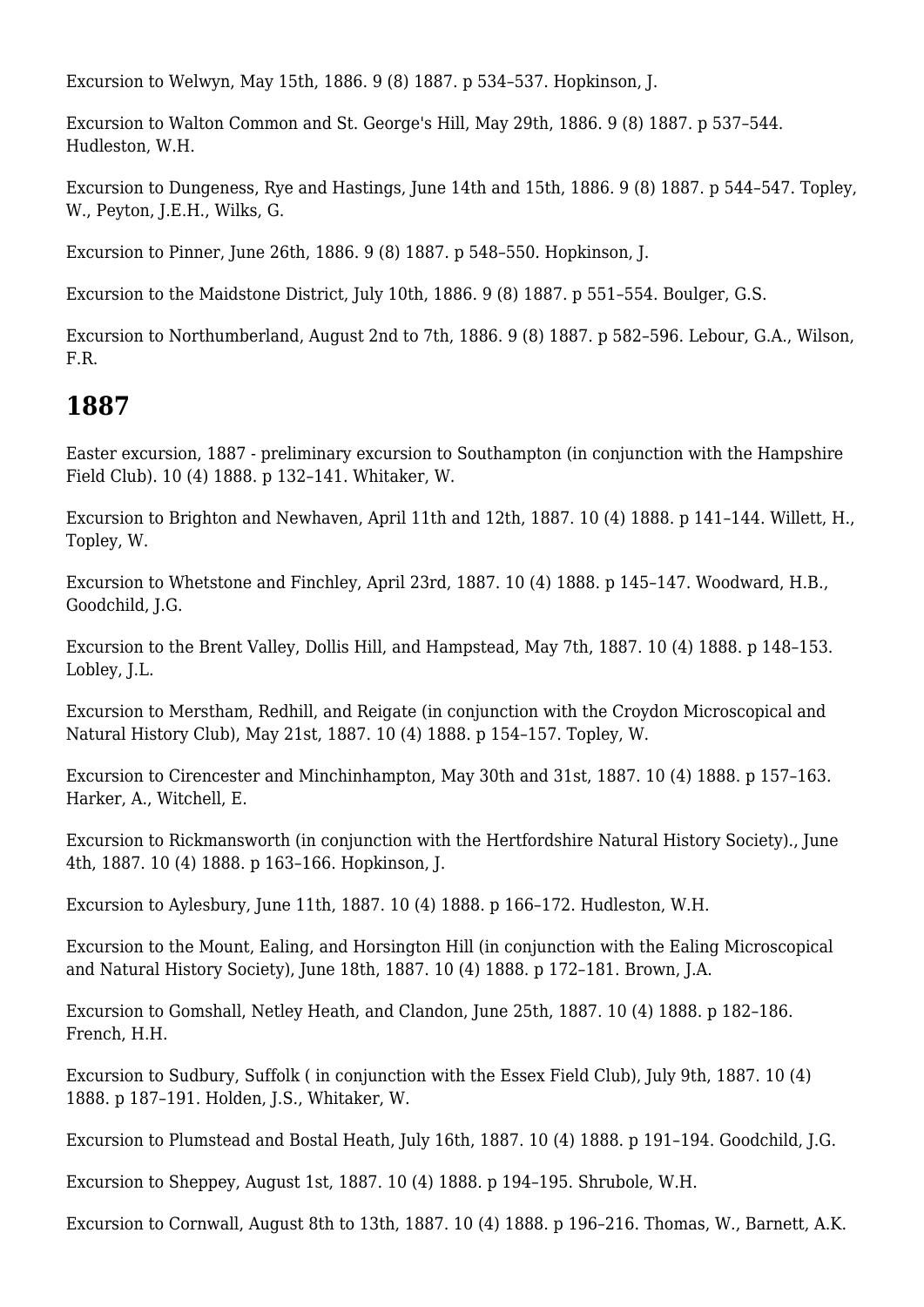Excursion to Welwyn, May 15th, 1886. 9 (8) 1887. p 534–537. Hopkinson, J.

Excursion to Walton Common and St. George's Hill, May 29th, 1886. 9 (8) 1887. p 537–544. Hudleston, W.H.

Excursion to Dungeness, Rye and Hastings, June 14th and 15th, 1886. 9 (8) 1887. p 544–547. Topley, W., Peyton, J.E.H., Wilks, G.

Excursion to Pinner, June 26th, 1886. 9 (8) 1887. p 548–550. Hopkinson, J.

Excursion to the Maidstone District, July 10th, 1886. 9 (8) 1887. p 551–554. Boulger, G.S.

Excursion to Northumberland, August 2nd to 7th, 1886. 9 (8) 1887. p 582–596. Lebour, G.A., Wilson, F.R.

#### **1887**

Easter excursion, 1887 - preliminary excursion to Southampton (in conjunction with the Hampshire Field Club). 10 (4) 1888. p 132–141. Whitaker, W.

Excursion to Brighton and Newhaven, April 11th and 12th, 1887. 10 (4) 1888. p 141–144. Willett, H., Topley, W.

Excursion to Whetstone and Finchley, April 23rd, 1887. 10 (4) 1888. p 145–147. Woodward, H.B., Goodchild, J.G.

Excursion to the Brent Valley, Dollis Hill, and Hampstead, May 7th, 1887. 10 (4) 1888. p 148–153. Lobley, J.L.

Excursion to Merstham, Redhill, and Reigate (in conjunction with the Croydon Microscopical and Natural History Club), May 21st, 1887. 10 (4) 1888. p 154–157. Topley, W.

Excursion to Cirencester and Minchinhampton, May 30th and 31st, 1887. 10 (4) 1888. p 157–163. Harker, A., Witchell, E.

Excursion to Rickmansworth (in conjunction with the Hertfordshire Natural History Society)., June 4th, 1887. 10 (4) 1888. p 163–166. Hopkinson, J.

Excursion to Aylesbury, June 11th, 1887. 10 (4) 1888. p 166–172. Hudleston, W.H.

Excursion to the Mount, Ealing, and Horsington Hill (in conjunction with the Ealing Microscopical and Natural History Society), June 18th, 1887. 10 (4) 1888. p 172–181. Brown, J.A.

Excursion to Gomshall, Netley Heath, and Clandon, June 25th, 1887. 10 (4) 1888. p 182–186. French, H.H.

Excursion to Sudbury, Suffolk ( in conjunction with the Essex Field Club), July 9th, 1887. 10 (4) 1888. p 187–191. Holden, J.S., Whitaker, W.

Excursion to Plumstead and Bostal Heath, July 16th, 1887. 10 (4) 1888. p 191–194. Goodchild, J.G.

Excursion to Sheppey, August 1st, 1887. 10 (4) 1888. p 194–195. Shrubole, W.H.

Excursion to Cornwall, August 8th to 13th, 1887. 10 (4) 1888. p 196–216. Thomas, W., Barnett, A.K.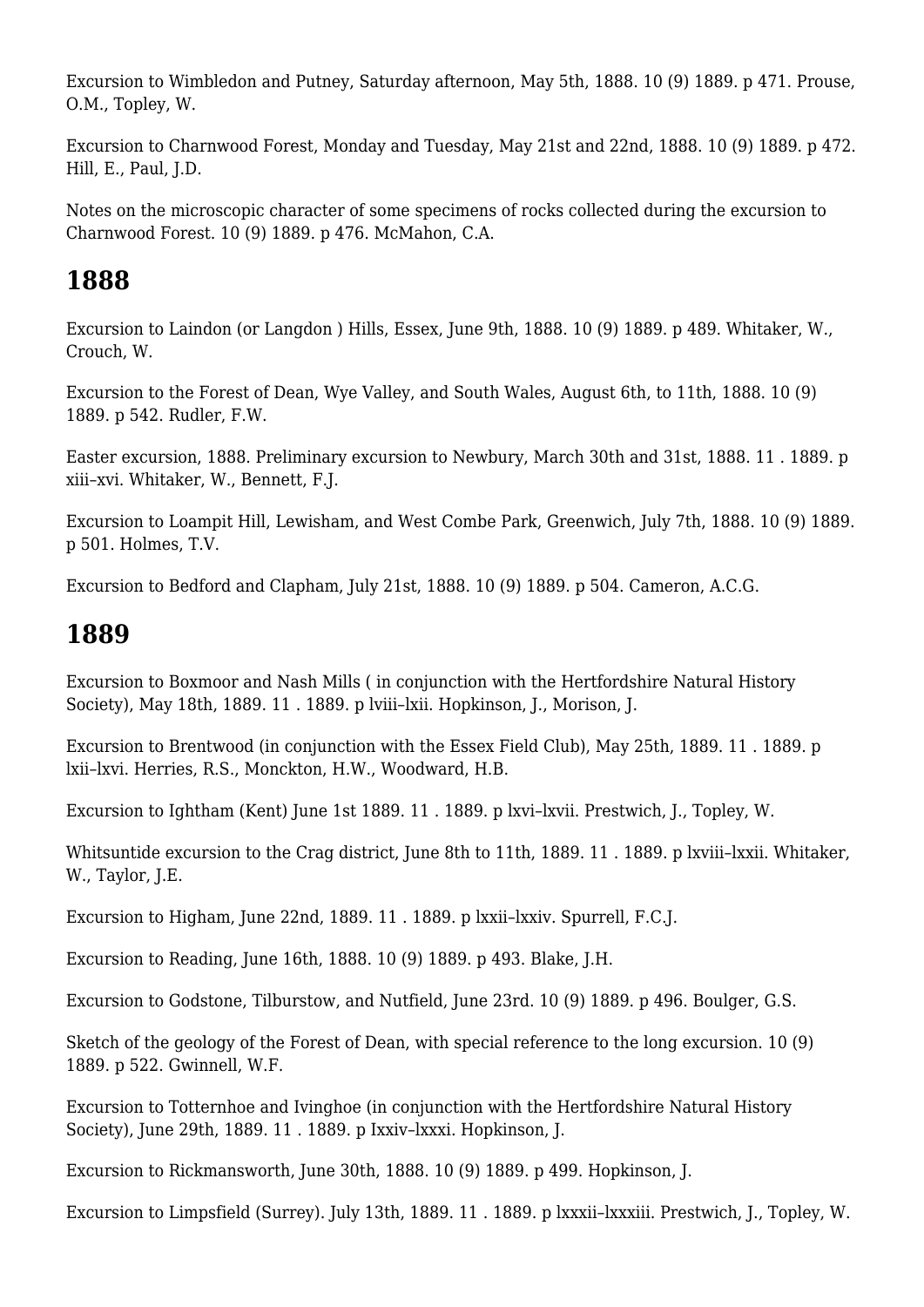Excursion to Wimbledon and Putney, Saturday afternoon, May 5th, 1888. 10 (9) 1889. p 471. Prouse, O.M., Topley, W.

Excursion to Charnwood Forest, Monday and Tuesday, May 21st and 22nd, 1888. 10 (9) 1889. p 472. Hill, E., Paul, J.D.

Notes on the microscopic character of some specimens of rocks collected during the excursion to Charnwood Forest. 10 (9) 1889. p 476. McMahon, C.A.

# **1888**

Excursion to Laindon (or Langdon ) Hills, Essex, June 9th, 1888. 10 (9) 1889. p 489. Whitaker, W., Crouch, W.

Excursion to the Forest of Dean, Wye Valley, and South Wales, August 6th, to 11th, 1888. 10 (9) 1889. p 542. Rudler, F.W.

Easter excursion, 1888. Preliminary excursion to Newbury, March 30th and 31st, 1888. 11 . 1889. p xiii–xvi. Whitaker, W., Bennett, F.J.

Excursion to Loampit Hill, Lewisham, and West Combe Park, Greenwich, July 7th, 1888. 10 (9) 1889. p 501. Holmes, T.V.

Excursion to Bedford and Clapham, July 21st, 1888. 10 (9) 1889. p 504. Cameron, A.C.G.

## **1889**

Excursion to Boxmoor and Nash Mills ( in conjunction with the Hertfordshire Natural History Society), May 18th, 1889. 11 . 1889. p lviii–lxii. Hopkinson, J., Morison, J.

Excursion to Brentwood (in conjunction with the Essex Field Club), May 25th, 1889. 11 . 1889. p lxii–lxvi. Herries, R.S., Monckton, H.W., Woodward, H.B.

Excursion to Ightham (Kent) June 1st 1889. 11 . 1889. p lxvi–lxvii. Prestwich, J., Topley, W.

Whitsuntide excursion to the Crag district, June 8th to 11th, 1889. 11 . 1889. p lxviii–lxxii. Whitaker, W., Taylor, J.E.

Excursion to Higham, June 22nd, 1889. 11 . 1889. p lxxii–lxxiv. Spurrell, F.C.J.

Excursion to Reading, June 16th, 1888. 10 (9) 1889. p 493. Blake, J.H.

Excursion to Godstone, Tilburstow, and Nutfield, June 23rd. 10 (9) 1889. p 496. Boulger, G.S.

Sketch of the geology of the Forest of Dean, with special reference to the long excursion. 10 (9) 1889. p 522. Gwinnell, W.F.

Excursion to Totternhoe and Ivinghoe (in conjunction with the Hertfordshire Natural History Society), June 29th, 1889. 11 . 1889. p Ixxiv–lxxxi. Hopkinson, J.

Excursion to Rickmansworth, June 30th, 1888. 10 (9) 1889. p 499. Hopkinson, J.

Excursion to Limpsfield (Surrey). July 13th, 1889. 11 . 1889. p lxxxii–lxxxiii. Prestwich, J., Topley, W.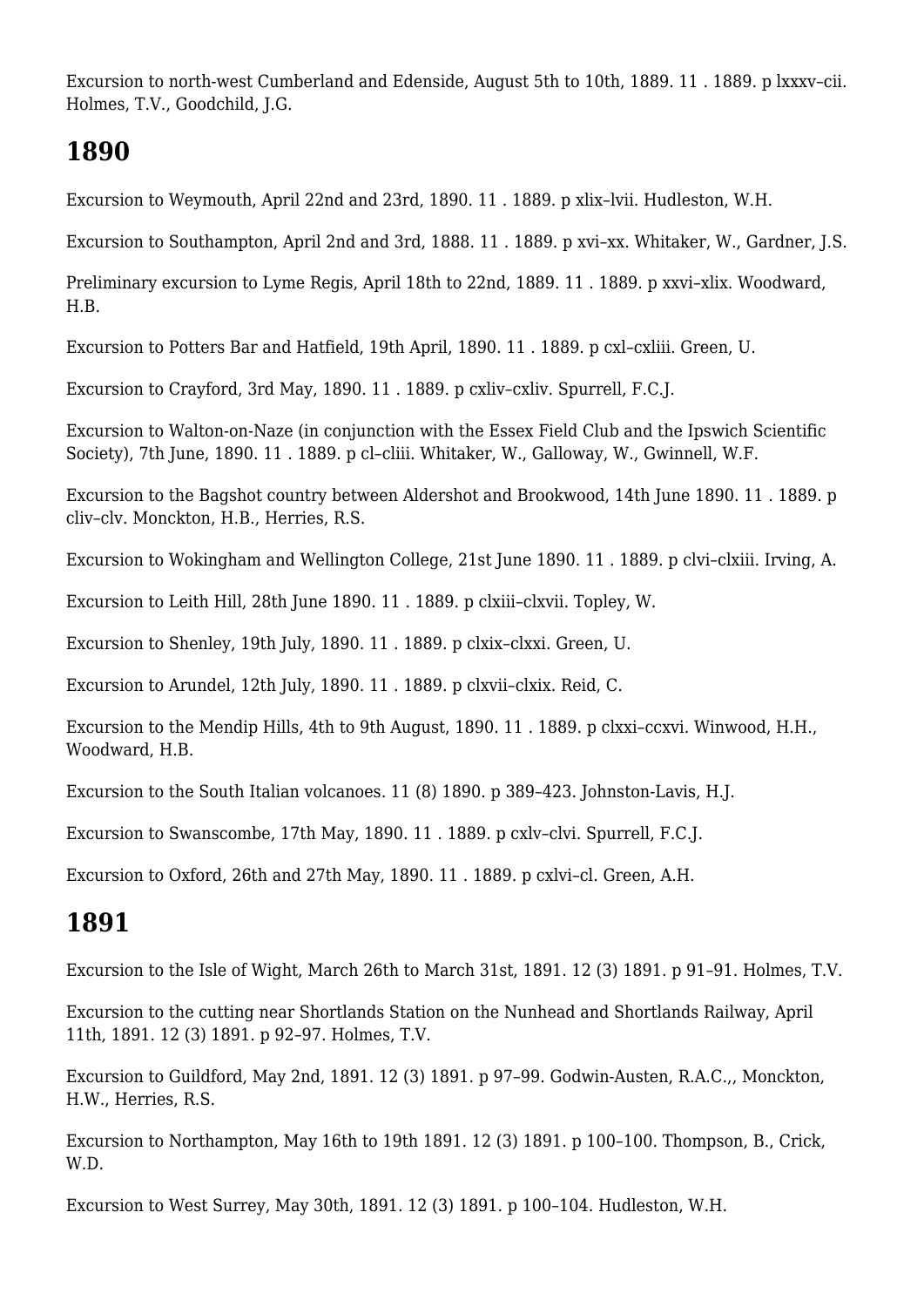Excursion to north-west Cumberland and Edenside, August 5th to 10th, 1889. 11 . 1889. p lxxxv–cii. Holmes, T.V., Goodchild, J.G.

#### **1890**

Excursion to Weymouth, April 22nd and 23rd, 1890. 11 . 1889. p xlix–lvii. Hudleston, W.H.

Excursion to Southampton, April 2nd and 3rd, 1888. 11 . 1889. p xvi–xx. Whitaker, W., Gardner, J.S.

Preliminary excursion to Lyme Regis, April 18th to 22nd, 1889. 11 . 1889. p xxvi-xlix. Woodward, H.B.

Excursion to Potters Bar and Hatfield, 19th April, 1890. 11 . 1889. p cxl–cxliii. Green, U.

Excursion to Crayford, 3rd May, 1890. 11 . 1889. p cxliv–cxliv. Spurrell, F.C.J.

Excursion to Walton-on-Naze (in conjunction with the Essex Field Club and the Ipswich Scientific Society), 7th June, 1890. 11 . 1889. p cl–cliii. Whitaker, W., Galloway, W., Gwinnell, W.F.

Excursion to the Bagshot country between Aldershot and Brookwood, 14th June 1890. 11 . 1889. p cliv–clv. Monckton, H.B., Herries, R.S.

Excursion to Wokingham and Wellington College, 21st June 1890. 11 . 1889. p clvi–clxiii. Irving, A.

Excursion to Leith Hill, 28th June 1890. 11 . 1889. p clxiii–clxvii. Topley, W.

Excursion to Shenley, 19th July, 1890. 11 . 1889. p clxix–clxxi. Green, U.

Excursion to Arundel, 12th July, 1890. 11 . 1889. p clxvii–clxix. Reid, C.

Excursion to the Mendip Hills, 4th to 9th August, 1890. 11 . 1889. p clxxi–ccxvi. Winwood, H.H., Woodward, H.B.

Excursion to the South Italian volcanoes. 11 (8) 1890. p 389–423. Johnston-Lavis, H.J.

Excursion to Swanscombe, 17th May, 1890. 11 . 1889. p cxlv–clvi. Spurrell, F.C.J.

Excursion to Oxford, 26th and 27th May, 1890. 11 . 1889. p cxlvi–cl. Green, A.H.

## **1891**

Excursion to the Isle of Wight, March 26th to March 31st, 1891. 12 (3) 1891. p 91–91. Holmes, T.V.

Excursion to the cutting near Shortlands Station on the Nunhead and Shortlands Railway, April 11th, 1891. 12 (3) 1891. p 92–97. Holmes, T.V.

Excursion to Guildford, May 2nd, 1891. 12 (3) 1891. p 97–99. Godwin-Austen, R.A.C.,, Monckton, H.W., Herries, R.S.

Excursion to Northampton, May 16th to 19th 1891. 12 (3) 1891. p 100–100. Thompson, B., Crick, W.D.

Excursion to West Surrey, May 30th, 1891. 12 (3) 1891. p 100–104. Hudleston, W.H.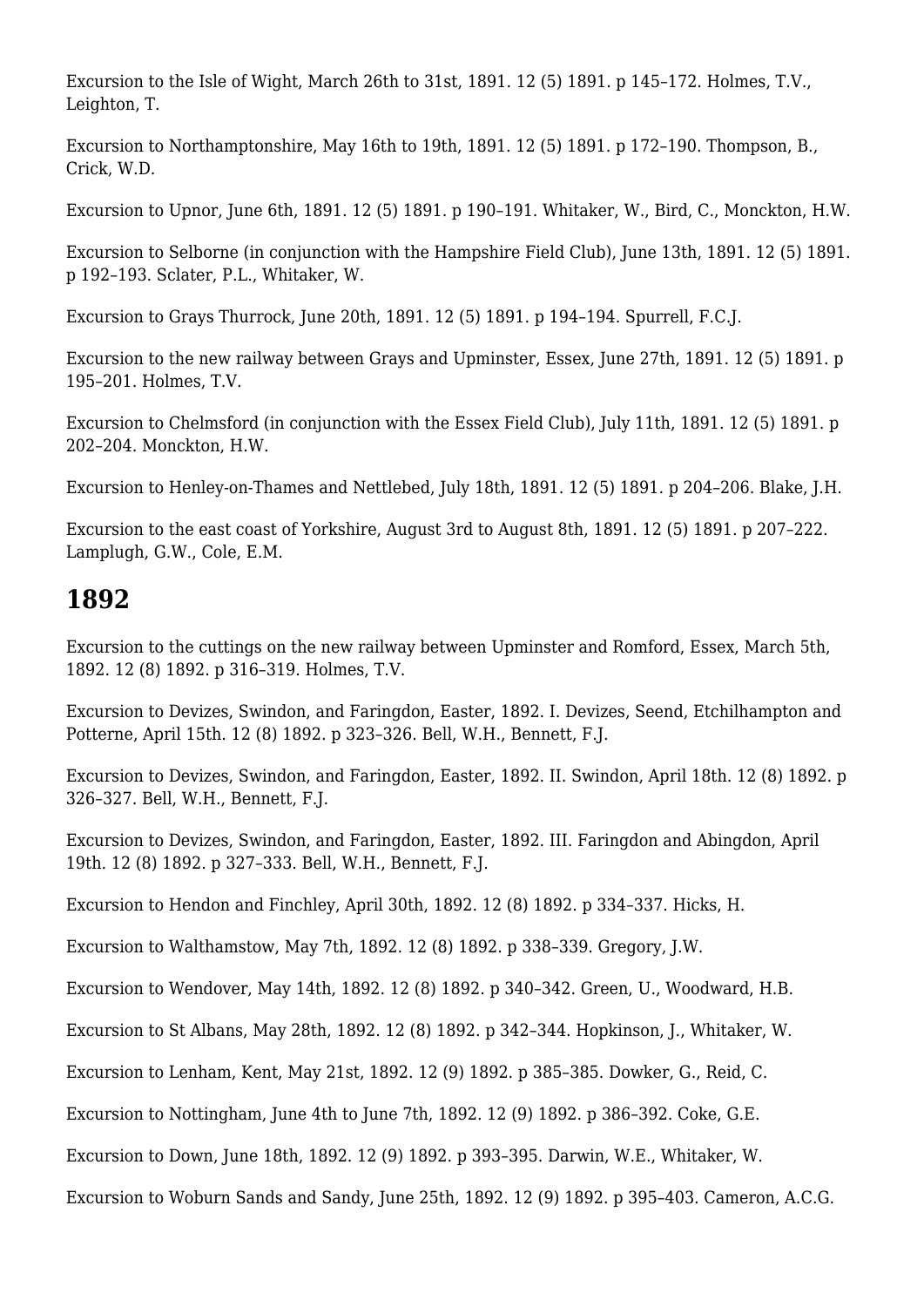Excursion to the Isle of Wight, March 26th to 31st, 1891, 12 (5) 1891, p 145–172. Holmes, T.V., Leighton, T.

Excursion to Northamptonshire, May 16th to 19th, 1891. 12 (5) 1891. p 172–190. Thompson, B., Crick, W.D.

Excursion to Upnor, June 6th, 1891. 12 (5) 1891. p 190–191. Whitaker, W., Bird, C., Monckton, H.W.

Excursion to Selborne (in conjunction with the Hampshire Field Club), June 13th, 1891. 12 (5) 1891. p 192–193. Sclater, P.L., Whitaker, W.

Excursion to Grays Thurrock, June 20th, 1891. 12 (5) 1891. p 194–194. Spurrell, F.C.J.

Excursion to the new railway between Grays and Upminster, Essex, June 27th, 1891. 12 (5) 1891. p 195–201. Holmes, T.V.

Excursion to Chelmsford (in conjunction with the Essex Field Club), July 11th, 1891. 12 (5) 1891. p 202–204. Monckton, H.W.

Excursion to Henley-on-Thames and Nettlebed, July 18th, 1891. 12 (5) 1891. p 204–206. Blake, J.H.

Excursion to the east coast of Yorkshire, August 3rd to August 8th, 1891. 12 (5) 1891. p 207–222. Lamplugh, G.W., Cole, E.M.

#### **1892**

Excursion to the cuttings on the new railway between Upminster and Romford, Essex, March 5th, 1892. 12 (8) 1892. p 316–319. Holmes, T.V.

Excursion to Devizes, Swindon, and Faringdon, Easter, 1892. I. Devizes, Seend, Etchilhampton and Potterne, April 15th. 12 (8) 1892. p 323–326. Bell, W.H., Bennett, F.J.

Excursion to Devizes, Swindon, and Faringdon, Easter, 1892. II. Swindon, April 18th. 12 (8) 1892. p 326–327. Bell, W.H., Bennett, F.J.

Excursion to Devizes, Swindon, and Faringdon, Easter, 1892. III. Faringdon and Abingdon, April 19th. 12 (8) 1892. p 327–333. Bell, W.H., Bennett, F.J.

Excursion to Hendon and Finchley, April 30th, 1892. 12 (8) 1892. p 334–337. Hicks, H.

Excursion to Walthamstow, May 7th, 1892. 12 (8) 1892. p 338–339. Gregory, J.W.

Excursion to Wendover, May 14th, 1892. 12 (8) 1892. p 340–342. Green, U., Woodward, H.B.

Excursion to St Albans, May 28th, 1892. 12 (8) 1892. p 342–344. Hopkinson, J., Whitaker, W.

Excursion to Lenham, Kent, May 21st, 1892. 12 (9) 1892. p 385–385. Dowker, G., Reid, C.

Excursion to Nottingham, June 4th to June 7th, 1892. 12 (9) 1892. p 386–392. Coke, G.E.

Excursion to Down, June 18th, 1892. 12 (9) 1892. p 393–395. Darwin, W.E., Whitaker, W.

Excursion to Woburn Sands and Sandy, June 25th, 1892. 12 (9) 1892. p 395–403. Cameron, A.C.G.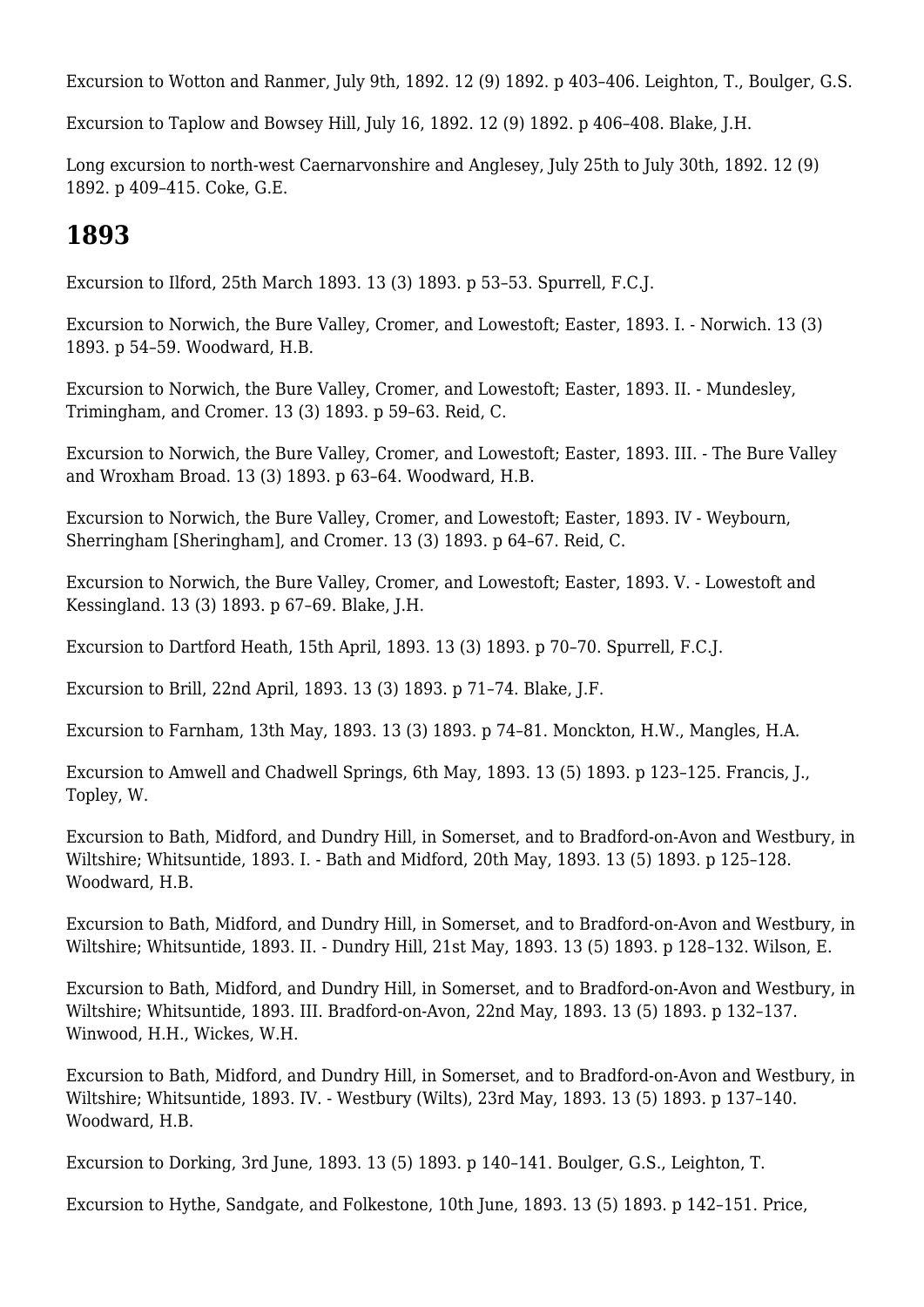Excursion to Wotton and Ranmer, July 9th, 1892. 12 (9) 1892. p 403–406. Leighton, T., Boulger, G.S.

Excursion to Taplow and Bowsey Hill, July 16, 1892. 12 (9) 1892. p 406–408. Blake, J.H.

Long excursion to north-west Caernarvonshire and Anglesey, July 25th to July 30th, 1892. 12 (9) 1892. p 409–415. Coke, G.E.

#### **1893**

Excursion to Ilford, 25th March 1893. 13 (3) 1893. p 53–53. Spurrell, F.C.J.

Excursion to Norwich, the Bure Valley, Cromer, and Lowestoft; Easter, 1893. I. - Norwich. 13 (3) 1893. p 54–59. Woodward, H.B.

Excursion to Norwich, the Bure Valley, Cromer, and Lowestoft; Easter, 1893. II. - Mundesley, Trimingham, and Cromer. 13 (3) 1893. p 59–63. Reid, C.

Excursion to Norwich, the Bure Valley, Cromer, and Lowestoft; Easter, 1893. III. - The Bure Valley and Wroxham Broad. 13 (3) 1893. p 63–64. Woodward, H.B.

Excursion to Norwich, the Bure Valley, Cromer, and Lowestoft; Easter, 1893. IV - Weybourn, Sherringham [Sheringham], and Cromer. 13 (3) 1893. p 64–67. Reid, C.

Excursion to Norwich, the Bure Valley, Cromer, and Lowestoft; Easter, 1893. V. - Lowestoft and Kessingland. 13 (3) 1893. p 67–69. Blake, J.H.

Excursion to Dartford Heath, 15th April, 1893. 13 (3) 1893. p 70–70. Spurrell, F.C.J.

Excursion to Brill, 22nd April, 1893. 13 (3) 1893. p 71–74. Blake, J.F.

Excursion to Farnham, 13th May, 1893. 13 (3) 1893. p 74–81. Monckton, H.W., Mangles, H.A.

Excursion to Amwell and Chadwell Springs, 6th May, 1893. 13 (5) 1893. p 123–125. Francis, J., Topley, W.

Excursion to Bath, Midford, and Dundry Hill, in Somerset, and to Bradford-on-Avon and Westbury, in Wiltshire; Whitsuntide, 1893. I. - Bath and Midford, 20th May, 1893. 13 (5) 1893. p 125–128. Woodward, H.B.

Excursion to Bath, Midford, and Dundry Hill, in Somerset, and to Bradford-on-Avon and Westbury, in Wiltshire; Whitsuntide, 1893. II. - Dundry Hill, 21st May, 1893. 13 (5) 1893. p 128–132. Wilson, E.

Excursion to Bath, Midford, and Dundry Hill, in Somerset, and to Bradford-on-Avon and Westbury, in Wiltshire; Whitsuntide, 1893. III. Bradford-on-Avon, 22nd May, 1893. 13 (5) 1893. p 132–137. Winwood, H.H., Wickes, W.H.

Excursion to Bath, Midford, and Dundry Hill, in Somerset, and to Bradford-on-Avon and Westbury, in Wiltshire; Whitsuntide, 1893. IV. - Westbury (Wilts), 23rd May, 1893. 13 (5) 1893. p 137–140. Woodward, H.B.

Excursion to Dorking, 3rd June, 1893. 13 (5) 1893. p 140–141. Boulger, G.S., Leighton, T.

Excursion to Hythe, Sandgate, and Folkestone, 10th June, 1893. 13 (5) 1893. p 142–151. Price,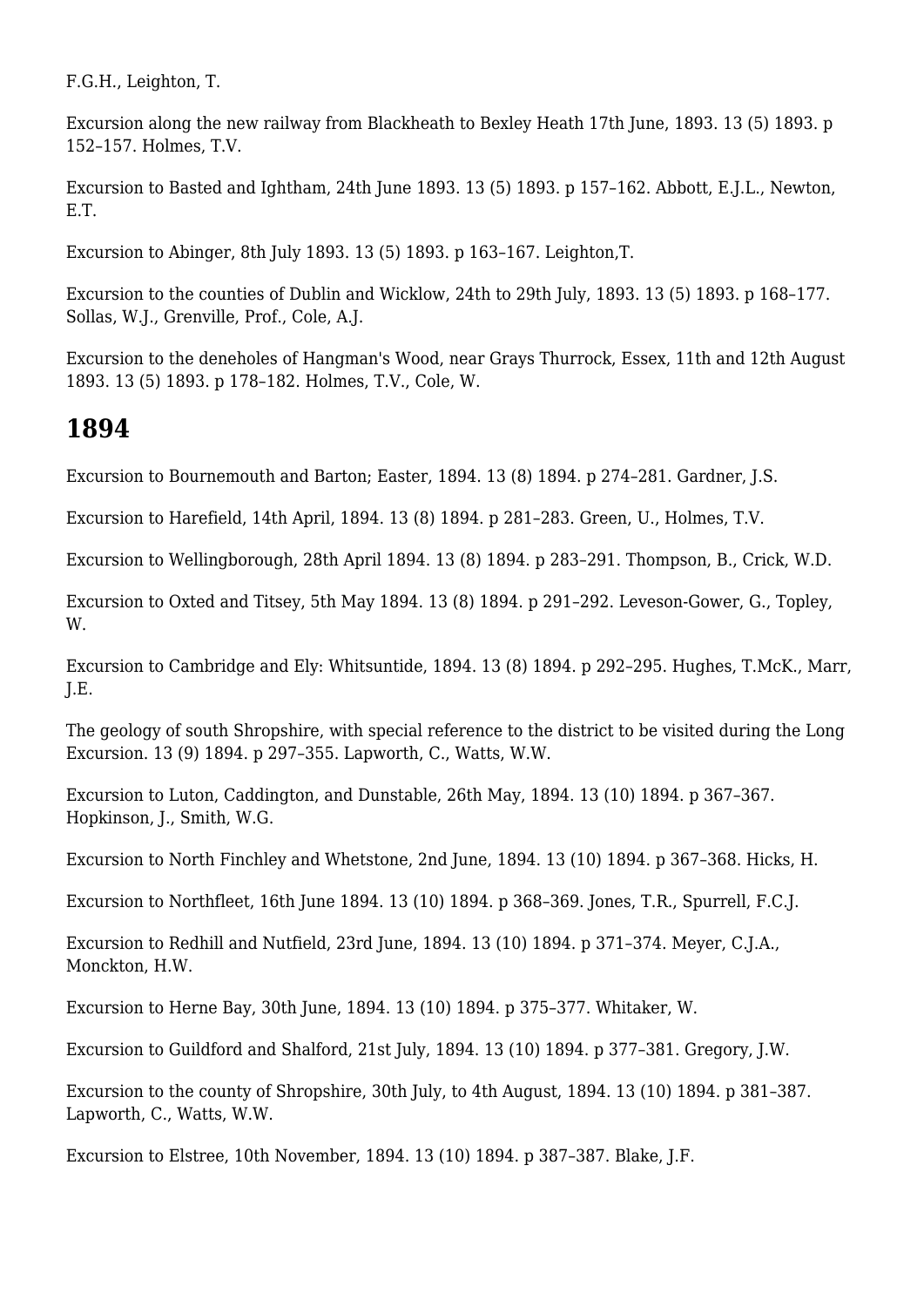F.G.H., Leighton, T.

Excursion along the new railway from Blackheath to Bexley Heath 17th June, 1893. 13 (5) 1893. p 152–157. Holmes, T.V.

Excursion to Basted and Ightham, 24th June 1893. 13 (5) 1893. p 157–162. Abbott, E.J.L., Newton, E.T.

Excursion to Abinger, 8th July 1893. 13 (5) 1893. p 163–167. Leighton,T.

Excursion to the counties of Dublin and Wicklow, 24th to 29th July, 1893. 13 (5) 1893. p 168–177. Sollas, W.J., Grenville, Prof., Cole, A.J.

Excursion to the deneholes of Hangman's Wood, near Grays Thurrock, Essex, 11th and 12th August 1893. 13 (5) 1893. p 178–182. Holmes, T.V., Cole, W.

#### **1894**

Excursion to Bournemouth and Barton; Easter, 1894. 13 (8) 1894. p 274–281. Gardner, J.S.

Excursion to Harefield, 14th April, 1894. 13 (8) 1894. p 281–283. Green, U., Holmes, T.V.

Excursion to Wellingborough, 28th April 1894. 13 (8) 1894. p 283–291. Thompson, B., Crick, W.D.

Excursion to Oxted and Titsey, 5th May 1894. 13 (8) 1894. p 291–292. Leveson-Gower, G., Topley, W.

Excursion to Cambridge and Ely: Whitsuntide, 1894. 13 (8) 1894. p 292–295. Hughes, T.McK., Marr, J.E.

The geology of south Shropshire, with special reference to the district to be visited during the Long Excursion. 13 (9) 1894. p 297–355. Lapworth, C., Watts, W.W.

Excursion to Luton, Caddington, and Dunstable, 26th May, 1894. 13 (10) 1894. p 367–367. Hopkinson, J., Smith, W.G.

Excursion to North Finchley and Whetstone, 2nd June, 1894. 13 (10) 1894. p 367–368. Hicks, H.

Excursion to Northfleet, 16th June 1894. 13 (10) 1894. p 368–369. Jones, T.R., Spurrell, F.C.J.

Excursion to Redhill and Nutfield, 23rd June, 1894. 13 (10) 1894. p 371–374. Meyer, C.J.A., Monckton, H.W.

Excursion to Herne Bay, 30th June, 1894. 13 (10) 1894. p 375–377. Whitaker, W.

Excursion to Guildford and Shalford, 21st July, 1894. 13 (10) 1894. p 377-381. Gregory, J.W.

Excursion to the county of Shropshire, 30th July, to 4th August, 1894. 13 (10) 1894. p 381–387. Lapworth, C., Watts, W.W.

Excursion to Elstree, 10th November, 1894. 13 (10) 1894. p 387–387. Blake, J.F.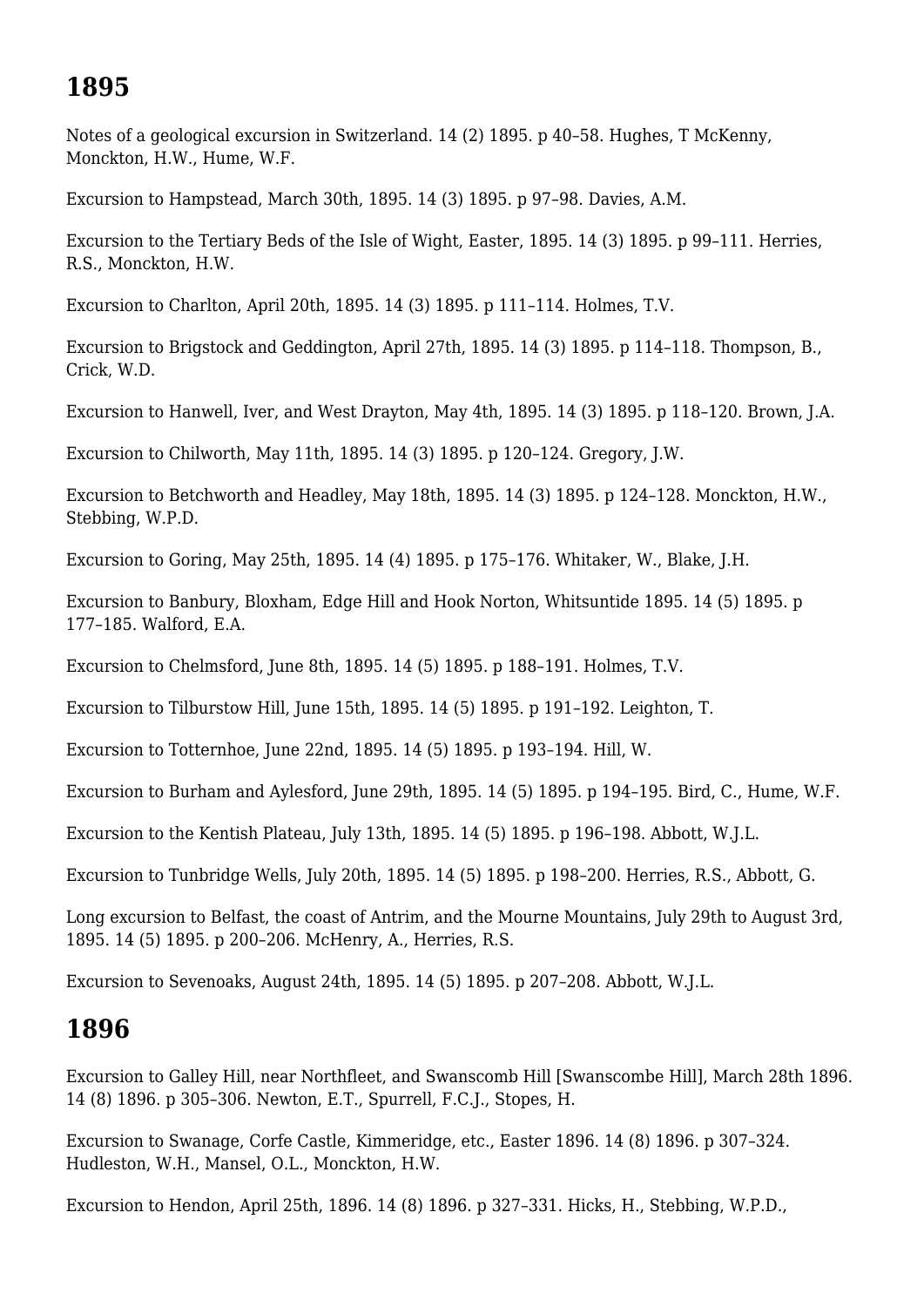# **1895**

Notes of a geological excursion in Switzerland. 14 (2) 1895. p 40–58. Hughes, T McKenny, Monckton, H.W., Hume, W.F.

Excursion to Hampstead, March 30th, 1895. 14 (3) 1895. p 97–98. Davies, A.M.

Excursion to the Tertiary Beds of the Isle of Wight, Easter, 1895. 14 (3) 1895. p 99–111. Herries, R.S., Monckton, H.W.

Excursion to Charlton, April 20th, 1895. 14 (3) 1895. p 111–114. Holmes, T.V.

Excursion to Brigstock and Geddington, April 27th, 1895. 14 (3) 1895. p 114–118. Thompson, B., Crick, W.D.

Excursion to Hanwell, Iver, and West Drayton, May 4th, 1895. 14 (3) 1895. p 118–120. Brown, J.A.

Excursion to Chilworth, May 11th, 1895. 14 (3) 1895. p 120–124. Gregory, J.W.

Excursion to Betchworth and Headley, May 18th, 1895. 14 (3) 1895. p 124–128. Monckton, H.W., Stebbing, W.P.D.

Excursion to Goring, May 25th, 1895. 14 (4) 1895. p 175–176. Whitaker, W., Blake, J.H.

Excursion to Banbury, Bloxham, Edge Hill and Hook Norton, Whitsuntide 1895. 14 (5) 1895. p 177–185. Walford, E.A.

Excursion to Chelmsford, June 8th, 1895. 14 (5) 1895. p 188–191. Holmes, T.V.

Excursion to Tilburstow Hill, June 15th, 1895. 14 (5) 1895. p 191–192. Leighton, T.

Excursion to Totternhoe, June 22nd, 1895. 14 (5) 1895. p 193–194. Hill, W.

Excursion to Burham and Aylesford, June 29th, 1895. 14 (5) 1895. p 194–195. Bird, C., Hume, W.F.

Excursion to the Kentish Plateau, July 13th, 1895. 14 (5) 1895. p 196–198. Abbott, W.J.L.

Excursion to Tunbridge Wells, July 20th, 1895. 14 (5) 1895. p 198–200. Herries, R.S., Abbott, G.

Long excursion to Belfast, the coast of Antrim, and the Mourne Mountains, July 29th to August 3rd, 1895. 14 (5) 1895. p 200–206. McHenry, A., Herries, R.S.

Excursion to Sevenoaks, August 24th, 1895. 14 (5) 1895. p 207–208. Abbott, W.J.L.

## **1896**

Excursion to Galley Hill, near Northfleet, and Swanscomb Hill [Swanscombe Hill], March 28th 1896. 14 (8) 1896. p 305–306. Newton, E.T., Spurrell, F.C.J., Stopes, H.

Excursion to Swanage, Corfe Castle, Kimmeridge, etc., Easter 1896. 14 (8) 1896. p 307–324. Hudleston, W.H., Mansel, O.L., Monckton, H.W.

Excursion to Hendon, April 25th, 1896. 14 (8) 1896. p 327–331. Hicks, H., Stebbing, W.P.D.,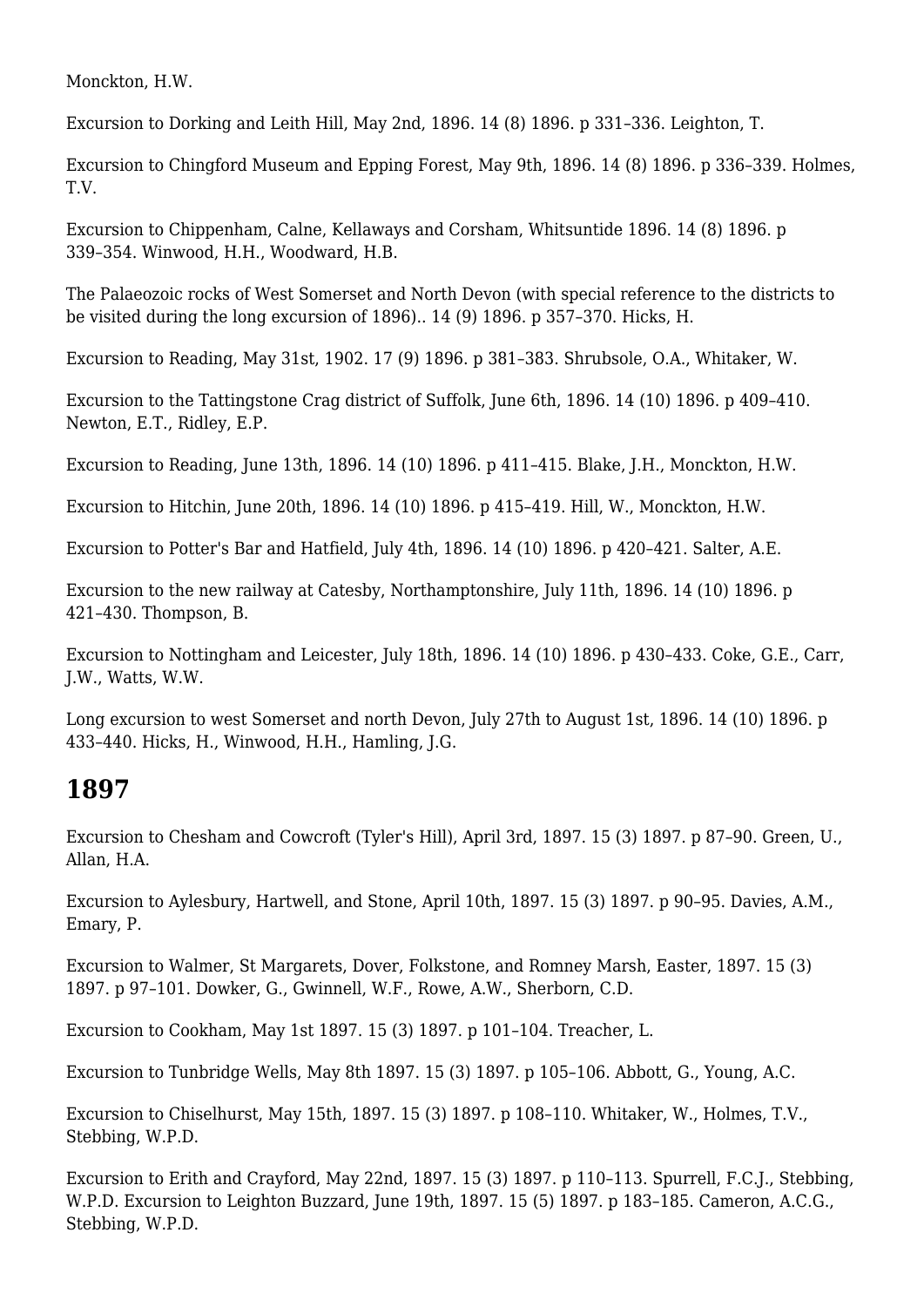Monckton, H.W.

Excursion to Dorking and Leith Hill, May 2nd, 1896. 14 (8) 1896. p 331–336. Leighton, T.

Excursion to Chingford Museum and Epping Forest, May 9th, 1896. 14 (8) 1896. p 336–339. Holmes, T.V.

Excursion to Chippenham, Calne, Kellaways and Corsham, Whitsuntide 1896. 14 (8) 1896. p 339–354. Winwood, H.H., Woodward, H.B.

The Palaeozoic rocks of West Somerset and North Devon (with special reference to the districts to be visited during the long excursion of 1896).. 14 (9) 1896. p 357–370. Hicks, H.

Excursion to Reading, May 31st, 1902. 17 (9) 1896. p 381–383. Shrubsole, O.A., Whitaker, W.

Excursion to the Tattingstone Crag district of Suffolk, June 6th, 1896. 14 (10) 1896. p 409–410. Newton, E.T., Ridley, E.P.

Excursion to Reading, June 13th, 1896. 14 (10) 1896. p 411–415. Blake, J.H., Monckton, H.W.

Excursion to Hitchin, June 20th, 1896. 14 (10) 1896. p 415–419. Hill, W., Monckton, H.W.

Excursion to Potter's Bar and Hatfield, July 4th, 1896. 14 (10) 1896. p 420–421. Salter, A.E.

Excursion to the new railway at Catesby, Northamptonshire, July 11th, 1896. 14 (10) 1896. p 421–430. Thompson, B.

Excursion to Nottingham and Leicester, July 18th, 1896. 14 (10) 1896. p 430–433. Coke, G.E., Carr, J.W., Watts, W.W.

Long excursion to west Somerset and north Devon, July 27th to August 1st, 1896. 14 (10) 1896. p 433–440. Hicks, H., Winwood, H.H., Hamling, J.G.

#### **1897**

Excursion to Chesham and Cowcroft (Tyler's Hill), April 3rd, 1897. 15 (3) 1897. p 87–90. Green, U., Allan, H.A.

Excursion to Aylesbury, Hartwell, and Stone, April 10th, 1897. 15 (3) 1897. p 90–95. Davies, A.M., Emary, P.

Excursion to Walmer, St Margarets, Dover, Folkstone, and Romney Marsh, Easter, 1897. 15 (3) 1897. p 97–101. Dowker, G., Gwinnell, W.F., Rowe, A.W., Sherborn, C.D.

Excursion to Cookham, May 1st 1897. 15 (3) 1897. p 101–104. Treacher, L.

Excursion to Tunbridge Wells, May 8th 1897. 15 (3) 1897. p 105–106. Abbott, G., Young, A.C.

Excursion to Chiselhurst, May 15th, 1897. 15 (3) 1897. p 108–110. Whitaker, W., Holmes, T.V., Stebbing, W.P.D.

Excursion to Erith and Crayford, May 22nd, 1897. 15 (3) 1897. p 110–113. Spurrell, F.C.J., Stebbing, W.P.D. Excursion to Leighton Buzzard, June 19th, 1897. 15 (5) 1897. p 183–185. Cameron, A.C.G., Stebbing, W.P.D.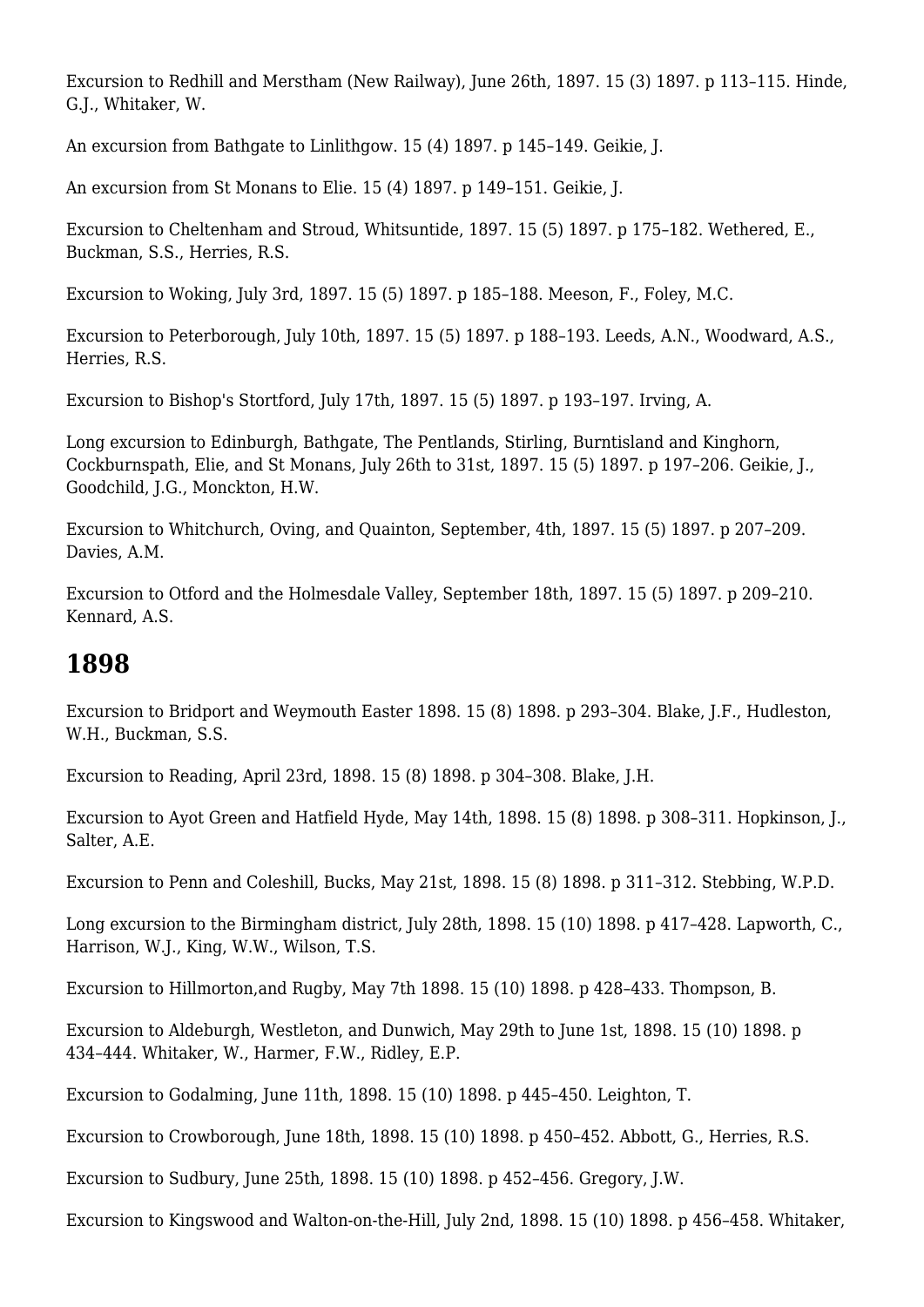Excursion to Redhill and Merstham (New Railway), June 26th, 1897. 15 (3) 1897. p 113–115. Hinde, G.J., Whitaker, W.

An excursion from Bathgate to Linlithgow. 15 (4) 1897. p 145–149. Geikie, J.

An excursion from St Monans to Elie. 15 (4) 1897. p 149–151. Geikie, J.

Excursion to Cheltenham and Stroud, Whitsuntide, 1897. 15 (5) 1897. p 175–182. Wethered, E., Buckman, S.S., Herries, R.S.

Excursion to Woking, July 3rd, 1897. 15 (5) 1897. p 185–188. Meeson, F., Foley, M.C.

Excursion to Peterborough, July 10th, 1897. 15 (5) 1897. p 188–193. Leeds, A.N., Woodward, A.S., Herries, R.S.

Excursion to Bishop's Stortford, July 17th, 1897. 15 (5) 1897. p 193–197. Irving, A.

Long excursion to Edinburgh, Bathgate, The Pentlands, Stirling, Burntisland and Kinghorn, Cockburnspath, Elie, and St Monans, July 26th to 31st, 1897. 15 (5) 1897. p 197–206. Geikie, J., Goodchild, J.G., Monckton, H.W.

Excursion to Whitchurch, Oving, and Quainton, September, 4th, 1897. 15 (5) 1897. p 207–209. Davies, A.M.

Excursion to Otford and the Holmesdale Valley, September 18th, 1897. 15 (5) 1897. p 209–210. Kennard, A.S.

#### **1898**

Excursion to Bridport and Weymouth Easter 1898. 15 (8) 1898. p 293–304. Blake, J.F., Hudleston, W.H., Buckman, S.S.

Excursion to Reading, April 23rd, 1898. 15 (8) 1898. p 304–308. Blake, J.H.

Excursion to Ayot Green and Hatfield Hyde, May 14th, 1898. 15 (8) 1898. p 308–311. Hopkinson, J., Salter, A.E.

Excursion to Penn and Coleshill, Bucks, May 21st, 1898. 15 (8) 1898. p 311–312. Stebbing, W.P.D.

Long excursion to the Birmingham district, July 28th, 1898. 15 (10) 1898. p 417–428. Lapworth, C., Harrison, W.J., King, W.W., Wilson, T.S.

Excursion to Hillmorton,and Rugby, May 7th 1898. 15 (10) 1898. p 428–433. Thompson, B.

Excursion to Aldeburgh, Westleton, and Dunwich, May 29th to June 1st, 1898. 15 (10) 1898. p 434–444. Whitaker, W., Harmer, F.W., Ridley, E.P.

Excursion to Godalming, June 11th, 1898. 15 (10) 1898. p 445–450. Leighton, T.

Excursion to Crowborough, June 18th, 1898. 15 (10) 1898. p 450–452. Abbott, G., Herries, R.S.

Excursion to Sudbury, June 25th, 1898. 15 (10) 1898. p 452–456. Gregory, J.W.

Excursion to Kingswood and Walton-on-the-Hill, July 2nd, 1898. 15 (10) 1898. p 456–458. Whitaker,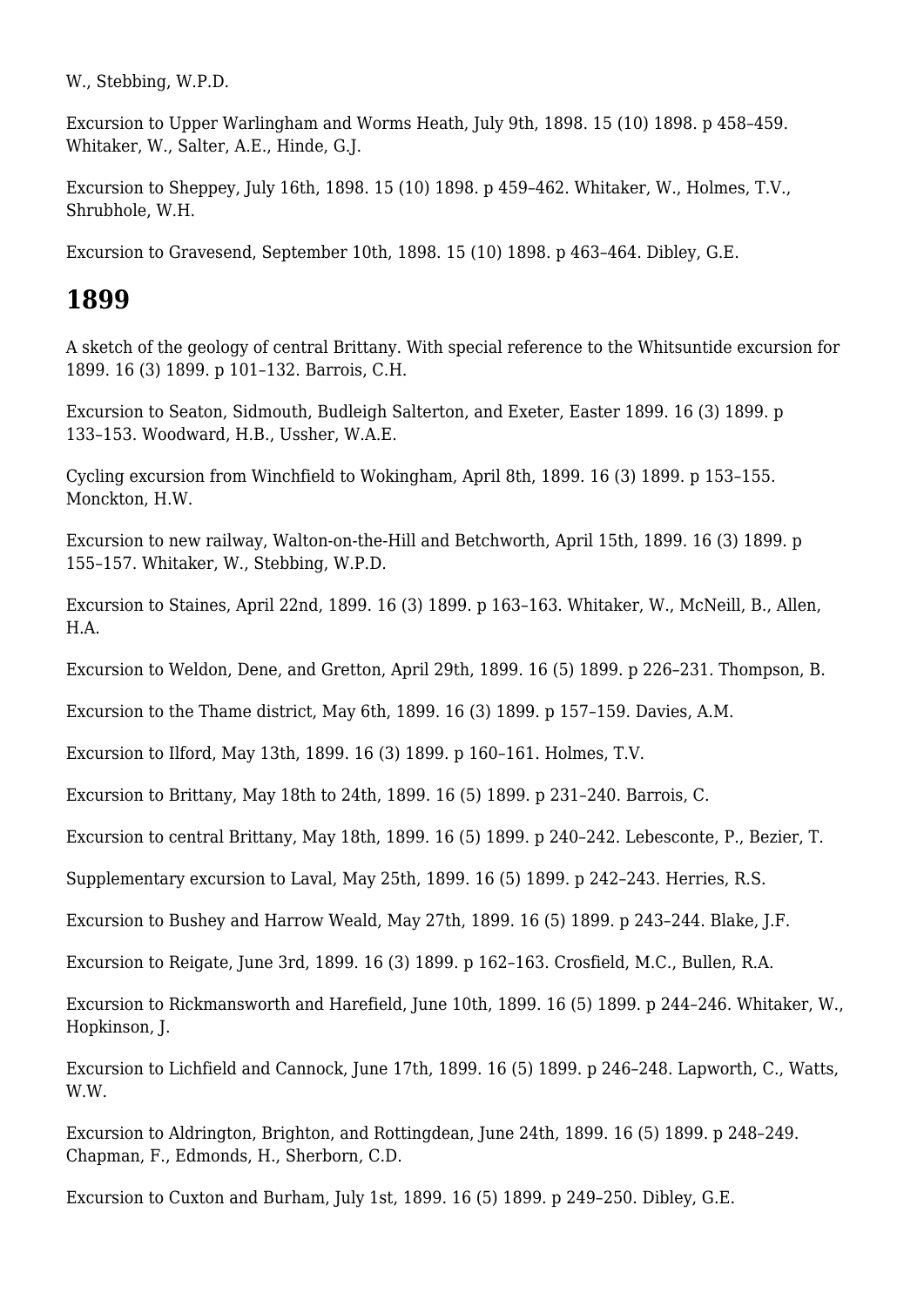W., Stebbing, W.P.D.

Excursion to Upper Warlingham and Worms Heath, July 9th, 1898. 15 (10) 1898. p 458–459. Whitaker, W., Salter, A.E., Hinde, G.J.

Excursion to Sheppey, July 16th, 1898. 15 (10) 1898. p 459–462. Whitaker, W., Holmes, T.V., Shrubhole, W.H.

Excursion to Gravesend, September 10th, 1898. 15 (10) 1898. p 463–464. Dibley, G.E.

#### **1899**

A sketch of the geology of central Brittany. With special reference to the Whitsuntide excursion for 1899. 16 (3) 1899. p 101–132. Barrois, C.H.

Excursion to Seaton, Sidmouth, Budleigh Salterton, and Exeter, Easter 1899. 16 (3) 1899. p 133–153. Woodward, H.B., Ussher, W.A.E.

Cycling excursion from Winchfield to Wokingham, April 8th, 1899. 16 (3) 1899. p 153–155. Monckton, H.W.

Excursion to new railway, Walton-on-the-Hill and Betchworth, April 15th, 1899. 16 (3) 1899. p 155–157. Whitaker, W., Stebbing, W.P.D.

Excursion to Staines, April 22nd, 1899. 16 (3) 1899. p 163–163. Whitaker, W., McNeill, B., Allen, H.A.

Excursion to Weldon, Dene, and Gretton, April 29th, 1899. 16 (5) 1899. p 226–231. Thompson, B.

Excursion to the Thame district, May 6th, 1899. 16 (3) 1899. p 157–159. Davies, A.M.

Excursion to Ilford, May 13th, 1899. 16 (3) 1899. p 160–161. Holmes, T.V.

Excursion to Brittany, May 18th to 24th, 1899. 16 (5) 1899. p 231–240. Barrois, C.

Excursion to central Brittany, May 18th, 1899. 16 (5) 1899. p 240–242. Lebesconte, P., Bezier, T.

Supplementary excursion to Laval, May 25th, 1899. 16 (5) 1899. p 242–243. Herries, R.S.

Excursion to Bushey and Harrow Weald, May 27th, 1899. 16 (5) 1899. p 243–244. Blake, J.F.

Excursion to Reigate, June 3rd, 1899. 16 (3) 1899. p 162–163. Crosfield, M.C., Bullen, R.A.

Excursion to Rickmansworth and Harefield, June 10th, 1899. 16 (5) 1899. p 244–246. Whitaker, W., Hopkinson, J.

Excursion to Lichfield and Cannock, June 17th, 1899. 16 (5) 1899. p 246–248. Lapworth, C., Watts, W.W.

Excursion to Aldrington, Brighton, and Rottingdean, June 24th, 1899. 16 (5) 1899. p 248–249. Chapman, F., Edmonds, H., Sherborn, C.D.

Excursion to Cuxton and Burham, July 1st, 1899. 16 (5) 1899. p 249–250. Dibley, G.E.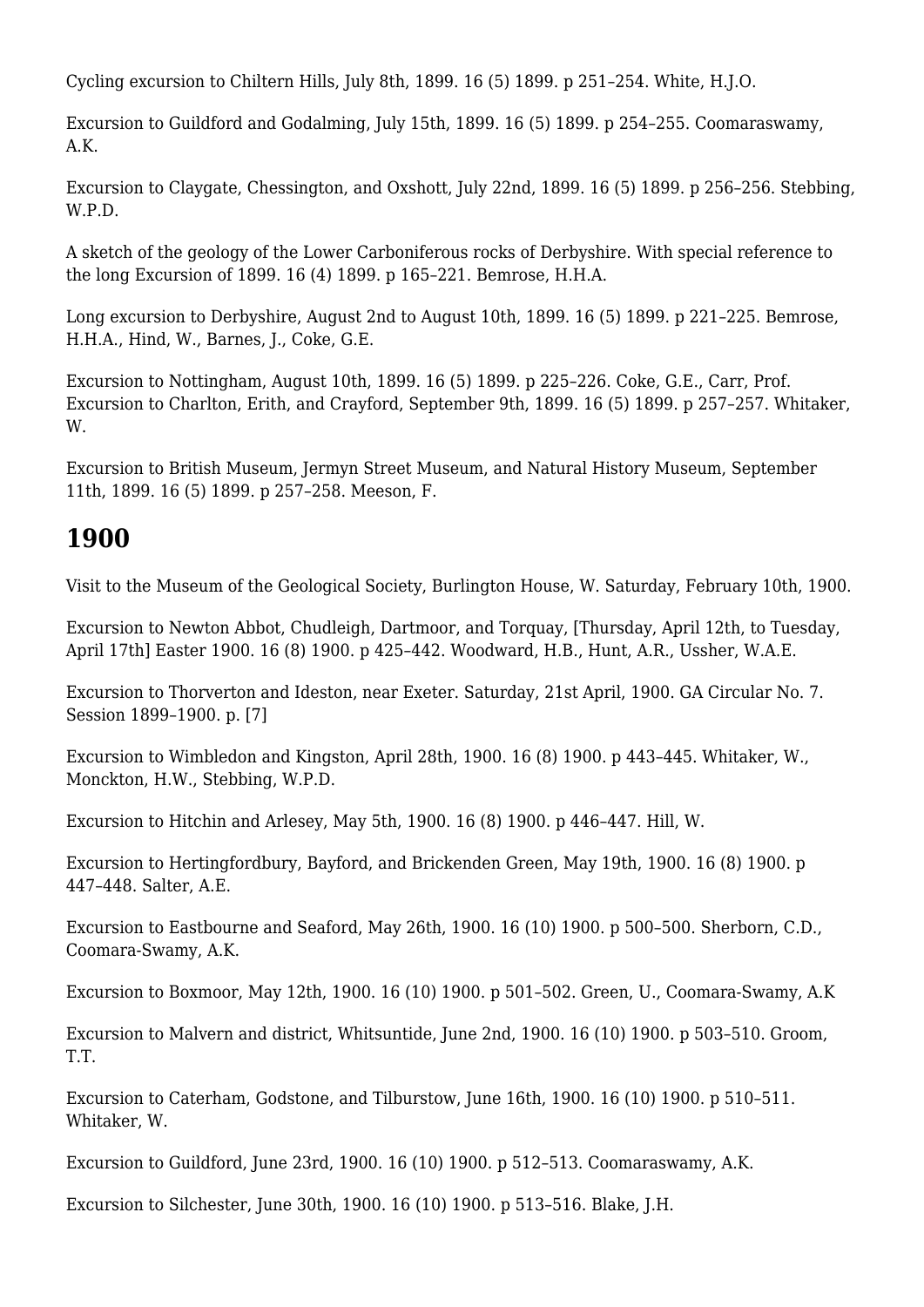Cycling excursion to Chiltern Hills, July 8th, 1899. 16 (5) 1899. p 251–254. White, H.J.O.

Excursion to Guildford and Godalming, July 15th, 1899. 16 (5) 1899. p 254–255. Coomaraswamy, A.K.

Excursion to Claygate, Chessington, and Oxshott, July 22nd, 1899. 16 (5) 1899. p 256–256. Stebbing, W.P.D.

A sketch of the geology of the Lower Carboniferous rocks of Derbyshire. With special reference to the long Excursion of 1899. 16 (4) 1899. p 165–221. Bemrose, H.H.A.

Long excursion to Derbyshire, August 2nd to August 10th, 1899. 16 (5) 1899. p 221–225. Bemrose, H.H.A., Hind, W., Barnes, J., Coke, G.E.

Excursion to Nottingham, August 10th, 1899. 16 (5) 1899. p 225–226. Coke, G.E., Carr, Prof. Excursion to Charlton, Erith, and Crayford, September 9th, 1899. 16 (5) 1899. p 257–257. Whitaker, W.

Excursion to British Museum, Jermyn Street Museum, and Natural History Museum, September 11th, 1899. 16 (5) 1899. p 257–258. Meeson, F.

# **1900**

Visit to the Museum of the Geological Society, Burlington House, W. Saturday, February 10th, 1900.

Excursion to Newton Abbot, Chudleigh, Dartmoor, and Torquay, [Thursday, April 12th, to Tuesday, April 17th] Easter 1900. 16 (8) 1900. p 425–442. Woodward, H.B., Hunt, A.R., Ussher, W.A.E.

Excursion to Thorverton and Ideston, near Exeter. Saturday, 21st April, 1900. GA Circular No. 7. Session 1899–1900. p. [7]

Excursion to Wimbledon and Kingston, April 28th, 1900. 16 (8) 1900. p 443–445. Whitaker, W., Monckton, H.W., Stebbing, W.P.D.

Excursion to Hitchin and Arlesey, May 5th, 1900. 16 (8) 1900. p 446–447. Hill, W.

Excursion to Hertingfordbury, Bayford, and Brickenden Green, May 19th, 1900. 16 (8) 1900. p 447–448. Salter, A.E.

Excursion to Eastbourne and Seaford, May 26th, 1900. 16 (10) 1900. p 500–500. Sherborn, C.D., Coomara-Swamy, A.K.

Excursion to Boxmoor, May 12th, 1900. 16 (10) 1900. p 501–502. Green, U., Coomara-Swamy, A.K

Excursion to Malvern and district, Whitsuntide, June 2nd, 1900. 16 (10) 1900. p 503–510. Groom, T.T.

Excursion to Caterham, Godstone, and Tilburstow, June 16th, 1900. 16 (10) 1900. p 510–511. Whitaker, W.

Excursion to Guildford, June 23rd, 1900. 16 (10) 1900. p 512–513. Coomaraswamy, A.K.

Excursion to Silchester, June 30th, 1900. 16 (10) 1900. p 513–516. Blake, J.H.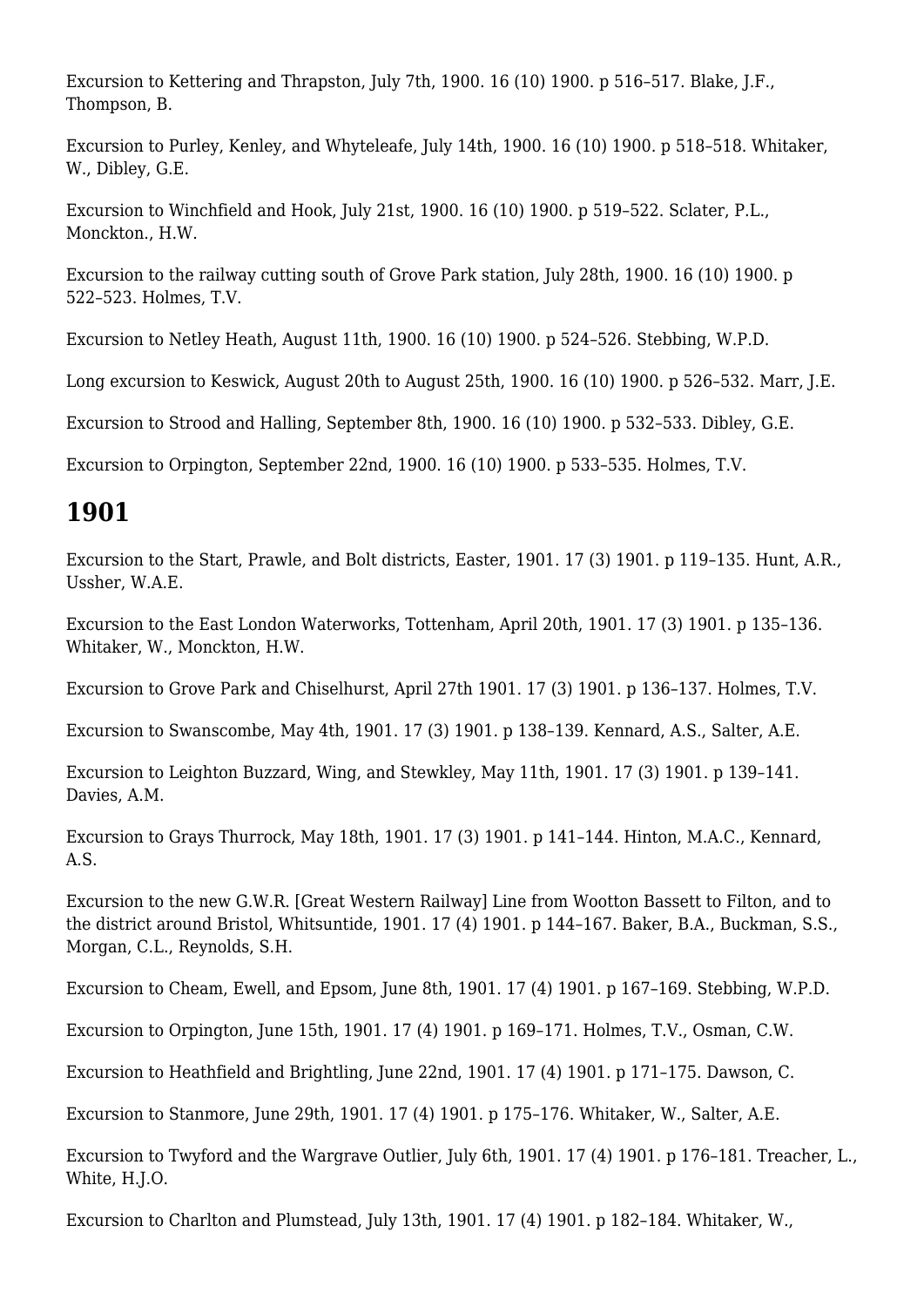Excursion to Kettering and Thrapston, July 7th, 1900. 16 (10) 1900. p 516–517. Blake, J.F., Thompson, B.

Excursion to Purley, Kenley, and Whyteleafe, July 14th, 1900. 16 (10) 1900. p 518–518. Whitaker, W., Dibley, G.E.

Excursion to Winchfield and Hook, July 21st, 1900. 16 (10) 1900. p 519–522. Sclater, P.L., Monckton., H.W.

Excursion to the railway cutting south of Grove Park station, July 28th, 1900. 16 (10) 1900. p 522–523. Holmes, T.V.

Excursion to Netley Heath, August 11th, 1900. 16 (10) 1900. p 524–526. Stebbing, W.P.D.

Long excursion to Keswick, August 20th to August 25th, 1900. 16 (10) 1900. p 526–532. Marr, J.E.

Excursion to Strood and Halling, September 8th, 1900. 16 (10) 1900. p 532–533. Dibley, G.E.

Excursion to Orpington, September 22nd, 1900. 16 (10) 1900. p 533–535. Holmes, T.V.

# **1901**

Excursion to the Start, Prawle, and Bolt districts, Easter, 1901. 17 (3) 1901. p 119–135. Hunt, A.R., Ussher, W.A.E.

Excursion to the East London Waterworks, Tottenham, April 20th, 1901. 17 (3) 1901. p 135–136. Whitaker, W., Monckton, H.W.

Excursion to Grove Park and Chiselhurst, April 27th 1901. 17 (3) 1901. p 136–137. Holmes, T.V.

Excursion to Swanscombe, May 4th, 1901. 17 (3) 1901. p 138–139. Kennard, A.S., Salter, A.E.

Excursion to Leighton Buzzard, Wing, and Stewkley, May 11th, 1901. 17 (3) 1901. p 139–141. Davies, A.M.

Excursion to Grays Thurrock, May 18th, 1901. 17 (3) 1901. p 141–144. Hinton, M.A.C., Kennard, A.S.

Excursion to the new G.W.R. [Great Western Railway] Line from Wootton Bassett to Filton, and to the district around Bristol, Whitsuntide, 1901. 17 (4) 1901. p 144–167. Baker, B.A., Buckman, S.S., Morgan, C.L., Reynolds, S.H.

Excursion to Cheam, Ewell, and Epsom, June 8th, 1901. 17 (4) 1901. p 167–169. Stebbing, W.P.D.

Excursion to Orpington, June 15th, 1901. 17 (4) 1901. p 169–171. Holmes, T.V., Osman, C.W.

Excursion to Heathfield and Brightling, June 22nd, 1901. 17 (4) 1901. p 171–175. Dawson, C.

Excursion to Stanmore, June 29th, 1901. 17 (4) 1901. p 175–176. Whitaker, W., Salter, A.E.

Excursion to Twyford and the Wargrave Outlier, July 6th, 1901. 17 (4) 1901. p 176–181. Treacher, L., White, H.J.O.

Excursion to Charlton and Plumstead, July 13th, 1901. 17 (4) 1901. p 182–184. Whitaker, W.,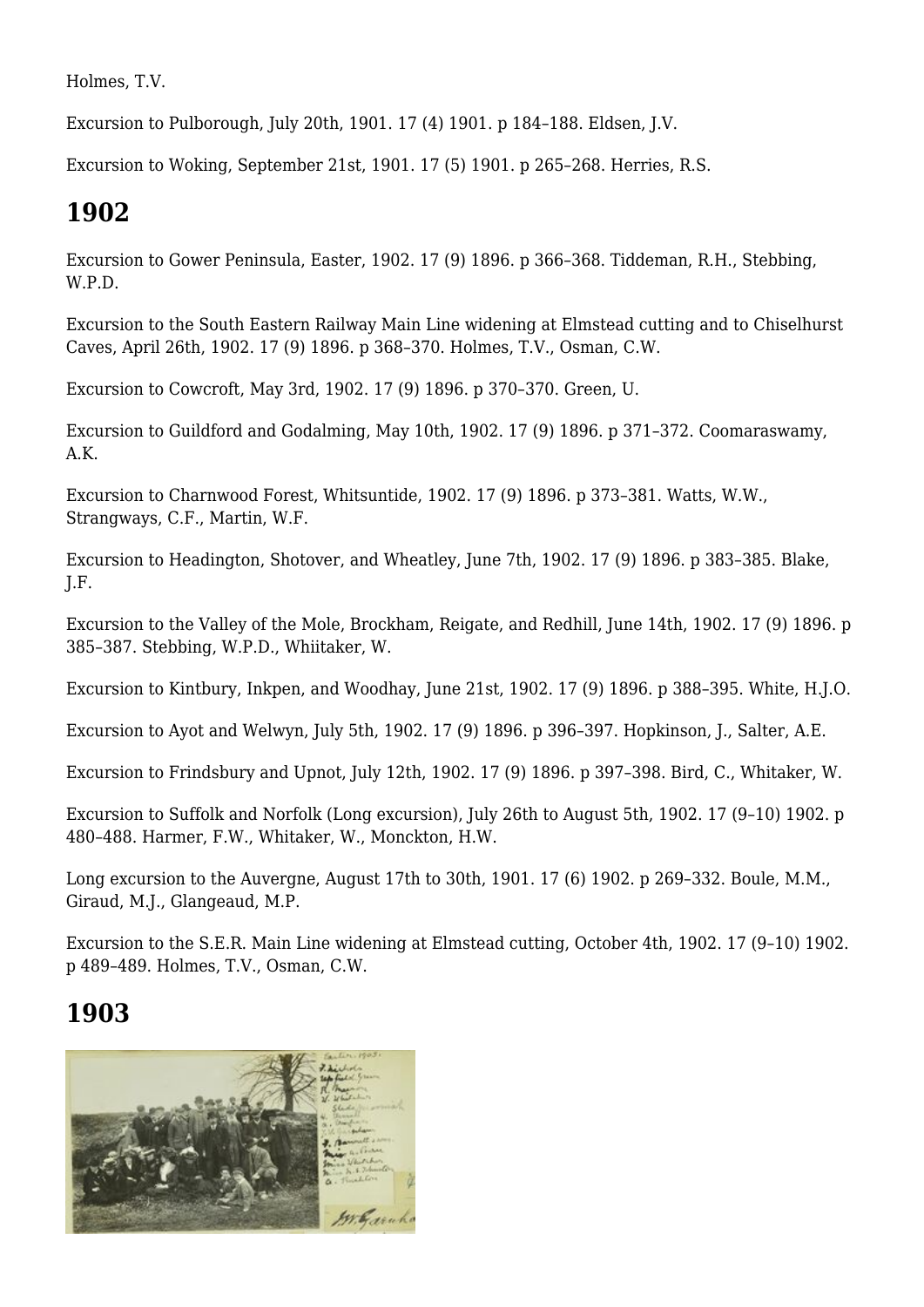Holmes, T.V.

Excursion to Pulborough, July 20th, 1901. 17 (4) 1901. p 184–188. Eldsen, J.V.

Excursion to Woking, September 21st, 1901. 17 (5) 1901. p 265–268. Herries, R.S.

# **1902**

Excursion to Gower Peninsula, Easter, 1902. 17 (9) 1896. p 366–368. Tiddeman, R.H., Stebbing, W.P.D.

Excursion to the South Eastern Railway Main Line widening at Elmstead cutting and to Chiselhurst Caves, April 26th, 1902. 17 (9) 1896. p 368–370. Holmes, T.V., Osman, C.W.

Excursion to Cowcroft, May 3rd, 1902. 17 (9) 1896. p 370–370. Green, U.

Excursion to Guildford and Godalming, May 10th, 1902. 17 (9) 1896. p 371–372. Coomaraswamy, A.K.

Excursion to Charnwood Forest, Whitsuntide, 1902. 17 (9) 1896. p 373–381. Watts, W.W., Strangways, C.F., Martin, W.F.

Excursion to Headington, Shotover, and Wheatley, June 7th, 1902. 17 (9) 1896. p 383–385. Blake, J.F.

Excursion to the Valley of the Mole, Brockham, Reigate, and Redhill, June 14th, 1902. 17 (9) 1896. p 385–387. Stebbing, W.P.D., Whiitaker, W.

Excursion to Kintbury, Inkpen, and Woodhay, June 21st, 1902. 17 (9) 1896. p 388–395. White, H.J.O.

Excursion to Ayot and Welwyn, July 5th, 1902. 17 (9) 1896. p 396–397. Hopkinson, J., Salter, A.E.

Excursion to Frindsbury and Upnot, July 12th, 1902. 17 (9) 1896. p 397–398. Bird, C., Whitaker, W.

Excursion to Suffolk and Norfolk (Long excursion), July 26th to August 5th, 1902. 17 (9–10) 1902. p 480–488. Harmer, F.W., Whitaker, W., Monckton, H.W.

Long excursion to the Auvergne, August 17th to 30th, 1901. 17 (6) 1902. p 269–332. Boule, M.M., Giraud, M.J., Glangeaud, M.P.

Excursion to the S.E.R. Main Line widening at Elmstead cutting, October 4th, 1902. 17 (9–10) 1902. p 489–489. Holmes, T.V., Osman, C.W.

# **1903**

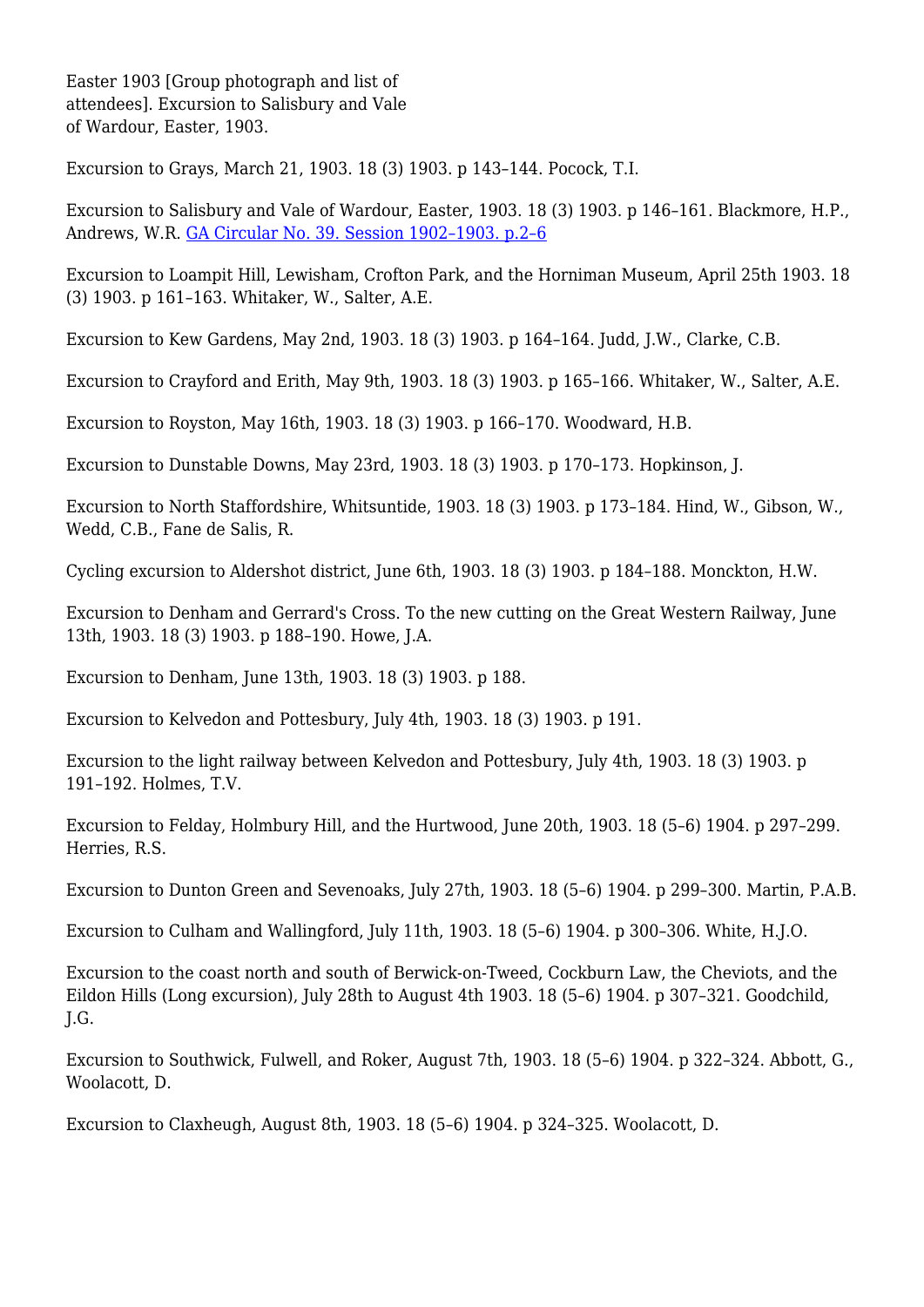Easter 1903 [Group photograph and list of attendees]. Excursion to Salisbury and Vale of Wardour, Easter, 1903.

Excursion to Grays, March 21, 1903. 18 (3) 1903. p 143–144. Pocock, T.I.

Excursion to Salisbury and Vale of Wardour, Easter, 1903. 18 (3) 1903. p 146–161. Blackmore, H.P., Andrews, W.R. [GA Circular No. 39. Session 1902–1903. p.2–6](http://earthwise.bgs.ac.uk/index.php/Excursion_to_Salisbury_and_Vale_of_Wardour,_Easter,_1903_-_Geologists%27_Association_excursion)

Excursion to Loampit Hill, Lewisham, Crofton Park, and the Horniman Museum, April 25th 1903. 18 (3) 1903. p 161–163. Whitaker, W., Salter, A.E.

Excursion to Kew Gardens, May 2nd, 1903. 18 (3) 1903. p 164–164. Judd, J.W., Clarke, C.B.

Excursion to Crayford and Erith, May 9th, 1903. 18 (3) 1903. p 165–166. Whitaker, W., Salter, A.E.

Excursion to Royston, May 16th, 1903. 18 (3) 1903. p 166–170. Woodward, H.B.

Excursion to Dunstable Downs, May 23rd, 1903. 18 (3) 1903. p 170–173. Hopkinson, J.

Excursion to North Staffordshire, Whitsuntide, 1903. 18 (3) 1903. p 173–184. Hind, W., Gibson, W., Wedd, C.B., Fane de Salis, R.

Cycling excursion to Aldershot district, June 6th, 1903. 18 (3) 1903. p 184–188. Monckton, H.W.

Excursion to Denham and Gerrard's Cross. To the new cutting on the Great Western Railway, June 13th, 1903. 18 (3) 1903. p 188–190. Howe, J.A.

Excursion to Denham, June 13th, 1903. 18 (3) 1903. p 188.

Excursion to Kelvedon and Pottesbury, July 4th, 1903. 18 (3) 1903. p 191.

Excursion to the light railway between Kelvedon and Pottesbury, July 4th, 1903. 18 (3) 1903. p 191–192. Holmes, T.V.

Excursion to Felday, Holmbury Hill, and the Hurtwood, June 20th, 1903. 18 (5–6) 1904. p 297–299. Herries, R.S.

Excursion to Dunton Green and Sevenoaks, July 27th, 1903. 18 (5–6) 1904. p 299–300. Martin, P.A.B.

Excursion to Culham and Wallingford, July 11th, 1903. 18 (5–6) 1904. p 300–306. White, H.J.O.

Excursion to the coast north and south of Berwick-on-Tweed, Cockburn Law, the Cheviots, and the Eildon Hills (Long excursion), July 28th to August 4th 1903. 18 (5–6) 1904. p 307–321. Goodchild, J.G.

Excursion to Southwick, Fulwell, and Roker, August 7th, 1903. 18 (5–6) 1904. p 322–324. Abbott, G., Woolacott, D.

Excursion to Claxheugh, August 8th, 1903. 18 (5–6) 1904. p 324–325. Woolacott, D.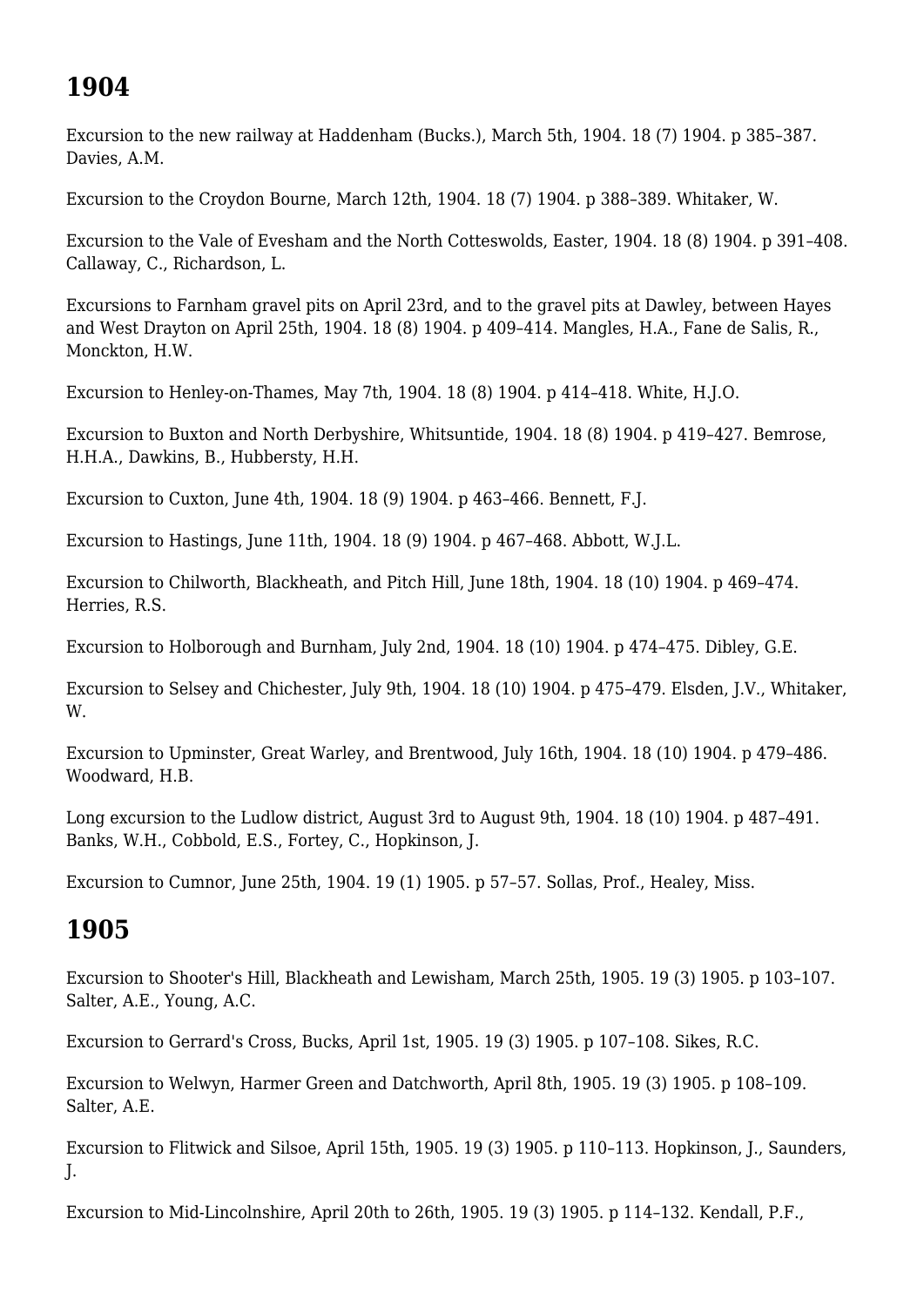# **1904**

Excursion to the new railway at Haddenham (Bucks.), March 5th, 1904. 18 (7) 1904. p 385–387. Davies, A.M.

Excursion to the Croydon Bourne, March 12th, 1904. 18 (7) 1904. p 388–389. Whitaker, W.

Excursion to the Vale of Evesham and the North Cotteswolds, Easter, 1904. 18 (8) 1904. p 391–408. Callaway, C., Richardson, L.

Excursions to Farnham gravel pits on April 23rd, and to the gravel pits at Dawley, between Hayes and West Drayton on April 25th, 1904. 18 (8) 1904. p 409–414. Mangles, H.A., Fane de Salis, R., Monckton, H.W.

Excursion to Henley-on-Thames, May 7th, 1904. 18 (8) 1904. p 414–418. White, H.J.O.

Excursion to Buxton and North Derbyshire, Whitsuntide, 1904. 18 (8) 1904. p 419–427. Bemrose, H.H.A., Dawkins, B., Hubbersty, H.H.

Excursion to Cuxton, June 4th, 1904. 18 (9) 1904. p 463–466. Bennett, F.J.

Excursion to Hastings, June 11th, 1904. 18 (9) 1904. p 467–468. Abbott, W.J.L.

Excursion to Chilworth, Blackheath, and Pitch Hill, June 18th, 1904. 18 (10) 1904. p 469–474. Herries, R.S.

Excursion to Holborough and Burnham, July 2nd, 1904. 18 (10) 1904. p 474–475. Dibley, G.E.

Excursion to Selsey and Chichester, July 9th, 1904. 18 (10) 1904. p 475–479. Elsden, J.V., Whitaker, W.

Excursion to Upminster, Great Warley, and Brentwood, July 16th, 1904. 18 (10) 1904. p 479–486. Woodward, H.B.

Long excursion to the Ludlow district, August 3rd to August 9th, 1904. 18 (10) 1904. p 487–491. Banks, W.H., Cobbold, E.S., Fortey, C., Hopkinson, J.

Excursion to Cumnor, June 25th, 1904. 19 (1) 1905. p 57–57. Sollas, Prof., Healey, Miss.

## **1905**

Excursion to Shooter's Hill, Blackheath and Lewisham, March 25th, 1905. 19 (3) 1905. p 103–107. Salter, A.E., Young, A.C.

Excursion to Gerrard's Cross, Bucks, April 1st, 1905. 19 (3) 1905. p 107–108. Sikes, R.C.

Excursion to Welwyn, Harmer Green and Datchworth, April 8th, 1905. 19 (3) 1905. p 108–109. Salter, A.E.

Excursion to Flitwick and Silsoe, April 15th, 1905. 19 (3) 1905. p 110–113. Hopkinson, J., Saunders, J.

Excursion to Mid-Lincolnshire, April 20th to 26th, 1905. 19 (3) 1905. p 114–132. Kendall, P.F.,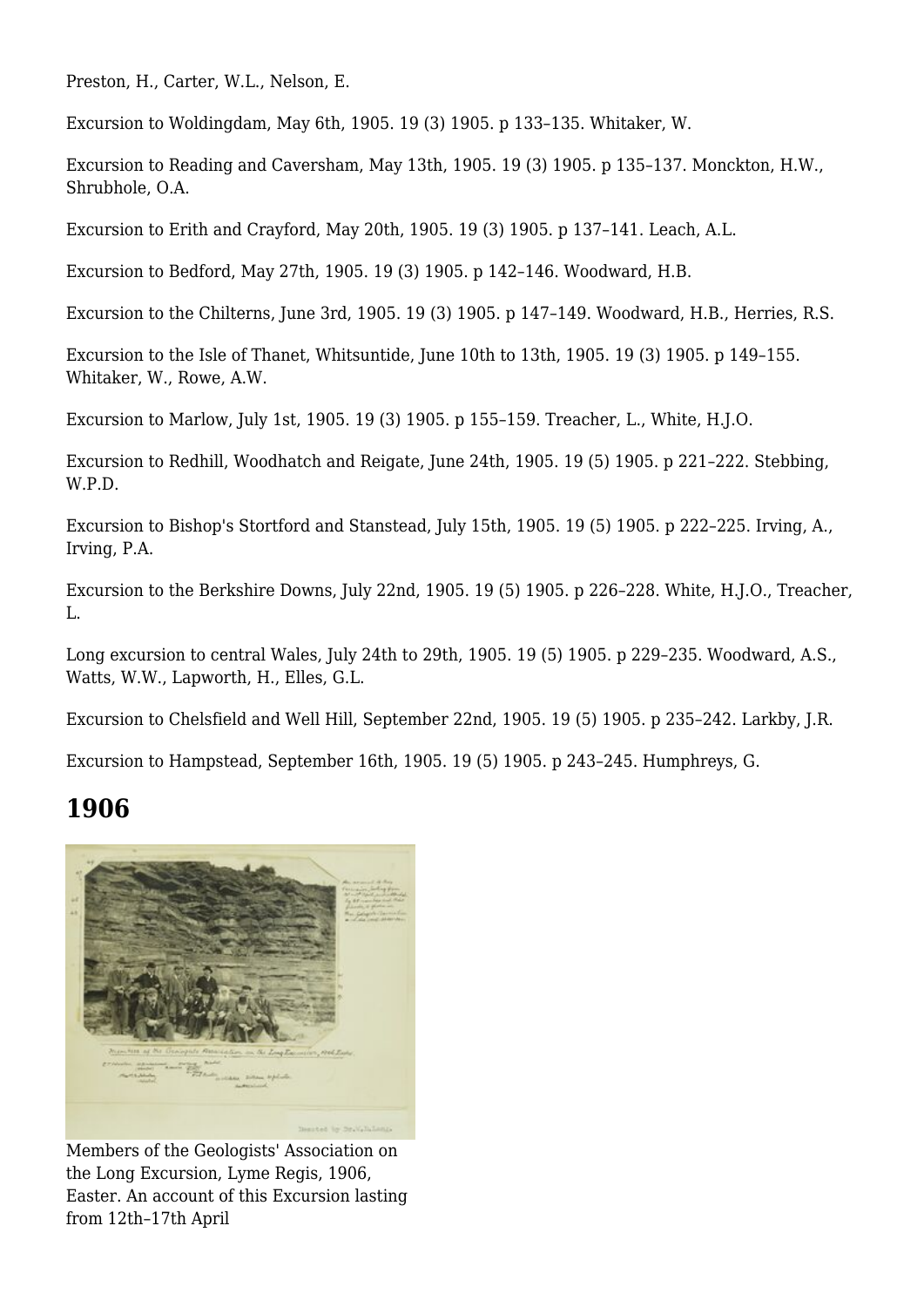Preston, H., Carter, W.L., Nelson, E.

Excursion to Woldingdam, May 6th, 1905. 19 (3) 1905. p 133–135. Whitaker, W.

Excursion to Reading and Caversham, May 13th, 1905. 19 (3) 1905. p 135–137. Monckton, H.W., Shrubhole, O.A.

Excursion to Erith and Crayford, May 20th, 1905. 19 (3) 1905. p 137–141. Leach, A.L.

Excursion to Bedford, May 27th, 1905. 19 (3) 1905. p 142–146. Woodward, H.B.

Excursion to the Chilterns, June 3rd, 1905. 19 (3) 1905. p 147–149. Woodward, H.B., Herries, R.S.

Excursion to the Isle of Thanet, Whitsuntide, June 10th to 13th, 1905. 19 (3) 1905. p 149–155. Whitaker, W., Rowe, A.W.

Excursion to Marlow, July 1st, 1905. 19 (3) 1905. p 155–159. Treacher, L., White, H.J.O.

Excursion to Redhill, Woodhatch and Reigate, June 24th, 1905. 19 (5) 1905. p 221–222. Stebbing, W.P.D.

Excursion to Bishop's Stortford and Stanstead, July 15th, 1905. 19 (5) 1905. p 222–225. Irving, A., Irving, P.A.

Excursion to the Berkshire Downs, July 22nd, 1905. 19 (5) 1905. p 226–228. White, H.J.O., Treacher, L.

Long excursion to central Wales, July 24th to 29th, 1905. 19 (5) 1905. p 229–235. Woodward, A.S., Watts, W.W., Lapworth, H., Elles, G.L.

Excursion to Chelsfield and Well Hill, September 22nd, 1905. 19 (5) 1905. p 235–242. Larkby, J.R.

Excursion to Hampstead, September 16th, 1905. 19 (5) 1905. p 243–245. Humphreys, G.

#### **1906**



Members of the Geologists' Association on the Long Excursion, Lyme Regis, 1906, Easter. An account of this Excursion lasting from 12th–17th April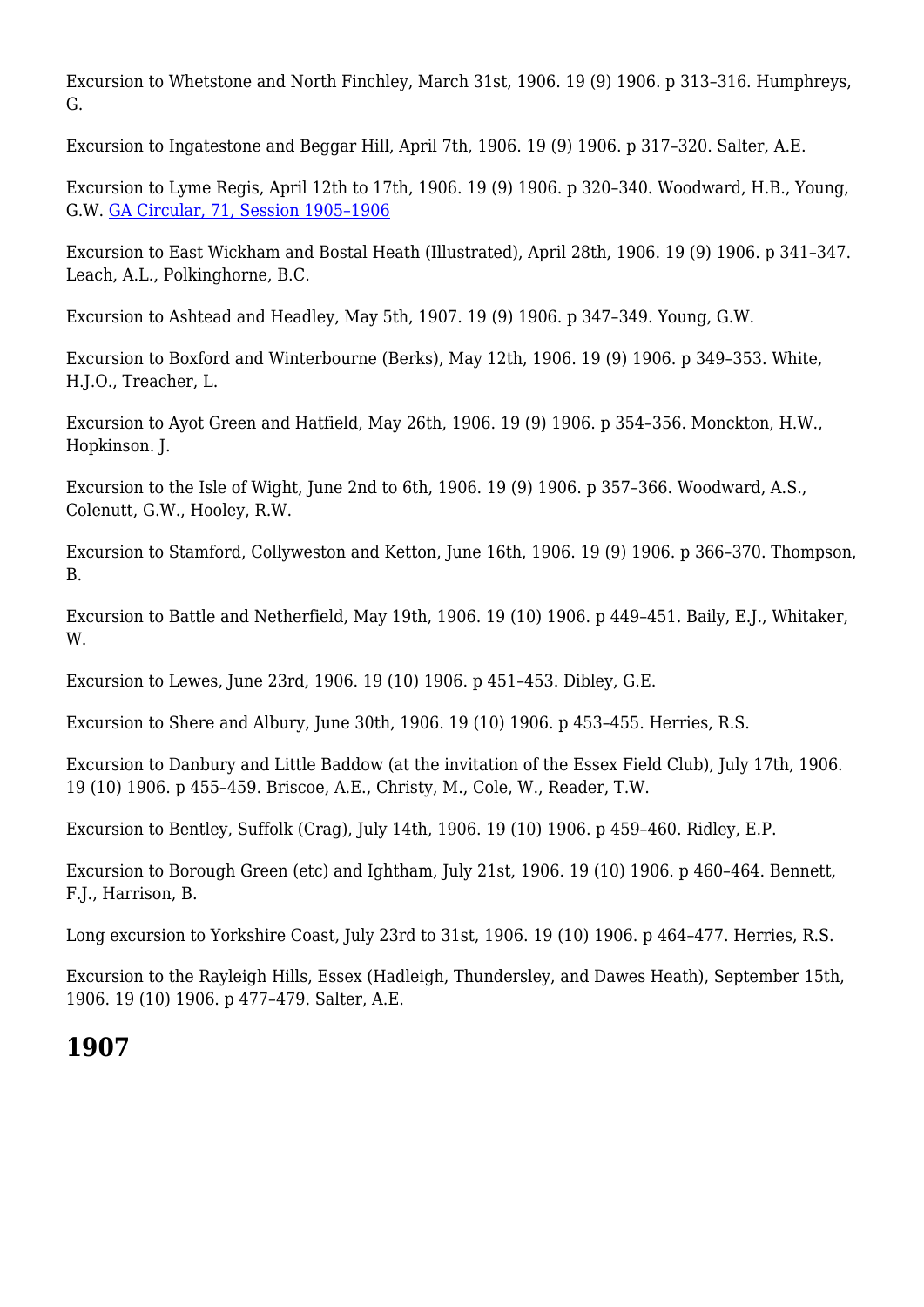Excursion to Whetstone and North Finchley, March 31st, 1906. 19 (9) 1906. p 313–316. Humphreys, G.

Excursion to Ingatestone and Beggar Hill, April 7th, 1906. 19 (9) 1906. p 317–320. Salter, A.E.

Excursion to Lyme Regis, April 12th to 17th, 1906. 19 (9) 1906. p 320–340. Woodward, H.B., Young, G.W. [GA Circular, 71, Session 1905–1906](http://earthwise.bgs.ac.uk/index.php/Excursion_to_Lyme_Regis._Easter,_1906,_Friday,_April_13th_to_Tuesday,_April_17th_-_Geologists%27_Association_excursion)

Excursion to East Wickham and Bostal Heath (Illustrated), April 28th, 1906. 19 (9) 1906. p 341–347. Leach, A.L., Polkinghorne, B.C.

Excursion to Ashtead and Headley, May 5th, 1907. 19 (9) 1906. p 347–349. Young, G.W.

Excursion to Boxford and Winterbourne (Berks), May 12th, 1906. 19 (9) 1906. p 349–353. White, H.J.O., Treacher, L.

Excursion to Ayot Green and Hatfield, May 26th, 1906. 19 (9) 1906. p 354–356. Monckton, H.W., Hopkinson. J.

Excursion to the Isle of Wight, June 2nd to 6th, 1906. 19 (9) 1906. p 357–366. Woodward, A.S., Colenutt, G.W., Hooley, R.W.

Excursion to Stamford, Collyweston and Ketton, June 16th, 1906. 19 (9) 1906. p 366–370. Thompson, B.

Excursion to Battle and Netherfield, May 19th, 1906. 19 (10) 1906. p 449–451. Baily, E.J., Whitaker, W.

Excursion to Lewes, June 23rd, 1906. 19 (10) 1906. p 451–453. Dibley, G.E.

Excursion to Shere and Albury, June 30th, 1906. 19 (10) 1906. p 453–455. Herries, R.S.

Excursion to Danbury and Little Baddow (at the invitation of the Essex Field Club), July 17th, 1906. 19 (10) 1906. p 455–459. Briscoe, A.E., Christy, M., Cole, W., Reader, T.W.

Excursion to Bentley, Suffolk (Crag), July 14th, 1906. 19 (10) 1906. p 459–460. Ridley, E.P.

Excursion to Borough Green (etc) and Ightham, July 21st, 1906. 19 (10) 1906. p 460–464. Bennett, F.J., Harrison, B.

Long excursion to Yorkshire Coast, July 23rd to 31st, 1906. 19 (10) 1906. p 464–477. Herries, R.S.

Excursion to the Rayleigh Hills, Essex (Hadleigh, Thundersley, and Dawes Heath), September 15th, 1906. 19 (10) 1906. p 477–479. Salter, A.E.

## **1907**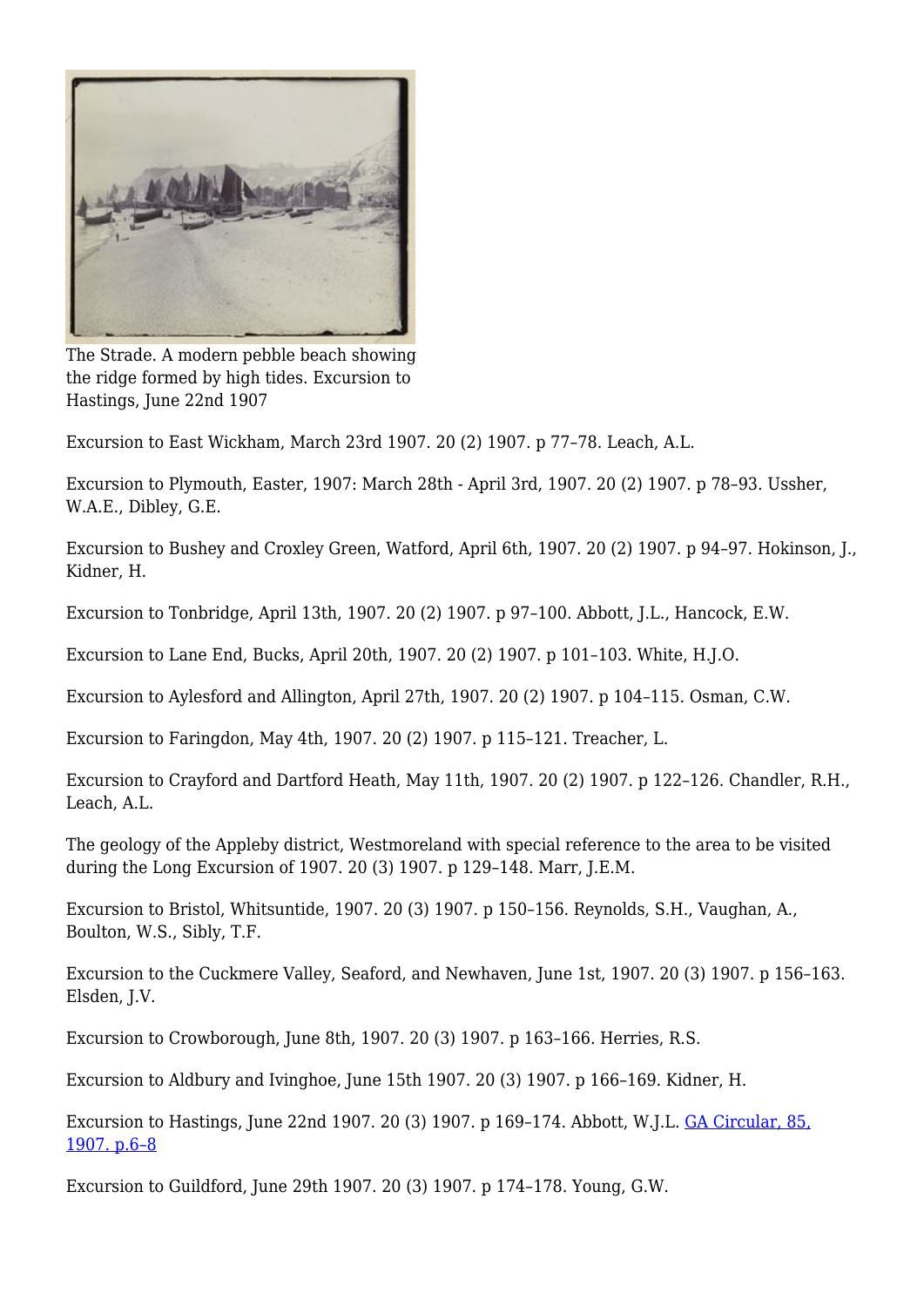

The Strade. A modern pebble beach showing the ridge formed by high tides. Excursion to Hastings, June 22nd 1907

Excursion to East Wickham, March 23rd 1907. 20 (2) 1907. p 77–78. Leach, A.L.

Excursion to Plymouth, Easter, 1907: March 28th - April 3rd, 1907. 20 (2) 1907. p 78–93. Ussher, W.A.E., Dibley, G.E.

Excursion to Bushey and Croxley Green, Watford, April 6th, 1907. 20 (2) 1907. p 94–97. Hokinson, J., Kidner, H.

Excursion to Tonbridge, April 13th, 1907. 20 (2) 1907. p 97–100. Abbott, J.L., Hancock, E.W.

Excursion to Lane End, Bucks, April 20th, 1907. 20 (2) 1907. p 101–103. White, H.J.O.

Excursion to Aylesford and Allington, April 27th, 1907. 20 (2) 1907. p 104–115. Osman, C.W.

Excursion to Faringdon, May 4th, 1907. 20 (2) 1907. p 115–121. Treacher, L.

Excursion to Crayford and Dartford Heath, May 11th, 1907. 20 (2) 1907. p 122–126. Chandler, R.H., Leach, A.L.

The geology of the Appleby district, Westmoreland with special reference to the area to be visited during the Long Excursion of 1907. 20 (3) 1907. p 129–148. Marr, J.E.M.

Excursion to Bristol, Whitsuntide, 1907. 20 (3) 1907. p 150–156. Reynolds, S.H., Vaughan, A., Boulton, W.S., Sibly, T.F.

Excursion to the Cuckmere Valley, Seaford, and Newhaven, June 1st, 1907. 20 (3) 1907. p 156–163. Elsden, J.V.

Excursion to Crowborough, June 8th, 1907. 20 (3) 1907. p 163–166. Herries, R.S.

Excursion to Aldbury and Ivinghoe, June 15th 1907. 20 (3) 1907. p 166–169. Kidner, H.

Excursion to Hastings, June 22nd 1907. 20 (3) 1907. p 169–174. Abbott, W.J.L. [GA Circular, 85,](http://earthwise.bgs.ac.uk/index.php/Excursion_to_Hastings._Saturday,_June_22nd,_1907_-_Geologists%E2%80%99_Association_excursion) [1907. p.6–8](http://earthwise.bgs.ac.uk/index.php/Excursion_to_Hastings._Saturday,_June_22nd,_1907_-_Geologists%E2%80%99_Association_excursion)

Excursion to Guildford, June 29th 1907. 20 (3) 1907. p 174–178. Young, G.W.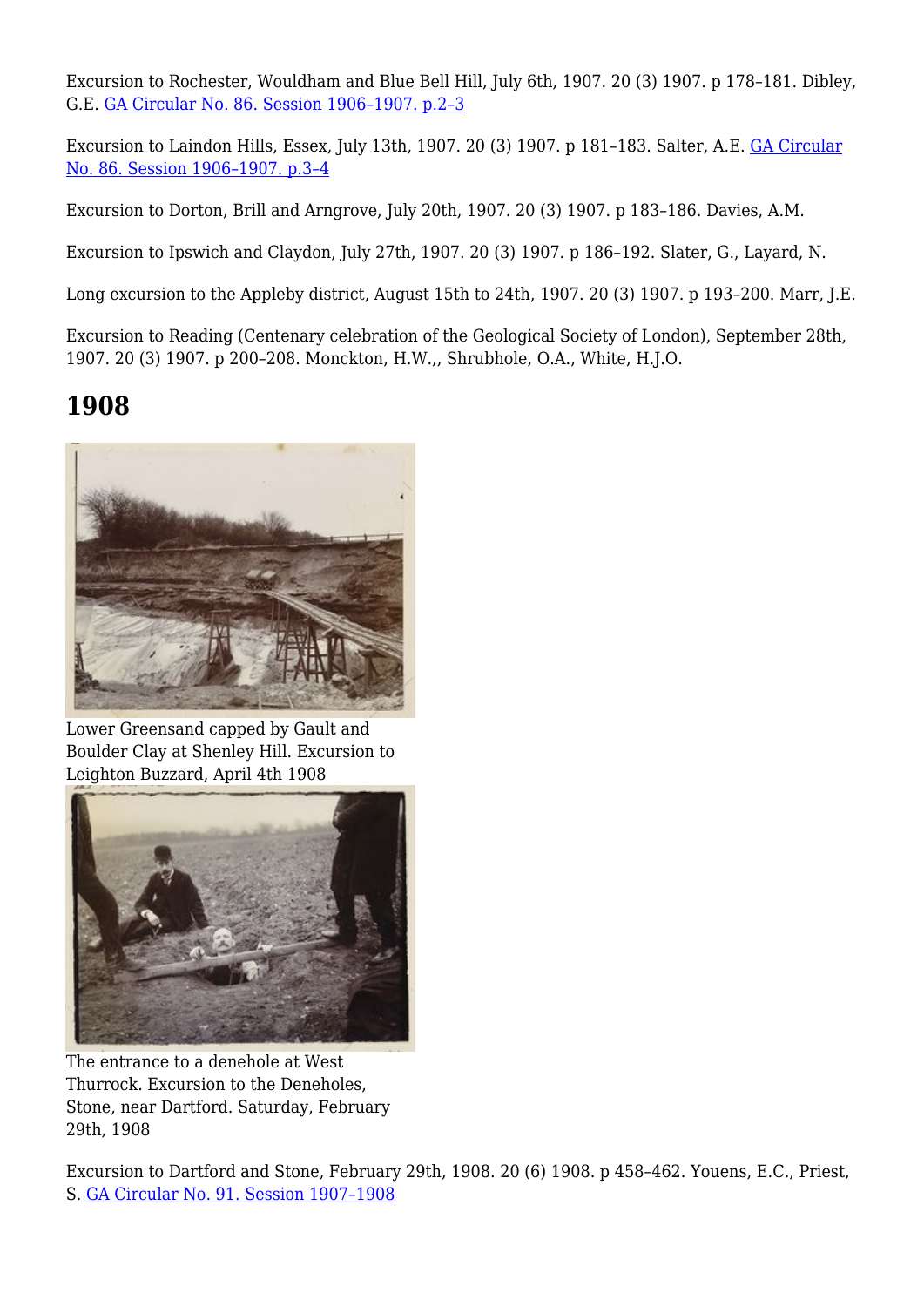Excursion to Rochester, Wouldham and Blue Bell Hill, July 6th, 1907. 20 (3) 1907. p 178–181. Dibley, G.E. [GA Circular No. 86. Session 1906–1907. p.2–3](http://earthwise.bgs.ac.uk/index.php/Excursion_to_Rochester_and_Blue_Bell_Hill._Saturday,_July_6th,_1907_-_Geologists%27_Association_excursion)

Excursion to Laindon Hills, Essex, July 13th, 1907. 20 (3) 1907. p 181–183. Salter, A.E. [GA Circular](http://earthwise.bgs.ac.uk/index.php/Excursion_to_the_Langdon_Hills._Saturday,_July_13th,_1907_-_Geologists%27_Association_excursion) [No. 86. Session 1906–1907. p.3–4](http://earthwise.bgs.ac.uk/index.php/Excursion_to_the_Langdon_Hills._Saturday,_July_13th,_1907_-_Geologists%27_Association_excursion)

Excursion to Dorton, Brill and Arngrove, July 20th, 1907. 20 (3) 1907. p 183–186. Davies, A.M.

Excursion to Ipswich and Claydon, July 27th, 1907. 20 (3) 1907. p 186–192. Slater, G., Layard, N.

Long excursion to the Appleby district, August 15th to 24th, 1907. 20 (3) 1907. p 193–200. Marr, J.E.

Excursion to Reading (Centenary celebration of the Geological Society of London), September 28th, 1907. 20 (3) 1907. p 200–208. Monckton, H.W.,, Shrubhole, O.A., White, H.J.O.

# **1908**



Lower Greensand capped by Gault and Boulder Clay at Shenley Hill. Excursion to Leighton Buzzard, April 4th 1908



The entrance to a denehole at West Thurrock. Excursion to the Deneholes, Stone, near Dartford. Saturday, February 29th, 1908

Excursion to Dartford and Stone, February 29th, 1908. 20 (6) 1908. p 458–462. Youens, E.C., Priest, S. [GA Circular No. 91. Session 1907–1908](http://earthwise.bgs.ac.uk/index.php/Excursion_to_the_Deneholes,_Stone,_near_Dartford._Saturday,_February_29th,_1908_-_Geologists%27_Association_excursion)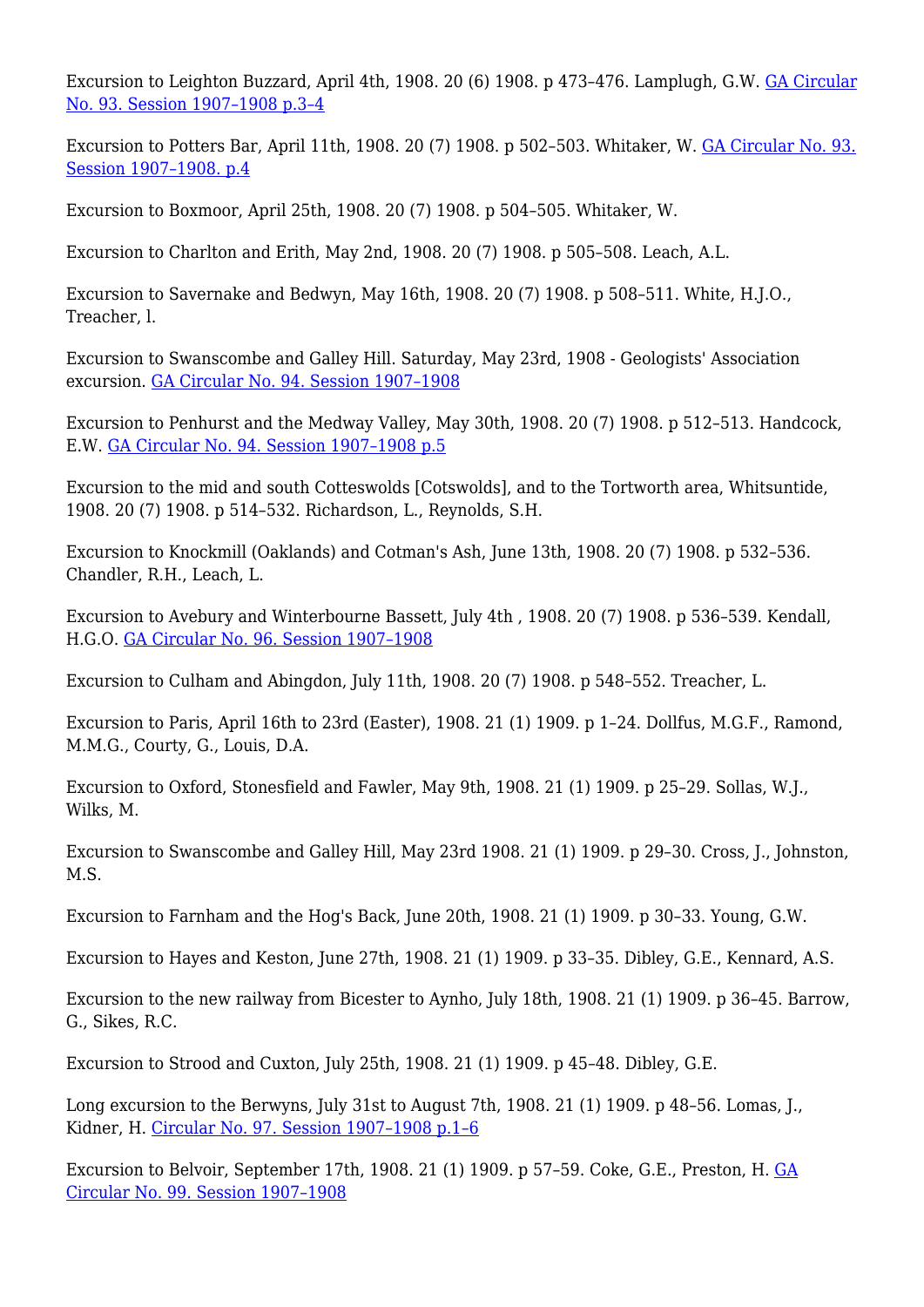Excursion to Leighton Buzzard, April 4th, 1908. 20 (6) 1908. p 473–476. Lamplugh, G.W. [GA Circular](http://earthwise.bgs.ac.uk/index.php/Excursion_to_Leighton_Buzzard._Saturday,_April_4th,_1908_-_Geologists%27_Association_excursion) [No. 93. Session 1907–1908 p.3–4](http://earthwise.bgs.ac.uk/index.php/Excursion_to_Leighton_Buzzard._Saturday,_April_4th,_1908_-_Geologists%27_Association_excursion)

Excursion to Potters Bar, April 11th, 1908. 20 (7) 1908. p 502–503. Whitaker, W. [GA Circular No. 93.](http://earthwise.bgs.ac.uk/index.php/Excursion_to_Potters%27_Bar,_Saturday,_April_11th,_1908_-_Geologists%27_Association_excursion) [Session 1907–1908. p.4](http://earthwise.bgs.ac.uk/index.php/Excursion_to_Potters%27_Bar,_Saturday,_April_11th,_1908_-_Geologists%27_Association_excursion)

Excursion to Boxmoor, April 25th, 1908. 20 (7) 1908. p 504–505. Whitaker, W.

Excursion to Charlton and Erith, May 2nd, 1908. 20 (7) 1908. p 505–508. Leach, A.L.

Excursion to Savernake and Bedwyn, May 16th, 1908. 20 (7) 1908. p 508–511. White, H.J.O., Treacher, l.

Excursion to Swanscombe and Galley Hill. Saturday, May 23rd, 1908 - Geologists' Association excursion. [GA Circular No. 94. Session 1907–1908](http://earthwise.bgs.ac.uk/index.php/Excursion_to_Swanscombe_and_Galley_Hill._Saturday,_May_23rd,_1908_-_Geologists%27_Association_excursion)

Excursion to Penhurst and the Medway Valley, May 30th, 1908. 20 (7) 1908. p 512–513. Handcock, E.W. [GA Circular No. 94. Session 1907–1908 p.5](http://earthwise.bgs.ac.uk/index.php/Excursion_to_Penshurst_and_the_Medway_Valley._Saturday,_May_30th,_1908_-_Geologists%27_Association_excursion)

Excursion to the mid and south Cotteswolds [Cotswolds], and to the Tortworth area, Whitsuntide, 1908. 20 (7) 1908. p 514–532. Richardson, L., Reynolds, S.H.

Excursion to Knockmill (Oaklands) and Cotman's Ash, June 13th, 1908. 20 (7) 1908. p 532–536. Chandler, R.H., Leach, L.

Excursion to Avebury and Winterbourne Bassett, July 4th , 1908. 20 (7) 1908. p 536–539. Kendall, H.G.O. [GA Circular No. 96. Session 1907–1908](http://earthwise.bgs.ac.uk/index.php/Excursion_to_Avebury_and_Winterbourne_Bassett._Saturday_July_4th,_1908_-_Geologists%27_Association_excursion)

Excursion to Culham and Abingdon, July 11th, 1908. 20 (7) 1908. p 548–552. Treacher, L.

Excursion to Paris, April 16th to 23rd (Easter), 1908. 21 (1) 1909. p 1–24. Dollfus, M.G.F., Ramond, M.M.G., Courty, G., Louis, D.A.

Excursion to Oxford, Stonesfield and Fawler, May 9th, 1908. 21 (1) 1909. p 25–29. Sollas, W.J., Wilks, M.

Excursion to Swanscombe and Galley Hill, May 23rd 1908. 21 (1) 1909. p 29–30. Cross, J., Johnston, M.S.

Excursion to Farnham and the Hog's Back, June 20th, 1908. 21 (1) 1909. p 30–33. Young, G.W.

Excursion to Hayes and Keston, June 27th, 1908. 21 (1) 1909. p 33–35. Dibley, G.E., Kennard, A.S.

Excursion to the new railway from Bicester to Aynho, July 18th, 1908. 21 (1) 1909. p 36–45. Barrow, G., Sikes, R.C.

Excursion to Strood and Cuxton, July 25th, 1908. 21 (1) 1909. p 45–48. Dibley, G.E.

Long excursion to the Berwyns, July 31st to August 7th, 1908. 21 (1) 1909. p 48-56. Lomas, J., Kidner, H. [Circular No. 97. Session 1907–1908 p.1–6](http://earthwise.bgs.ac.uk/index.php/Long_excursion_to_the_Berwyns._July_31st_to_August_7th,_1908_-_Geologists%27_Association_excursion)

Excursion to Belvoir, September 17th, 1908. 21 (1) 1909. p 57–59. Coke, G.E., Preston, H. [GA](http://earthwise.bgs.ac.uk/index.php/Excursion_to_Belvoir._Thursday,_September_17th,_1908_-_Geologists%27_Association_excursion) [Circular No. 99. Session 1907–1908](http://earthwise.bgs.ac.uk/index.php/Excursion_to_Belvoir._Thursday,_September_17th,_1908_-_Geologists%27_Association_excursion)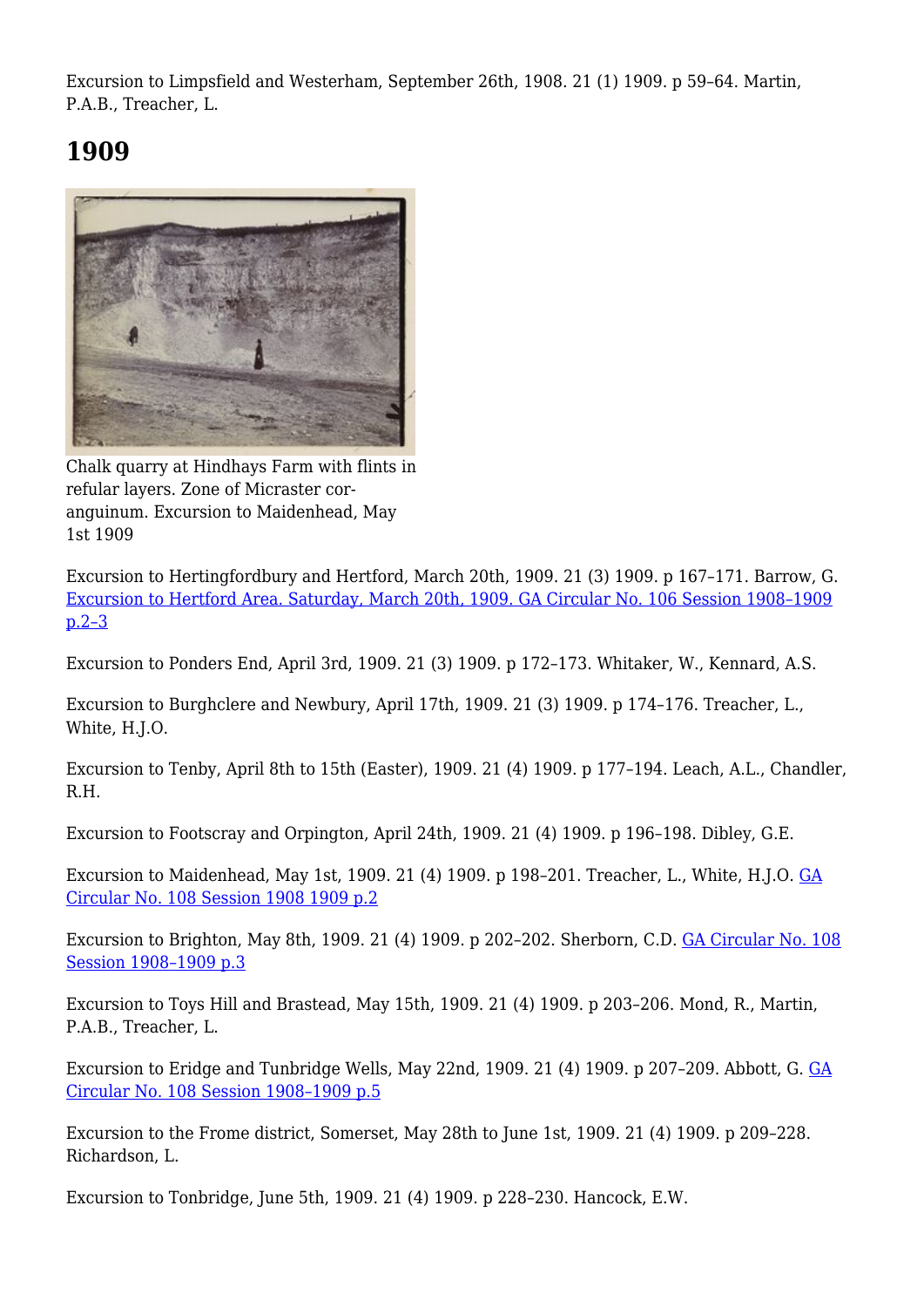Excursion to Limpsfield and Westerham, September 26th, 1908. 21 (1) 1909. p 59–64. Martin, P.A.B., Treacher, L.

# **1909**



Chalk quarry at Hindhays Farm with flints in refular layers. Zone of Micraster coranguinum. Excursion to Maidenhead, May 1st 1909

Excursion to Hertingfordbury and Hertford, March 20th, 1909. 21 (3) 1909. p 167–171. Barrow, G. [Excursion to Hertford Area. Saturday, March 20th, 1909. GA Circular No. 106 Session 1908–1909](http://earthwise.bgs.ac.uk/index.php/Excursion_to_Hertford_area._Saturday,_March_20th,_1909_-_Geologists%27_Association_excursion) [p.2–3](http://earthwise.bgs.ac.uk/index.php/Excursion_to_Hertford_area._Saturday,_March_20th,_1909_-_Geologists%27_Association_excursion)

Excursion to Ponders End, April 3rd, 1909. 21 (3) 1909. p 172–173. Whitaker, W., Kennard, A.S.

Excursion to Burghclere and Newbury, April 17th, 1909. 21 (3) 1909. p 174–176. Treacher, L., White, H.J.O.

Excursion to Tenby, April 8th to 15th (Easter), 1909. 21 (4) 1909. p 177–194. Leach, A.L., Chandler, R.H.

Excursion to Footscray and Orpington, April 24th, 1909. 21 (4) 1909. p 196–198. Dibley, G.E.

Excursion to Maidenhead, May 1st, 1909. 21 (4) 1909. p 198–201. Treacher, L., White, H.J.O. [GA](http://earthwise.bgs.ac.uk/index.php/Excursion_to_Maidenhead._Saturday,_May_1st,_1909_-_Geologists%27_Association_excursion) [Circular No. 108 Session 1908 1909 p.2](http://earthwise.bgs.ac.uk/index.php/Excursion_to_Maidenhead._Saturday,_May_1st,_1909_-_Geologists%27_Association_excursion)

Excursion to Brighton, May 8th, 1909. 21 (4) 1909. p 202–202. Sherborn, C.D. [GA Circular No. 108](http://earthwise.bgs.ac.uk/index.php/Excursion_to_Brighton._Saturday,_May_8th,_1909_-_Geologists%27_Association_excursion) [Session 1908–1909 p.3](http://earthwise.bgs.ac.uk/index.php/Excursion_to_Brighton._Saturday,_May_8th,_1909_-_Geologists%27_Association_excursion)

Excursion to Toys Hill and Brastead, May 15th, 1909. 21 (4) 1909. p 203–206. Mond, R., Martin, P.A.B., Treacher, L.

Excursion to Eridge and Tunbridge Wells, May 22nd, 1909. 21 (4) 1909. p 207–209. Abbott, G. [GA](http://earthwise.bgs.ac.uk/index.php/Excursion_to_Eridge_and_Tunbridge_Wells._Saturday,_May_22nd,_1909_-_Geologists%27_Association_excursion) [Circular No. 108 Session 1908–1909 p.5](http://earthwise.bgs.ac.uk/index.php/Excursion_to_Eridge_and_Tunbridge_Wells._Saturday,_May_22nd,_1909_-_Geologists%27_Association_excursion)

Excursion to the Frome district, Somerset, May 28th to June 1st, 1909. 21 (4) 1909. p 209–228. Richardson, L.

Excursion to Tonbridge, June 5th, 1909. 21 (4) 1909. p 228–230. Hancock, E.W.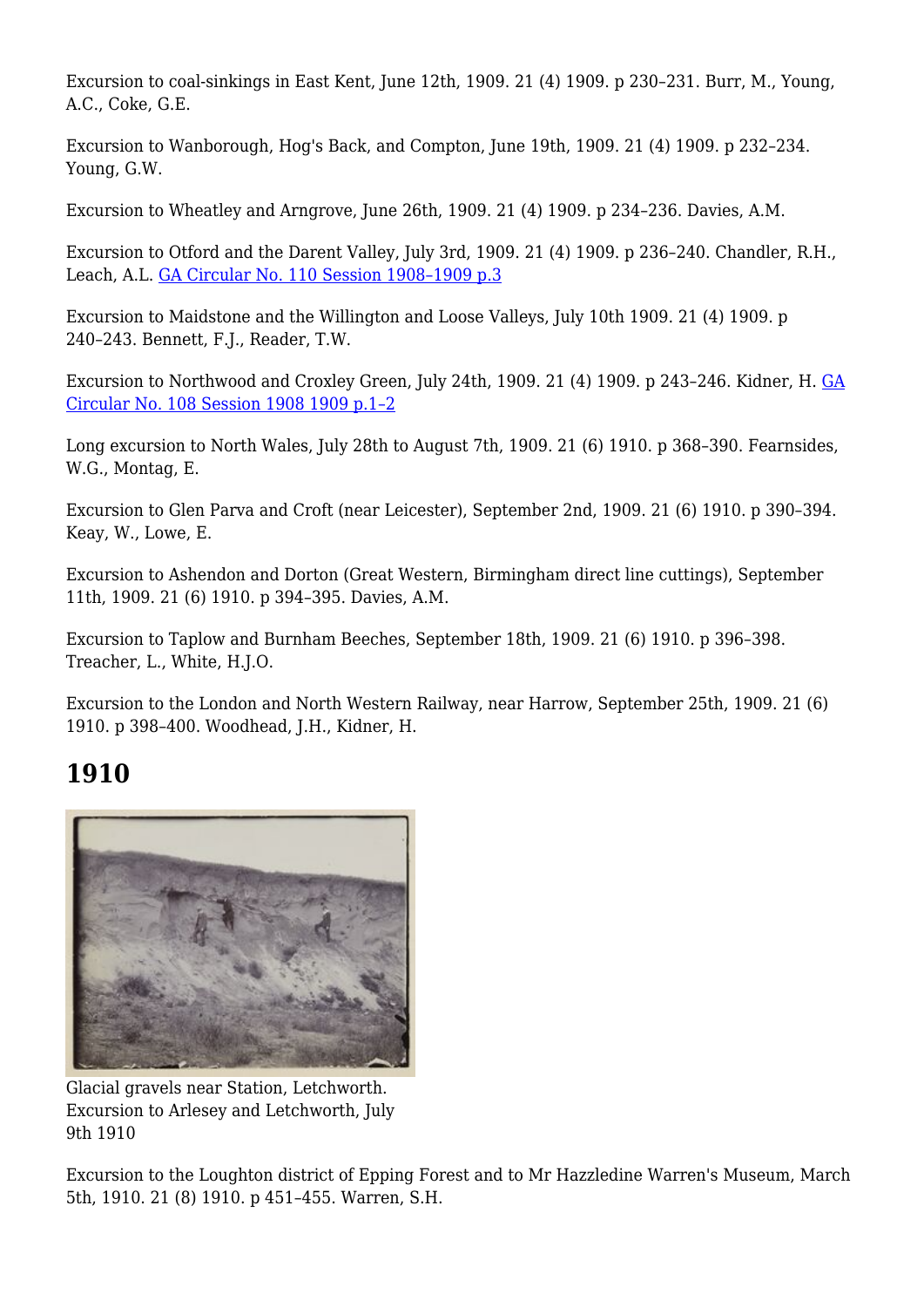Excursion to coal-sinkings in East Kent, June 12th, 1909. 21 (4) 1909. p 230–231. Burr, M., Young, A.C., Coke, G.E.

Excursion to Wanborough, Hog's Back, and Compton, June 19th, 1909. 21 (4) 1909. p 232–234. Young, G.W.

Excursion to Wheatley and Arngrove, June 26th, 1909. 21 (4) 1909. p 234–236. Davies, A.M.

Excursion to Otford and the Darent Valley, July 3rd, 1909. 21 (4) 1909. p 236–240. Chandler, R.H., Leach, A.L. [GA Circular No. 110 Session 1908–1909 p.3](http://earthwise.bgs.ac.uk/index.php/Excursion_to_Otford_and_Darent_Valley._Saturday,_July_3rd,_1909_-_Geologists%27_Association_excursion)

Excursion to Maidstone and the Willington and Loose Valleys, July 10th 1909. 21 (4) 1909. p 240–243. Bennett, F.J., Reader, T.W.

Excursion to Northwood and Croxley Green, July 24th, 1909. 21 (4) 1909. p 243–246. Kidner, H. [GA](http://earthwise.bgs.ac.uk/index.php/Excursion_to_Northwood_and_Croxley_Green._Saturday,_July_24th,_1909_-_Geologists%27_Association_excursion) [Circular No. 108 Session 1908 1909 p.1–2](http://earthwise.bgs.ac.uk/index.php/Excursion_to_Northwood_and_Croxley_Green._Saturday,_July_24th,_1909_-_Geologists%27_Association_excursion)

Long excursion to North Wales, July 28th to August 7th, 1909. 21 (6) 1910. p 368–390. Fearnsides, W.G., Montag, E.

Excursion to Glen Parva and Croft (near Leicester), September 2nd, 1909. 21 (6) 1910. p 390–394. Keay, W., Lowe, E.

Excursion to Ashendon and Dorton (Great Western, Birmingham direct line cuttings), September 11th, 1909. 21 (6) 1910. p 394–395. Davies, A.M.

Excursion to Taplow and Burnham Beeches, September 18th, 1909. 21 (6) 1910. p 396–398. Treacher, L., White, H.J.O.

Excursion to the London and North Western Railway, near Harrow, September 25th, 1909. 21 (6) 1910. p 398–400. Woodhead, J.H., Kidner, H.

## **1910**



Glacial gravels near Station, Letchworth. Excursion to Arlesey and Letchworth, July 9th 1910

Excursion to the Loughton district of Epping Forest and to Mr Hazzledine Warren's Museum, March 5th, 1910. 21 (8) 1910. p 451–455. Warren, S.H.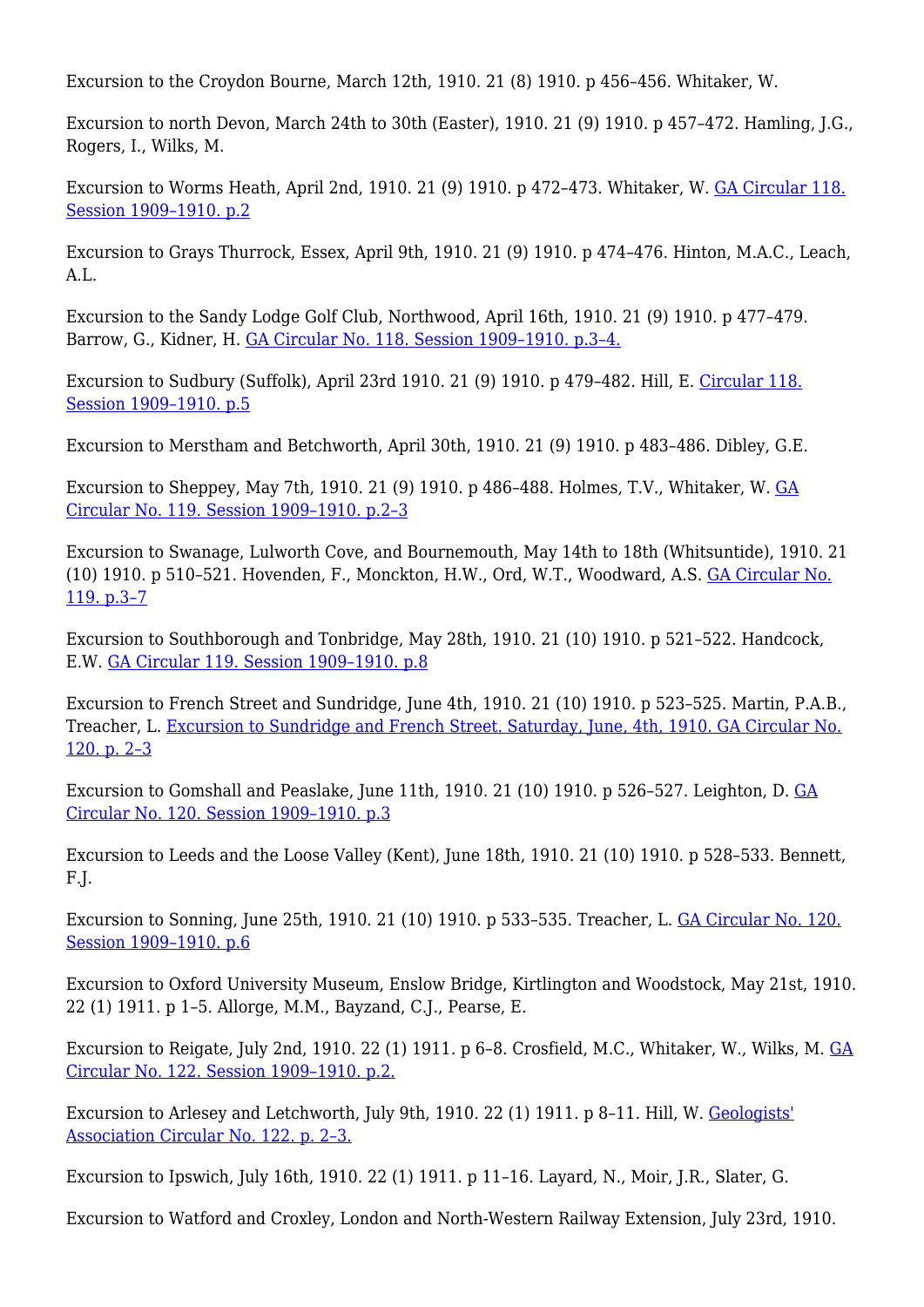Excursion to the Croydon Bourne, March 12th, 1910. 21 (8) 1910. p 456–456. Whitaker, W.

Excursion to north Devon, March 24th to 30th (Easter), 1910. 21 (9) 1910. p 457–472. Hamling, J.G., Rogers, I., Wilks, M.

Excursion to Worms Heath, April 2nd, 1910. 21 (9) 1910. p 472–473. Whitaker, W. [GA Circular 118.](http://earthwise.bgs.ac.uk/index.php/Excursion_to_Worm%27s_Heath._Saturday,_April_2nd._1910_-_Geologists%27_Association_excursion) [Session 1909–1910. p.2](http://earthwise.bgs.ac.uk/index.php/Excursion_to_Worm%27s_Heath._Saturday,_April_2nd._1910_-_Geologists%27_Association_excursion)

Excursion to Grays Thurrock, Essex, April 9th, 1910. 21 (9) 1910. p 474–476. Hinton, M.A.C., Leach,  $A.I.$ 

Excursion to the Sandy Lodge Golf Club, Northwood, April 16th, 1910. 21 (9) 1910. p 477–479. Barrow, G., Kidner, H. [GA Circular No. 118. Session 1909–1910. p.3–4.](http://earthwise.bgs.ac.uk/index.php/Excursion_to_Sandy_Lodge_Golf_Club,_Northwood._Saturday,_April_16th,_1910_-_Geologists%27_Association_excursion)

Excursion to Sudbury (Suffolk), April 23rd 1910. 21 (9) 1910. p 479–482. Hill, E. [Circular 118.](http://earthwise.bgs.ac.uk/index.php/Excursion_to_Sudbury_(Suffolk)._Saturday,_April_23rd,_1910_-_Geologists%27_Association_excursion) [Session 1909–1910. p.5](http://earthwise.bgs.ac.uk/index.php/Excursion_to_Sudbury_(Suffolk)._Saturday,_April_23rd,_1910_-_Geologists%27_Association_excursion)

Excursion to Merstham and Betchworth, April 30th, 1910. 21 (9) 1910. p 483–486. Dibley, G.E.

Excursion to Sheppey, May 7th, 1910. 21 (9) 1910. p 486–488. Holmes, T.V., Whitaker, W. [GA](http://earthwise.bgs.ac.uk/index.php/Excursion_to_Sheppey._Saturday,_May_7th_1910_-_Geologists%27_Association_excursion) [Circular No. 119. Session 1909–1910. p.2–3](http://earthwise.bgs.ac.uk/index.php/Excursion_to_Sheppey._Saturday,_May_7th_1910_-_Geologists%27_Association_excursion)

Excursion to Swanage, Lulworth Cove, and Bournemouth, May 14th to 18th (Whitsuntide), 1910. 21 (10) 1910. p 510–521. Hovenden, F., Monckton, H.W., Ord, W.T., Woodward, A.S. [GA Circular No.](http://earthwise.bgs.ac.uk/index.php/Excursion_to_Swanage,_Lulworth_Cove,_and_Bournemouth._Whitsuntide,_May_14th_to_18th,_1910_-_Geologists%27_Association_excursion) [119. p.3–7](http://earthwise.bgs.ac.uk/index.php/Excursion_to_Swanage,_Lulworth_Cove,_and_Bournemouth._Whitsuntide,_May_14th_to_18th,_1910_-_Geologists%27_Association_excursion)

Excursion to Southborough and Tonbridge, May 28th, 1910. 21 (10) 1910. p 521–522. Handcock, E.W. [GA Circular 119. Session 1909–1910. p.8](http://earthwise.bgs.ac.uk/index.php/Excursion_to_Southborough_and_Tonbridge._Saturday,_May_28th,_1910_-_Geologists%27_Association_excursion)

Excursion to French Street and Sundridge, June 4th, 1910. 21 (10) 1910. p 523–525. Martin, P.A.B., Treacher, L. [Excursion to Sundridge and French Street. Saturday, June, 4th, 1910. GA Circular No.](http://earthwise.bgs.ac.uk/index.php/Excursion_to_Sundridge_and_French_Street._Saturday,_June,_4th,_1910_-_Geologists%27_Association_excursion) [120. p. 2–3](http://earthwise.bgs.ac.uk/index.php/Excursion_to_Sundridge_and_French_Street._Saturday,_June,_4th,_1910_-_Geologists%27_Association_excursion)

Excursion to Gomshall and Peaslake, June 11th, 1910. 21 (10) 1910. p 526–527. Leighton, D. [GA](http://earthwise.bgs.ac.uk/index.php/Excursion_to_Gomshall._Saturday,_June_11th,_1910_-_Geologists%27_Association_excursion) [Circular No. 120. Session 1909–1910. p.3](http://earthwise.bgs.ac.uk/index.php/Excursion_to_Gomshall._Saturday,_June_11th,_1910_-_Geologists%27_Association_excursion)

Excursion to Leeds and the Loose Valley (Kent), June 18th, 1910. 21 (10) 1910. p 528–533. Bennett, F.J.

Excursion to Sonning, June 25th, 1910. 21 (10) 1910. p 533–535. Treacher, L. [GA Circular No. 120.](http://earthwise.bgs.ac.uk/index.php/Excursion_to_Sonning._Saturday,_June_25th,_1910_-_Geologists%27_Association_excursion) [Session 1909–1910. p.6](http://earthwise.bgs.ac.uk/index.php/Excursion_to_Sonning._Saturday,_June_25th,_1910_-_Geologists%27_Association_excursion)

Excursion to Oxford University Museum, Enslow Bridge, Kirtlington and Woodstock, May 21st, 1910. 22 (1) 1911. p 1–5. Allorge, M.M., Bayzand, C.J., Pearse, E.

Excursion to Reigate, July 2nd, 1910. 22 (1) 1911. p 6–8. Crosfield, M.C., Whitaker, W., Wilks, M. [GA](http://earthwise.bgs.ac.uk/index.php/Excursion_to_Reigate._Saturday,_July_2nd,_1910_-_Geologists%27_Association_excursion) [Circular No. 122. Session 1909–1910. p.2.](http://earthwise.bgs.ac.uk/index.php/Excursion_to_Reigate._Saturday,_July_2nd,_1910_-_Geologists%27_Association_excursion)

Excursion to Arlesey and Letchworth, July 9th, 1910. 22 (1) 1911. p 8–11. Hill, W. [Geologists'](http://earthwise.bgs.ac.uk/index.php/Excursion_to_Arlesey_and_Letchworth._Saturday,_July_9th,_1910_-_Geologists%27_Association_excursion) [Association Circular No. 122. p. 2–3.](http://earthwise.bgs.ac.uk/index.php/Excursion_to_Arlesey_and_Letchworth._Saturday,_July_9th,_1910_-_Geologists%27_Association_excursion)

Excursion to Ipswich, July 16th, 1910. 22 (1) 1911. p 11–16. Layard, N., Moir, J.R., Slater, G.

Excursion to Watford and Croxley, London and North-Western Railway Extension, July 23rd, 1910.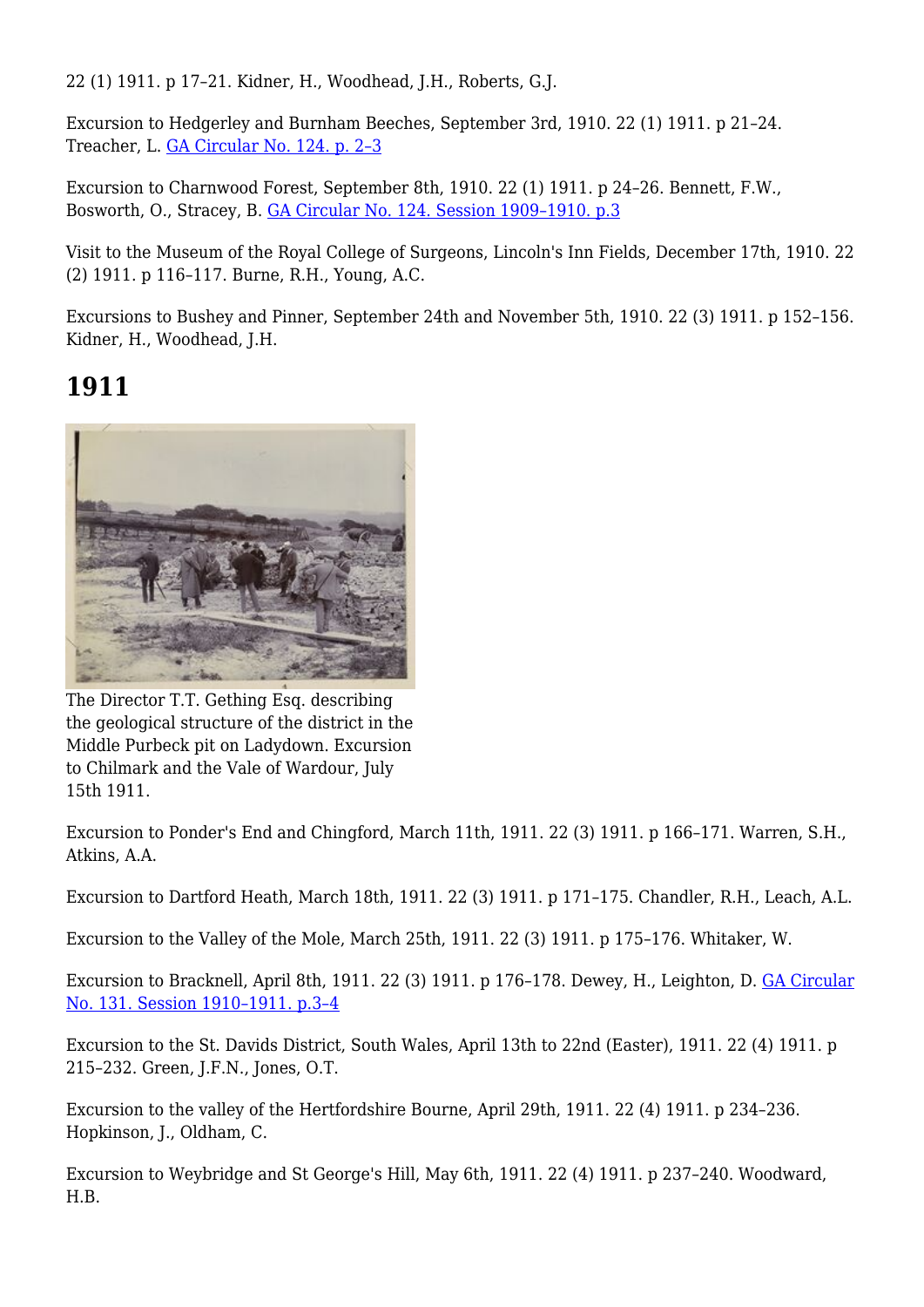22 (1) 1911. p 17–21. Kidner, H., Woodhead, J.H., Roberts, G.J.

Excursion to Hedgerley and Burnham Beeches, September 3rd, 1910. 22 (1) 1911. p 21–24. Treacher, L. [GA Circular No. 124. p. 2–3](http://earthwise.bgs.ac.uk/index.php/Excursion_to_Hedgerley_and_Burnham_Beeches._Saturday,_September_3rd,_1910_-_Geologists%27_Association_excursion)

Excursion to Charnwood Forest, September 8th, 1910. 22 (1) 1911. p 24–26. Bennett, F.W., Bosworth, O., Stracey, B. [GA Circular No. 124. Session 1909–1910. p.3](http://earthwise.bgs.ac.uk/index.php/Excursion_to_Charnwood_Forest._Thursday,_September_8th._1910_-_Geologists%27_Association_excursion)

Visit to the Museum of the Royal College of Surgeons, Lincoln's Inn Fields, December 17th, 1910. 22 (2) 1911. p 116–117. Burne, R.H., Young, A.C.

Excursions to Bushey and Pinner, September 24th and November 5th, 1910. 22 (3) 1911. p 152–156. Kidner, H., Woodhead, J.H.

#### **1911**



The Director T.T. Gething Esq. describing the geological structure of the district in the Middle Purbeck pit on Ladydown. Excursion to Chilmark and the Vale of Wardour, July 15th 1911.

Excursion to Ponder's End and Chingford, March 11th, 1911. 22 (3) 1911. p 166–171. Warren, S.H., Atkins, A.A.

Excursion to Dartford Heath, March 18th, 1911. 22 (3) 1911. p 171–175. Chandler, R.H., Leach, A.L.

Excursion to the Valley of the Mole, March 25th, 1911. 22 (3) 1911. p 175–176. Whitaker, W.

Excursion to Bracknell, April 8th, 1911. 22 (3) 1911. p 176–178. Dewey, H., Leighton, D. [GA Circular](http://earthwise.bgs.ac.uk/index.php/Excursion_to_Bracknell,_Saturday,_April_8th,_1911_-_Geologists%27_Association_excursion) [No. 131. Session 1910–1911. p.3–4](http://earthwise.bgs.ac.uk/index.php/Excursion_to_Bracknell,_Saturday,_April_8th,_1911_-_Geologists%27_Association_excursion)

Excursion to the St. Davids District, South Wales, April 13th to 22nd (Easter), 1911. 22 (4) 1911. p 215–232. Green, J.F.N., Jones, O.T.

Excursion to the valley of the Hertfordshire Bourne, April 29th, 1911. 22 (4) 1911. p 234–236. Hopkinson, J., Oldham, C.

Excursion to Weybridge and St George's Hill, May 6th, 1911. 22 (4) 1911. p 237–240. Woodward, H.B.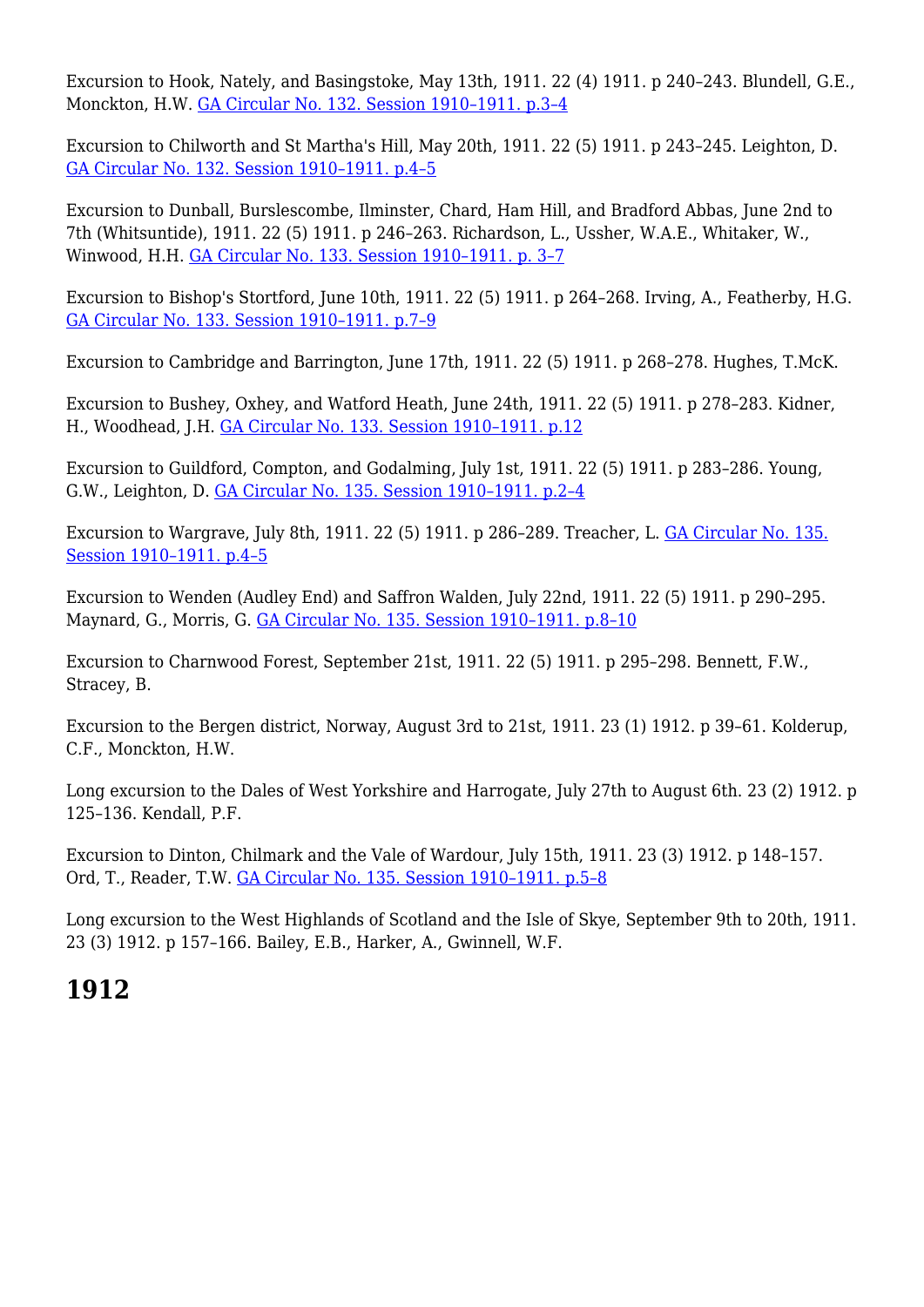Excursion to Hook, Nately, and Basingstoke, May 13th, 1911. 22 (4) 1911. p 240–243. Blundell, G.E., Monckton, H.W. [GA Circular No. 132. Session 1910–1911. p.3–4](http://earthwise.bgs.ac.uk/index.php/Excursion_to_Hook,_Upper_Nately_and_Basingstoke,_Saturday,_May_13th,_1911_-_Geologists%27_Association_excursion)

Excursion to Chilworth and St Martha's Hill, May 20th, 1911. 22 (5) 1911. p 243–245. Leighton, D. [GA Circular No. 132. Session 1910–1911. p.4–5](http://earthwise.bgs.ac.uk/index.php/Excursion_to_Chilworth_and_St._Martha%27s_Hill._Saturday,_May_20th,_1911_-_Geologists%27_Association_excursion)

Excursion to Dunball, Burslescombe, Ilminster, Chard, Ham Hill, and Bradford Abbas, June 2nd to 7th (Whitsuntide), 1911. 22 (5) 1911. p 246–263. Richardson, L., Ussher, W.A.E., Whitaker, W., Winwood, H.H. [GA Circular No. 133. Session 1910–1911. p. 3–7](http://earthwise.bgs.ac.uk/index.php/Excursion_to_Burlescombe,_Chard,_Ham_Hill,_Bradford_Abbas,_etc._Whitsuntide,_Friday,_June_2nd,_to_Wednesday,_June_7th,_1911_-_Geologists%27_Association_excursion)

Excursion to Bishop's Stortford, June 10th, 1911. 22 (5) 1911. p 264–268. Irving, A., Featherby, H.G. [GA Circular No. 133. Session 1910–1911. p.7–9](http://earthwise.bgs.ac.uk/index.php/Excursion_to_Bishop%27s_Stortford,_Saturday,_June_10th,_1011_-_Geologists%27_Association_excursion)

Excursion to Cambridge and Barrington, June 17th, 1911. 22 (5) 1911. p 268–278. Hughes, T.McK.

Excursion to Bushey, Oxhey, and Watford Heath, June 24th, 1911. 22 (5) 1911. p 278–283. Kidner, H., Woodhead, J.H. [GA Circular No. 133. Session 1910–1911. p.12](http://earthwise.bgs.ac.uk/index.php/Excursion_to_Bushey,_Oxhey_and_Watford_Heath._Saturday,_June_24th,_1911_-_Geologists%27_Association_excursion)

Excursion to Guildford, Compton, and Godalming, July 1st, 1911. 22 (5) 1911. p 283–286. Young, G.W., Leighton, D. [GA Circular No. 135. Session 1910–1911. p.2–4](http://earthwise.bgs.ac.uk/index.php/Excursion_to_Guildford,_Compton,_and_Godalming._Saturday,_July_1st,_1911_-_Geologists%27_Association_excursion)

Excursion to Wargrave, July 8th, 1911. 22 (5) 1911. p 286–289. Treacher, L. [GA Circular No. 135.](http://earthwise.bgs.ac.uk/index.php/Excursion_to_Wargrave,_Saturday,_July_8th,_1911_-_Geologists%27_Association_excursion) [Session 1910–1911. p.4–5](http://earthwise.bgs.ac.uk/index.php/Excursion_to_Wargrave,_Saturday,_July_8th,_1911_-_Geologists%27_Association_excursion)

Excursion to Wenden (Audley End) and Saffron Walden, July 22nd, 1911. 22 (5) 1911. p 290–295. Maynard, G., Morris, G. [GA Circular No. 135. Session 1910–1911. p.8–10](http://earthwise.bgs.ac.uk/index.php/Excursion_to_Newport,_Audley_End,_and_Saffron_Walden,_Saturday,_July_22nd,_1911_-_Geologists%27_Association_excursion)

Excursion to Charnwood Forest, September 21st, 1911. 22 (5) 1911. p 295–298. Bennett, F.W., Stracey, B.

Excursion to the Bergen district, Norway, August 3rd to 21st, 1911. 23 (1) 1912. p 39–61. Kolderup, C.F., Monckton, H.W.

Long excursion to the Dales of West Yorkshire and Harrogate, July 27th to August 6th. 23 (2) 1912. p 125–136. Kendall, P.F.

Excursion to Dinton, Chilmark and the Vale of Wardour, July 15th, 1911. 23 (3) 1912. p 148–157. Ord, T., Reader, T.W. [GA Circular No. 135. Session 1910–1911. p.5–8](http://earthwise.bgs.ac.uk/index.php/Excursion_to_Dinton,_Chilmark_and_the_Vale_of_Wardour,_Saturday,_July_15th,_1911_-_Geologists%27_Association_excursion)

Long excursion to the West Highlands of Scotland and the Isle of Skye, September 9th to 20th, 1911. 23 (3) 1912. p 157–166. Bailey, E.B., Harker, A., Gwinnell, W.F.

# **1912**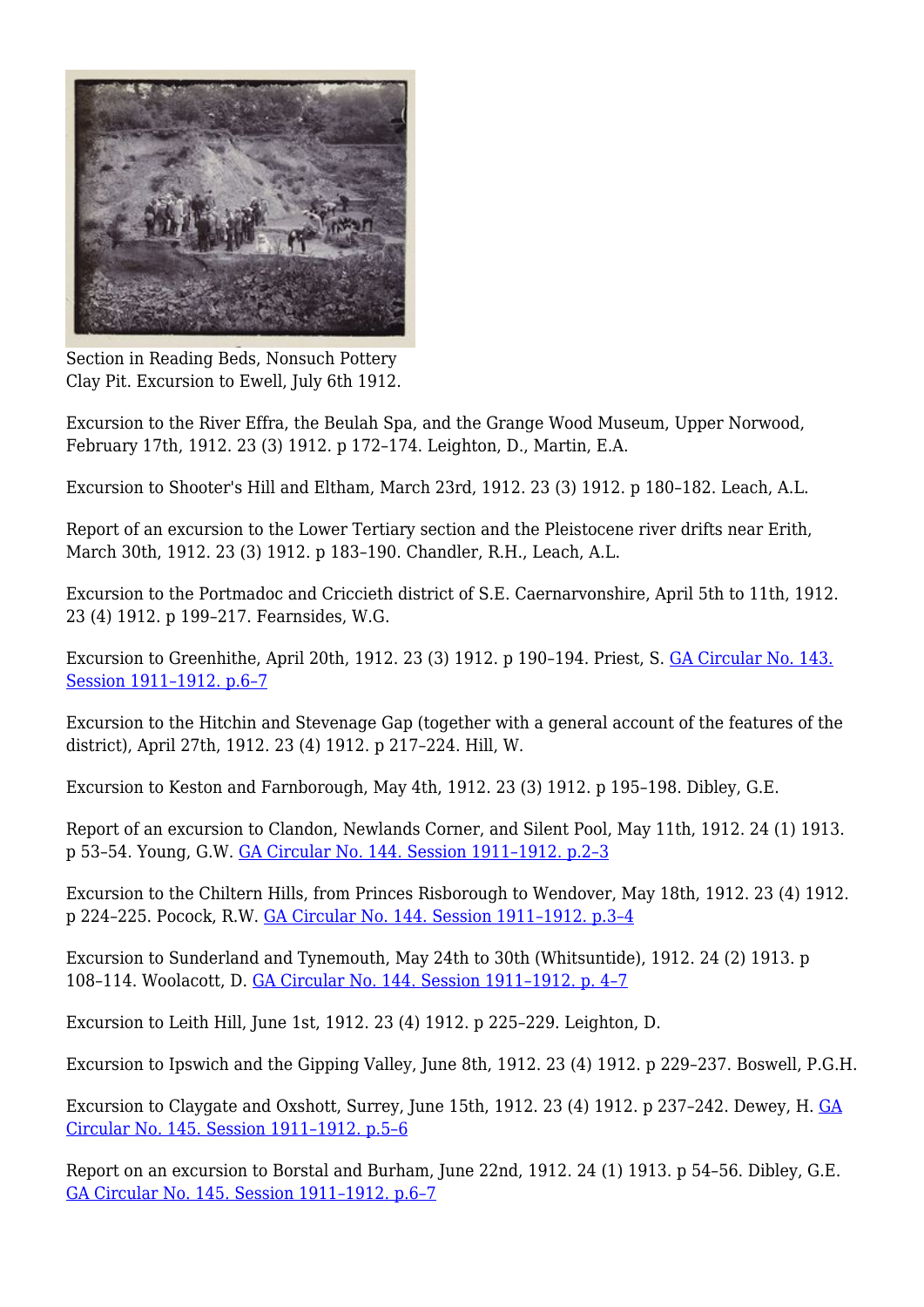

Section in Reading Beds, Nonsuch Pottery Clay Pit. Excursion to Ewell, July 6th 1912.

Excursion to the River Effra, the Beulah Spa, and the Grange Wood Museum, Upper Norwood, February 17th, 1912. 23 (3) 1912. p 172–174. Leighton, D., Martin, E.A.

Excursion to Shooter's Hill and Eltham, March 23rd, 1912. 23 (3) 1912. p 180–182. Leach, A.L.

Report of an excursion to the Lower Tertiary section and the Pleistocene river drifts near Erith, March 30th, 1912. 23 (3) 1912. p 183–190. Chandler, R.H., Leach, A.L.

Excursion to the Portmadoc and Criccieth district of S.E. Caernarvonshire, April 5th to 11th, 1912. 23 (4) 1912. p 199–217. Fearnsides, W.G.

Excursion to Greenhithe, April 20th, 1912. 23 (3) 1912. p 190–194. Priest, S. [GA Circular No. 143.](http://earthwise.bgs.ac.uk/index.php/Excursion_to_Greenhithe._Saturday,_April_20th,_1912_-_Geologists%27_Association_excursion) [Session 1911–1912. p.6–7](http://earthwise.bgs.ac.uk/index.php/Excursion_to_Greenhithe._Saturday,_April_20th,_1912_-_Geologists%27_Association_excursion)

Excursion to the Hitchin and Stevenage Gap (together with a general account of the features of the district), April 27th, 1912. 23 (4) 1912. p 217–224. Hill, W.

Excursion to Keston and Farnborough, May 4th, 1912. 23 (3) 1912. p 195–198. Dibley, G.E.

Report of an excursion to Clandon, Newlands Corner, and Silent Pool, May 11th, 1912. 24 (1) 1913. p 53–54. Young, G.W. [GA Circular No. 144. Session 1911–1912. p.2–3](http://earthwise.bgs.ac.uk/index.php/Excursion_to_Clandon,_Newland%27s_Corner,_and_Silent_Pool._Saturday,_May_11th,_1912_-_Geologists%27_Association_excursion)

Excursion to the Chiltern Hills, from Princes Risborough to Wendover, May 18th, 1912. 23 (4) 1912. p 224–225. Pocock, R.W. [GA Circular No. 144. Session 1911–1912. p.3–4](http://earthwise.bgs.ac.uk/index.php/Excursion_to_Chiltern_Hills,_from_Princes_Risborough_to_Wendover._Saturday,_May_18th,_1912_-_Geologists%27_Association_excursion)

Excursion to Sunderland and Tynemouth, May 24th to 30th (Whitsuntide), 1912. 24 (2) 1913. p 108–114. Woolacott, D. [GA Circular No. 144. Session 1911–1912. p. 4–7](http://earthwise.bgs.ac.uk/index.php/Excursion_to_Sunderland_and_Tynemouth._Whitsuntide,_May_24th_to_30th,_1912_-_Geologists%27_Association_excursion)

Excursion to Leith Hill, June 1st, 1912. 23 (4) 1912. p 225–229. Leighton, D.

Excursion to Ipswich and the Gipping Valley, June 8th, 1912. 23 (4) 1912. p 229–237. Boswell, P.G.H.

Excursion to Claygate and Oxshott, Surrey, June 15th, 1912. 23 (4) 1912. p 237–242. Dewey, H. [GA](http://earthwise.bgs.ac.uk/index.php/Excursion_to_Claygate_and_Oxshott,_Surrey._Saturday,_June_15th,_1912_-_Geologists%27_Association_excursion) [Circular No. 145. Session 1911–1912. p.5–6](http://earthwise.bgs.ac.uk/index.php/Excursion_to_Claygate_and_Oxshott,_Surrey._Saturday,_June_15th,_1912_-_Geologists%27_Association_excursion)

Report on an excursion to Borstal and Burham, June 22nd, 1912. 24 (1) 1913. p 54–56. Dibley, G.E. [GA Circular No. 145. Session 1911–1912. p.6–7](http://earthwise.bgs.ac.uk/index.php/Excursion_to_Borstal_and_Burnam._Saturday,_June_22nd,_1912_-_Geologists%27_Association_excursion)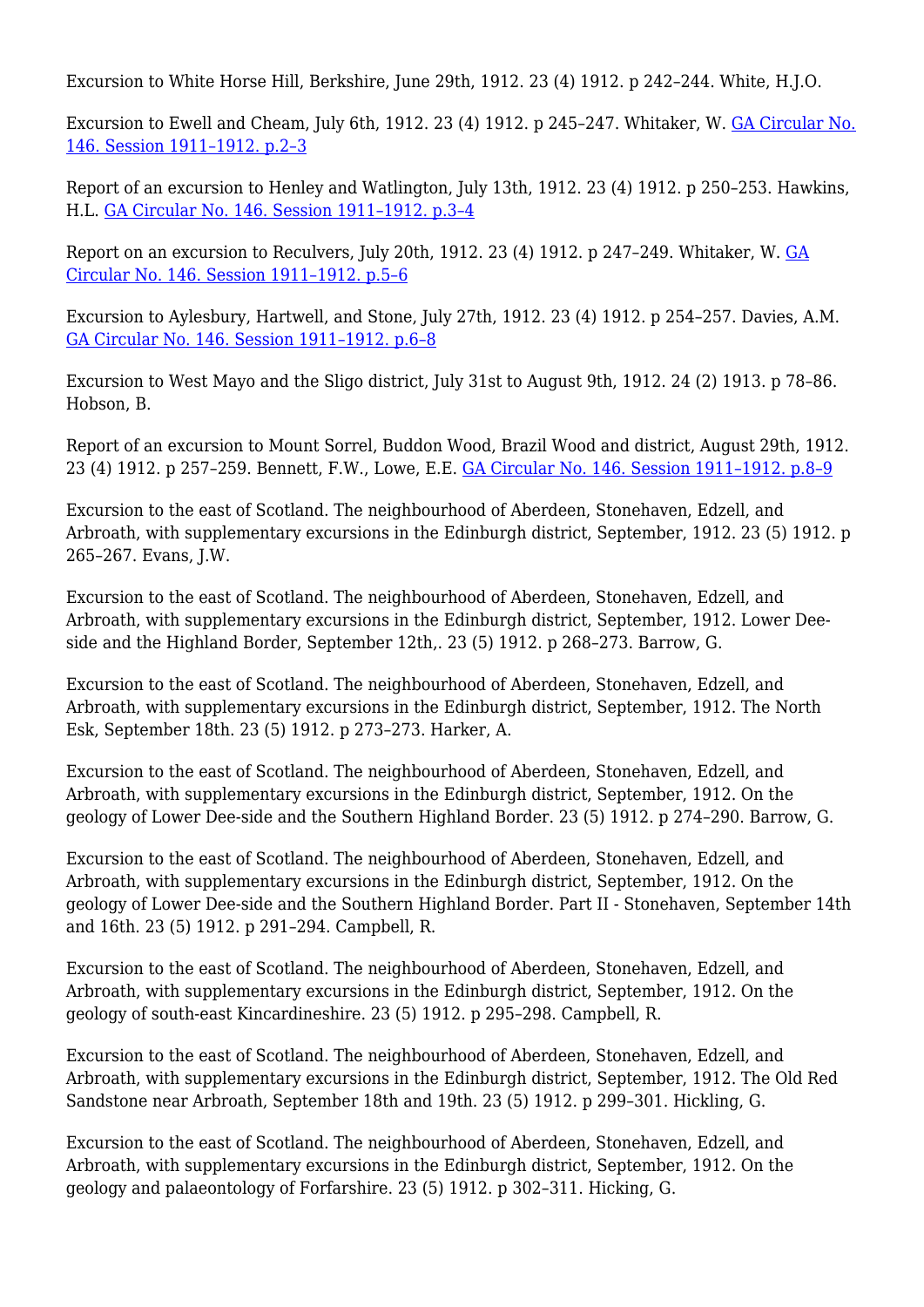Excursion to White Horse Hill, Berkshire, June 29th, 1912, 23 (4) 1912. p 242-244. White, H.J.O.

Excursion to Ewell and Cheam, July 6th, 1912. 23 (4) 1912. p 245–247. Whitaker, W. [GA Circular No.](http://earthwise.bgs.ac.uk/index.php/Excursion_to_Ewell_and_Cheam._Saturday,_July_6th,_1912_-_Geologists%27_Association_excursion) [146. Session 1911–1912. p.2–3](http://earthwise.bgs.ac.uk/index.php/Excursion_to_Ewell_and_Cheam._Saturday,_July_6th,_1912_-_Geologists%27_Association_excursion)

Report of an excursion to Henley and Watlington, July 13th, 1912. 23 (4) 1912. p 250–253. Hawkins, H.L. [GA Circular No. 146. Session 1911–1912. p.3–4](http://earthwise.bgs.ac.uk/index.php/Excursion_to_Henley_and_Watlington._Saturday,_July_13th_1912_-_Geologists%27_Association_excursion)

Report on an excursion to Reculvers, July 20th, 1912. 23 (4) 1912. p 247–249. Whitaker, W. [GA](http://earthwise.bgs.ac.uk/index.php/Excursion_to_Reculvers,_Herne_Bay._Saturday,_July_20th,_1912_-_Geologists%27_Association_excursion) [Circular No. 146. Session 1911–1912. p.5–6](http://earthwise.bgs.ac.uk/index.php/Excursion_to_Reculvers,_Herne_Bay._Saturday,_July_20th,_1912_-_Geologists%27_Association_excursion)

Excursion to Aylesbury, Hartwell, and Stone, July 27th, 1912. 23 (4) 1912. p 254–257. Davies, A.M. [GA Circular No. 146. Session 1911–1912. p.6–8](http://earthwise.bgs.ac.uk/index.php/Excursion_to_Aylesbury,_Hartwell_and_Stone._Saturday,_July_27th,_1912_-_Geologists%27_Association_excursion)

Excursion to West Mayo and the Sligo district, July 31st to August 9th, 1912. 24 (2) 1913. p 78–86. Hobson, B.

Report of an excursion to Mount Sorrel, Buddon Wood, Brazil Wood and district, August 29th, 1912. 23 (4) 1912. p 257–259. Bennett, F.W., Lowe, E.E. [GA Circular No. 146. Session 1911–1912. p.8–9](http://earthwise.bgs.ac.uk/index.php/Excursion_to_Mount_Sorrel,_Buddon_Wood,_etc._(Charnwood_Forest)._Thursday._August_29th,_1912_-_Geologists%27_Association_excursion)

Excursion to the east of Scotland. The neighbourhood of Aberdeen, Stonehaven, Edzell, and Arbroath, with supplementary excursions in the Edinburgh district, September, 1912. 23 (5) 1912. p 265–267. Evans, J.W.

Excursion to the east of Scotland. The neighbourhood of Aberdeen, Stonehaven, Edzell, and Arbroath, with supplementary excursions in the Edinburgh district, September, 1912. Lower Deeside and the Highland Border, September 12th,. 23 (5) 1912. p 268–273. Barrow, G.

Excursion to the east of Scotland. The neighbourhood of Aberdeen, Stonehaven, Edzell, and Arbroath, with supplementary excursions in the Edinburgh district, September, 1912. The North Esk, September 18th. 23 (5) 1912. p 273–273. Harker, A.

Excursion to the east of Scotland. The neighbourhood of Aberdeen, Stonehaven, Edzell, and Arbroath, with supplementary excursions in the Edinburgh district, September, 1912. On the geology of Lower Dee-side and the Southern Highland Border. 23 (5) 1912. p 274–290. Barrow, G.

Excursion to the east of Scotland. The neighbourhood of Aberdeen, Stonehaven, Edzell, and Arbroath, with supplementary excursions in the Edinburgh district, September, 1912. On the geology of Lower Dee-side and the Southern Highland Border. Part II - Stonehaven, September 14th and 16th. 23 (5) 1912. p 291–294. Campbell, R.

Excursion to the east of Scotland. The neighbourhood of Aberdeen, Stonehaven, Edzell, and Arbroath, with supplementary excursions in the Edinburgh district, September, 1912. On the geology of south-east Kincardineshire. 23 (5) 1912. p 295–298. Campbell, R.

Excursion to the east of Scotland. The neighbourhood of Aberdeen, Stonehaven, Edzell, and Arbroath, with supplementary excursions in the Edinburgh district, September, 1912. The Old Red Sandstone near Arbroath, September 18th and 19th. 23 (5) 1912. p 299–301. Hickling, G.

Excursion to the east of Scotland. The neighbourhood of Aberdeen, Stonehaven, Edzell, and Arbroath, with supplementary excursions in the Edinburgh district, September, 1912. On the geology and palaeontology of Forfarshire. 23 (5) 1912. p 302–311. Hicking, G.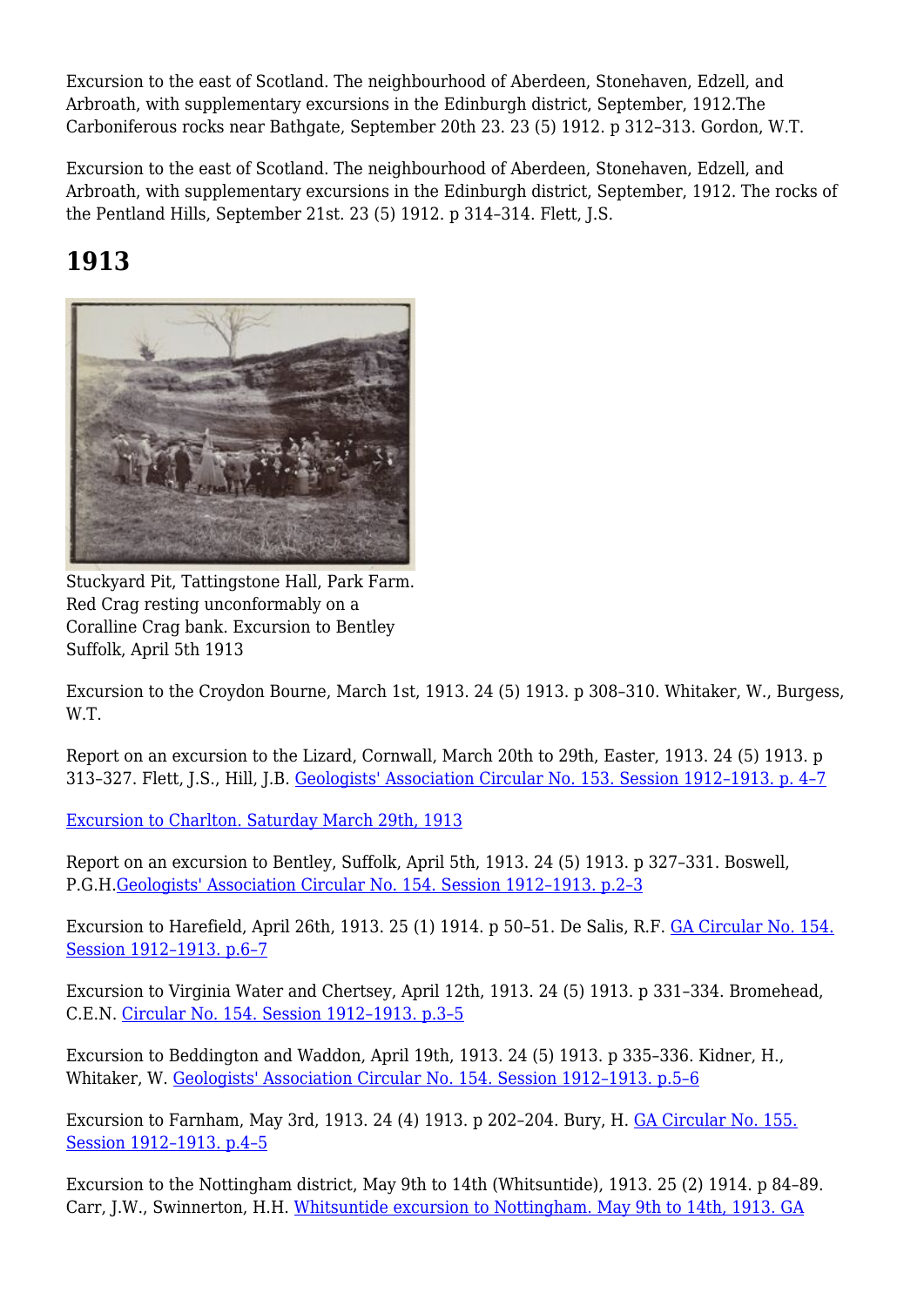Excursion to the east of Scotland. The neighbourhood of Aberdeen, Stonehaven, Edzell, and Arbroath, with supplementary excursions in the Edinburgh district, September, 1912.The Carboniferous rocks near Bathgate, September 20th 23. 23 (5) 1912. p 312–313. Gordon, W.T.

Excursion to the east of Scotland. The neighbourhood of Aberdeen, Stonehaven, Edzell, and Arbroath, with supplementary excursions in the Edinburgh district, September, 1912. The rocks of the Pentland Hills, September 21st. 23 (5) 1912. p 314–314. Flett, J.S.

# **1913**



Stuckyard Pit, Tattingstone Hall, Park Farm. Red Crag resting unconformably on a Coralline Crag bank. Excursion to Bentley Suffolk, April 5th 1913

Excursion to the Croydon Bourne, March 1st, 1913. 24 (5) 1913. p 308–310. Whitaker, W., Burgess, W.T.

Report on an excursion to the Lizard, Cornwall, March 20th to 29th, Easter, 1913. 24 (5) 1913. p 313–327. Flett, J.S., Hill, J.B. [Geologists' Association Circular No. 153. Session 1912–1913. p. 4–7](http://earthwise.bgs.ac.uk/index.php/Easter_excursion_to_The_Lizard,_March_20th%E2%80%9327th,_1913_-_Geologists%27_Association_excursion)

[Excursion to Charlton. Saturday March 29th, 1913](http://earthwise.bgs.ac.uk/index.php/Excursion_to_Charlton._Saturday_March_29th,_1913_-_Geologists%27_Association_excursion)

Report on an excursion to Bentley, Suffolk, April 5th, 1913. 24 (5) 1913. p 327–331. Boswell, P.G.H[.Geologists' Association Circular No. 154. Session 1912–1913. p.2–3](http://earthwise.bgs.ac.uk/index.php/Excursion_to_Bentley_Suffolk_(Crag)._Saturday,_April_5th,_1913_-_Geologists%27_Association_excursion)

Excursion to Harefield, April 26th, 1913. 25 (1) 1914. p 50–51. De Salis, R.F. [GA Circular No. 154.](http://earthwise.bgs.ac.uk/index.php/Excursion_to_Harefield._Saturday,_April_26th,_1913_-_Geologists%27_Association_excursion) [Session 1912–1913. p.6–7](http://earthwise.bgs.ac.uk/index.php/Excursion_to_Harefield._Saturday,_April_26th,_1913_-_Geologists%27_Association_excursion)

Excursion to Virginia Water and Chertsey, April 12th, 1913. 24 (5) 1913. p 331–334. Bromehead, C.E.N. [Circular No. 154. Session 1912–1913. p.3–5](http://earthwise.bgs.ac.uk/index.php/Excursion_to_Virginia_Water_and_Chertsey._Saturday,_April_12th,_1913_-_Geologists%27_Association_excursion)

Excursion to Beddington and Waddon, April 19th, 1913. 24 (5) 1913. p 335–336. Kidner, H., Whitaker, W. [Geologists' Association Circular No. 154. Session 1912–1913. p.5–6](http://earthwise.bgs.ac.uk/index.php/Excursion_to_Beddington_and_Waddon._Saturday,_April_19th,_1913_-_Geologists%27_Association_excursion)

Excursion to Farnham, May 3rd, 1913. 24 (4) 1913. p 202–204. Bury, H. [GA Circular No. 155.](http://earthwise.bgs.ac.uk/index.php/Excursion_to_Farnham._Saturday,_May_3rd,_1913_-_Geologists%27_Association_excursion) [Session 1912–1913. p.4–5](http://earthwise.bgs.ac.uk/index.php/Excursion_to_Farnham._Saturday,_May_3rd,_1913_-_Geologists%27_Association_excursion)

Excursion to the Nottingham district, May 9th to 14th (Whitsuntide), 1913. 25 (2) 1914. p 84–89. Carr, J.W., Swinnerton, H.H. [Whitsuntide excursion to Nottingham. May 9th to 14th, 1913. GA](http://earthwise.bgs.ac.uk/index.php/Whitsuntide_excursion_to_Nottingham._May_9th_to_14th,_1913_-_Geologists%27_Association_excursion)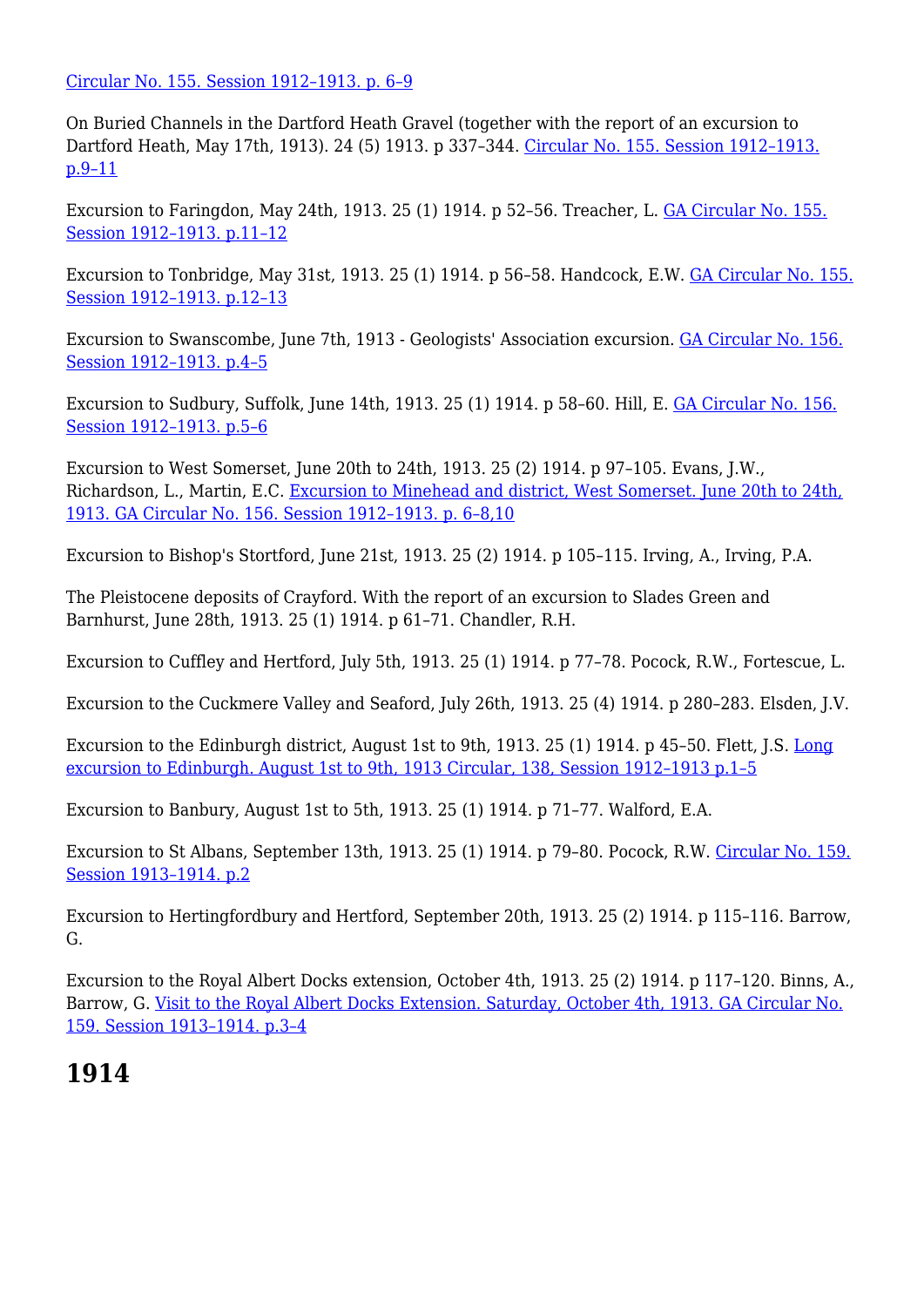[Circular No. 155. Session 1912–1913. p. 6–9](http://earthwise.bgs.ac.uk/index.php/Whitsuntide_excursion_to_Nottingham._May_9th_to_14th,_1913_-_Geologists%27_Association_excursion)

On Buried Channels in the Dartford Heath Gravel (together with the report of an excursion to Dartford Heath, May 17th, 1913). 24 (5) 1913. p 337–344. [Circular No. 155. Session 1912–1913.](http://earthwise.bgs.ac.uk/index.php/Excursion_to_Dartford_Heath._Saturday,_May_17th,_1913_-_Geologists%27_Association_excursion) [p.9–11](http://earthwise.bgs.ac.uk/index.php/Excursion_to_Dartford_Heath._Saturday,_May_17th,_1913_-_Geologists%27_Association_excursion)

Excursion to Faringdon, May 24th, 1913. 25 (1) 1914. p 52–56. Treacher, L. [GA Circular No. 155.](http://earthwise.bgs.ac.uk/index.php/Excursion_to_Faringdon._Saturday,_May_24th,_1913_-_Geologists%27_Association_excursion) [Session 1912–1913. p.11–12](http://earthwise.bgs.ac.uk/index.php/Excursion_to_Faringdon._Saturday,_May_24th,_1913_-_Geologists%27_Association_excursion)

Excursion to Tonbridge, May 31st, 1913. 25 (1) 1914. p 56–58. Handcock, E.W. [GA Circular No. 155.](http://earthwise.bgs.ac.uk/index.php/Excursion_to_Tonbridge._Saturday,_May_31st._1913_-_Geologists%27_Association_excursion) [Session 1912–1913. p.12–13](http://earthwise.bgs.ac.uk/index.php/Excursion_to_Tonbridge._Saturday,_May_31st._1913_-_Geologists%27_Association_excursion)

Excursion to Swanscombe, June 7th, 1913 - Geologists' Association excursion. [GA Circular No. 156.](http://earthwise.bgs.ac.uk/index.php/Excursion_to_Swanscombe,_June_7th,_1913_-_Geologists%27_Association_excursion) [Session 1912–1913. p.4–5](http://earthwise.bgs.ac.uk/index.php/Excursion_to_Swanscombe,_June_7th,_1913_-_Geologists%27_Association_excursion)

Excursion to Sudbury, Suffolk, June 14th, 1913. 25 (1) 1914. p 58–60. Hill, E. [GA Circular No. 156.](http://earthwise.bgs.ac.uk/index.php/Excursion_to_Sudbury,_(Suffolk)._Saturday,_June_14th,_1913_-_Geologists%27_Association_excursion) [Session 1912–1913. p.5–6](http://earthwise.bgs.ac.uk/index.php/Excursion_to_Sudbury,_(Suffolk)._Saturday,_June_14th,_1913_-_Geologists%27_Association_excursion)

Excursion to West Somerset, June 20th to 24th, 1913. 25 (2) 1914. p 97–105. Evans, J.W., Richardson, L., Martin, E.C. [Excursion to Minehead and district, West Somerset. June 20th to 24th,](http://earthwise.bgs.ac.uk/index.php/Excursion_to_Minehead_and_district,_West_Somerset._June_20th_to_24th,_1913_-_Geologists%27_Association_excursion) [1913. GA Circular No. 156. Session 1912–1913. p. 6–8,10](http://earthwise.bgs.ac.uk/index.php/Excursion_to_Minehead_and_district,_West_Somerset._June_20th_to_24th,_1913_-_Geologists%27_Association_excursion)

Excursion to Bishop's Stortford, June 21st, 1913. 25 (2) 1914. p 105–115. Irving, A., Irving, P.A.

The Pleistocene deposits of Crayford. With the report of an excursion to Slades Green and Barnhurst, June 28th, 1913. 25 (1) 1914. p 61–71. Chandler, R.H.

Excursion to Cuffley and Hertford, July 5th, 1913. 25 (1) 1914. p 77–78. Pocock, R.W., Fortescue, L.

Excursion to the Cuckmere Valley and Seaford, July 26th, 1913. 25 (4) 1914. p 280–283. Elsden, J.V.

Excursion to the Edinburgh district, August 1st to 9th, 1913. 25 (1) 1914. p 45–50. Flett, J.S. [Long](http://earthwise.bgs.ac.uk/index.php/Long_excursion_to_Edinburgh._August_1st_to_9th,_1913_-_Geologists%E2%80%99_Association_excursion) [excursion to Edinburgh. August 1st to 9th, 1913 Circular, 138, Session 1912–1913 p.1–5](http://earthwise.bgs.ac.uk/index.php/Long_excursion_to_Edinburgh._August_1st_to_9th,_1913_-_Geologists%E2%80%99_Association_excursion)

Excursion to Banbury, August 1st to 5th, 1913. 25 (1) 1914. p 71–77. Walford, E.A.

Excursion to St Albans, September 13th, 1913. 25 (1) 1914. p 79–80. Pocock, R.W. [Circular No. 159.](http://earthwise.bgs.ac.uk/index.php/Excursion_to_St._Albans._Saturday,_September_13th,_1913_-_Geologists%27_Association_excursion) [Session 1913–1914. p.2](http://earthwise.bgs.ac.uk/index.php/Excursion_to_St._Albans._Saturday,_September_13th,_1913_-_Geologists%27_Association_excursion)

Excursion to Hertingfordbury and Hertford, September 20th, 1913. 25 (2) 1914. p 115–116. Barrow, G.

Excursion to the Royal Albert Docks extension, October 4th, 1913. 25 (2) 1914. p 117–120. Binns, A., Barrow, G. [Visit to the Royal Albert Docks Extension. Saturday, October 4th, 1913. GA Circular No.](http://earthwise.bgs.ac.uk/index.php/Visit_to_the_Royal_Albert_Docks_Extension._Saturday,_October_4th,_1913_-_Geologists%27_Association_excursion) [159. Session 1913–1914. p.3–4](http://earthwise.bgs.ac.uk/index.php/Visit_to_the_Royal_Albert_Docks_Extension._Saturday,_October_4th,_1913_-_Geologists%27_Association_excursion)

#### **1914**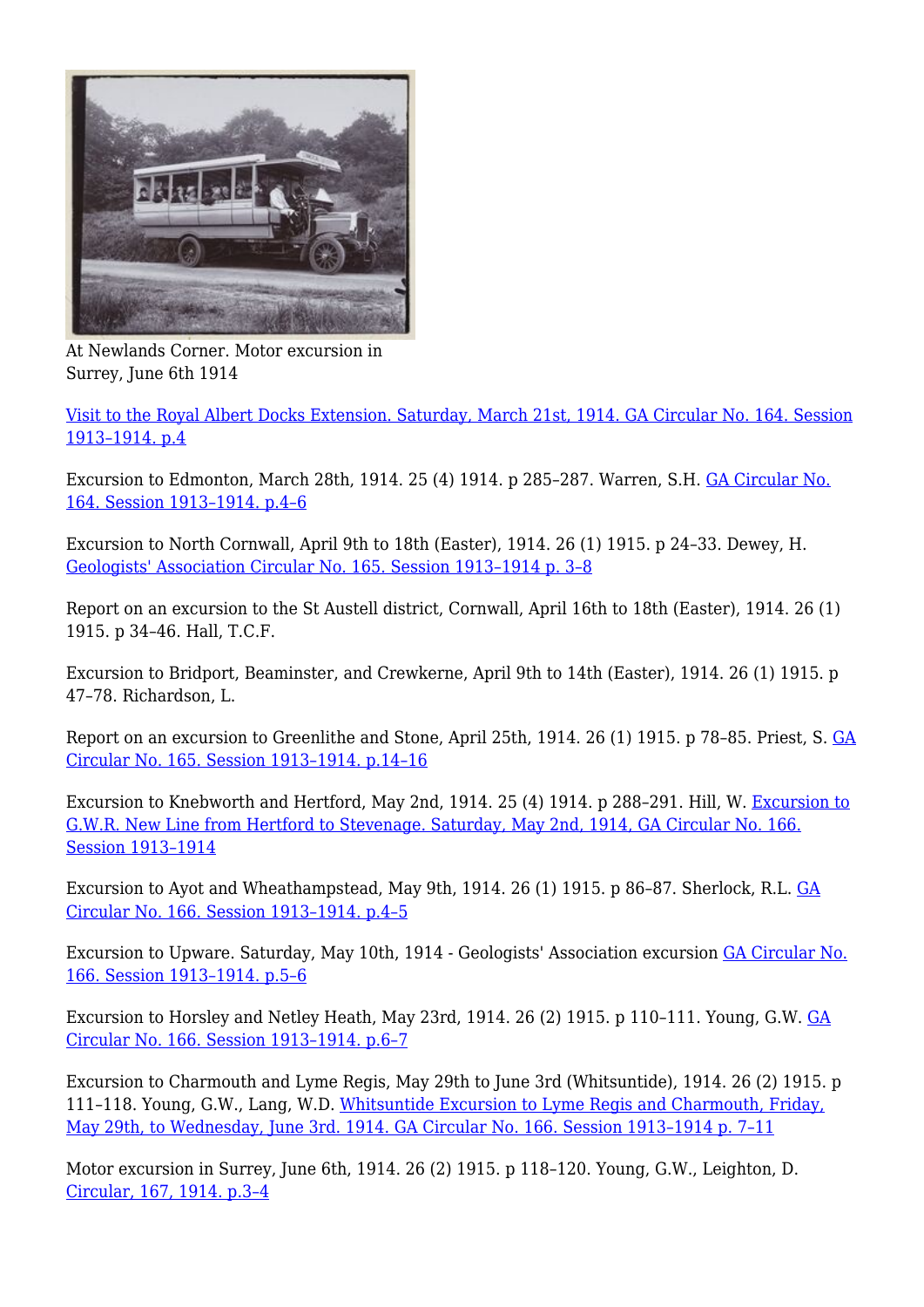

At Newlands Corner. Motor excursion in Surrey, June 6th 1914

[Visit to the Royal Albert Docks Extension. Saturday, March 21st, 1914. GA Circular No. 164. Session](http://earthwise.bgs.ac.uk/index.php/Visit_to_the_Royal_Albert_Docks_Extension._Saturday,_March_21st,_1914_-_Geologists%27_Association_excursion) [1913–1914. p.4](http://earthwise.bgs.ac.uk/index.php/Visit_to_the_Royal_Albert_Docks_Extension._Saturday,_March_21st,_1914_-_Geologists%27_Association_excursion)

Excursion to Edmonton, March 28th, 1914. 25 (4) 1914. p 285–287. Warren, S.H. [GA Circular No.](http://earthwise.bgs.ac.uk/index.php/Excursion_to_Edmonton._Saturday,_March_28th,_1914_-_Geologists%27_Association_excursion) [164. Session 1913–1914. p.4–6](http://earthwise.bgs.ac.uk/index.php/Excursion_to_Edmonton._Saturday,_March_28th,_1914_-_Geologists%27_Association_excursion)

Excursion to North Cornwall, April 9th to 18th (Easter), 1914. 26 (1) 1915. p 24–33. Dewey, H. [Geologists' Association Circular No. 165. Session 1913–1914 p. 3–8](http://earthwise.bgs.ac.uk/index.php/Easter_excursions,_North_Cornwall,_April_9th_to_18th,_1914_-_Geologists%27_Association_excursion)

Report on an excursion to the St Austell district, Cornwall, April 16th to 18th (Easter), 1914. 26 (1) 1915. p 34–46. Hall, T.C.F.

Excursion to Bridport, Beaminster, and Crewkerne, April 9th to 14th (Easter), 1914. 26 (1) 1915. p 47–78. Richardson, L.

Report on an excursion to Greenlithe and Stone, April 25th, 1914. 26 (1) 1915. p 78–85. Priest, S. [GA](http://earthwise.bgs.ac.uk/index.php/Excursion_to_Greenhithe_and_Stone._Saturday,_April_25th,_1914_-_Geologists%27_Association_excursion) [Circular No. 165. Session 1913–1914. p.14–16](http://earthwise.bgs.ac.uk/index.php/Excursion_to_Greenhithe_and_Stone._Saturday,_April_25th,_1914_-_Geologists%27_Association_excursion)

Excursion to Knebworth and Hertford, May 2nd, 1914. 25 (4) 1914. p 288–291. Hill, W. [Excursion to](http://earthwise.bgs.ac.uk/index.php/Excursion_to_G.W.R._New_Line_from_Hertford_to_Stevenage._Saturday,_May_2nd,_1914_-_Geologists%27_Association_excursion) [G.W.R. New Line from Hertford to Stevenage. Saturday, May 2nd, 1914, GA Circular No. 166.](http://earthwise.bgs.ac.uk/index.php/Excursion_to_G.W.R._New_Line_from_Hertford_to_Stevenage._Saturday,_May_2nd,_1914_-_Geologists%27_Association_excursion) [Session 1913–1914](http://earthwise.bgs.ac.uk/index.php/Excursion_to_G.W.R._New_Line_from_Hertford_to_Stevenage._Saturday,_May_2nd,_1914_-_Geologists%27_Association_excursion)

Excursion to Ayot and Wheathampstead, May 9th, 1914. 26 (1) 1915. p 86–87. Sherlock, R.L. [GA](http://earthwise.bgs.ac.uk/index.php/Excursion_to_Ayot_and_Wheathampstead._Saturday,_May_9th,_1914_-_Geologists%27_Association_excursion) [Circular No. 166. Session 1913–1914. p.4–5](http://earthwise.bgs.ac.uk/index.php/Excursion_to_Ayot_and_Wheathampstead._Saturday,_May_9th,_1914_-_Geologists%27_Association_excursion)

Excursion to Upware. Saturday, May 10th, 1914 - Geologists' Association excursion [GA Circular No.](http://earthwise.bgs.ac.uk/index.php/Excursion_to_Upware._Saturday,_May_10th,_1914_-_Geologists%27_Association_excursion) [166. Session 1913–1914. p.5–6](http://earthwise.bgs.ac.uk/index.php/Excursion_to_Upware._Saturday,_May_10th,_1914_-_Geologists%27_Association_excursion)

Excursion to Horsley and Netley Heath, May 23rd, 1914. 26 (2) 1915. p 110–111. Young, G.W. [GA](http://earthwise.bgs.ac.uk/index.php/Excursion_to_Horsley_and_Netley_Heath._Saturday,_May_23rd,_1914_-_Geologists%27_Association_excursion) [Circular No. 166. Session 1913–1914. p.6–7](http://earthwise.bgs.ac.uk/index.php/Excursion_to_Horsley_and_Netley_Heath._Saturday,_May_23rd,_1914_-_Geologists%27_Association_excursion)

Excursion to Charmouth and Lyme Regis, May 29th to June 3rd (Whitsuntide), 1914. 26 (2) 1915. p 111–118. Young, G.W., Lang, W.D. [Whitsuntide Excursion to Lyme Regis and Charmouth, Friday,](http://earthwise.bgs.ac.uk/index.php/Whitsuntide_Excursion_to_Lyme_Regis_and_Charmouth,_Friday,_May_29th,_to_Wednesday,_June_3rd,_1914_-_Geologists%27_Association_excursion) [May 29th, to Wednesday, June 3rd. 1914. GA Circular No. 166. Session 1913–1914 p. 7–11](http://earthwise.bgs.ac.uk/index.php/Whitsuntide_Excursion_to_Lyme_Regis_and_Charmouth,_Friday,_May_29th,_to_Wednesday,_June_3rd,_1914_-_Geologists%27_Association_excursion)

Motor excursion in Surrey, June 6th, 1914. 26 (2) 1915. p 118–120. Young, G.W., Leighton, D. [Circular, 167, 1914. p.3–4](http://earthwise.bgs.ac.uk/index.php/Motor_excursion_in_Surrey.%E2%80%94Saturday._June_6th,_1914_-_Geologists%27_Association_excursion)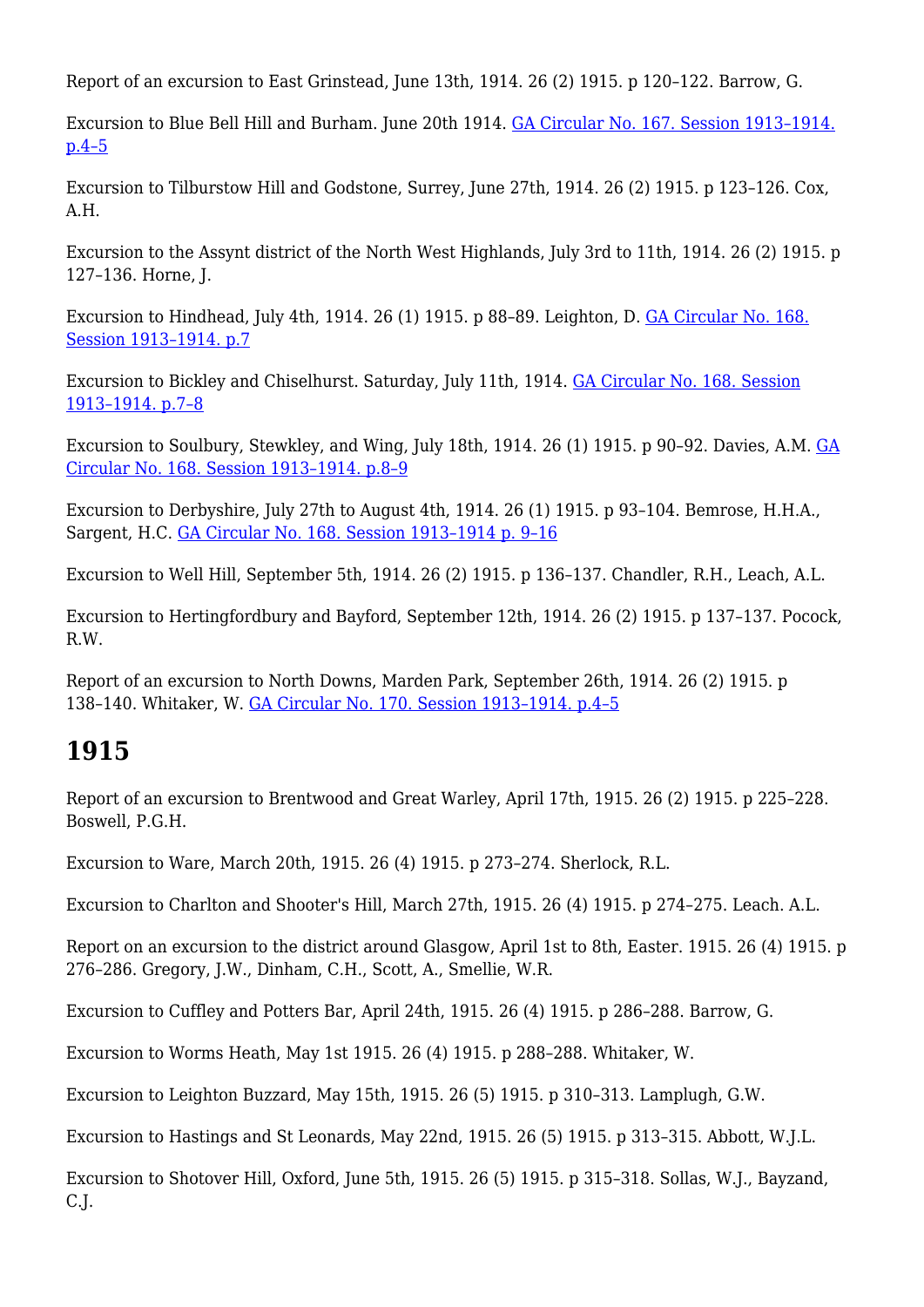Report of an excursion to East Grinstead, June 13th, 1914. 26 (2) 1915. p 120–122. Barrow, G.

Excursion to Blue Bell Hill and Burham. June 20th 1914. [GA Circular No. 167. Session 1913–1914.](http://earthwise.bgs.ac.uk/index.php/Excursion_to_Blue_Bell_Hill_and_Burham._June_20th_1914_-_Geologists%27_Association_excursion) [p.4–5](http://earthwise.bgs.ac.uk/index.php/Excursion_to_Blue_Bell_Hill_and_Burham._June_20th_1914_-_Geologists%27_Association_excursion)

Excursion to Tilburstow Hill and Godstone, Surrey, June 27th, 1914. 26 (2) 1915. p 123–126. Cox, A.H.

Excursion to the Assynt district of the North West Highlands, July 3rd to 11th, 1914. 26 (2) 1915. p 127–136. Horne, J.

Excursion to Hindhead, July 4th, 1914. 26 (1) 1915. p 88–89. Leighton, D. [GA Circular No. 168.](http://earthwise.bgs.ac.uk/index.php/Excursion_to_Hindhead,_Saturday,_July_4th,_1914_-_Geologists%27_Association_excursion) [Session 1913–1914. p.7](http://earthwise.bgs.ac.uk/index.php/Excursion_to_Hindhead,_Saturday,_July_4th,_1914_-_Geologists%27_Association_excursion)

Excursion to Bickley and Chiselhurst. Saturday, July 11th, 1914. [GA Circular No. 168. Session](http://earthwise.bgs.ac.uk/index.php/Excursion_to_Bickley_and_Chiselhurst._Saturday,_July_11th,_1914_-_Geologists%27_Association_excursion) [1913–1914. p.7–8](http://earthwise.bgs.ac.uk/index.php/Excursion_to_Bickley_and_Chiselhurst._Saturday,_July_11th,_1914_-_Geologists%27_Association_excursion)

Excursion to Soulbury, Stewkley, and Wing, July 18th, 1914. 26 (1) 1915. p 90–92. Davies, A.M. [GA](http://earthwise.bgs.ac.uk/index.php/Excursion_to_Soulbury,_Stewkley_and_Wing._Saturday,_July_18th,_1914_-_Geologists%27_Association_excursion) [Circular No. 168. Session 1913–1914. p.8–9](http://earthwise.bgs.ac.uk/index.php/Excursion_to_Soulbury,_Stewkley_and_Wing._Saturday,_July_18th,_1914_-_Geologists%27_Association_excursion)

Excursion to Derbyshire, July 27th to August 4th, 1914, 26 (1) 1915, p 93-104. Bemrose, H.H.A., Sargent, H.C. [GA Circular No. 168. Session 1913–1914 p. 9–16](http://earthwise.bgs.ac.uk/index.php/Excursion_to_Derbyshire._July_27th_to_August_4th,_1914_-_Geologists%27_Association_excursion)

Excursion to Well Hill, September 5th, 1914. 26 (2) 1915. p 136–137. Chandler, R.H., Leach, A.L.

Excursion to Hertingfordbury and Bayford, September 12th, 1914. 26 (2) 1915. p 137–137. Pocock, R.W.

Report of an excursion to North Downs, Marden Park, September 26th, 1914. 26 (2) 1915. p 138–140. Whitaker, W. [GA Circular No. 170. Session 1913–1914. p.4–5](http://earthwise.bgs.ac.uk/index.php/Excursion_to_the_North,_Downs_near_Marden_Park._Saturday,_September_26th,_1914_-_Geologists%27_Association_excursion)

# **1915**

Report of an excursion to Brentwood and Great Warley, April 17th, 1915. 26 (2) 1915. p 225–228. Boswell, P.G.H.

Excursion to Ware, March 20th, 1915. 26 (4) 1915. p 273–274. Sherlock, R.L.

Excursion to Charlton and Shooter's Hill, March 27th, 1915. 26 (4) 1915. p 274–275. Leach. A.L.

Report on an excursion to the district around Glasgow, April 1st to 8th, Easter. 1915. 26 (4) 1915. p 276–286. Gregory, J.W., Dinham, C.H., Scott, A., Smellie, W.R.

Excursion to Cuffley and Potters Bar, April 24th, 1915. 26 (4) 1915. p 286–288. Barrow, G.

Excursion to Worms Heath, May 1st 1915. 26 (4) 1915. p 288–288. Whitaker, W.

Excursion to Leighton Buzzard, May 15th, 1915. 26 (5) 1915. p 310–313. Lamplugh, G.W.

Excursion to Hastings and St Leonards, May 22nd, 1915. 26 (5) 1915. p 313–315. Abbott, W.J.L.

Excursion to Shotover Hill, Oxford, June 5th, 1915. 26 (5) 1915. p 315–318. Sollas, W.J., Bayzand, C.J.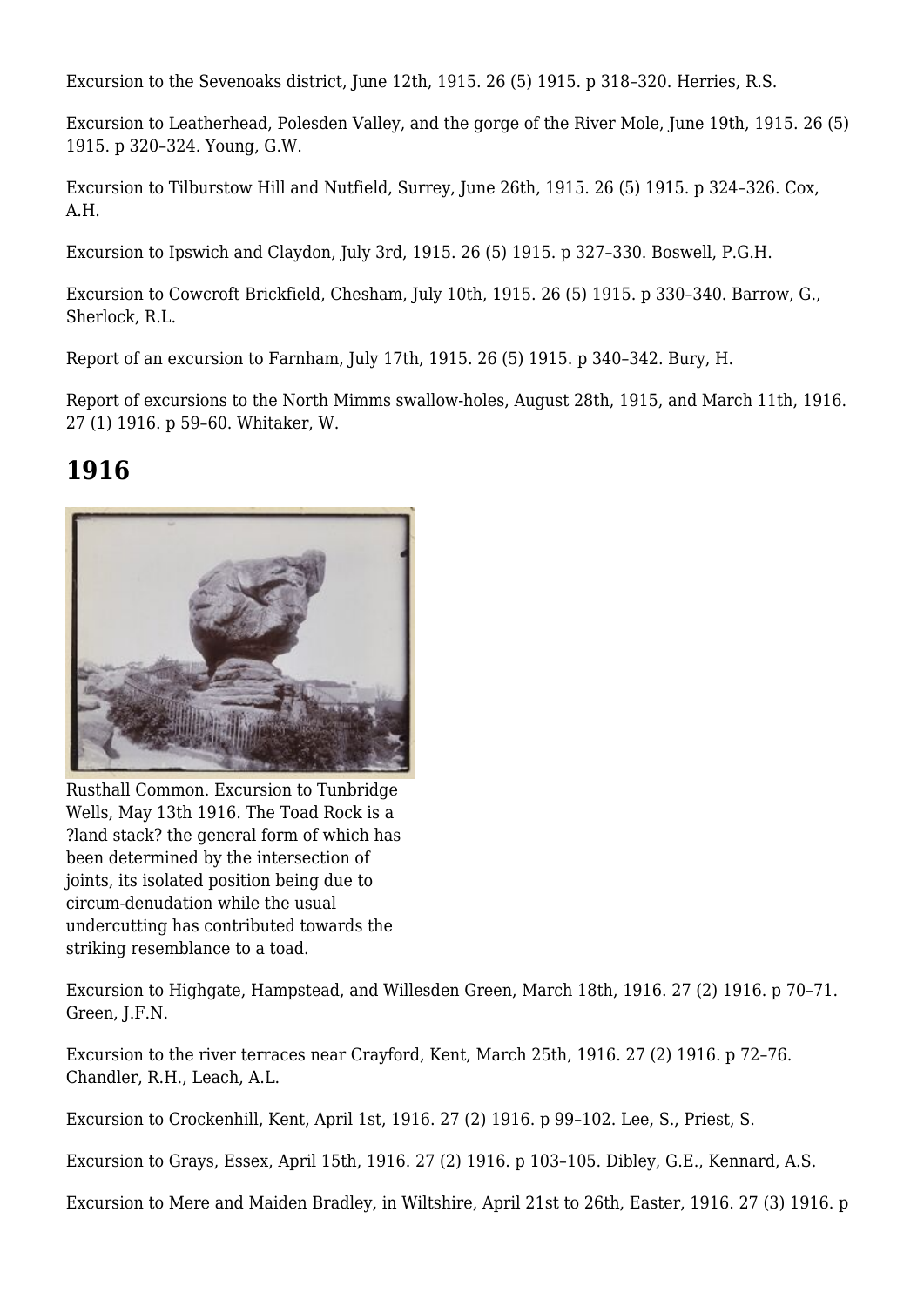Excursion to the Sevenoaks district, June 12th, 1915. 26 (5) 1915. p 318–320. Herries, R.S.

Excursion to Leatherhead, Polesden Valley, and the gorge of the River Mole, June 19th, 1915. 26 (5) 1915. p 320–324. Young, G.W.

Excursion to Tilburstow Hill and Nutfield, Surrey, June 26th, 1915. 26 (5) 1915. p 324–326. Cox, A.H.

Excursion to Ipswich and Claydon, July 3rd, 1915. 26 (5) 1915. p 327–330. Boswell, P.G.H.

Excursion to Cowcroft Brickfield, Chesham, July 10th, 1915. 26 (5) 1915. p 330–340. Barrow, G., Sherlock, R.L.

Report of an excursion to Farnham, July 17th, 1915. 26 (5) 1915. p 340–342. Bury, H.

Report of excursions to the North Mimms swallow-holes, August 28th, 1915, and March 11th, 1916. 27 (1) 1916. p 59–60. Whitaker, W.

## **1916**



Rusthall Common. Excursion to Tunbridge Wells, May 13th 1916. The Toad Rock is a ?land stack? the general form of which has been determined by the intersection of joints, its isolated position being due to circum-denudation while the usual undercutting has contributed towards the striking resemblance to a toad.

Excursion to Highgate, Hampstead, and Willesden Green, March 18th, 1916. 27 (2) 1916. p 70–71. Green, J.F.N.

Excursion to the river terraces near Crayford, Kent, March 25th, 1916. 27 (2) 1916. p 72–76. Chandler, R.H., Leach, A.L.

Excursion to Crockenhill, Kent, April 1st, 1916. 27 (2) 1916. p 99–102. Lee, S., Priest, S.

Excursion to Grays, Essex, April 15th, 1916. 27 (2) 1916. p 103–105. Dibley, G.E., Kennard, A.S.

Excursion to Mere and Maiden Bradley, in Wiltshire, April 21st to 26th, Easter, 1916. 27 (3) 1916. p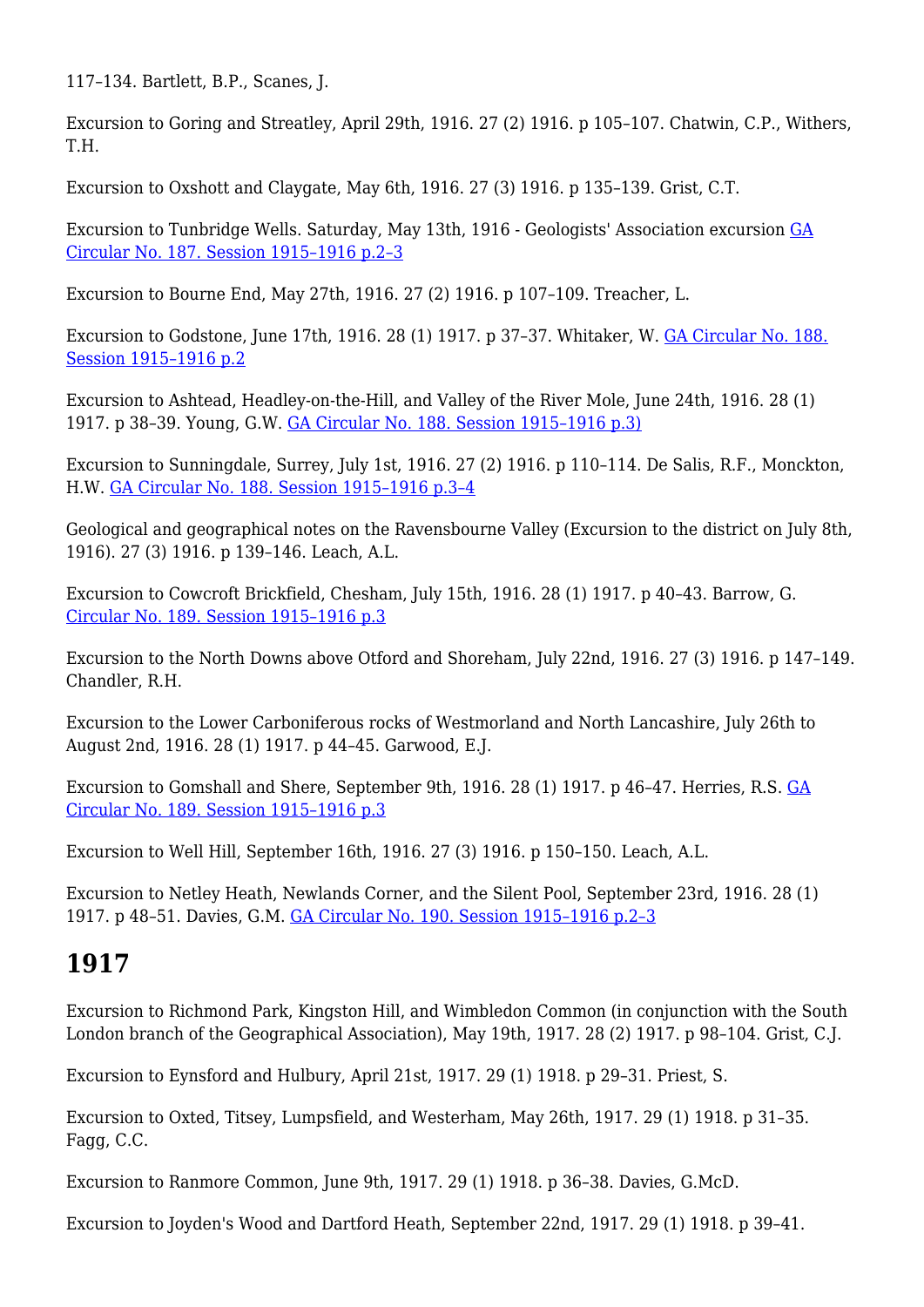117–134. Bartlett, B.P., Scanes, J.

Excursion to Goring and Streatley, April 29th, 1916. 27 (2) 1916. p 105–107. Chatwin, C.P., Withers, T.H.

Excursion to Oxshott and Claygate, May 6th, 1916. 27 (3) 1916. p 135–139. Grist, C.T.

Excursion to Tunbridge Wells. Saturday, May 13th, 1916 - Geologists' Association excursion [GA](http://earthwise.bgs.ac.uk/index.php/Excursion_to_Tunbridge_Wells._Saturday,_May_13th,_1916_-_Geologists%27_Association_excursion) [Circular No. 187. Session 1915–1916 p.2–3](http://earthwise.bgs.ac.uk/index.php/Excursion_to_Tunbridge_Wells._Saturday,_May_13th,_1916_-_Geologists%27_Association_excursion)

Excursion to Bourne End, May 27th, 1916. 27 (2) 1916. p 107–109. Treacher, L.

Excursion to Godstone, June 17th, 1916. 28 (1) 1917. p 37–37. Whitaker, W. [GA Circular No. 188.](http://earthwise.bgs.ac.uk/index.php/Excursion_to_Godstone,_Saturday,_June_17th,_1916_-_Geologists%27_Association_excursion) [Session 1915–1916 p.2](http://earthwise.bgs.ac.uk/index.php/Excursion_to_Godstone,_Saturday,_June_17th,_1916_-_Geologists%27_Association_excursion)

Excursion to Ashtead, Headley-on-the-Hill, and Valley of the River Mole, June 24th, 1916. 28 (1) 1917. p 38–39. Young, G.W. [GA Circular No. 188. Session 1915–1916 p.3\)](http://earthwise.bgs.ac.uk/index.php/Excursion_to_Ashtead_and_Headley._Saturday,_June_26th,_1916_-_Geologists%27_Association_excursion)

Excursion to Sunningdale, Surrey, July 1st, 1916. 27 (2) 1916. p 110–114. De Salis, R.F., Monckton, H.W. [GA Circular No. 188. Session 1915–1916 p.3–4](http://earthwise.bgs.ac.uk/index.php/Excursion_to_Sunningdale._Saturday,_July_1st,_1916_-_Geologists%27_Association_excursion)

Geological and geographical notes on the Ravensbourne Valley (Excursion to the district on July 8th, 1916). 27 (3) 1916. p 139–146. Leach, A.L.

Excursion to Cowcroft Brickfield, Chesham, July 15th, 1916. 28 (1) 1917. p 40–43. Barrow, G. [Circular No. 189. Session 1915–1916 p.3](http://earthwise.bgs.ac.uk/index.php/Excursion_to_Coweroft_Brickfield,_Chesham._Saturday,_July_15th,_1916_-_Geologists%27_Association_excursion)

Excursion to the North Downs above Otford and Shoreham, July 22nd, 1916. 27 (3) 1916. p 147–149. Chandler, R.H.

Excursion to the Lower Carboniferous rocks of Westmorland and North Lancashire, July 26th to August 2nd, 1916. 28 (1) 1917. p 44–45. Garwood, E.J.

Excursion to Gomshall and Shere, September 9th, 1916. 28 (1) 1917. p 46–47. Herries, R.S. [GA](http://earthwise.bgs.ac.uk/index.php/Excursion_to_Gomshall_and_Shere._September_9th,_1916_-_Geologists%27_Association_excursion) [Circular No. 189. Session 1915–1916 p.3](http://earthwise.bgs.ac.uk/index.php/Excursion_to_Gomshall_and_Shere._September_9th,_1916_-_Geologists%27_Association_excursion)

Excursion to Well Hill, September 16th, 1916. 27 (3) 1916. p 150–150. Leach, A.L.

Excursion to Netley Heath, Newlands Corner, and the Silent Pool, September 23rd, 1916. 28 (1) 1917. p 48–51. Davies, G.M. [GA Circular No. 190. Session 1915–1916 p.2–3](http://earthwise.bgs.ac.uk/index.php/Excursion_to_Netley_Heath,_Newlands_Corner,_and_the_Silent_Pool._Saturday,_September_23rd,_1916_-_Geologists%27_Association_excursion)

#### **1917**

Excursion to Richmond Park, Kingston Hill, and Wimbledon Common (in conjunction with the South London branch of the Geographical Association), May 19th, 1917. 28 (2) 1917. p 98–104. Grist, C.J.

Excursion to Eynsford and Hulbury, April 21st, 1917. 29 (1) 1918. p 29–31. Priest, S.

Excursion to Oxted, Titsey, Lumpsfield, and Westerham, May 26th, 1917. 29 (1) 1918. p 31–35. Fagg, C.C.

Excursion to Ranmore Common, June 9th, 1917. 29 (1) 1918. p 36–38. Davies, G.McD.

Excursion to Joyden's Wood and Dartford Heath, September 22nd, 1917. 29 (1) 1918. p 39–41.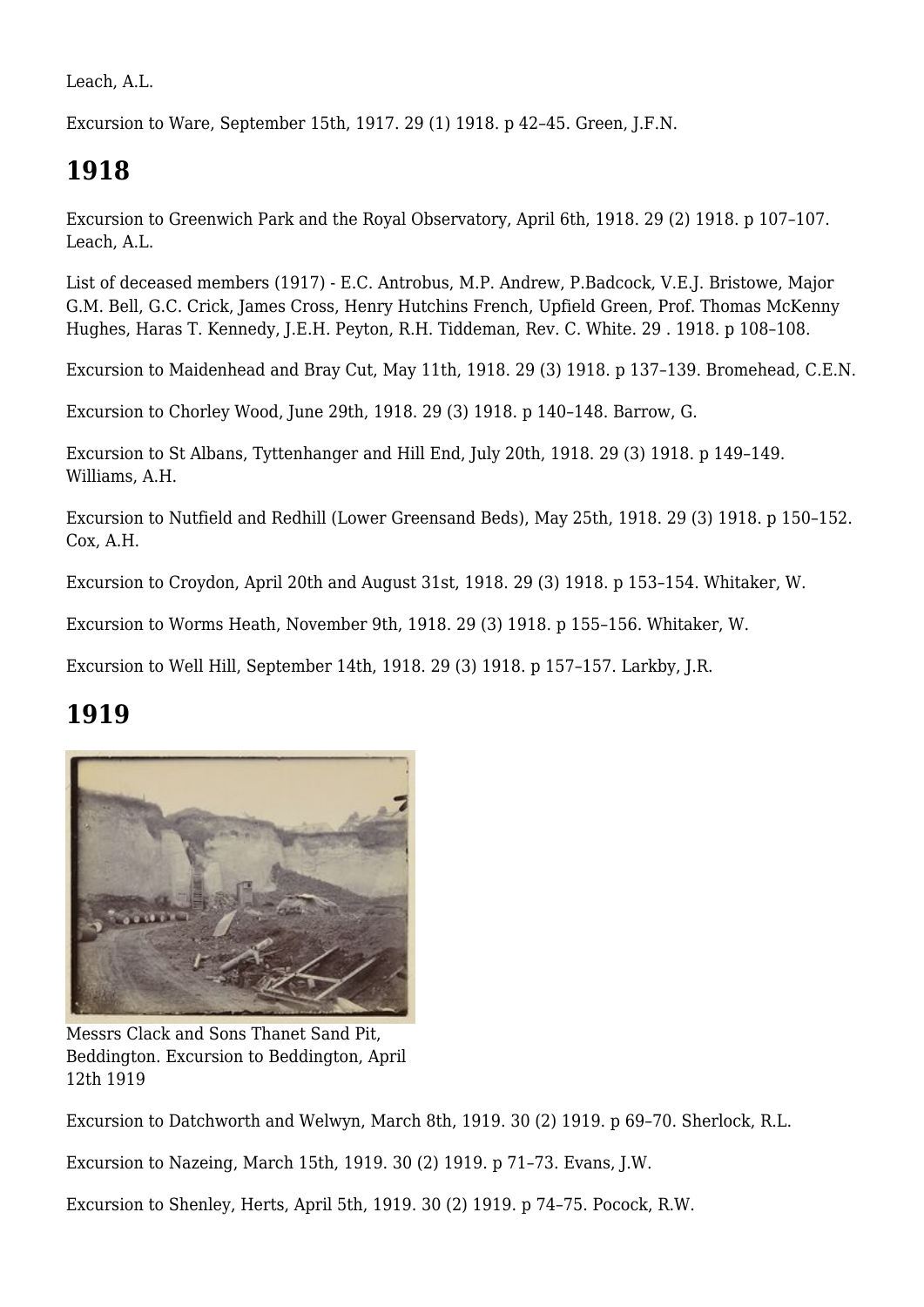Leach, A.L.

Excursion to Ware, September 15th, 1917. 29 (1) 1918. p 42–45. Green, J.F.N.

# **1918**

Excursion to Greenwich Park and the Royal Observatory, April 6th, 1918. 29 (2) 1918. p 107–107. Leach, A.L.

List of deceased members (1917) - E.C. Antrobus, M.P. Andrew, P.Badcock, V.E.J. Bristowe, Major G.M. Bell, G.C. Crick, James Cross, Henry Hutchins French, Upfield Green, Prof. Thomas McKenny Hughes, Haras T. Kennedy, J.E.H. Peyton, R.H. Tiddeman, Rev. C. White. 29 . 1918. p 108–108.

Excursion to Maidenhead and Bray Cut, May 11th, 1918. 29 (3) 1918. p 137–139. Bromehead, C.E.N.

Excursion to Chorley Wood, June 29th, 1918. 29 (3) 1918. p 140–148. Barrow, G.

Excursion to St Albans, Tyttenhanger and Hill End, July 20th, 1918. 29 (3) 1918. p 149–149. Williams, A.H.

Excursion to Nutfield and Redhill (Lower Greensand Beds), May 25th, 1918. 29 (3) 1918. p 150–152. Cox, A.H.

Excursion to Croydon, April 20th and August 31st, 1918. 29 (3) 1918. p 153–154. Whitaker, W.

Excursion to Worms Heath, November 9th, 1918. 29 (3) 1918. p 155–156. Whitaker, W.

Excursion to Well Hill, September 14th, 1918. 29 (3) 1918. p 157–157. Larkby, J.R.

#### **1919**



Messrs Clack and Sons Thanet Sand Pit, Beddington. Excursion to Beddington, April 12th 1919

Excursion to Datchworth and Welwyn, March 8th, 1919. 30 (2) 1919. p 69–70. Sherlock, R.L.

Excursion to Nazeing, March 15th, 1919. 30 (2) 1919. p 71–73. Evans, J.W.

Excursion to Shenley, Herts, April 5th, 1919. 30 (2) 1919. p 74–75. Pocock, R.W.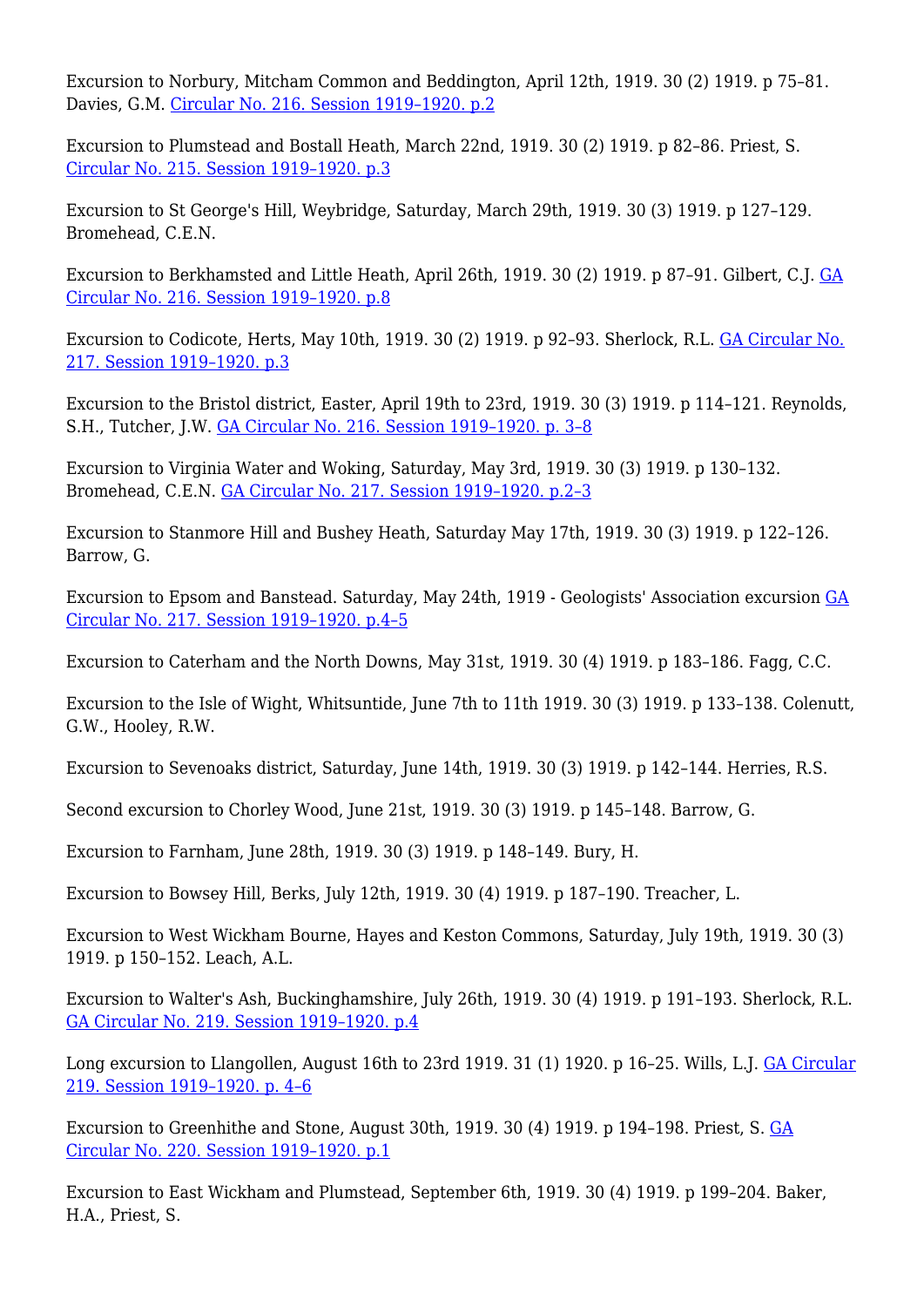Excursion to Norbury, Mitcham Common and Beddington, April 12th, 1919. 30 (2) 1919. p 75–81. Davies, G.M. [Circular No. 216. Session 1919–1920. p.2](http://earthwise.bgs.ac.uk/index.php/Excursion_to_Norbury,_Mitcham_Common_and_Beddington._Saturday,_April_12th,_1919_-_Geologists%27_Association_excursion)

Excursion to Plumstead and Bostall Heath, March 22nd, 1919. 30 (2) 1919. p 82–86. Priest, S. [Circular No. 215. Session 1919–1920. p.3](http://earthwise.bgs.ac.uk/index.php/Excursion_to_Plumstead_and_Bostal_Woods._Saturday,_March_22nd,_1919_-_Geologists%27_Association_excursion)

Excursion to St George's Hill, Weybridge, Saturday, March 29th, 1919. 30 (3) 1919. p 127–129. Bromehead, C.E.N.

Excursion to Berkhamsted and Little Heath, April 26th, 1919. 30 (2) 1919. p 87–91. Gilbert, C.J. [GA](http://earthwise.bgs.ac.uk/index.php/Excursion_to_Berkhamsted_and_Little_Heath._Saturday,_April_26th,_1919_-_Geologists%27_Association_excursion) [Circular No. 216. Session 1919–1920. p.8](http://earthwise.bgs.ac.uk/index.php/Excursion_to_Berkhamsted_and_Little_Heath._Saturday,_April_26th,_1919_-_Geologists%27_Association_excursion)

Excursion to Codicote, Herts, May 10th, 1919. 30 (2) 1919. p 92–93. Sherlock, R.L. [GA Circular No.](http://earthwise.bgs.ac.uk/index.php/Excursion_to_Codicote,_Herts._Saturday,_May_10th,_1919_-_Geologists%27_Association_excursion) [217. Session 1919–1920. p.3](http://earthwise.bgs.ac.uk/index.php/Excursion_to_Codicote,_Herts._Saturday,_May_10th,_1919_-_Geologists%27_Association_excursion)

Excursion to the Bristol district, Easter, April 19th to 23rd, 1919. 30 (3) 1919. p 114–121. Reynolds, S.H., Tutcher, J.W. [GA Circular No. 216. Session 1919–1920. p. 3–8](http://earthwise.bgs.ac.uk/index.php/Excursion_to_Bristol_District,_Easter,_1919._Wednesday,_April_16th,_to_Wednesday,_April_23rd_-_Geologists%27_Association_excursion)

Excursion to Virginia Water and Woking, Saturday, May 3rd, 1919. 30 (3) 1919. p 130–132. Bromehead, C.E.N. [GA Circular No. 217. Session 1919–1920. p.2–3](http://earthwise.bgs.ac.uk/index.php/Excursion_to_Virginia_Water_and_Woking._Saturday,_May_3rd,_1919_-_Geologists%27_Association_excursion)

Excursion to Stanmore Hill and Bushey Heath, Saturday May 17th, 1919. 30 (3) 1919. p 122–126. Barrow, G.

Excursion to Epsom and Banstead. Saturday, May 24th, 1919 - Geologists' Association excursion [GA](http://earthwise.bgs.ac.uk/index.php/Excursion_to_Epsom_and_Banstead._Saturday,_May_24th,_1919_-_Geologists%27_Association_excursion) [Circular No. 217. Session 1919–1920. p.4–5](http://earthwise.bgs.ac.uk/index.php/Excursion_to_Epsom_and_Banstead._Saturday,_May_24th,_1919_-_Geologists%27_Association_excursion)

Excursion to Caterham and the North Downs, May 31st, 1919. 30 (4) 1919. p 183–186. Fagg, C.C.

Excursion to the Isle of Wight, Whitsuntide, June 7th to 11th 1919. 30 (3) 1919. p 133–138. Colenutt, G.W., Hooley, R.W.

Excursion to Sevenoaks district, Saturday, June 14th, 1919. 30 (3) 1919. p 142–144. Herries, R.S.

Second excursion to Chorley Wood, June 21st, 1919. 30 (3) 1919. p 145–148. Barrow, G.

Excursion to Farnham, June 28th, 1919. 30 (3) 1919. p 148–149. Bury, H.

Excursion to Bowsey Hill, Berks, July 12th, 1919. 30 (4) 1919. p 187–190. Treacher, L.

Excursion to West Wickham Bourne, Hayes and Keston Commons, Saturday, July 19th, 1919. 30 (3) 1919. p 150–152. Leach, A.L.

Excursion to Walter's Ash, Buckinghamshire, July 26th, 1919. 30 (4) 1919. p 191–193. Sherlock, R.L. [GA Circular No. 219. Session 1919–1920. p.4](http://earthwise.bgs.ac.uk/index.php/Excursion_to_Walter%27s_Ash._Saturday,_July_26th,_1919_-_Geologists%27_Association_excursion)

Long excursion to Llangollen, August 16th to 23rd 1919. 31 (1) 1920. p 16–25. Wills, L.J. [GA Circular](http://earthwise.bgs.ac.uk/index.php/Long_excursion,_Llangollen_District,_August_16th%E2%80%9323rd,_1919_-_Geologists%27_Association_excursion) [219. Session 1919–1920. p. 4–6](http://earthwise.bgs.ac.uk/index.php/Long_excursion,_Llangollen_District,_August_16th%E2%80%9323rd,_1919_-_Geologists%27_Association_excursion)

Excursion to Greenhithe and Stone, August 30th, 1919. 30 (4) 1919. p 194–198. Priest, S. [GA](http://earthwise.bgs.ac.uk/index.php/Excursion_to_Greenhithe_and_Stone._Saturday,_August_30th,_1919_-_Geologists%27_Association_excursion) [Circular No. 220. Session 1919–1920. p.1](http://earthwise.bgs.ac.uk/index.php/Excursion_to_Greenhithe_and_Stone._Saturday,_August_30th,_1919_-_Geologists%27_Association_excursion)

Excursion to East Wickham and Plumstead, September 6th, 1919. 30 (4) 1919. p 199–204. Baker, H.A., Priest, S.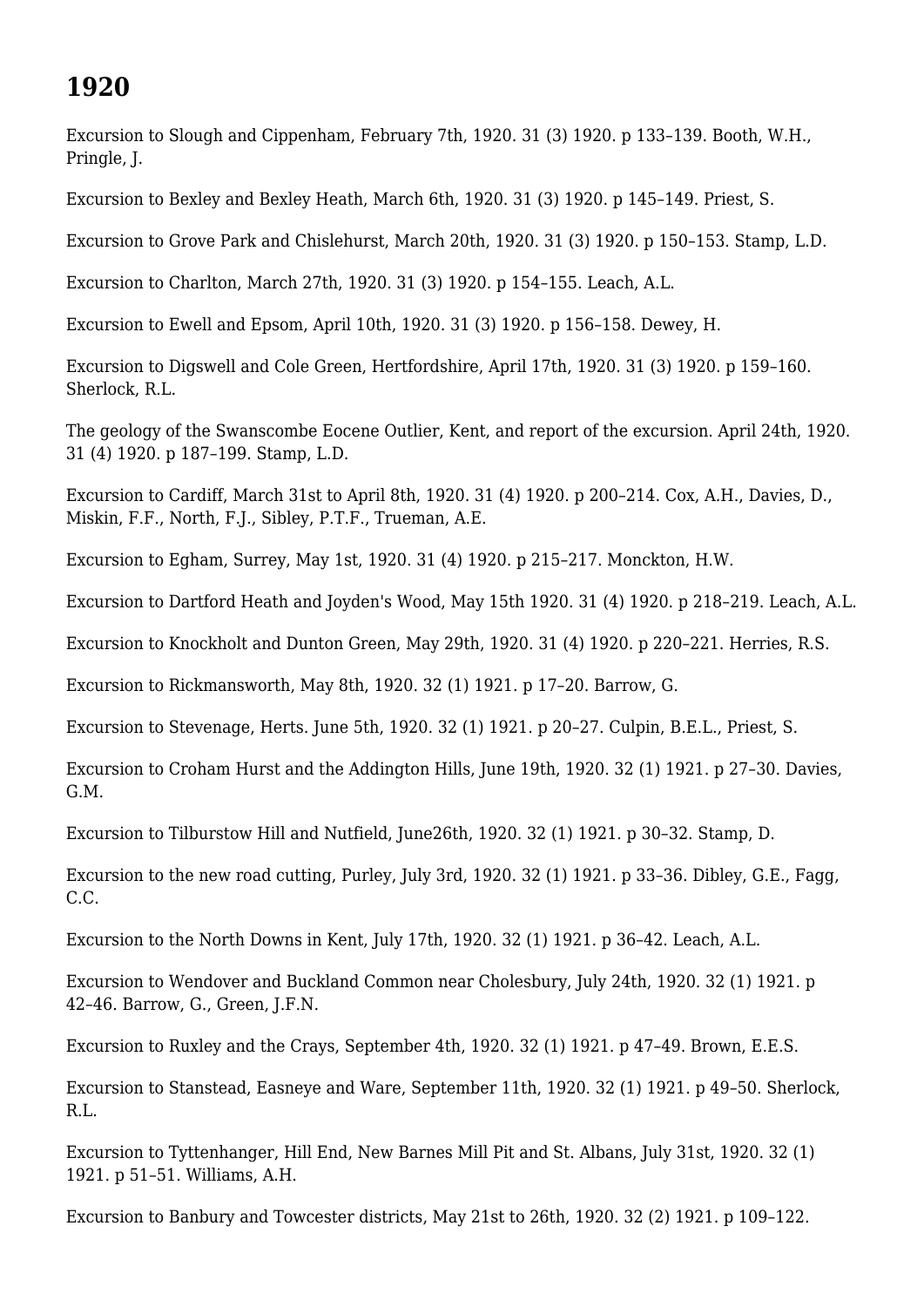# **1920**

Excursion to Slough and Cippenham, February 7th, 1920. 31 (3) 1920. p 133–139. Booth, W.H., Pringle, J.

Excursion to Bexley and Bexley Heath, March 6th, 1920. 31 (3) 1920. p 145–149. Priest, S.

Excursion to Grove Park and Chislehurst, March 20th, 1920. 31 (3) 1920. p 150–153. Stamp, L.D.

Excursion to Charlton, March 27th, 1920. 31 (3) 1920. p 154–155. Leach, A.L.

Excursion to Ewell and Epsom, April 10th, 1920. 31 (3) 1920. p 156–158. Dewey, H.

Excursion to Digswell and Cole Green, Hertfordshire, April 17th, 1920. 31 (3) 1920. p 159–160. Sherlock, R.L.

The geology of the Swanscombe Eocene Outlier, Kent, and report of the excursion. April 24th, 1920. 31 (4) 1920. p 187–199. Stamp, L.D.

Excursion to Cardiff, March 31st to April 8th, 1920. 31 (4) 1920. p 200–214. Cox, A.H., Davies, D., Miskin, F.F., North, F.J., Sibley, P.T.F., Trueman, A.E.

Excursion to Egham, Surrey, May 1st, 1920. 31 (4) 1920. p 215–217. Monckton, H.W.

Excursion to Dartford Heath and Joyden's Wood, May 15th 1920. 31 (4) 1920. p 218–219. Leach, A.L.

Excursion to Knockholt and Dunton Green, May 29th, 1920. 31 (4) 1920. p 220–221. Herries, R.S.

Excursion to Rickmansworth, May 8th, 1920. 32 (1) 1921. p 17–20. Barrow, G.

Excursion to Stevenage, Herts. June 5th, 1920. 32 (1) 1921. p 20–27. Culpin, B.E.L., Priest, S.

Excursion to Croham Hurst and the Addington Hills, June 19th, 1920. 32 (1) 1921. p 27–30. Davies, G.M.

Excursion to Tilburstow Hill and Nutfield, June26th, 1920. 32 (1) 1921. p 30–32. Stamp, D.

Excursion to the new road cutting, Purley, July 3rd, 1920. 32 (1) 1921. p 33–36. Dibley, G.E., Fagg, C.C.

Excursion to the North Downs in Kent, July 17th, 1920. 32 (1) 1921. p 36–42. Leach, A.L.

Excursion to Wendover and Buckland Common near Cholesbury, July 24th, 1920. 32 (1) 1921. p 42–46. Barrow, G., Green, J.F.N.

Excursion to Ruxley and the Crays, September 4th, 1920. 32 (1) 1921. p 47–49. Brown, E.E.S.

Excursion to Stanstead, Easneye and Ware, September 11th, 1920. 32 (1) 1921. p 49–50. Sherlock, R.L.

Excursion to Tyttenhanger, Hill End, New Barnes Mill Pit and St. Albans, July 31st, 1920. 32 (1) 1921. p 51–51. Williams, A.H.

Excursion to Banbury and Towcester districts, May 21st to 26th, 1920. 32 (2) 1921. p 109–122.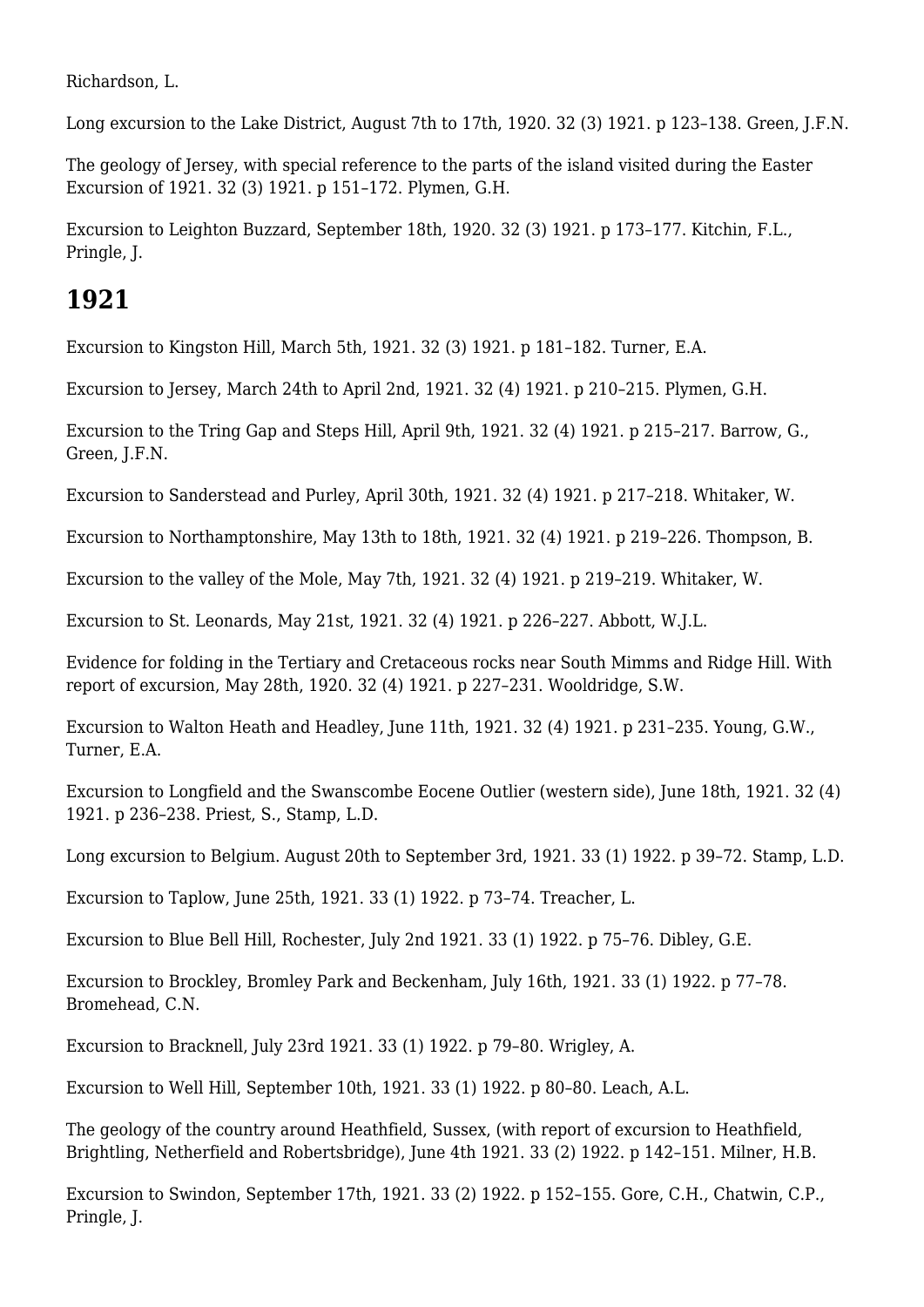Richardson, L.

Long excursion to the Lake District, August 7th to 17th, 1920. 32 (3) 1921. p 123–138. Green, J.F.N.

The geology of Jersey, with special reference to the parts of the island visited during the Easter Excursion of 1921. 32 (3) 1921. p 151–172. Plymen, G.H.

Excursion to Leighton Buzzard, September 18th, 1920. 32 (3) 1921. p 173–177. Kitchin, F.L., Pringle, J.

#### **1921**

Excursion to Kingston Hill, March 5th, 1921. 32 (3) 1921. p 181–182. Turner, E.A.

Excursion to Jersey, March 24th to April 2nd, 1921. 32 (4) 1921. p 210–215. Plymen, G.H.

Excursion to the Tring Gap and Steps Hill, April 9th, 1921. 32 (4) 1921. p 215–217. Barrow, G., Green, J.F.N.

Excursion to Sanderstead and Purley, April 30th, 1921. 32 (4) 1921. p 217–218. Whitaker, W.

Excursion to Northamptonshire, May 13th to 18th, 1921. 32 (4) 1921. p 219–226. Thompson, B.

Excursion to the valley of the Mole, May 7th, 1921. 32 (4) 1921. p 219–219. Whitaker, W.

Excursion to St. Leonards, May 21st, 1921. 32 (4) 1921. p 226–227. Abbott, W.J.L.

Evidence for folding in the Tertiary and Cretaceous rocks near South Mimms and Ridge Hill. With report of excursion, May 28th, 1920. 32 (4) 1921. p 227–231. Wooldridge, S.W.

Excursion to Walton Heath and Headley, June 11th, 1921. 32 (4) 1921. p 231–235. Young, G.W., Turner, E.A.

Excursion to Longfield and the Swanscombe Eocene Outlier (western side), June 18th, 1921. 32 (4) 1921. p 236–238. Priest, S., Stamp, L.D.

Long excursion to Belgium. August 20th to September 3rd, 1921. 33 (1) 1922. p 39–72. Stamp, L.D.

Excursion to Taplow, June 25th, 1921. 33 (1) 1922. p 73–74. Treacher, L.

Excursion to Blue Bell Hill, Rochester, July 2nd 1921. 33 (1) 1922. p 75–76. Dibley, G.E.

Excursion to Brockley, Bromley Park and Beckenham, July 16th, 1921. 33 (1) 1922. p 77–78. Bromehead, C.N.

Excursion to Bracknell, July 23rd 1921. 33 (1) 1922. p 79–80. Wrigley, A.

Excursion to Well Hill, September 10th, 1921. 33 (1) 1922. p 80–80. Leach, A.L.

The geology of the country around Heathfield, Sussex, (with report of excursion to Heathfield, Brightling, Netherfield and Robertsbridge), June 4th 1921. 33 (2) 1922. p 142–151. Milner, H.B.

Excursion to Swindon, September 17th, 1921. 33 (2) 1922. p 152–155. Gore, C.H., Chatwin, C.P., Pringle, J.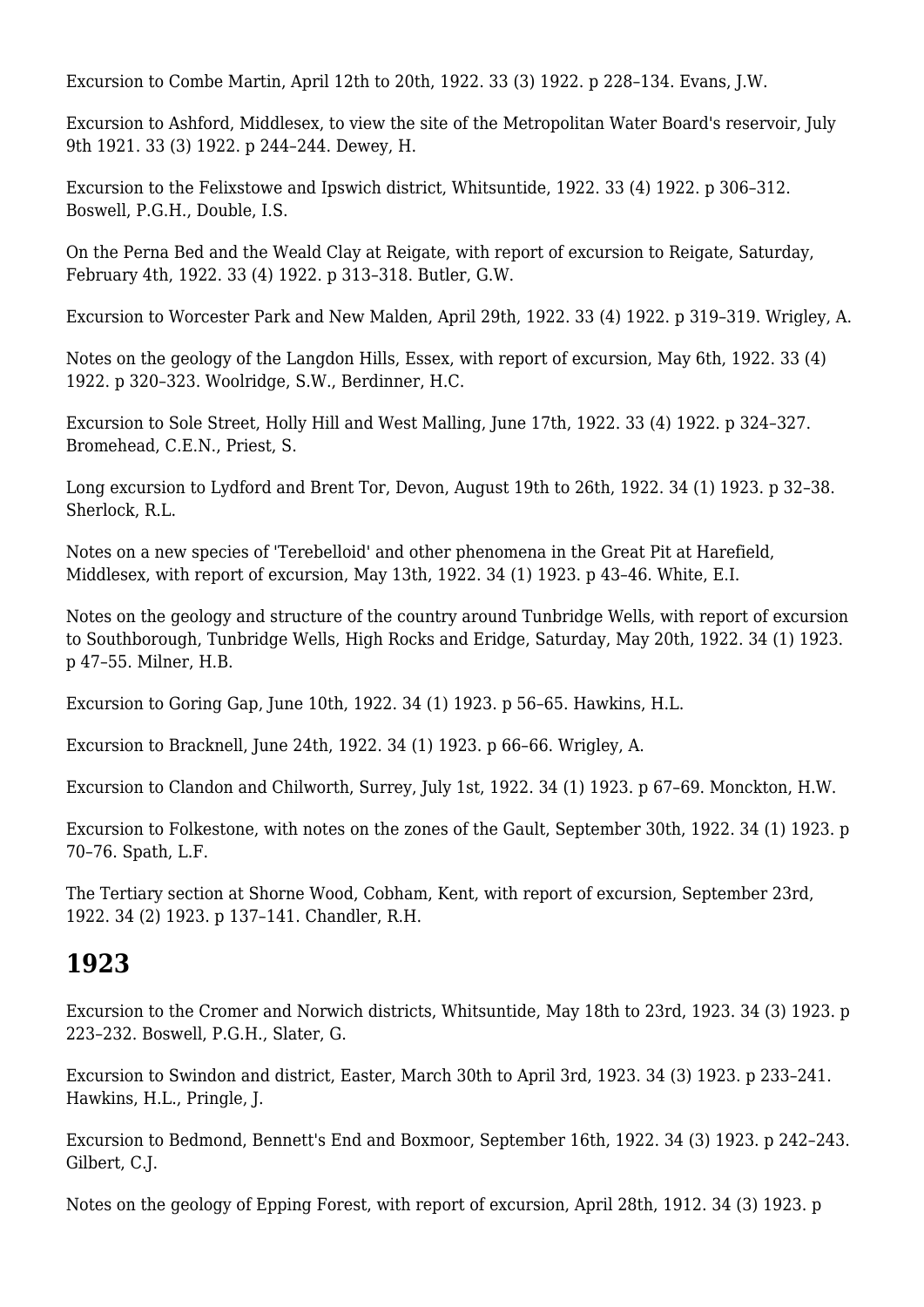Excursion to Combe Martin, April 12th to 20th, 1922. 33 (3) 1922. p 228–134. Evans, J.W.

Excursion to Ashford, Middlesex, to view the site of the Metropolitan Water Board's reservoir, July 9th 1921. 33 (3) 1922. p 244–244. Dewey, H.

Excursion to the Felixstowe and Ipswich district, Whitsuntide, 1922. 33 (4) 1922. p 306–312. Boswell, P.G.H., Double, I.S.

On the Perna Bed and the Weald Clay at Reigate, with report of excursion to Reigate, Saturday, February 4th, 1922. 33 (4) 1922. p 313–318. Butler, G.W.

Excursion to Worcester Park and New Malden, April 29th, 1922. 33 (4) 1922. p 319–319. Wrigley, A.

Notes on the geology of the Langdon Hills, Essex, with report of excursion, May 6th, 1922. 33 (4) 1922. p 320–323. Woolridge, S.W., Berdinner, H.C.

Excursion to Sole Street, Holly Hill and West Malling, June 17th, 1922. 33 (4) 1922. p 324–327. Bromehead, C.E.N., Priest, S.

Long excursion to Lydford and Brent Tor, Devon, August 19th to 26th, 1922. 34 (1) 1923. p 32–38. Sherlock, R.L.

Notes on a new species of 'Terebelloid' and other phenomena in the Great Pit at Harefield, Middlesex, with report of excursion, May 13th, 1922. 34 (1) 1923. p 43–46. White, E.I.

Notes on the geology and structure of the country around Tunbridge Wells, with report of excursion to Southborough, Tunbridge Wells, High Rocks and Eridge, Saturday, May 20th, 1922. 34 (1) 1923. p 47–55. Milner, H.B.

Excursion to Goring Gap, June 10th, 1922. 34 (1) 1923. p 56–65. Hawkins, H.L.

Excursion to Bracknell, June 24th, 1922. 34 (1) 1923. p 66–66. Wrigley, A.

Excursion to Clandon and Chilworth, Surrey, July 1st, 1922. 34 (1) 1923. p 67–69. Monckton, H.W.

Excursion to Folkestone, with notes on the zones of the Gault, September 30th, 1922. 34 (1) 1923. p 70–76. Spath, L.F.

The Tertiary section at Shorne Wood, Cobham, Kent, with report of excursion, September 23rd, 1922. 34 (2) 1923. p 137–141. Chandler, R.H.

## **1923**

Excursion to the Cromer and Norwich districts, Whitsuntide, May 18th to 23rd, 1923. 34 (3) 1923. p 223–232. Boswell, P.G.H., Slater, G.

Excursion to Swindon and district, Easter, March 30th to April 3rd, 1923. 34 (3) 1923. p 233–241. Hawkins, H.L., Pringle, J.

Excursion to Bedmond, Bennett's End and Boxmoor, September 16th, 1922. 34 (3) 1923. p 242–243. Gilbert, C.J.

Notes on the geology of Epping Forest, with report of excursion, April 28th, 1912. 34 (3) 1923. p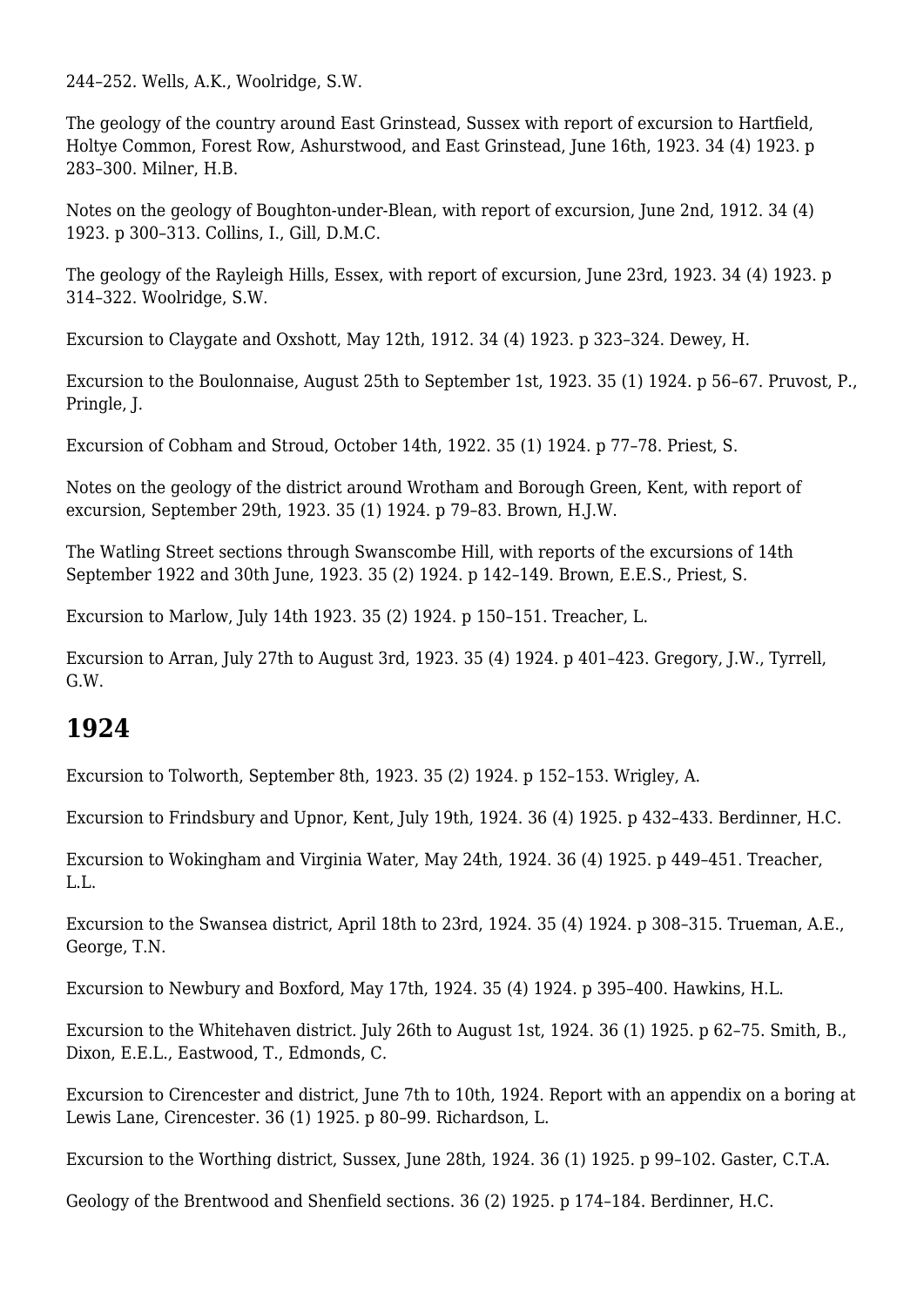244–252. Wells, A.K., Woolridge, S.W.

The geology of the country around East Grinstead, Sussex with report of excursion to Hartfield, Holtye Common, Forest Row, Ashurstwood, and East Grinstead, June 16th, 1923. 34 (4) 1923. p 283–300. Milner, H.B.

Notes on the geology of Boughton-under-Blean, with report of excursion, June 2nd, 1912. 34 (4) 1923. p 300–313. Collins, I., Gill, D.M.C.

The geology of the Rayleigh Hills, Essex, with report of excursion, June 23rd, 1923. 34 (4) 1923. p 314–322. Woolridge, S.W.

Excursion to Claygate and Oxshott, May 12th, 1912. 34 (4) 1923. p 323–324. Dewey, H.

Excursion to the Boulonnaise, August 25th to September 1st, 1923. 35 (1) 1924. p 56–67. Pruvost, P., Pringle, J.

Excursion of Cobham and Stroud, October 14th, 1922. 35 (1) 1924. p 77–78. Priest, S.

Notes on the geology of the district around Wrotham and Borough Green, Kent, with report of excursion, September 29th, 1923. 35 (1) 1924. p 79–83. Brown, H.J.W.

The Watling Street sections through Swanscombe Hill, with reports of the excursions of 14th September 1922 and 30th June, 1923. 35 (2) 1924. p 142–149. Brown, E.E.S., Priest, S.

Excursion to Marlow, July 14th 1923. 35 (2) 1924. p 150–151. Treacher, L.

Excursion to Arran, July 27th to August 3rd, 1923. 35 (4) 1924. p 401–423. Gregory, J.W., Tyrrell, G.W.

#### **1924**

Excursion to Tolworth, September 8th, 1923. 35 (2) 1924. p 152–153. Wrigley, A.

Excursion to Frindsbury and Upnor, Kent, July 19th, 1924. 36 (4) 1925. p 432–433. Berdinner, H.C.

Excursion to Wokingham and Virginia Water, May 24th, 1924. 36 (4) 1925. p 449–451. Treacher, L.L.

Excursion to the Swansea district, April 18th to 23rd, 1924. 35 (4) 1924. p 308–315. Trueman, A.E., George, T.N.

Excursion to Newbury and Boxford, May 17th, 1924. 35 (4) 1924. p 395–400. Hawkins, H.L.

Excursion to the Whitehaven district. July 26th to August 1st, 1924. 36 (1) 1925. p 62–75. Smith, B., Dixon, E.E.L., Eastwood, T., Edmonds, C.

Excursion to Cirencester and district, June 7th to 10th, 1924. Report with an appendix on a boring at Lewis Lane, Cirencester. 36 (1) 1925. p 80–99. Richardson, L.

Excursion to the Worthing district, Sussex, June 28th, 1924. 36 (1) 1925. p 99–102. Gaster, C.T.A.

Geology of the Brentwood and Shenfield sections. 36 (2) 1925. p 174–184. Berdinner, H.C.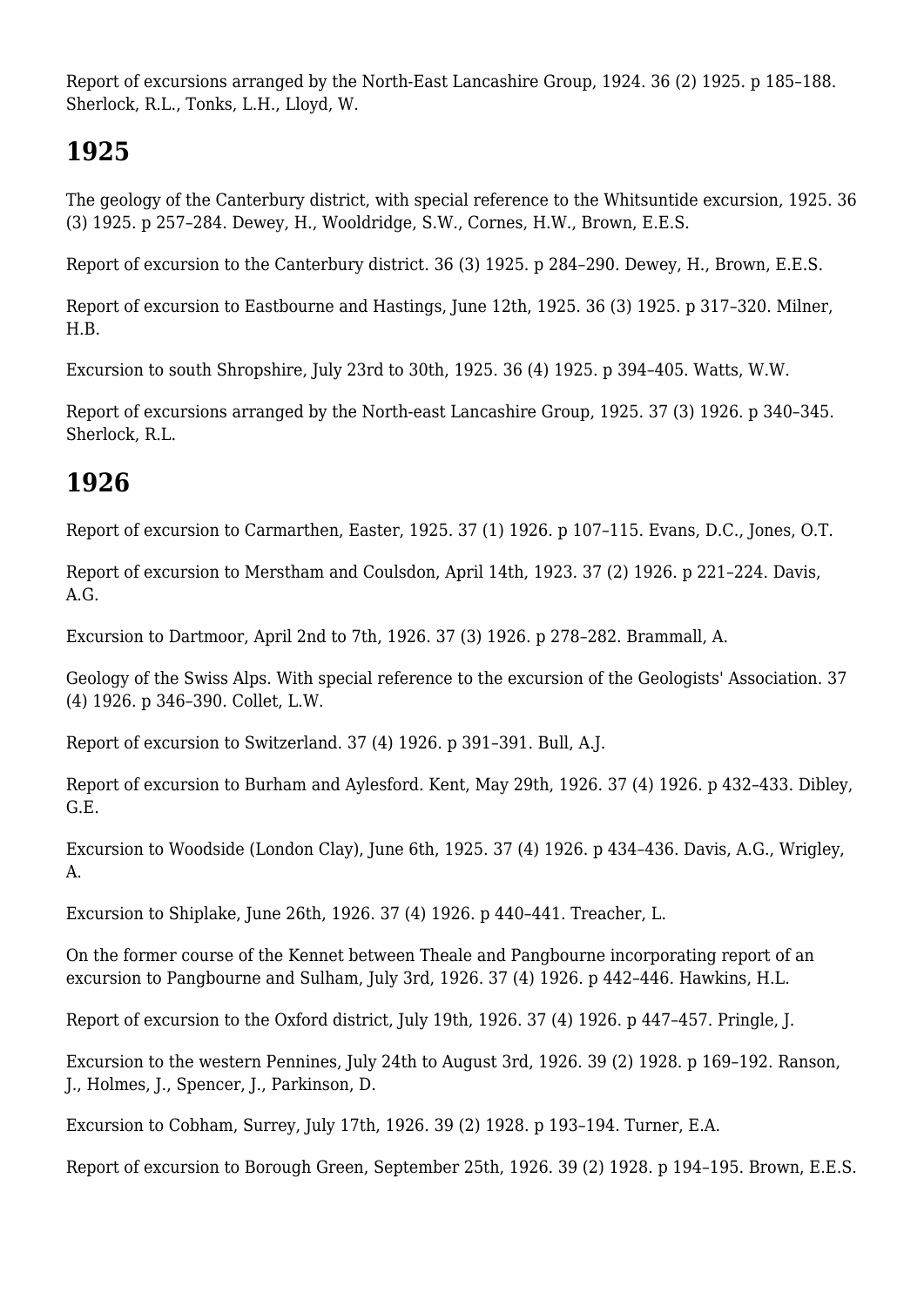Report of excursions arranged by the North-East Lancashire Group, 1924. 36 (2) 1925. p 185–188. Sherlock, R.L., Tonks, L.H., Lloyd, W.

## **1925**

The geology of the Canterbury district, with special reference to the Whitsuntide excursion, 1925. 36 (3) 1925. p 257–284. Dewey, H., Wooldridge, S.W., Cornes, H.W., Brown, E.E.S.

Report of excursion to the Canterbury district. 36 (3) 1925. p 284–290. Dewey, H., Brown, E.E.S.

Report of excursion to Eastbourne and Hastings, June 12th, 1925. 36 (3) 1925. p 317–320. Milner, H.B.

Excursion to south Shropshire, July 23rd to 30th, 1925. 36 (4) 1925. p 394–405. Watts, W.W.

Report of excursions arranged by the North-east Lancashire Group, 1925. 37 (3) 1926. p 340–345. Sherlock, R.L.

# **1926**

Report of excursion to Carmarthen, Easter, 1925. 37 (1) 1926. p 107–115. Evans, D.C., Jones, O.T.

Report of excursion to Merstham and Coulsdon, April 14th, 1923. 37 (2) 1926. p 221–224. Davis, A.G.

Excursion to Dartmoor, April 2nd to 7th, 1926. 37 (3) 1926. p 278–282. Brammall, A.

Geology of the Swiss Alps. With special reference to the excursion of the Geologists' Association. 37 (4) 1926. p 346–390. Collet, L.W.

Report of excursion to Switzerland. 37 (4) 1926. p 391–391. Bull, A.J.

Report of excursion to Burham and Aylesford. Kent, May 29th, 1926. 37 (4) 1926. p 432–433. Dibley, G.E.

Excursion to Woodside (London Clay), June 6th, 1925. 37 (4) 1926. p 434–436. Davis, A.G., Wrigley, A.

Excursion to Shiplake, June 26th, 1926. 37 (4) 1926. p 440–441. Treacher, L.

On the former course of the Kennet between Theale and Pangbourne incorporating report of an excursion to Pangbourne and Sulham, July 3rd, 1926. 37 (4) 1926. p 442–446. Hawkins, H.L.

Report of excursion to the Oxford district, July 19th, 1926. 37 (4) 1926. p 447–457. Pringle, J.

Excursion to the western Pennines, July 24th to August 3rd, 1926. 39 (2) 1928. p 169–192. Ranson, J., Holmes, J., Spencer, J., Parkinson, D.

Excursion to Cobham, Surrey, July 17th, 1926. 39 (2) 1928. p 193–194. Turner, E.A.

Report of excursion to Borough Green, September 25th, 1926. 39 (2) 1928. p 194–195. Brown, E.E.S.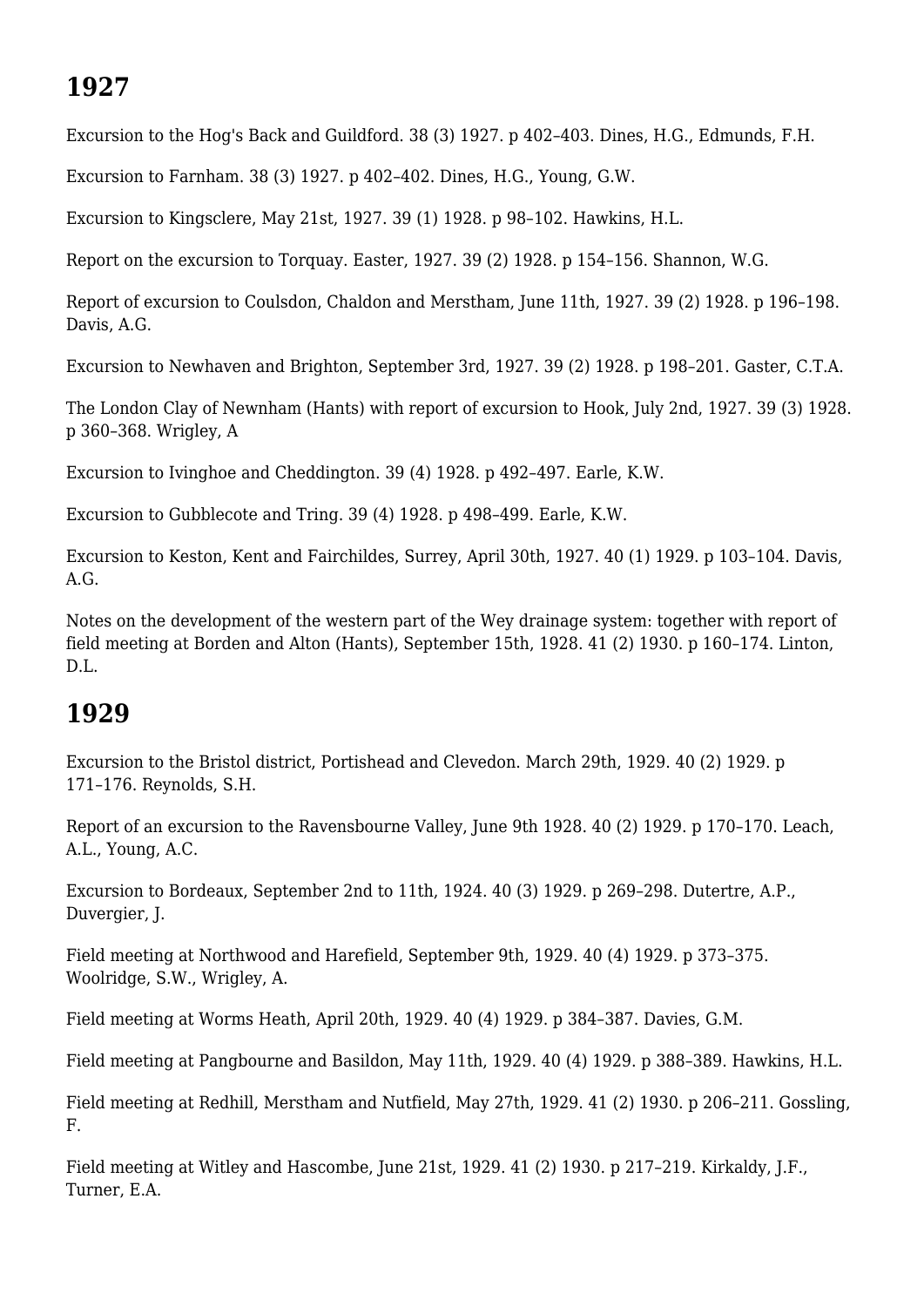## **1927**

Excursion to the Hog's Back and Guildford. 38 (3) 1927. p 402–403. Dines, H.G., Edmunds, F.H.

Excursion to Farnham. 38 (3) 1927. p 402–402. Dines, H.G., Young, G.W.

Excursion to Kingsclere, May 21st, 1927. 39 (1) 1928. p 98–102. Hawkins, H.L.

Report on the excursion to Torquay. Easter, 1927. 39 (2) 1928. p 154–156. Shannon, W.G.

Report of excursion to Coulsdon, Chaldon and Merstham, June 11th, 1927. 39 (2) 1928. p 196–198. Davis, A.G.

Excursion to Newhaven and Brighton, September 3rd, 1927. 39 (2) 1928. p 198–201. Gaster, C.T.A.

The London Clay of Newnham (Hants) with report of excursion to Hook, July 2nd, 1927. 39 (3) 1928. p 360–368. Wrigley, A

Excursion to Ivinghoe and Cheddington. 39 (4) 1928. p 492–497. Earle, K.W.

Excursion to Gubblecote and Tring. 39 (4) 1928. p 498–499. Earle, K.W.

Excursion to Keston, Kent and Fairchildes, Surrey, April 30th, 1927. 40 (1) 1929. p 103–104. Davis, A.G.

Notes on the development of the western part of the Wey drainage system: together with report of field meeting at Borden and Alton (Hants), September 15th, 1928. 41 (2) 1930. p 160–174. Linton, D.L.

#### **1929**

Excursion to the Bristol district, Portishead and Clevedon. March 29th, 1929. 40 (2) 1929. p 171–176. Reynolds, S.H.

Report of an excursion to the Ravensbourne Valley, June 9th 1928. 40 (2) 1929. p 170–170. Leach, A.L., Young, A.C.

Excursion to Bordeaux, September 2nd to 11th, 1924. 40 (3) 1929. p 269–298. Dutertre, A.P., Duvergier, J.

Field meeting at Northwood and Harefield, September 9th, 1929. 40 (4) 1929. p 373–375. Woolridge, S.W., Wrigley, A.

Field meeting at Worms Heath, April 20th, 1929. 40 (4) 1929. p 384–387. Davies, G.M.

Field meeting at Pangbourne and Basildon, May 11th, 1929. 40 (4) 1929. p 388–389. Hawkins, H.L.

Field meeting at Redhill, Merstham and Nutfield, May 27th, 1929. 41 (2) 1930. p 206–211. Gossling, F.

Field meeting at Witley and Hascombe, June 21st, 1929, 41 (2) 1930, p 217-219. Kirkaldy, J.F., Turner, E.A.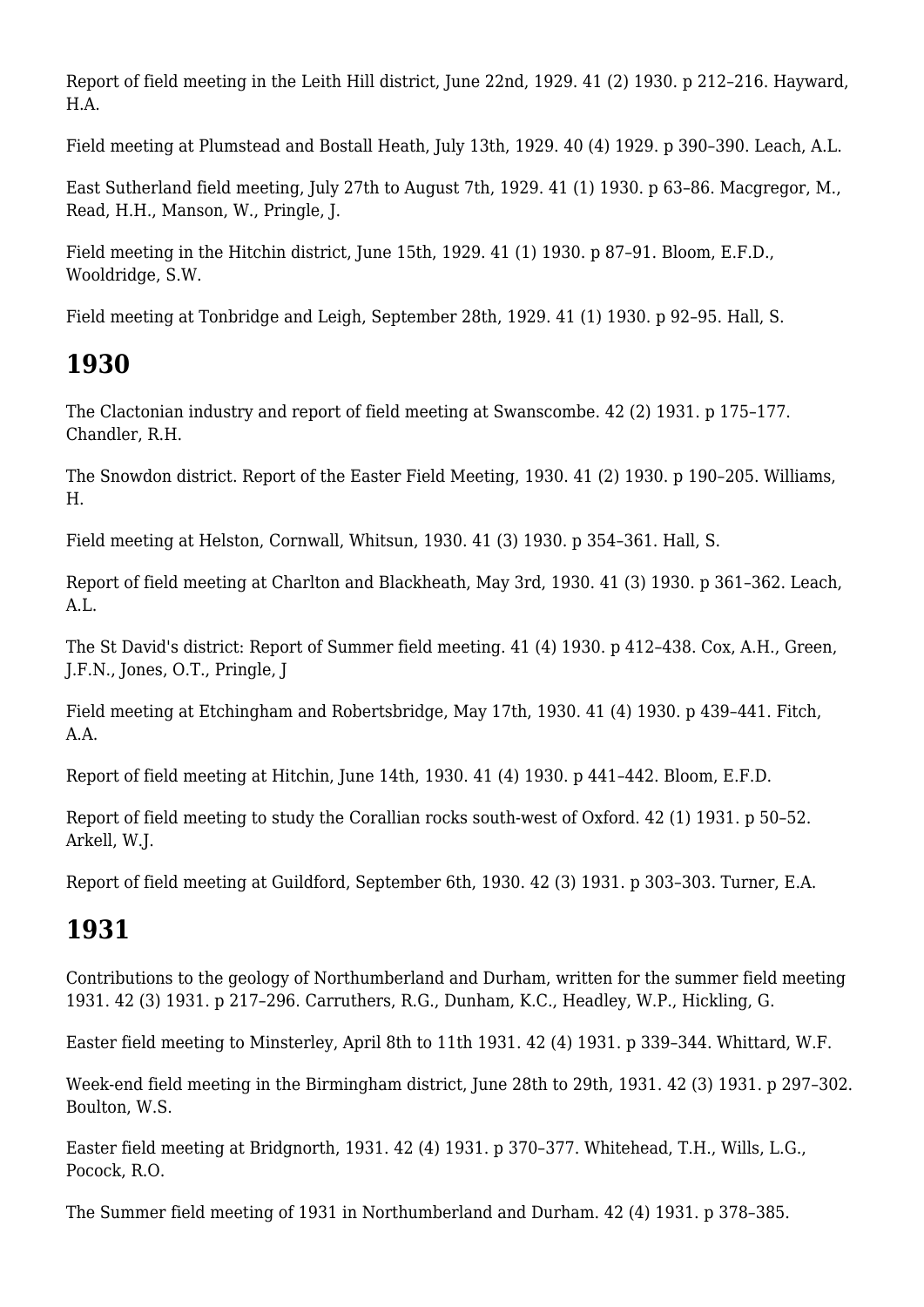Report of field meeting in the Leith Hill district, June 22nd, 1929. 41 (2) 1930. p 212–216. Hayward, H.A.

Field meeting at Plumstead and Bostall Heath, July 13th, 1929. 40 (4) 1929. p 390–390. Leach, A.L.

East Sutherland field meeting, July 27th to August 7th, 1929. 41 (1) 1930. p 63–86. Macgregor, M., Read, H.H., Manson, W., Pringle, J.

Field meeting in the Hitchin district, June 15th, 1929. 41 (1) 1930. p 87–91. Bloom, E.F.D., Wooldridge, S.W.

Field meeting at Tonbridge and Leigh, September 28th, 1929. 41 (1) 1930. p 92–95. Hall, S.

## **1930**

The Clactonian industry and report of field meeting at Swanscombe. 42 (2) 1931. p 175–177. Chandler, R.H.

The Snowdon district. Report of the Easter Field Meeting, 1930. 41 (2) 1930. p 190–205. Williams, H.

Field meeting at Helston, Cornwall, Whitsun, 1930. 41 (3) 1930. p 354–361. Hall, S.

Report of field meeting at Charlton and Blackheath, May 3rd, 1930. 41 (3) 1930. p 361–362. Leach,  $A.I.$ 

The St David's district: Report of Summer field meeting. 41 (4) 1930. p 412–438. Cox, A.H., Green, J.F.N., Jones, O.T., Pringle, J

Field meeting at Etchingham and Robertsbridge, May 17th, 1930. 41 (4) 1930. p 439–441. Fitch, A.A.

Report of field meeting at Hitchin, June 14th, 1930. 41 (4) 1930. p 441–442. Bloom, E.F.D.

Report of field meeting to study the Corallian rocks south-west of Oxford. 42 (1) 1931. p 50–52. Arkell, W.J.

Report of field meeting at Guildford, September 6th, 1930. 42 (3) 1931. p 303–303. Turner, E.A.

## **1931**

Contributions to the geology of Northumberland and Durham, written for the summer field meeting 1931. 42 (3) 1931. p 217–296. Carruthers, R.G., Dunham, K.C., Headley, W.P., Hickling, G.

Easter field meeting to Minsterley, April 8th to 11th 1931. 42 (4) 1931. p 339–344. Whittard, W.F.

Week-end field meeting in the Birmingham district, June 28th to 29th, 1931. 42 (3) 1931. p 297–302. Boulton, W.S.

Easter field meeting at Bridgnorth, 1931. 42 (4) 1931. p 370–377. Whitehead, T.H., Wills, L.G., Pocock, R.O.

The Summer field meeting of 1931 in Northumberland and Durham. 42 (4) 1931. p 378–385.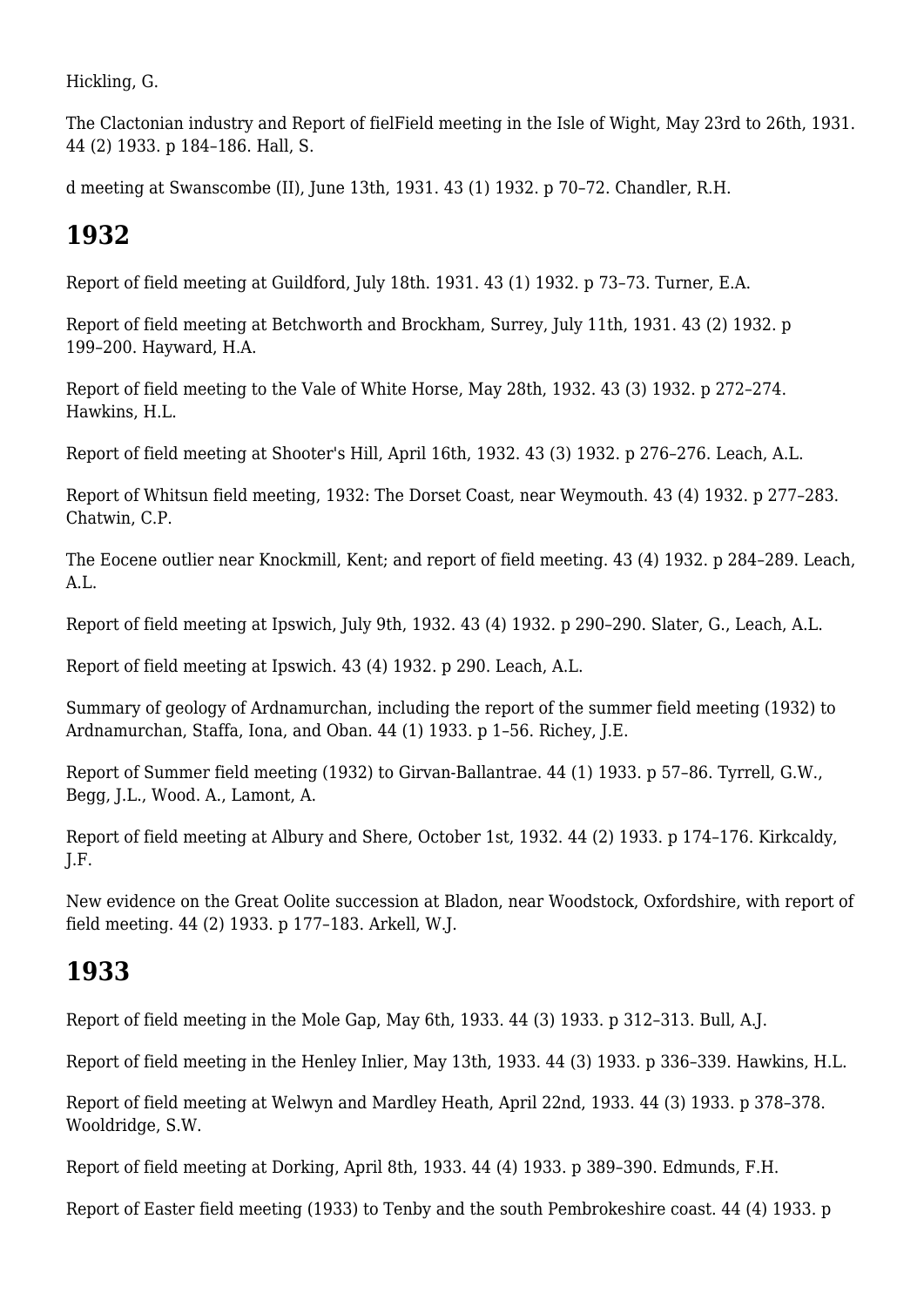Hickling, G.

The Clactonian industry and Report of fielField meeting in the Isle of Wight, May 23rd to 26th, 1931. 44 (2) 1933. p 184–186. Hall, S.

d meeting at Swanscombe (II), June 13th, 1931. 43 (1) 1932. p 70–72. Chandler, R.H.

## **1932**

Report of field meeting at Guildford, July 18th. 1931. 43 (1) 1932. p 73–73. Turner, E.A.

Report of field meeting at Betchworth and Brockham, Surrey, July 11th, 1931. 43 (2) 1932. p 199–200. Hayward, H.A.

Report of field meeting to the Vale of White Horse, May 28th, 1932. 43 (3) 1932. p 272–274. Hawkins, H.L.

Report of field meeting at Shooter's Hill, April 16th, 1932. 43 (3) 1932. p 276–276. Leach, A.L.

Report of Whitsun field meeting, 1932: The Dorset Coast, near Weymouth. 43 (4) 1932. p 277–283. Chatwin, C.P.

The Eocene outlier near Knockmill, Kent; and report of field meeting. 43 (4) 1932. p 284–289. Leach, A.L.

Report of field meeting at Ipswich, July 9th, 1932. 43 (4) 1932. p 290–290. Slater, G., Leach, A.L.

Report of field meeting at Ipswich. 43 (4) 1932. p 290. Leach, A.L.

Summary of geology of Ardnamurchan, including the report of the summer field meeting (1932) to Ardnamurchan, Staffa, Iona, and Oban. 44 (1) 1933. p 1–56. Richey, J.E.

Report of Summer field meeting (1932) to Girvan-Ballantrae. 44 (1) 1933. p 57–86. Tyrrell, G.W., Begg, J.L., Wood. A., Lamont, A.

Report of field meeting at Albury and Shere, October 1st, 1932. 44 (2) 1933. p 174–176. Kirkcaldy, J.F.

New evidence on the Great Oolite succession at Bladon, near Woodstock, Oxfordshire, with report of field meeting. 44 (2) 1933. p 177–183. Arkell, W.J.

## **1933**

Report of field meeting in the Mole Gap, May 6th, 1933. 44 (3) 1933. p 312–313. Bull, A.J.

Report of field meeting in the Henley Inlier, May 13th, 1933. 44 (3) 1933. p 336–339. Hawkins, H.L.

Report of field meeting at Welwyn and Mardley Heath, April 22nd, 1933. 44 (3) 1933. p 378–378. Wooldridge, S.W.

Report of field meeting at Dorking, April 8th, 1933. 44 (4) 1933. p 389–390. Edmunds, F.H.

Report of Easter field meeting (1933) to Tenby and the south Pembrokeshire coast. 44 (4) 1933. p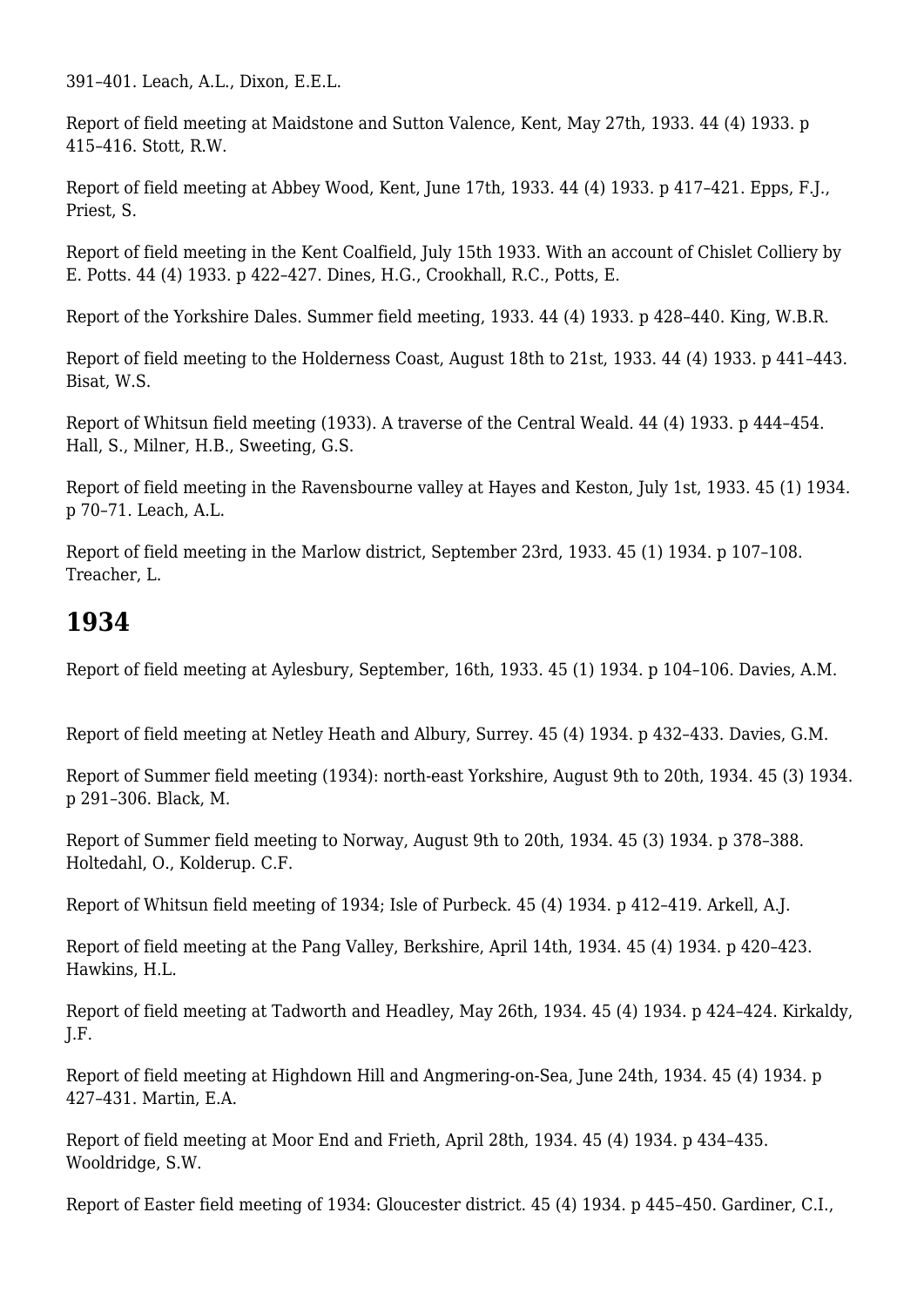391–401. Leach, A.L., Dixon, E.E.L.

Report of field meeting at Maidstone and Sutton Valence, Kent, May 27th, 1933. 44 (4) 1933. p 415–416. Stott, R.W.

Report of field meeting at Abbey Wood, Kent, June 17th, 1933. 44 (4) 1933. p 417–421. Epps, F.J., Priest, S.

Report of field meeting in the Kent Coalfield, July 15th 1933. With an account of Chislet Colliery by E. Potts. 44 (4) 1933. p 422–427. Dines, H.G., Crookhall, R.C., Potts, E.

Report of the Yorkshire Dales. Summer field meeting, 1933. 44 (4) 1933. p 428–440. King, W.B.R.

Report of field meeting to the Holderness Coast, August 18th to 21st, 1933. 44 (4) 1933. p 441–443. Bisat, W.S.

Report of Whitsun field meeting (1933). A traverse of the Central Weald. 44 (4) 1933. p 444–454. Hall, S., Milner, H.B., Sweeting, G.S.

Report of field meeting in the Ravensbourne valley at Hayes and Keston, July 1st, 1933. 45 (1) 1934. p 70–71. Leach, A.L.

Report of field meeting in the Marlow district, September 23rd, 1933. 45 (1) 1934. p 107–108. Treacher, L.

## **1934**

Report of field meeting at Aylesbury, September, 16th, 1933. 45 (1) 1934. p 104–106. Davies, A.M.

Report of field meeting at Netley Heath and Albury, Surrey. 45 (4) 1934. p 432–433. Davies, G.M.

Report of Summer field meeting (1934): north-east Yorkshire, August 9th to 20th, 1934. 45 (3) 1934. p 291–306. Black, M.

Report of Summer field meeting to Norway, August 9th to 20th, 1934. 45 (3) 1934. p 378–388. Holtedahl, O., Kolderup. C.F.

Report of Whitsun field meeting of 1934; Isle of Purbeck. 45 (4) 1934. p 412–419. Arkell, A.J.

Report of field meeting at the Pang Valley, Berkshire, April 14th, 1934. 45 (4) 1934. p 420–423. Hawkins, H.L.

Report of field meeting at Tadworth and Headley, May 26th, 1934. 45 (4) 1934. p 424–424. Kirkaldy, J.F.

Report of field meeting at Highdown Hill and Angmering-on-Sea, June 24th, 1934. 45 (4) 1934. p 427–431. Martin, E.A.

Report of field meeting at Moor End and Frieth, April 28th, 1934. 45 (4) 1934. p 434–435. Wooldridge, S.W.

Report of Easter field meeting of 1934: Gloucester district. 45 (4) 1934. p 445–450. Gardiner, C.I.,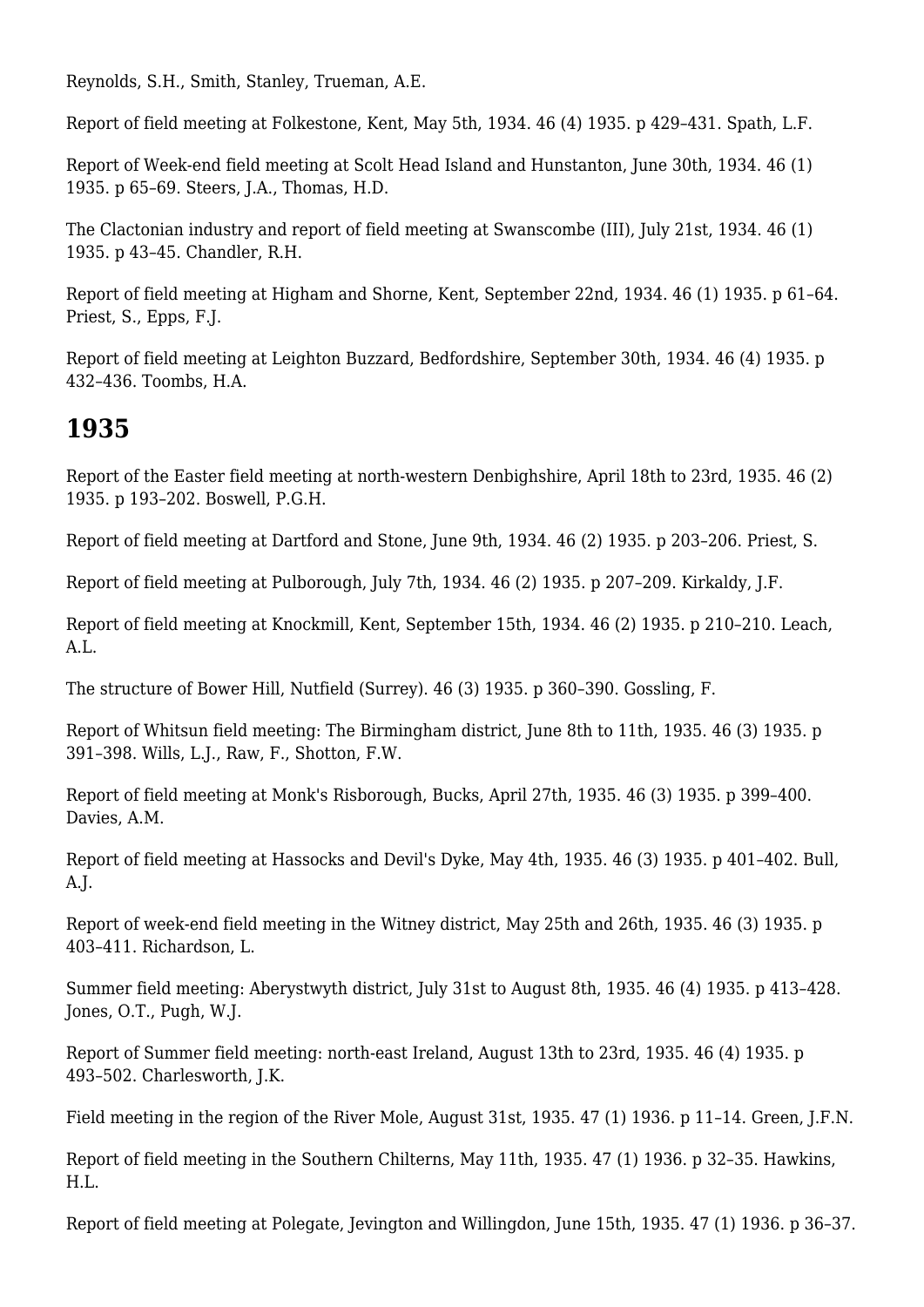Reynolds, S.H., Smith, Stanley, Trueman, A.E.

Report of field meeting at Folkestone, Kent, May 5th, 1934. 46 (4) 1935. p 429–431. Spath, L.F.

Report of Week-end field meeting at Scolt Head Island and Hunstanton, June 30th, 1934. 46 (1) 1935. p 65–69. Steers, J.A., Thomas, H.D.

The Clactonian industry and report of field meeting at Swanscombe (III), July 21st, 1934. 46 (1) 1935. p 43–45. Chandler, R.H.

Report of field meeting at Higham and Shorne, Kent, September 22nd, 1934. 46 (1) 1935. p 61–64. Priest, S., Epps, F.J.

Report of field meeting at Leighton Buzzard, Bedfordshire, September 30th, 1934. 46 (4) 1935. p 432–436. Toombs, H.A.

## **1935**

Report of the Easter field meeting at north-western Denbighshire, April 18th to 23rd, 1935. 46 (2) 1935. p 193–202. Boswell, P.G.H.

Report of field meeting at Dartford and Stone, June 9th, 1934. 46 (2) 1935. p 203–206. Priest, S.

Report of field meeting at Pulborough, July 7th, 1934. 46 (2) 1935. p 207–209. Kirkaldy, J.F.

Report of field meeting at Knockmill, Kent, September 15th, 1934. 46 (2) 1935. p 210–210. Leach, A.L.

The structure of Bower Hill, Nutfield (Surrey). 46 (3) 1935. p 360–390. Gossling, F.

Report of Whitsun field meeting: The Birmingham district, June 8th to 11th, 1935. 46 (3) 1935. p 391–398. Wills, L.J., Raw, F., Shotton, F.W.

Report of field meeting at Monk's Risborough, Bucks, April 27th, 1935. 46 (3) 1935. p 399–400. Davies, A.M.

Report of field meeting at Hassocks and Devil's Dyke, May 4th, 1935. 46 (3) 1935. p 401–402. Bull, A.J.

Report of week-end field meeting in the Witney district, May 25th and 26th, 1935. 46 (3) 1935. p 403–411. Richardson, L.

Summer field meeting: Aberystwyth district, July 31st to August 8th, 1935. 46 (4) 1935. p 413–428. Jones, O.T., Pugh, W.J.

Report of Summer field meeting: north-east Ireland, August 13th to 23rd, 1935. 46 (4) 1935. p 493–502. Charlesworth, J.K.

Field meeting in the region of the River Mole, August 31st, 1935. 47 (1) 1936. p 11–14. Green, J.F.N.

Report of field meeting in the Southern Chilterns, May 11th, 1935. 47 (1) 1936. p 32–35. Hawkins, H.L.

Report of field meeting at Polegate, Jevington and Willingdon, June 15th, 1935. 47 (1) 1936. p 36–37.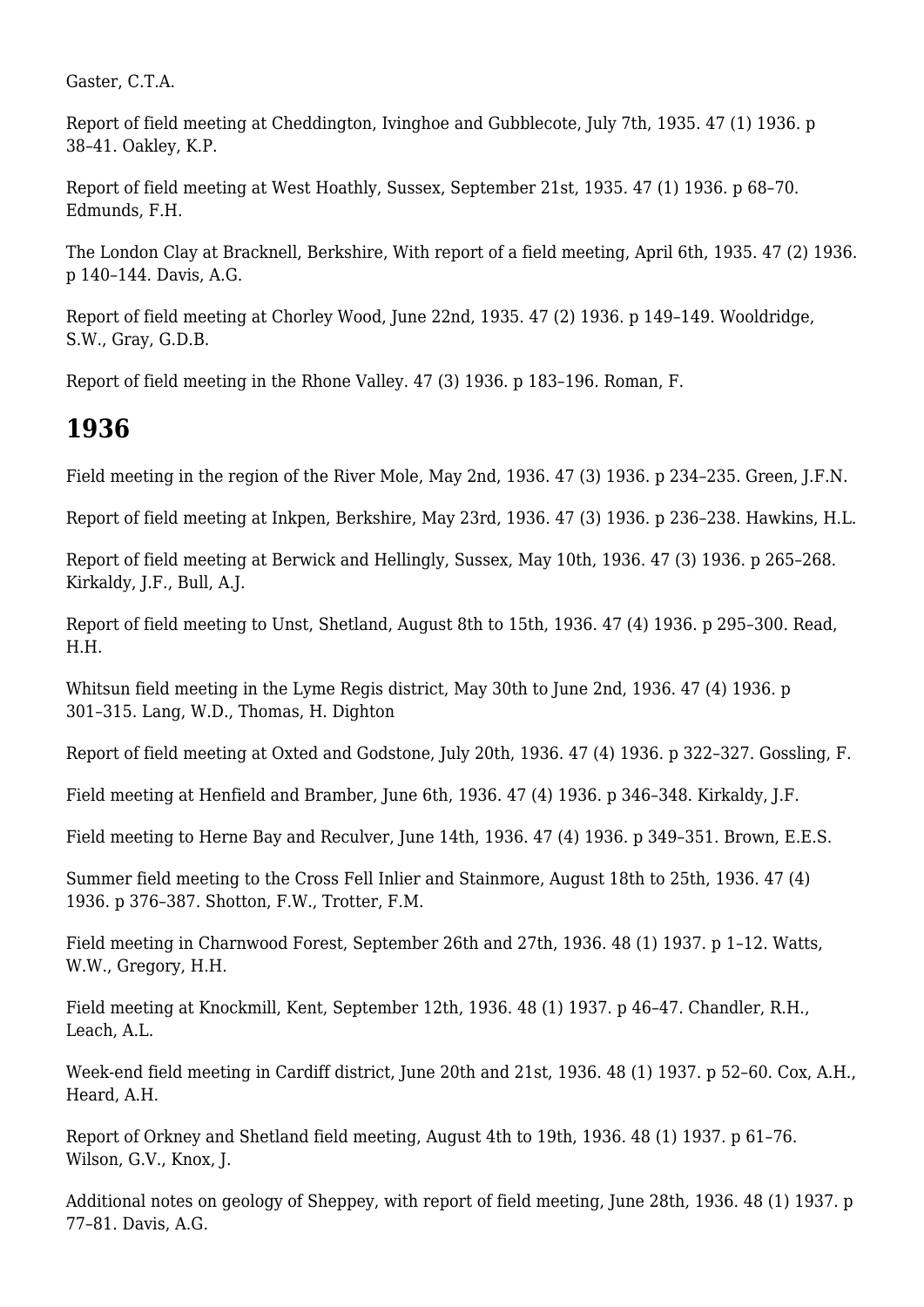Gaster, C.T.A.

Report of field meeting at Cheddington, Ivinghoe and Gubblecote, July 7th, 1935. 47 (1) 1936. p 38–41. Oakley, K.P.

Report of field meeting at West Hoathly, Sussex, September 21st, 1935. 47 (1) 1936. p 68–70. Edmunds, F.H.

The London Clay at Bracknell, Berkshire, With report of a field meeting, April 6th, 1935. 47 (2) 1936. p 140–144. Davis, A.G.

Report of field meeting at Chorley Wood, June 22nd, 1935. 47 (2) 1936. p 149–149. Wooldridge, S.W., Gray, G.D.B.

Report of field meeting in the Rhone Valley. 47 (3) 1936. p 183–196. Roman, F.

#### **1936**

Field meeting in the region of the River Mole, May 2nd, 1936. 47 (3) 1936. p 234–235. Green, J.F.N.

Report of field meeting at Inkpen, Berkshire, May 23rd, 1936. 47 (3) 1936. p 236–238. Hawkins, H.L.

Report of field meeting at Berwick and Hellingly, Sussex, May 10th, 1936. 47 (3) 1936. p 265–268. Kirkaldy, J.F., Bull, A.J.

Report of field meeting to Unst, Shetland, August 8th to 15th, 1936. 47 (4) 1936. p 295–300. Read, H.H.

Whitsun field meeting in the Lyme Regis district, May 30th to June 2nd, 1936. 47 (4) 1936. p 301–315. Lang, W.D., Thomas, H. Dighton

Report of field meeting at Oxted and Godstone, July 20th, 1936. 47 (4) 1936. p 322–327. Gossling, F.

Field meeting at Henfield and Bramber, June 6th, 1936. 47 (4) 1936. p 346–348. Kirkaldy, J.F.

Field meeting to Herne Bay and Reculver, June 14th, 1936. 47 (4) 1936. p 349–351. Brown, E.E.S.

Summer field meeting to the Cross Fell Inlier and Stainmore, August 18th to 25th, 1936. 47 (4) 1936. p 376–387. Shotton, F.W., Trotter, F.M.

Field meeting in Charnwood Forest, September 26th and 27th, 1936. 48 (1) 1937. p 1–12. Watts, W.W., Gregory, H.H.

Field meeting at Knockmill, Kent, September 12th, 1936. 48 (1) 1937. p 46–47. Chandler, R.H., Leach, A.L.

Week-end field meeting in Cardiff district, June 20th and 21st, 1936. 48 (1) 1937. p 52–60. Cox, A.H., Heard, A.H.

Report of Orkney and Shetland field meeting, August 4th to 19th, 1936. 48 (1) 1937. p 61–76. Wilson, G.V., Knox, J.

Additional notes on geology of Sheppey, with report of field meeting, June 28th, 1936. 48 (1) 1937. p 77–81. Davis, A.G.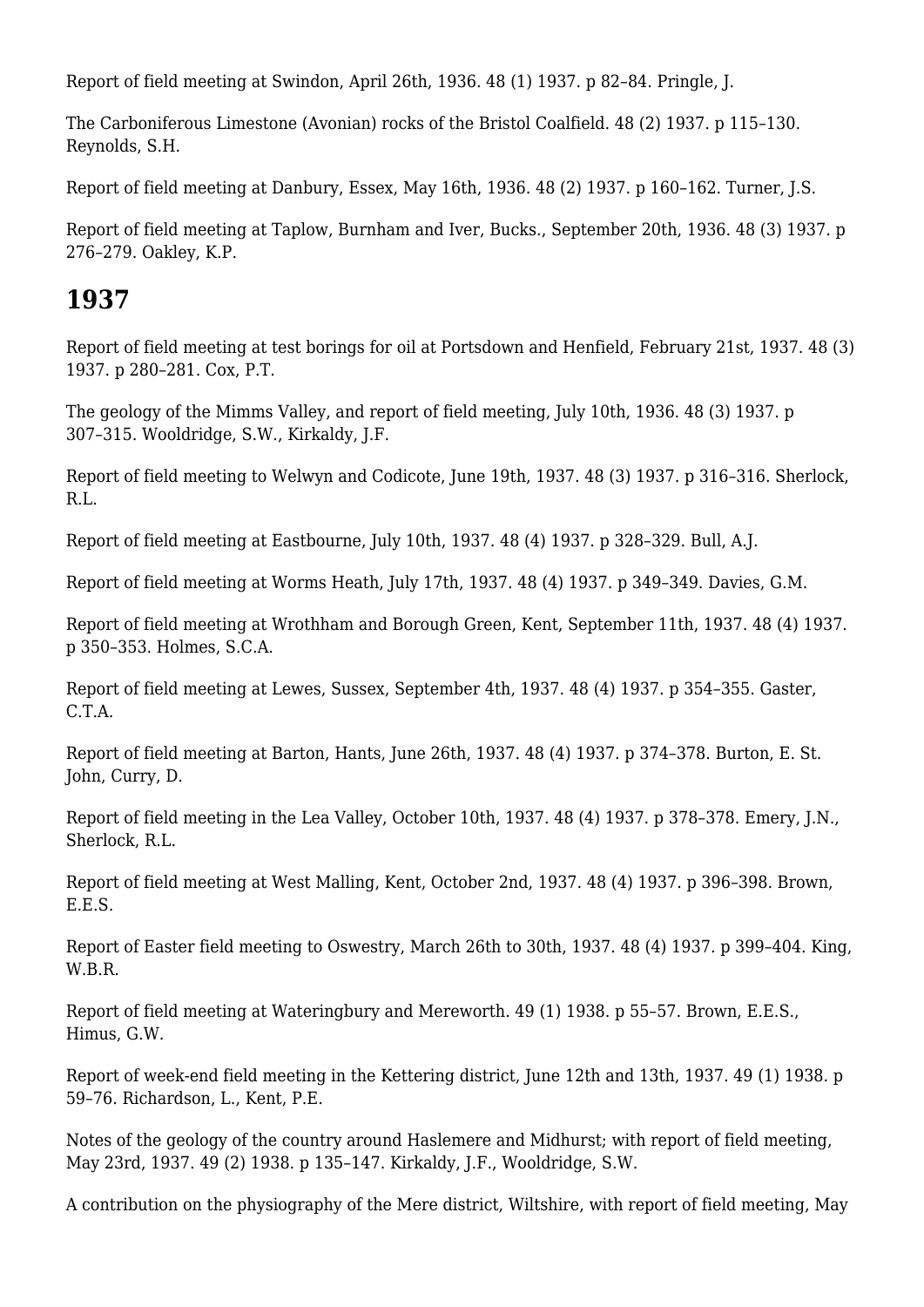Report of field meeting at Swindon, April 26th, 1936. 48 (1) 1937. p 82–84. Pringle, J.

The Carboniferous Limestone (Avonian) rocks of the Bristol Coalfield. 48 (2) 1937. p 115–130. Reynolds, S.H.

Report of field meeting at Danbury, Essex, May 16th, 1936. 48 (2) 1937. p 160–162. Turner, J.S.

Report of field meeting at Taplow, Burnham and Iver, Bucks., September 20th, 1936. 48 (3) 1937. p 276–279. Oakley, K.P.

#### **1937**

Report of field meeting at test borings for oil at Portsdown and Henfield, February 21st, 1937. 48 (3) 1937. p 280–281. Cox, P.T.

The geology of the Mimms Valley, and report of field meeting, July 10th, 1936. 48 (3) 1937. p 307–315. Wooldridge, S.W., Kirkaldy, J.F.

Report of field meeting to Welwyn and Codicote, June 19th, 1937. 48 (3) 1937. p 316–316. Sherlock, R.L.

Report of field meeting at Eastbourne, July 10th, 1937. 48 (4) 1937. p 328–329. Bull, A.J.

Report of field meeting at Worms Heath, July 17th, 1937. 48 (4) 1937. p 349–349. Davies, G.M.

Report of field meeting at Wrothham and Borough Green, Kent, September 11th, 1937. 48 (4) 1937. p 350–353. Holmes, S.C.A.

Report of field meeting at Lewes, Sussex, September 4th, 1937. 48 (4) 1937. p 354–355. Gaster, C.T.A.

Report of field meeting at Barton, Hants, June 26th, 1937. 48 (4) 1937. p 374–378. Burton, E. St. John, Curry, D.

Report of field meeting in the Lea Valley, October 10th, 1937. 48 (4) 1937. p 378–378. Emery, J.N., Sherlock, R.L.

Report of field meeting at West Malling, Kent, October 2nd, 1937. 48 (4) 1937. p 396–398. Brown, E.E.S.

Report of Easter field meeting to Oswestry, March 26th to 30th, 1937. 48 (4) 1937. p 399–404. King, W.B.R.

Report of field meeting at Wateringbury and Mereworth. 49 (1) 1938. p 55–57. Brown, E.E.S., Himus, G.W.

Report of week-end field meeting in the Kettering district, June 12th and 13th, 1937. 49 (1) 1938. p 59–76. Richardson, L., Kent, P.E.

Notes of the geology of the country around Haslemere and Midhurst; with report of field meeting, May 23rd, 1937. 49 (2) 1938. p 135–147. Kirkaldy, J.F., Wooldridge, S.W.

A contribution on the physiography of the Mere district, Wiltshire, with report of field meeting, May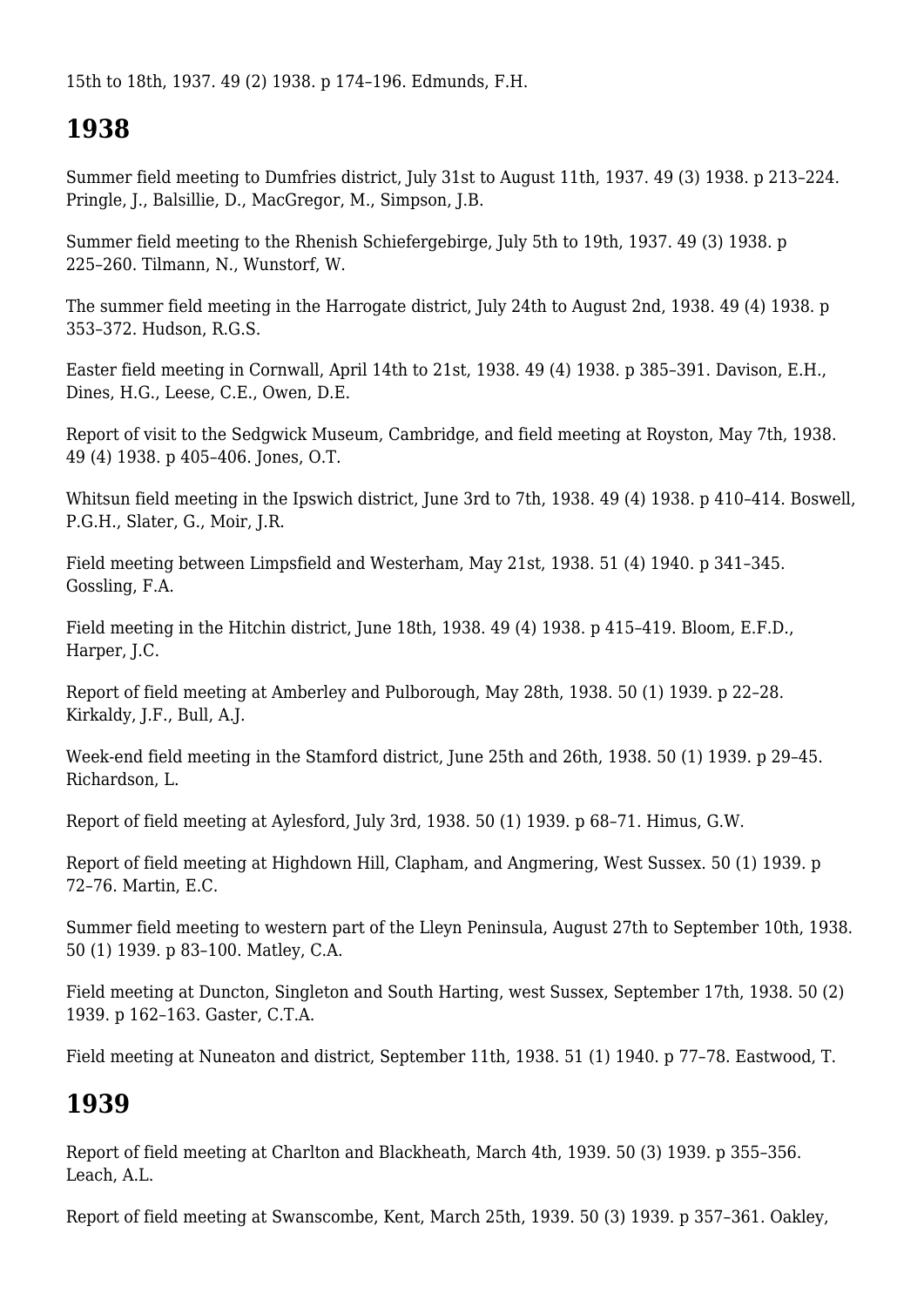15th to 18th, 1937. 49 (2) 1938. p 174–196. Edmunds, F.H.

# **1938**

Summer field meeting to Dumfries district, July 31st to August 11th, 1937. 49 (3) 1938. p 213–224. Pringle, J., Balsillie, D., MacGregor, M., Simpson, J.B.

Summer field meeting to the Rhenish Schiefergebirge, July 5th to 19th, 1937. 49 (3) 1938. p 225–260. Tilmann, N., Wunstorf, W.

The summer field meeting in the Harrogate district, July 24th to August 2nd, 1938. 49 (4) 1938. p 353–372. Hudson, R.G.S.

Easter field meeting in Cornwall, April 14th to 21st, 1938. 49 (4) 1938. p 385–391. Davison, E.H., Dines, H.G., Leese, C.E., Owen, D.E.

Report of visit to the Sedgwick Museum, Cambridge, and field meeting at Royston, May 7th, 1938. 49 (4) 1938. p 405–406. Jones, O.T.

Whitsun field meeting in the Ipswich district, June 3rd to 7th, 1938. 49 (4) 1938. p 410–414. Boswell, P.G.H., Slater, G., Moir, J.R.

Field meeting between Limpsfield and Westerham, May 21st, 1938. 51 (4) 1940. p 341–345. Gossling, F.A.

Field meeting in the Hitchin district, June 18th, 1938. 49 (4) 1938. p 415–419. Bloom, E.F.D., Harper, J.C.

Report of field meeting at Amberley and Pulborough, May 28th, 1938. 50 (1) 1939. p 22–28. Kirkaldy, J.F., Bull, A.J.

Week-end field meeting in the Stamford district, June 25th and 26th, 1938. 50 (1) 1939. p 29–45. Richardson, L.

Report of field meeting at Aylesford, July 3rd, 1938. 50 (1) 1939. p 68–71. Himus, G.W.

Report of field meeting at Highdown Hill, Clapham, and Angmering, West Sussex. 50 (1) 1939. p 72–76. Martin, E.C.

Summer field meeting to western part of the Lleyn Peninsula, August 27th to September 10th, 1938. 50 (1) 1939. p 83–100. Matley, C.A.

Field meeting at Duncton, Singleton and South Harting, west Sussex, September 17th, 1938. 50 (2) 1939. p 162–163. Gaster, C.T.A.

Field meeting at Nuneaton and district, September 11th, 1938. 51 (1) 1940. p 77–78. Eastwood, T.

## **1939**

Report of field meeting at Charlton and Blackheath, March 4th, 1939. 50 (3) 1939. p 355–356. Leach, A.L.

Report of field meeting at Swanscombe, Kent, March 25th, 1939. 50 (3) 1939. p 357–361. Oakley,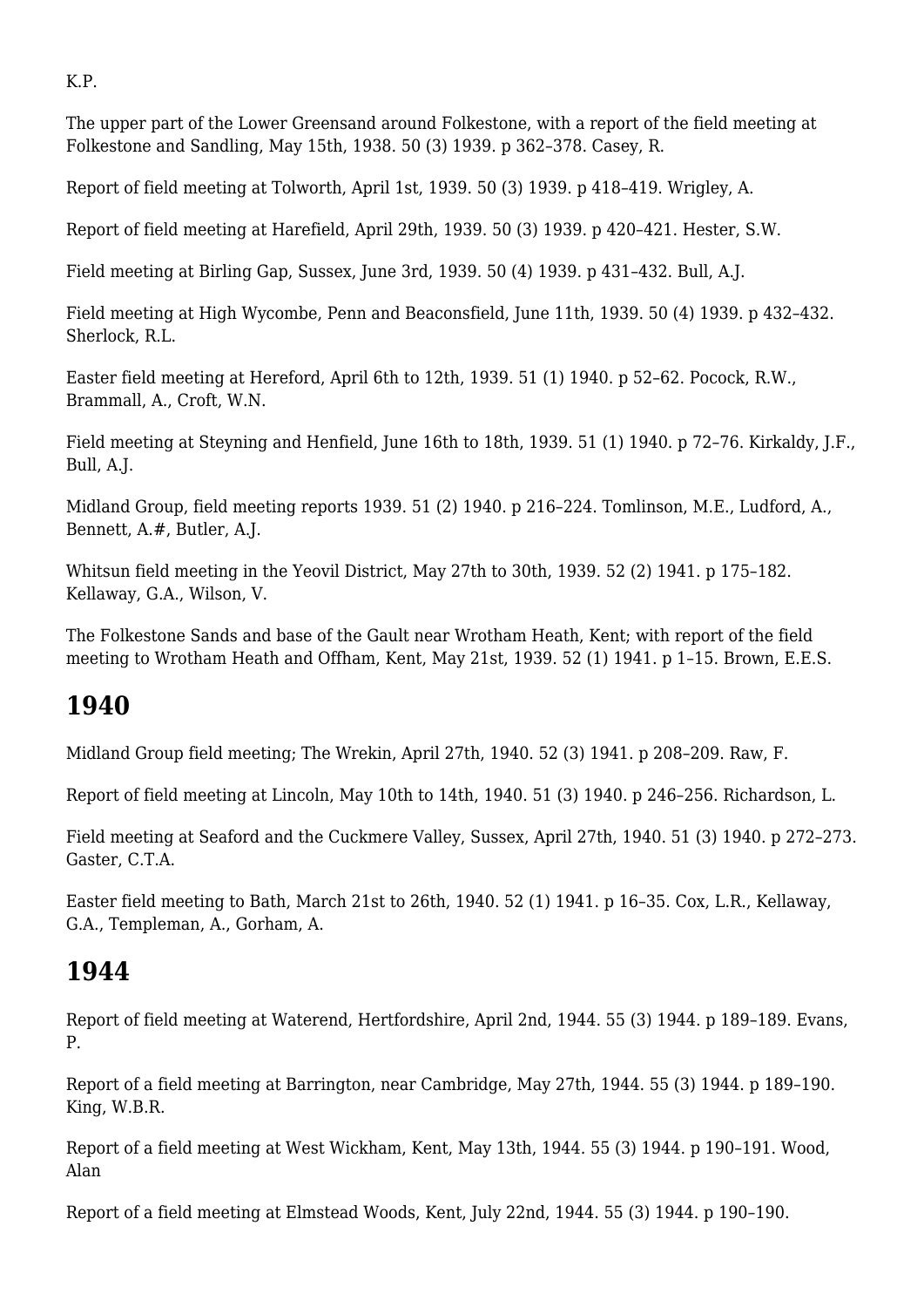K.P.

The upper part of the Lower Greensand around Folkestone, with a report of the field meeting at Folkestone and Sandling, May 15th, 1938. 50 (3) 1939. p 362–378. Casey, R.

Report of field meeting at Tolworth, April 1st, 1939. 50 (3) 1939. p 418–419. Wrigley, A.

Report of field meeting at Harefield, April 29th, 1939. 50 (3) 1939. p 420–421. Hester, S.W.

Field meeting at Birling Gap, Sussex, June 3rd, 1939. 50 (4) 1939. p 431–432. Bull, A.J.

Field meeting at High Wycombe, Penn and Beaconsfield, June 11th, 1939. 50 (4) 1939. p 432–432. Sherlock, R.L.

Easter field meeting at Hereford, April 6th to 12th, 1939. 51 (1) 1940. p 52–62. Pocock, R.W., Brammall, A., Croft, W.N.

Field meeting at Steyning and Henfield, June 16th to 18th, 1939. 51 (1) 1940. p 72–76. Kirkaldy, J.F., Bull, A.J.

Midland Group, field meeting reports 1939. 51 (2) 1940. p 216–224. Tomlinson, M.E., Ludford, A., Bennett, A.#, Butler, A.J.

Whitsun field meeting in the Yeovil District, May 27th to 30th, 1939. 52 (2) 1941. p 175–182. Kellaway, G.A., Wilson, V.

The Folkestone Sands and base of the Gault near Wrotham Heath, Kent; with report of the field meeting to Wrotham Heath and Offham, Kent, May 21st, 1939. 52 (1) 1941. p 1–15. Brown, E.E.S.

# **1940**

Midland Group field meeting; The Wrekin, April 27th, 1940. 52 (3) 1941. p 208–209. Raw, F.

Report of field meeting at Lincoln, May 10th to 14th, 1940. 51 (3) 1940. p 246–256. Richardson, L.

Field meeting at Seaford and the Cuckmere Valley, Sussex, April 27th, 1940. 51 (3) 1940. p 272–273. Gaster, C.T.A.

Easter field meeting to Bath, March 21st to 26th, 1940. 52 (1) 1941. p 16–35. Cox, L.R., Kellaway, G.A., Templeman, A., Gorham, A.

# **1944**

Report of field meeting at Waterend, Hertfordshire, April 2nd, 1944. 55 (3) 1944. p 189–189. Evans, P.

Report of a field meeting at Barrington, near Cambridge, May 27th, 1944. 55 (3) 1944. p 189–190. King, W.B.R.

Report of a field meeting at West Wickham, Kent, May 13th, 1944. 55 (3) 1944. p 190–191. Wood, Alan

Report of a field meeting at Elmstead Woods, Kent, July 22nd, 1944. 55 (3) 1944. p 190–190.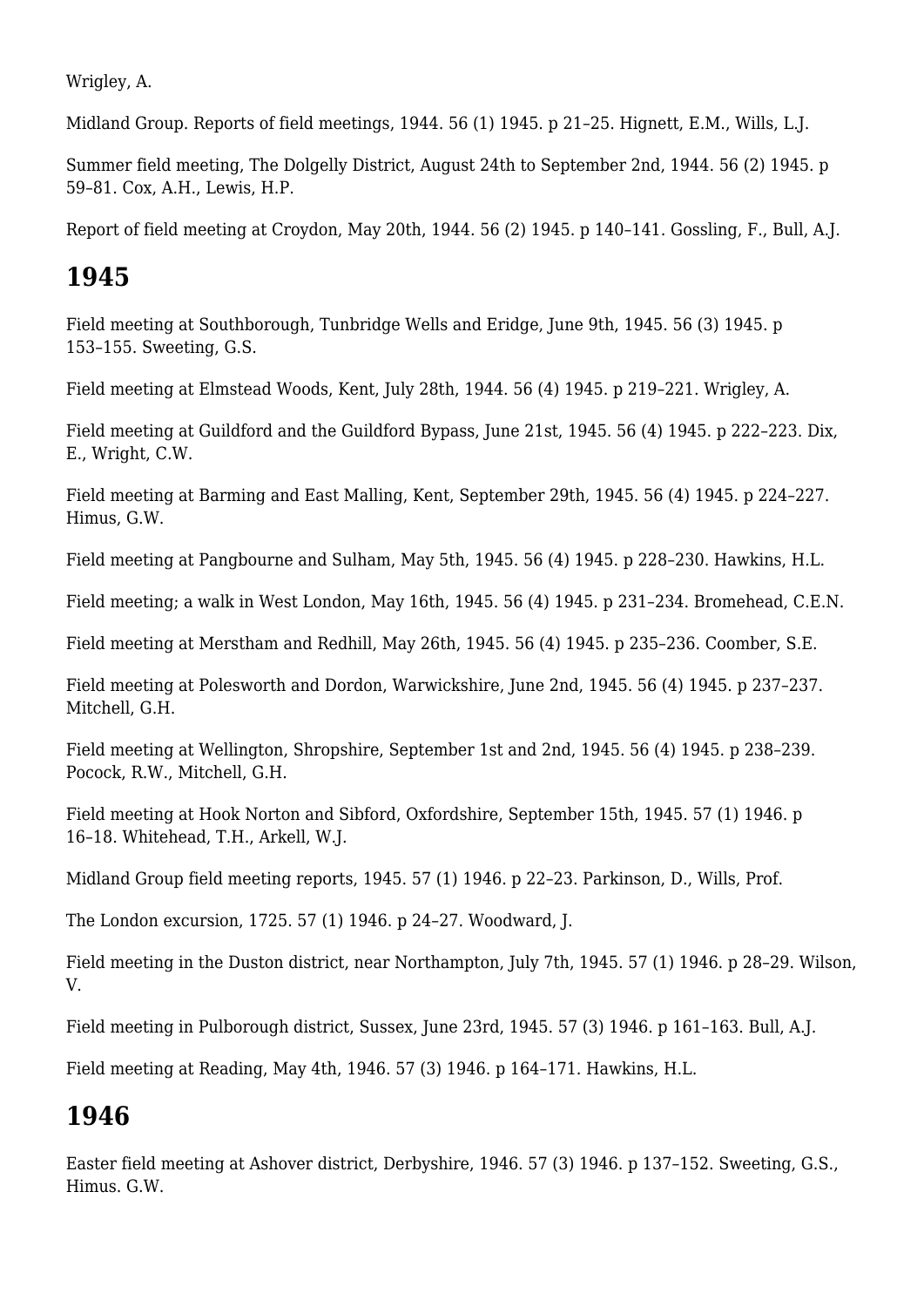Wrigley, A.

Midland Group. Reports of field meetings, 1944. 56 (1) 1945. p 21–25. Hignett, E.M., Wills, L.J.

Summer field meeting, The Dolgelly District, August 24th to September 2nd, 1944. 56 (2) 1945. p 59–81. Cox, A.H., Lewis, H.P.

Report of field meeting at Croydon, May 20th, 1944. 56 (2) 1945. p 140–141. Gossling, F., Bull, A.J.

#### **1945**

Field meeting at Southborough, Tunbridge Wells and Eridge, June 9th, 1945. 56 (3) 1945. p 153–155. Sweeting, G.S.

Field meeting at Elmstead Woods, Kent, July 28th, 1944. 56 (4) 1945. p 219–221. Wrigley, A.

Field meeting at Guildford and the Guildford Bypass, June 21st, 1945. 56 (4) 1945. p 222–223. Dix, E., Wright, C.W.

Field meeting at Barming and East Malling, Kent, September 29th, 1945. 56 (4) 1945. p 224–227. Himus, G.W.

Field meeting at Pangbourne and Sulham, May 5th, 1945. 56 (4) 1945. p 228–230. Hawkins, H.L.

Field meeting; a walk in West London, May 16th, 1945. 56 (4) 1945. p 231–234. Bromehead, C.E.N.

Field meeting at Merstham and Redhill, May 26th, 1945. 56 (4) 1945. p 235–236. Coomber, S.E.

Field meeting at Polesworth and Dordon, Warwickshire, June 2nd, 1945. 56 (4) 1945. p 237–237. Mitchell, G.H.

Field meeting at Wellington, Shropshire, September 1st and 2nd, 1945. 56 (4) 1945. p 238–239. Pocock, R.W., Mitchell, G.H.

Field meeting at Hook Norton and Sibford, Oxfordshire, September 15th, 1945. 57 (1) 1946. p 16–18. Whitehead, T.H., Arkell, W.J.

Midland Group field meeting reports, 1945. 57 (1) 1946. p 22–23. Parkinson, D., Wills, Prof.

The London excursion, 1725. 57 (1) 1946. p 24–27. Woodward, J.

Field meeting in the Duston district, near Northampton, July 7th, 1945. 57 (1) 1946. p 28–29. Wilson, V.

Field meeting in Pulborough district, Sussex, June 23rd, 1945. 57 (3) 1946. p 161–163. Bull, A.J.

Field meeting at Reading, May 4th, 1946. 57 (3) 1946. p 164–171. Hawkins, H.L.

#### **1946**

Easter field meeting at Ashover district, Derbyshire, 1946. 57 (3) 1946. p 137–152. Sweeting, G.S., Himus. G.W.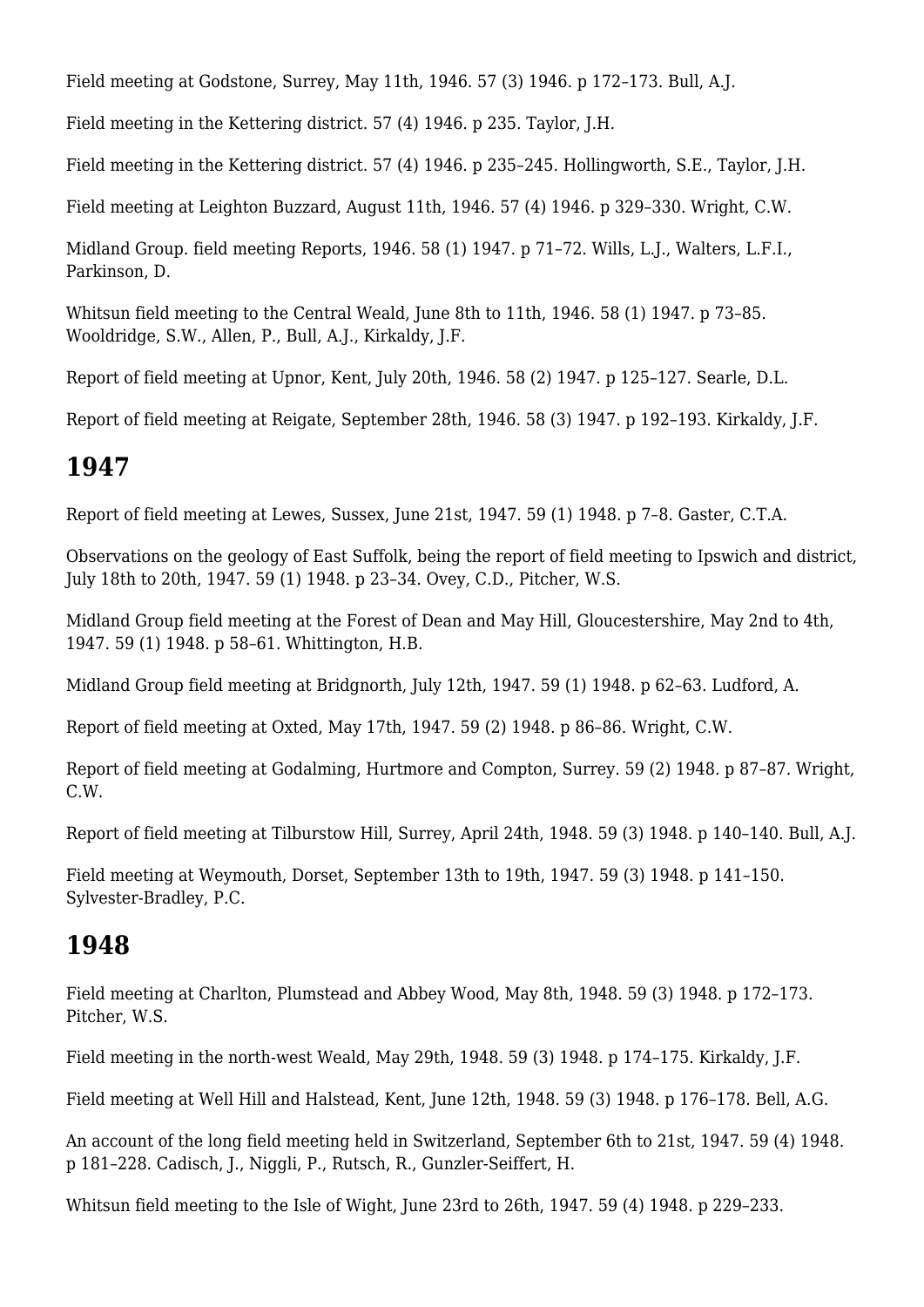Field meeting at Godstone, Surrey, May 11th, 1946. 57 (3) 1946. p 172–173. Bull, A.J.

Field meeting in the Kettering district. 57 (4) 1946. p 235. Taylor, J.H.

Field meeting in the Kettering district. 57 (4) 1946. p 235–245. Hollingworth, S.E., Taylor, J.H.

Field meeting at Leighton Buzzard, August 11th, 1946. 57 (4) 1946. p 329–330. Wright, C.W.

Midland Group. field meeting Reports, 1946. 58 (1) 1947. p 71–72. Wills, L.J., Walters, L.F.I., Parkinson, D.

Whitsun field meeting to the Central Weald, June 8th to 11th, 1946. 58 (1) 1947. p 73–85. Wooldridge, S.W., Allen, P., Bull, A.J., Kirkaldy, J.F.

Report of field meeting at Upnor, Kent, July 20th, 1946. 58 (2) 1947. p 125–127. Searle, D.L.

Report of field meeting at Reigate, September 28th, 1946. 58 (3) 1947. p 192–193. Kirkaldy, J.F.

#### **1947**

Report of field meeting at Lewes, Sussex, June 21st, 1947. 59 (1) 1948. p 7–8. Gaster, C.T.A.

Observations on the geology of East Suffolk, being the report of field meeting to Ipswich and district, July 18th to 20th, 1947. 59 (1) 1948. p 23–34. Ovey, C.D., Pitcher, W.S.

Midland Group field meeting at the Forest of Dean and May Hill, Gloucestershire, May 2nd to 4th, 1947. 59 (1) 1948. p 58–61. Whittington, H.B.

Midland Group field meeting at Bridgnorth, July 12th, 1947. 59 (1) 1948. p 62–63. Ludford, A.

Report of field meeting at Oxted, May 17th, 1947. 59 (2) 1948. p 86–86. Wright, C.W.

Report of field meeting at Godalming, Hurtmore and Compton, Surrey. 59 (2) 1948. p 87–87. Wright, C.W.

Report of field meeting at Tilburstow Hill, Surrey, April 24th, 1948. 59 (3) 1948. p 140–140. Bull, A.J.

Field meeting at Weymouth, Dorset, September 13th to 19th, 1947. 59 (3) 1948. p 141–150. Sylvester-Bradley, P.C.

## **1948**

Field meeting at Charlton, Plumstead and Abbey Wood, May 8th, 1948. 59 (3) 1948. p 172–173. Pitcher, W.S.

Field meeting in the north-west Weald, May 29th, 1948. 59 (3) 1948. p 174–175. Kirkaldy, J.F.

Field meeting at Well Hill and Halstead, Kent, June 12th, 1948. 59 (3) 1948. p 176–178. Bell, A.G.

An account of the long field meeting held in Switzerland, September 6th to 21st, 1947. 59 (4) 1948. p 181–228. Cadisch, J., Niggli, P., Rutsch, R., Gunzler-Seiffert, H.

Whitsun field meeting to the Isle of Wight, June 23rd to 26th, 1947. 59 (4) 1948. p 229–233.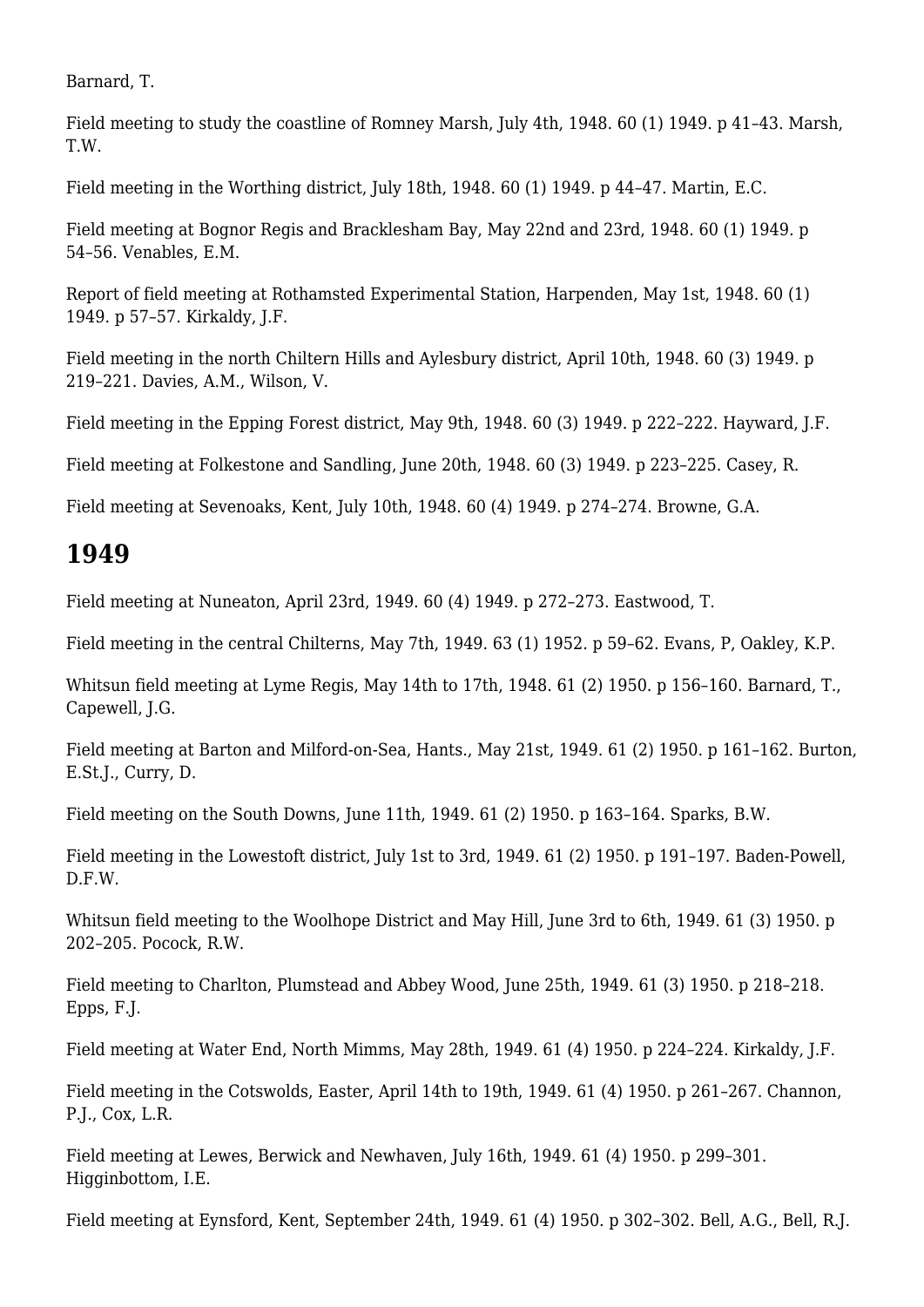Barnard, T.

Field meeting to study the coastline of Romney Marsh, July 4th, 1948. 60 (1) 1949. p 41–43. Marsh, T.W.

Field meeting in the Worthing district, July 18th, 1948. 60 (1) 1949. p 44–47. Martin, E.C.

Field meeting at Bognor Regis and Bracklesham Bay, May 22nd and 23rd, 1948. 60 (1) 1949. p 54–56. Venables, E.M.

Report of field meeting at Rothamsted Experimental Station, Harpenden, May 1st, 1948. 60 (1) 1949. p 57–57. Kirkaldy, J.F.

Field meeting in the north Chiltern Hills and Aylesbury district, April 10th, 1948. 60 (3) 1949. p 219–221. Davies, A.M., Wilson, V.

Field meeting in the Epping Forest district, May 9th, 1948. 60 (3) 1949. p 222–222. Hayward, J.F.

Field meeting at Folkestone and Sandling, June 20th, 1948. 60 (3) 1949. p 223–225. Casey, R.

Field meeting at Sevenoaks, Kent, July 10th, 1948. 60 (4) 1949. p 274–274. Browne, G.A.

#### **1949**

Field meeting at Nuneaton, April 23rd, 1949. 60 (4) 1949. p 272–273. Eastwood, T.

Field meeting in the central Chilterns, May 7th, 1949. 63 (1) 1952. p 59–62. Evans, P, Oakley, K.P.

Whitsun field meeting at Lyme Regis, May 14th to 17th, 1948. 61 (2) 1950. p 156–160. Barnard, T., Capewell, J.G.

Field meeting at Barton and Milford-on-Sea, Hants., May 21st, 1949. 61 (2) 1950. p 161–162. Burton, E.St.J., Curry, D.

Field meeting on the South Downs, June 11th, 1949. 61 (2) 1950. p 163–164. Sparks, B.W.

Field meeting in the Lowestoft district, July 1st to 3rd, 1949. 61 (2) 1950. p 191–197. Baden-Powell, D.F.W.

Whitsun field meeting to the Woolhope District and May Hill, June 3rd to 6th, 1949. 61 (3) 1950. p 202–205. Pocock, R.W.

Field meeting to Charlton, Plumstead and Abbey Wood, June 25th, 1949. 61 (3) 1950. p 218–218. Epps, F.J.

Field meeting at Water End, North Mimms, May 28th, 1949. 61 (4) 1950. p 224–224. Kirkaldy, J.F.

Field meeting in the Cotswolds, Easter, April 14th to 19th, 1949. 61 (4) 1950. p 261–267. Channon, P.J., Cox, L.R.

Field meeting at Lewes, Berwick and Newhaven, July 16th, 1949. 61 (4) 1950. p 299–301. Higginbottom, I.E.

Field meeting at Eynsford, Kent, September 24th, 1949. 61 (4) 1950. p 302–302. Bell, A.G., Bell, R.J.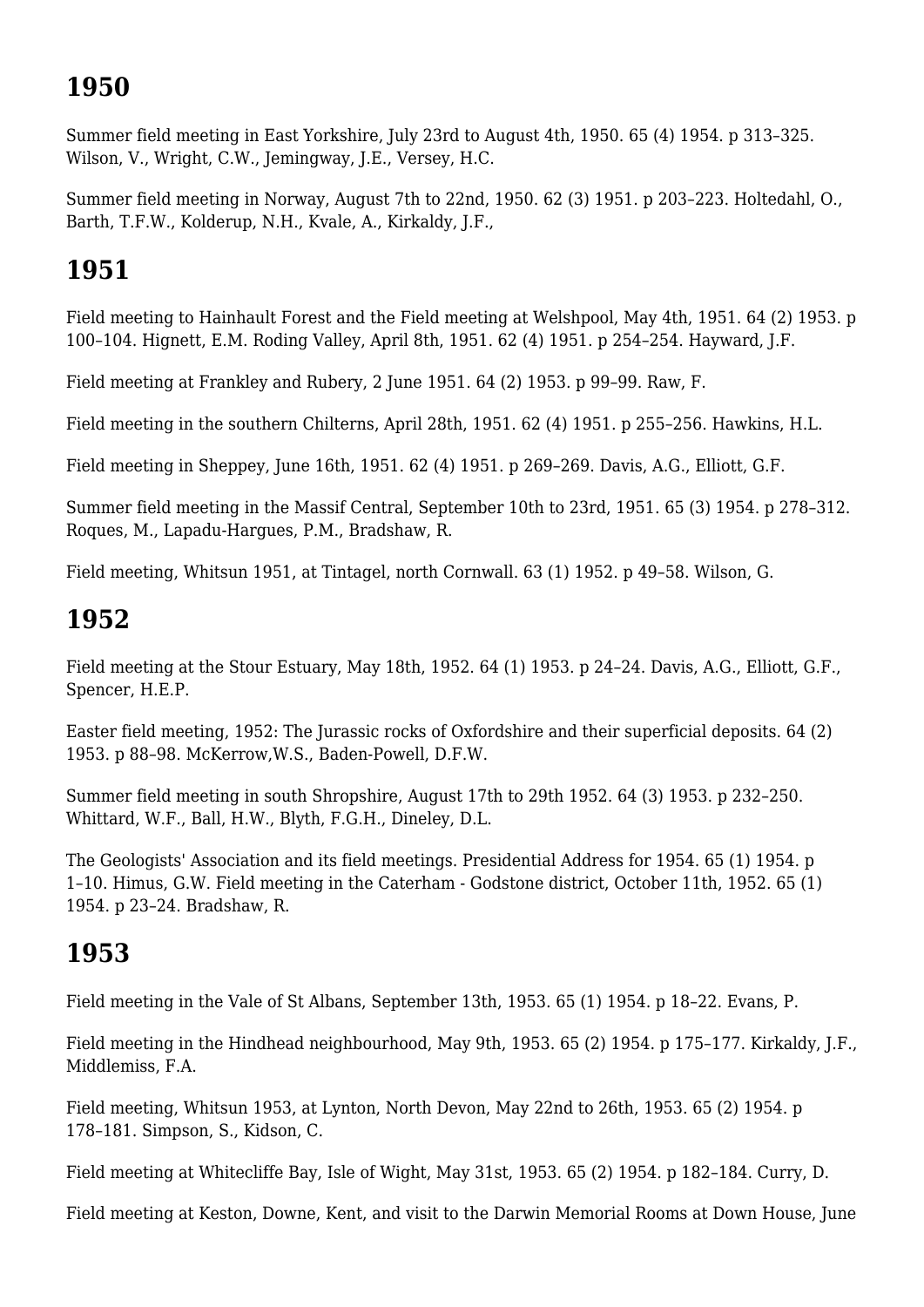# **1950**

Summer field meeting in East Yorkshire, July 23rd to August 4th, 1950. 65 (4) 1954. p 313–325. Wilson, V., Wright, C.W., Jemingway, J.E., Versey, H.C.

Summer field meeting in Norway, August 7th to 22nd, 1950. 62 (3) 1951. p 203–223. Holtedahl, O., Barth, T.F.W., Kolderup, N.H., Kvale, A., Kirkaldy, J.F.,

# **1951**

Field meeting to Hainhault Forest and the Field meeting at Welshpool, May 4th, 1951. 64 (2) 1953. p 100–104. Hignett, E.M. Roding Valley, April 8th, 1951. 62 (4) 1951. p 254–254. Hayward, J.F.

Field meeting at Frankley and Rubery, 2 June 1951. 64 (2) 1953. p 99–99. Raw, F.

Field meeting in the southern Chilterns, April 28th, 1951. 62 (4) 1951. p 255–256. Hawkins, H.L.

Field meeting in Sheppey, June 16th, 1951. 62 (4) 1951. p 269–269. Davis, A.G., Elliott, G.F.

Summer field meeting in the Massif Central, September 10th to 23rd, 1951. 65 (3) 1954. p 278–312. Roques, M., Lapadu-Hargues, P.M., Bradshaw, R.

Field meeting, Whitsun 1951, at Tintagel, north Cornwall. 63 (1) 1952. p 49–58. Wilson, G.

#### **1952**

Field meeting at the Stour Estuary, May 18th, 1952. 64 (1) 1953. p 24–24. Davis, A.G., Elliott, G.F., Spencer, H.E.P.

Easter field meeting, 1952: The Jurassic rocks of Oxfordshire and their superficial deposits. 64 (2) 1953. p 88–98. McKerrow,W.S., Baden-Powell, D.F.W.

Summer field meeting in south Shropshire, August 17th to 29th 1952. 64 (3) 1953. p 232–250. Whittard, W.F., Ball, H.W., Blyth, F.G.H., Dineley, D.L.

The Geologists' Association and its field meetings. Presidential Address for 1954. 65 (1) 1954. p 1–10. Himus, G.W. Field meeting in the Caterham - Godstone district, October 11th, 1952. 65 (1) 1954. p 23–24. Bradshaw, R.

#### **1953**

Field meeting in the Vale of St Albans, September 13th, 1953. 65 (1) 1954. p 18–22. Evans, P.

Field meeting in the Hindhead neighbourhood, May 9th, 1953. 65 (2) 1954. p 175–177. Kirkaldy, J.F., Middlemiss, F.A.

Field meeting, Whitsun 1953, at Lynton, North Devon, May 22nd to 26th, 1953. 65 (2) 1954. p 178–181. Simpson, S., Kidson, C.

Field meeting at Whitecliffe Bay, Isle of Wight, May 31st, 1953. 65 (2) 1954. p 182–184. Curry, D.

Field meeting at Keston, Downe, Kent, and visit to the Darwin Memorial Rooms at Down House, June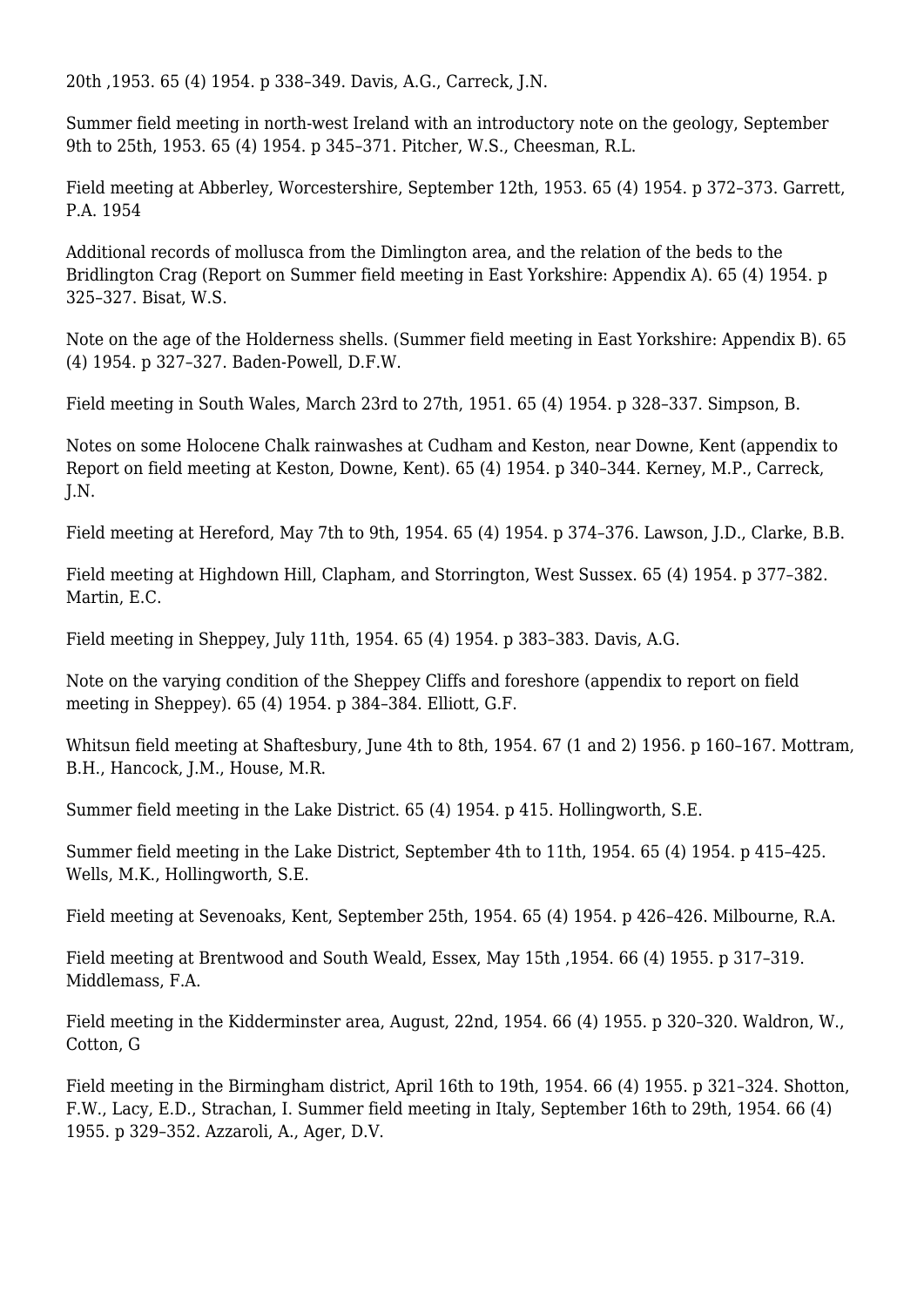20th ,1953. 65 (4) 1954. p 338–349. Davis, A.G., Carreck, J.N.

Summer field meeting in north-west Ireland with an introductory note on the geology, September 9th to 25th, 1953. 65 (4) 1954. p 345–371. Pitcher, W.S., Cheesman, R.L.

Field meeting at Abberley, Worcestershire, September 12th, 1953. 65 (4) 1954. p 372–373. Garrett, P.A. 1954

Additional records of mollusca from the Dimlington area, and the relation of the beds to the Bridlington Crag (Report on Summer field meeting in East Yorkshire: Appendix A). 65 (4) 1954. p 325–327. Bisat, W.S.

Note on the age of the Holderness shells. (Summer field meeting in East Yorkshire: Appendix B). 65 (4) 1954. p 327–327. Baden-Powell, D.F.W.

Field meeting in South Wales, March 23rd to 27th, 1951. 65 (4) 1954. p 328–337. Simpson, B.

Notes on some Holocene Chalk rainwashes at Cudham and Keston, near Downe, Kent (appendix to Report on field meeting at Keston, Downe, Kent). 65 (4) 1954. p 340–344. Kerney, M.P., Carreck, J.N.

Field meeting at Hereford, May 7th to 9th, 1954. 65 (4) 1954. p 374–376. Lawson, J.D., Clarke, B.B.

Field meeting at Highdown Hill, Clapham, and Storrington, West Sussex. 65 (4) 1954. p 377–382. Martin, E.C.

Field meeting in Sheppey, July 11th, 1954. 65 (4) 1954. p 383–383. Davis, A.G.

Note on the varying condition of the Sheppey Cliffs and foreshore (appendix to report on field meeting in Sheppey). 65 (4) 1954. p 384–384. Elliott, G.F.

Whitsun field meeting at Shaftesbury, June 4th to 8th, 1954, 67 (1 and 2) 1956, p 160-167. Mottram, B.H., Hancock, J.M., House, M.R.

Summer field meeting in the Lake District. 65 (4) 1954. p 415. Hollingworth, S.E.

Summer field meeting in the Lake District, September 4th to 11th, 1954. 65 (4) 1954. p 415–425. Wells, M.K., Hollingworth, S.E.

Field meeting at Sevenoaks, Kent, September 25th, 1954. 65 (4) 1954. p 426–426. Milbourne, R.A.

Field meeting at Brentwood and South Weald, Essex, May 15th ,1954. 66 (4) 1955. p 317–319. Middlemass, F.A.

Field meeting in the Kidderminster area, August, 22nd, 1954. 66 (4) 1955. p 320–320. Waldron, W., Cotton, G

Field meeting in the Birmingham district, April 16th to 19th, 1954. 66 (4) 1955. p 321–324. Shotton, F.W., Lacy, E.D., Strachan, I. Summer field meeting in Italy, September 16th to 29th, 1954. 66 (4) 1955. p 329–352. Azzaroli, A., Ager, D.V.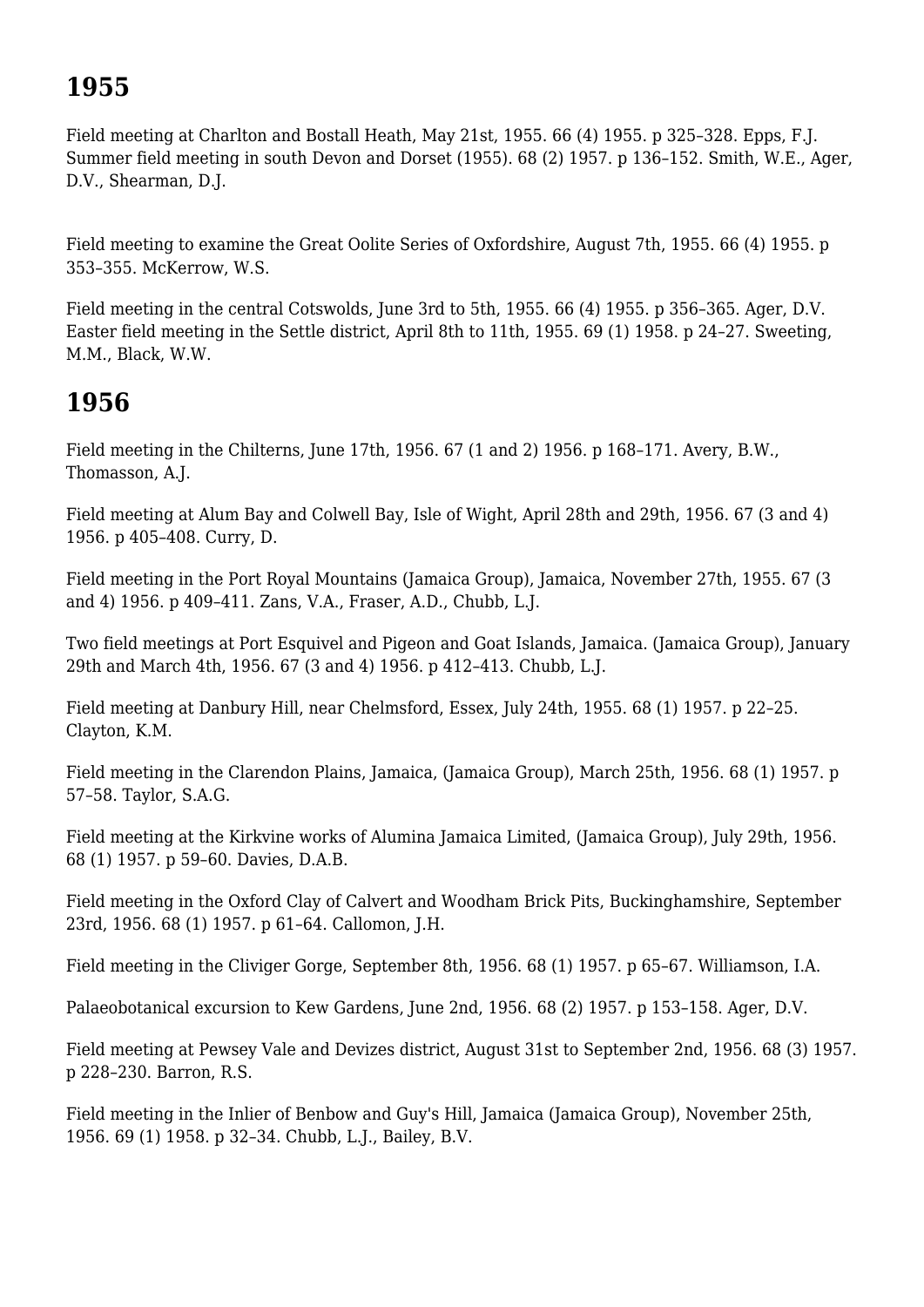# **1955**

Field meeting at Charlton and Bostall Heath, May 21st, 1955. 66 (4) 1955. p 325–328. Epps, F.J. Summer field meeting in south Devon and Dorset (1955). 68 (2) 1957. p 136–152. Smith, W.E., Ager, D.V., Shearman, D.J.

Field meeting to examine the Great Oolite Series of Oxfordshire, August 7th, 1955. 66 (4) 1955. p 353–355. McKerrow, W.S.

Field meeting in the central Cotswolds, June 3rd to 5th, 1955. 66 (4) 1955. p 356–365. Ager, D.V. Easter field meeting in the Settle district, April 8th to 11th, 1955. 69 (1) 1958. p 24–27. Sweeting, M.M., Black, W.W.

## **1956**

Field meeting in the Chilterns, June 17th, 1956. 67 (1 and 2) 1956. p 168–171. Avery, B.W., Thomasson, A.J.

Field meeting at Alum Bay and Colwell Bay, Isle of Wight, April 28th and 29th, 1956. 67 (3 and 4) 1956. p 405–408. Curry, D.

Field meeting in the Port Royal Mountains (Jamaica Group), Jamaica, November 27th, 1955. 67 (3 and 4) 1956. p 409–411. Zans, V.A., Fraser, A.D., Chubb, L.J.

Two field meetings at Port Esquivel and Pigeon and Goat Islands, Jamaica. (Jamaica Group), January 29th and March 4th, 1956. 67 (3 and 4) 1956. p 412–413. Chubb, L.J.

Field meeting at Danbury Hill, near Chelmsford, Essex, July 24th, 1955. 68 (1) 1957. p 22–25. Clayton, K.M.

Field meeting in the Clarendon Plains, Jamaica, (Jamaica Group), March 25th, 1956. 68 (1) 1957. p 57–58. Taylor, S.A.G.

Field meeting at the Kirkvine works of Alumina Jamaica Limited, (Jamaica Group), July 29th, 1956. 68 (1) 1957. p 59–60. Davies, D.A.B.

Field meeting in the Oxford Clay of Calvert and Woodham Brick Pits, Buckinghamshire, September 23rd, 1956. 68 (1) 1957. p 61–64. Callomon, J.H.

Field meeting in the Cliviger Gorge, September 8th, 1956. 68 (1) 1957. p 65–67. Williamson, I.A.

Palaeobotanical excursion to Kew Gardens, June 2nd, 1956. 68 (2) 1957. p 153–158. Ager, D.V.

Field meeting at Pewsey Vale and Devizes district, August 31st to September 2nd, 1956. 68 (3) 1957. p 228–230. Barron, R.S.

Field meeting in the Inlier of Benbow and Guy's Hill, Jamaica (Jamaica Group), November 25th, 1956. 69 (1) 1958. p 32–34. Chubb, L.J., Bailey, B.V.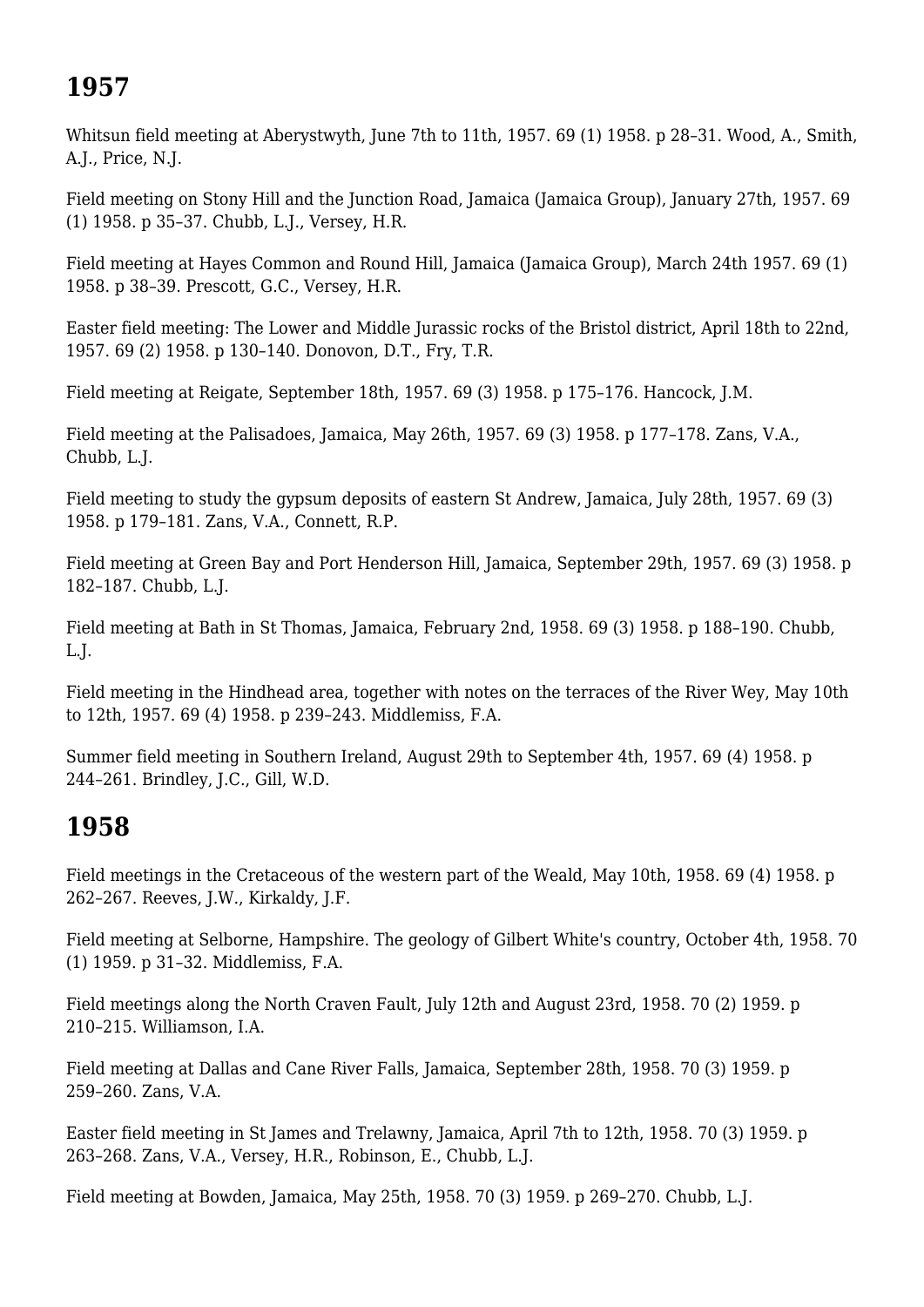# **1957**

Whitsun field meeting at Aberystwyth, June 7th to 11th, 1957. 69 (1) 1958. p 28–31. Wood, A., Smith, A.J., Price, N.J.

Field meeting on Stony Hill and the Junction Road, Jamaica (Jamaica Group), January 27th, 1957. 69 (1) 1958. p 35–37. Chubb, L.J., Versey, H.R.

Field meeting at Hayes Common and Round Hill, Jamaica (Jamaica Group), March 24th 1957. 69 (1) 1958. p 38–39. Prescott, G.C., Versey, H.R.

Easter field meeting: The Lower and Middle Jurassic rocks of the Bristol district, April 18th to 22nd, 1957. 69 (2) 1958. p 130–140. Donovon, D.T., Fry, T.R.

Field meeting at Reigate, September 18th, 1957. 69 (3) 1958. p 175–176. Hancock, J.M.

Field meeting at the Palisadoes, Jamaica, May 26th, 1957. 69 (3) 1958. p 177–178. Zans, V.A., Chubb, L.J.

Field meeting to study the gypsum deposits of eastern St Andrew, Jamaica, July 28th, 1957. 69 (3) 1958. p 179–181. Zans, V.A., Connett, R.P.

Field meeting at Green Bay and Port Henderson Hill, Jamaica, September 29th, 1957. 69 (3) 1958. p 182–187. Chubb, L.J.

Field meeting at Bath in St Thomas, Jamaica, February 2nd, 1958. 69 (3) 1958. p 188–190. Chubb, L.J.

Field meeting in the Hindhead area, together with notes on the terraces of the River Wey, May 10th to 12th, 1957. 69 (4) 1958. p 239–243. Middlemiss, F.A.

Summer field meeting in Southern Ireland, August 29th to September 4th, 1957. 69 (4) 1958. p 244–261. Brindley, J.C., Gill, W.D.

## **1958**

Field meetings in the Cretaceous of the western part of the Weald, May 10th, 1958. 69 (4) 1958. p 262–267. Reeves, J.W., Kirkaldy, J.F.

Field meeting at Selborne, Hampshire. The geology of Gilbert White's country, October 4th, 1958. 70 (1) 1959. p 31–32. Middlemiss, F.A.

Field meetings along the North Craven Fault, July 12th and August 23rd, 1958. 70 (2) 1959. p 210–215. Williamson, I.A.

Field meeting at Dallas and Cane River Falls, Jamaica, September 28th, 1958. 70 (3) 1959. p 259–260. Zans, V.A.

Easter field meeting in St James and Trelawny, Jamaica, April 7th to 12th, 1958. 70 (3) 1959. p 263–268. Zans, V.A., Versey, H.R., Robinson, E., Chubb, L.J.

Field meeting at Bowden, Jamaica, May 25th, 1958. 70 (3) 1959. p 269–270. Chubb, L.J.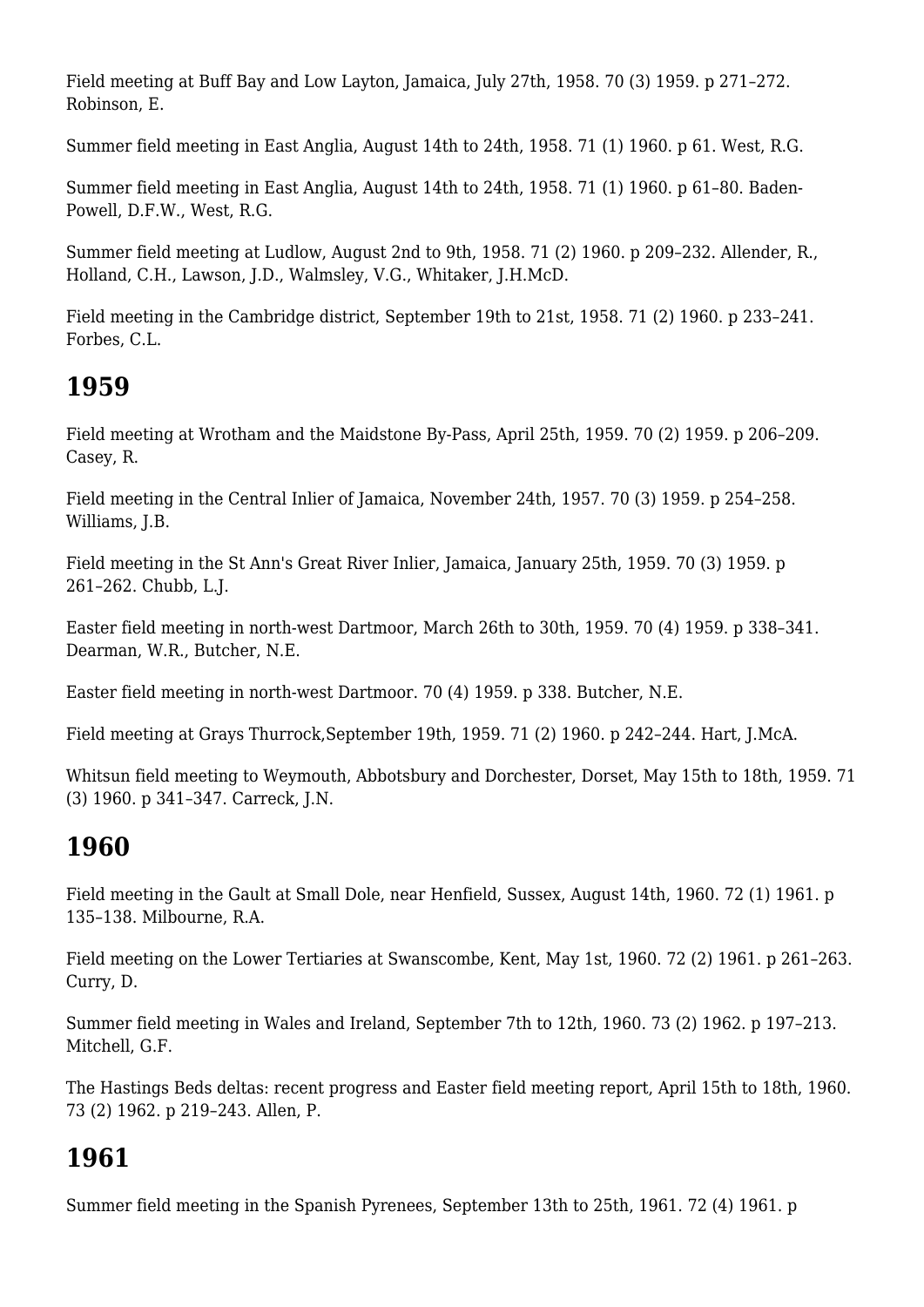Field meeting at Buff Bay and Low Layton, Jamaica, July 27th, 1958. 70 (3) 1959. p 271–272. Robinson, E.

Summer field meeting in East Anglia, August 14th to 24th, 1958. 71 (1) 1960. p 61. West, R.G.

Summer field meeting in East Anglia, August 14th to 24th, 1958. 71 (1) 1960. p 61–80. Baden-Powell, D.F.W., West, R.G.

Summer field meeting at Ludlow, August 2nd to 9th, 1958. 71 (2) 1960. p 209–232. Allender, R., Holland, C.H., Lawson, J.D., Walmsley, V.G., Whitaker, J.H.McD.

Field meeting in the Cambridge district, September 19th to 21st, 1958. 71 (2) 1960. p 233–241. Forbes, C.L.

#### **1959**

Field meeting at Wrotham and the Maidstone By-Pass, April 25th, 1959. 70 (2) 1959. p 206–209. Casey, R.

Field meeting in the Central Inlier of Jamaica, November 24th, 1957. 70 (3) 1959. p 254–258. Williams, I.B.

Field meeting in the St Ann's Great River Inlier, Jamaica, January 25th, 1959. 70 (3) 1959. p 261–262. Chubb, L.J.

Easter field meeting in north-west Dartmoor, March 26th to 30th, 1959. 70 (4) 1959. p 338–341. Dearman, W.R., Butcher, N.E.

Easter field meeting in north-west Dartmoor. 70 (4) 1959. p 338. Butcher, N.E.

Field meeting at Grays Thurrock,September 19th, 1959. 71 (2) 1960. p 242–244. Hart, J.McA.

Whitsun field meeting to Weymouth, Abbotsbury and Dorchester, Dorset, May 15th to 18th, 1959. 71 (3) 1960. p 341–347. Carreck, J.N.

## **1960**

Field meeting in the Gault at Small Dole, near Henfield, Sussex, August 14th, 1960. 72 (1) 1961. p 135–138. Milbourne, R.A.

Field meeting on the Lower Tertiaries at Swanscombe, Kent, May 1st, 1960. 72 (2) 1961. p 261–263. Curry, D.

Summer field meeting in Wales and Ireland, September 7th to 12th, 1960. 73 (2) 1962. p 197–213. Mitchell, G.F.

The Hastings Beds deltas: recent progress and Easter field meeting report, April 15th to 18th, 1960. 73 (2) 1962. p 219–243. Allen, P.

#### **1961**

Summer field meeting in the Spanish Pyrenees, September 13th to 25th, 1961. 72 (4) 1961. p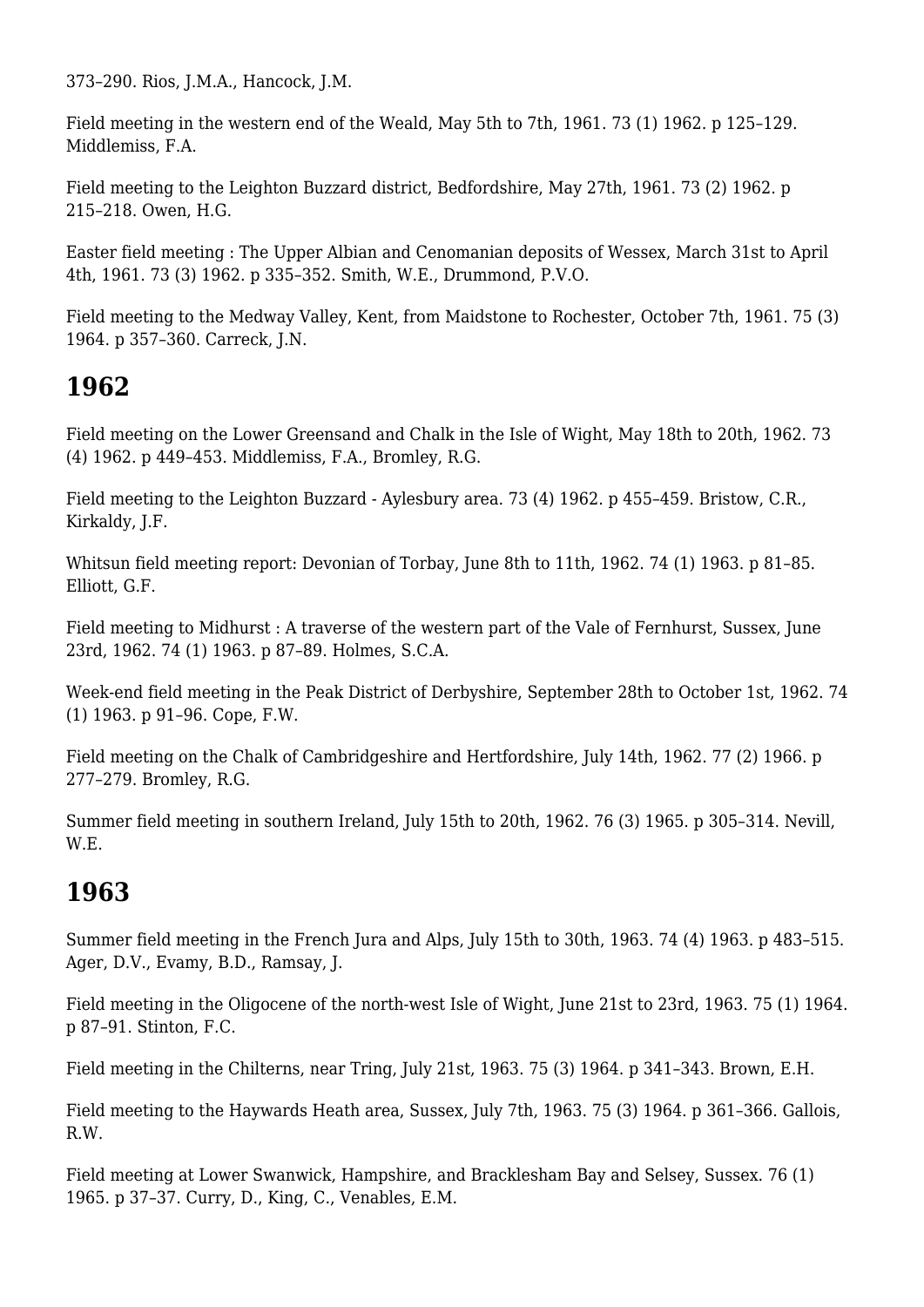373–290. Rios, J.M.A., Hancock, J.M.

Field meeting in the western end of the Weald, May 5th to 7th, 1961. 73 (1) 1962. p 125–129. Middlemiss, F.A.

Field meeting to the Leighton Buzzard district, Bedfordshire, May 27th, 1961. 73 (2) 1962. p 215–218. Owen, H.G.

Easter field meeting : The Upper Albian and Cenomanian deposits of Wessex, March 31st to April 4th, 1961. 73 (3) 1962. p 335–352. Smith, W.E., Drummond, P.V.O.

Field meeting to the Medway Valley, Kent, from Maidstone to Rochester, October 7th, 1961. 75 (3) 1964. p 357–360. Carreck, J.N.

# **1962**

Field meeting on the Lower Greensand and Chalk in the Isle of Wight, May 18th to 20th, 1962. 73 (4) 1962. p 449–453. Middlemiss, F.A., Bromley, R.G.

Field meeting to the Leighton Buzzard - Aylesbury area. 73 (4) 1962. p 455–459. Bristow, C.R., Kirkaldy, J.F.

Whitsun field meeting report: Devonian of Torbay, June 8th to 11th, 1962. 74 (1) 1963. p 81–85. Elliott, G.F.

Field meeting to Midhurst : A traverse of the western part of the Vale of Fernhurst, Sussex, June 23rd, 1962. 74 (1) 1963. p 87–89. Holmes, S.C.A.

Week-end field meeting in the Peak District of Derbyshire, September 28th to October 1st, 1962. 74 (1) 1963. p 91–96. Cope, F.W.

Field meeting on the Chalk of Cambridgeshire and Hertfordshire, July 14th, 1962. 77 (2) 1966. p 277–279. Bromley, R.G.

Summer field meeting in southern Ireland, July 15th to 20th, 1962. 76 (3) 1965. p 305–314. Nevill, W.E.

# **1963**

Summer field meeting in the French Jura and Alps, July 15th to 30th, 1963. 74 (4) 1963. p 483–515. Ager, D.V., Evamy, B.D., Ramsay, J.

Field meeting in the Oligocene of the north-west Isle of Wight, June 21st to 23rd, 1963. 75 (1) 1964. p 87–91. Stinton, F.C.

Field meeting in the Chilterns, near Tring, July 21st, 1963. 75 (3) 1964. p 341–343. Brown, E.H.

Field meeting to the Haywards Heath area, Sussex, July 7th, 1963. 75 (3) 1964. p 361–366. Gallois, R.W.

Field meeting at Lower Swanwick, Hampshire, and Bracklesham Bay and Selsey, Sussex. 76 (1) 1965. p 37–37. Curry, D., King, C., Venables, E.M.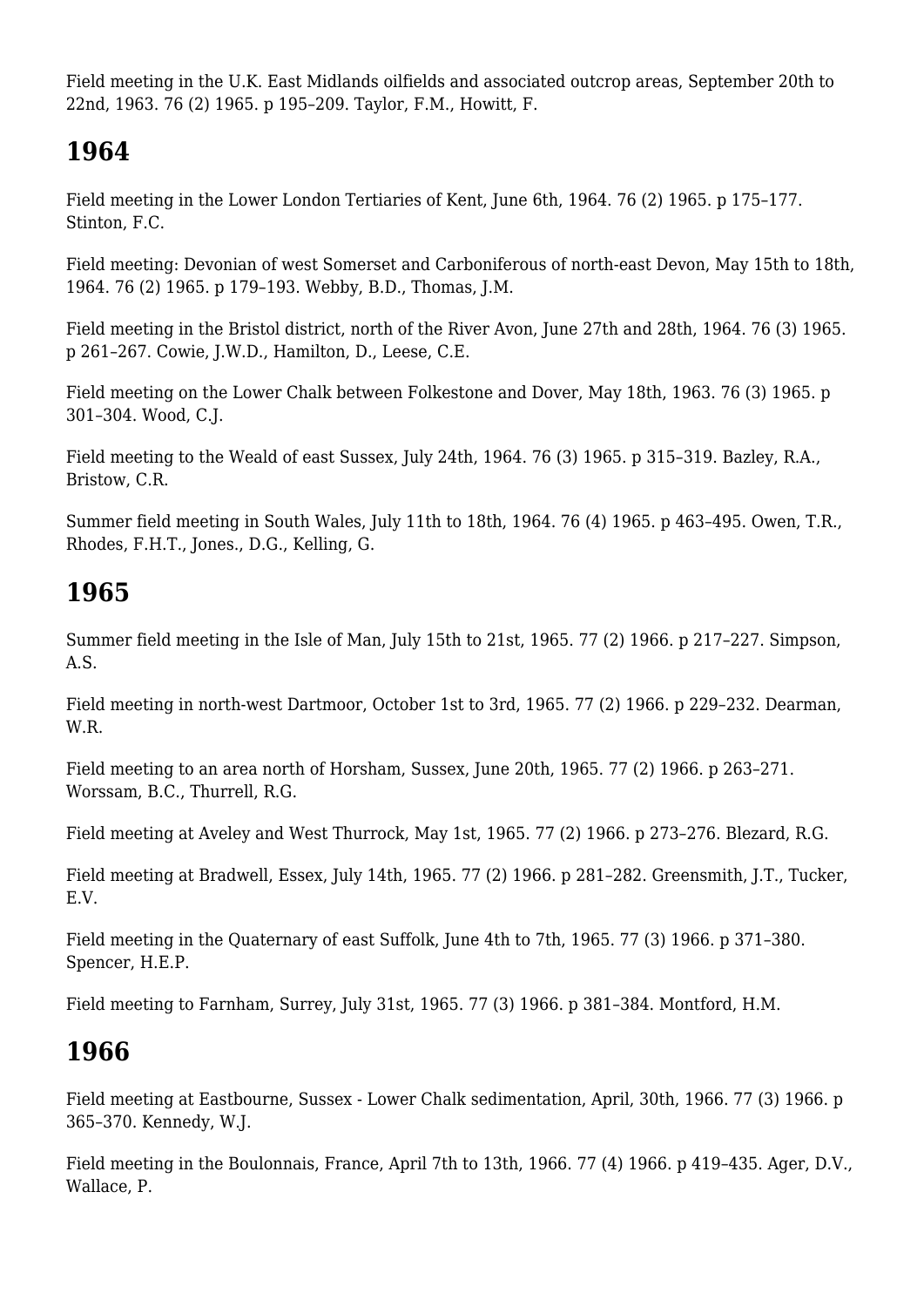Field meeting in the U.K. East Midlands oilfields and associated outcrop areas, September 20th to 22nd, 1963. 76 (2) 1965. p 195–209. Taylor, F.M., Howitt, F.

# **1964**

Field meeting in the Lower London Tertiaries of Kent, June 6th, 1964. 76 (2) 1965. p 175–177. Stinton, F.C.

Field meeting: Devonian of west Somerset and Carboniferous of north-east Devon, May 15th to 18th, 1964. 76 (2) 1965. p 179–193. Webby, B.D., Thomas, J.M.

Field meeting in the Bristol district, north of the River Avon, June 27th and 28th, 1964. 76 (3) 1965. p 261–267. Cowie, J.W.D., Hamilton, D., Leese, C.E.

Field meeting on the Lower Chalk between Folkestone and Dover, May 18th, 1963. 76 (3) 1965. p 301–304. Wood, C.J.

Field meeting to the Weald of east Sussex, July 24th, 1964. 76 (3) 1965. p 315–319. Bazley, R.A., Bristow, C.R.

Summer field meeting in South Wales, July 11th to 18th, 1964. 76 (4) 1965. p 463–495. Owen, T.R., Rhodes, F.H.T., Jones., D.G., Kelling, G.

# **1965**

Summer field meeting in the Isle of Man, July 15th to 21st, 1965. 77 (2) 1966. p 217–227. Simpson, A.S.

Field meeting in north-west Dartmoor, October 1st to 3rd, 1965. 77 (2) 1966. p 229–232. Dearman, W.R.

Field meeting to an area north of Horsham, Sussex, June 20th, 1965. 77 (2) 1966. p 263–271. Worssam, B.C., Thurrell, R.G.

Field meeting at Aveley and West Thurrock, May 1st, 1965. 77 (2) 1966. p 273–276. Blezard, R.G.

Field meeting at Bradwell, Essex, July 14th, 1965. 77 (2) 1966. p 281–282. Greensmith, J.T., Tucker, E.V.

Field meeting in the Quaternary of east Suffolk, June 4th to 7th, 1965. 77 (3) 1966. p 371–380. Spencer, H.E.P.

Field meeting to Farnham, Surrey, July 31st, 1965. 77 (3) 1966. p 381–384. Montford, H.M.

# **1966**

Field meeting at Eastbourne, Sussex - Lower Chalk sedimentation, April, 30th, 1966. 77 (3) 1966. p 365–370. Kennedy, W.J.

Field meeting in the Boulonnais, France, April 7th to 13th, 1966. 77 (4) 1966. p 419–435. Ager, D.V., Wallace, P.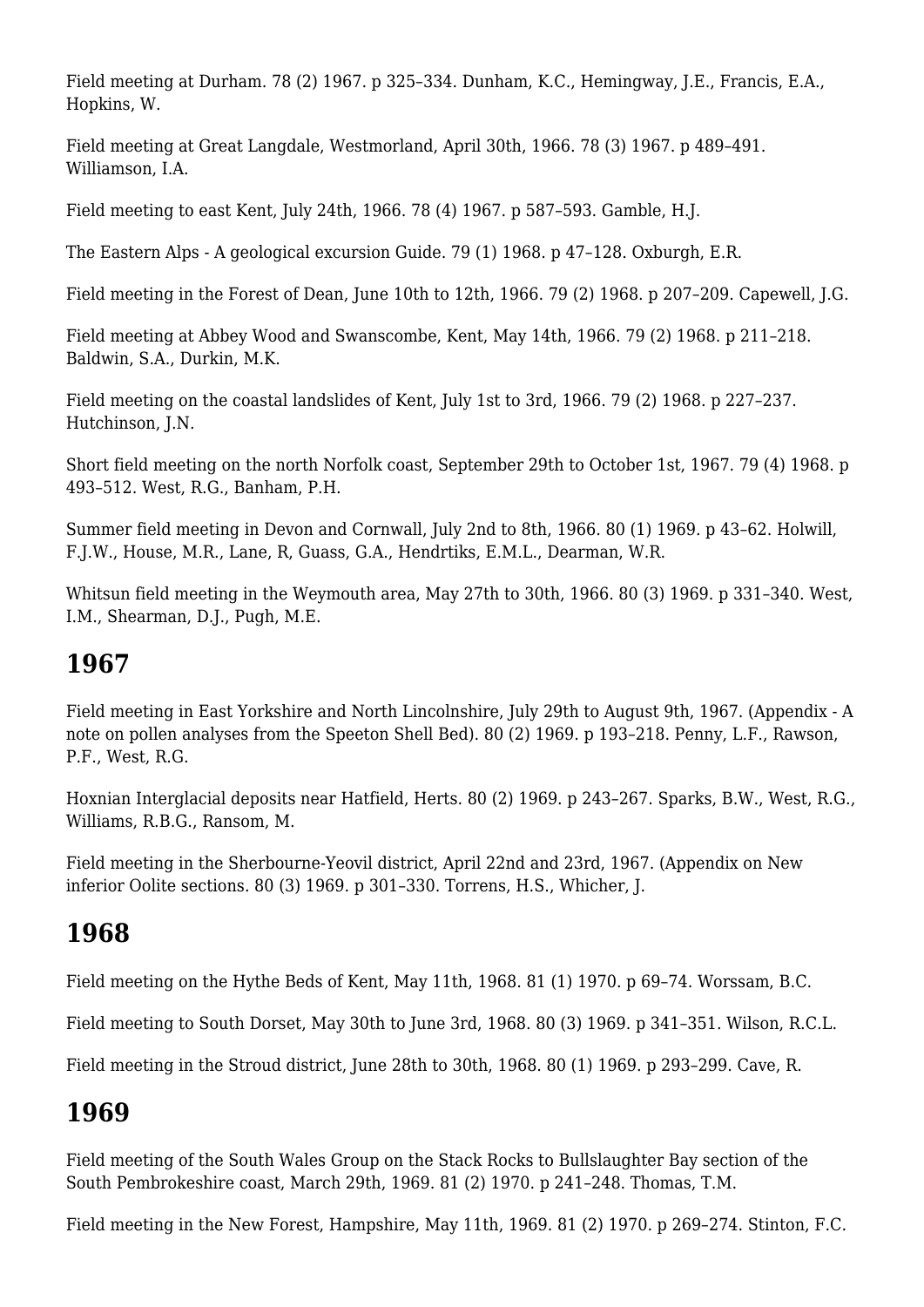Field meeting at Durham. 78 (2) 1967. p 325–334. Dunham, K.C., Hemingway, J.E., Francis, E.A., Hopkins, W.

Field meeting at Great Langdale, Westmorland, April 30th, 1966. 78 (3) 1967. p 489–491. Williamson, I.A.

Field meeting to east Kent, July 24th, 1966. 78 (4) 1967. p 587–593. Gamble, H.J.

The Eastern Alps - A geological excursion Guide. 79 (1) 1968. p 47–128. Oxburgh, E.R.

Field meeting in the Forest of Dean, June 10th to 12th, 1966. 79 (2) 1968. p 207–209. Capewell, J.G.

Field meeting at Abbey Wood and Swanscombe, Kent, May 14th, 1966. 79 (2) 1968. p 211–218. Baldwin, S.A., Durkin, M.K.

Field meeting on the coastal landslides of Kent, July 1st to 3rd, 1966. 79 (2) 1968. p 227–237. Hutchinson, J.N.

Short field meeting on the north Norfolk coast, September 29th to October 1st, 1967. 79 (4) 1968. p 493–512. West, R.G., Banham, P.H.

Summer field meeting in Devon and Cornwall, July 2nd to 8th, 1966. 80 (1) 1969. p 43–62. Holwill, F.J.W., House, M.R., Lane, R, Guass, G.A., Hendrtiks, E.M.L., Dearman, W.R.

Whitsun field meeting in the Weymouth area, May 27th to 30th, 1966. 80 (3) 1969. p 331–340. West, I.M., Shearman, D.J., Pugh, M.E.

## **1967**

Field meeting in East Yorkshire and North Lincolnshire, July 29th to August 9th, 1967. (Appendix - A note on pollen analyses from the Speeton Shell Bed). 80 (2) 1969. p 193–218. Penny, L.F., Rawson, P.F., West, R.G.

Hoxnian Interglacial deposits near Hatfield, Herts. 80 (2) 1969. p 243–267. Sparks, B.W., West, R.G., Williams, R.B.G., Ransom, M.

Field meeting in the Sherbourne-Yeovil district, April 22nd and 23rd, 1967. (Appendix on New inferior Oolite sections. 80 (3) 1969. p 301–330. Torrens, H.S., Whicher, J.

## **1968**

Field meeting on the Hythe Beds of Kent, May 11th, 1968. 81 (1) 1970. p 69–74. Worssam, B.C.

Field meeting to South Dorset, May 30th to June 3rd, 1968. 80 (3) 1969. p 341–351. Wilson, R.C.L.

Field meeting in the Stroud district, June 28th to 30th, 1968. 80 (1) 1969. p 293–299. Cave, R.

# **1969**

Field meeting of the South Wales Group on the Stack Rocks to Bullslaughter Bay section of the South Pembrokeshire coast, March 29th, 1969. 81 (2) 1970. p 241–248. Thomas, T.M.

Field meeting in the New Forest, Hampshire, May 11th, 1969. 81 (2) 1970. p 269–274. Stinton, F.C.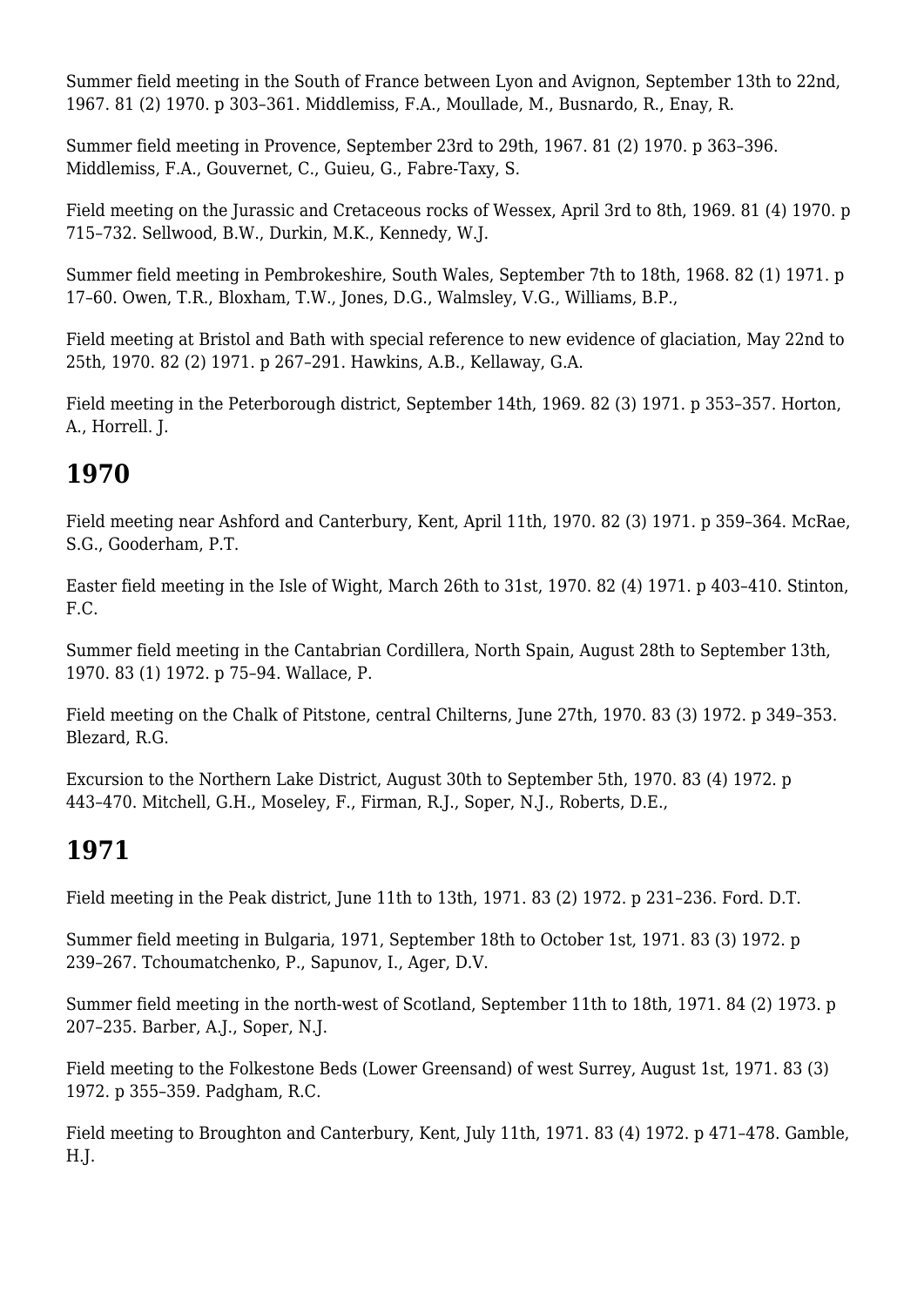Summer field meeting in the South of France between Lyon and Avignon, September 13th to 22nd, 1967. 81 (2) 1970. p 303–361. Middlemiss, F.A., Moullade, M., Busnardo, R., Enay, R.

Summer field meeting in Provence, September 23rd to 29th, 1967. 81 (2) 1970. p 363–396. Middlemiss, F.A., Gouvernet, C., Guieu, G., Fabre-Taxy, S.

Field meeting on the Jurassic and Cretaceous rocks of Wessex, April 3rd to 8th, 1969. 81 (4) 1970. p 715–732. Sellwood, B.W., Durkin, M.K., Kennedy, W.J.

Summer field meeting in Pembrokeshire, South Wales, September 7th to 18th, 1968. 82 (1) 1971. p 17–60. Owen, T.R., Bloxham, T.W., Jones, D.G., Walmsley, V.G., Williams, B.P.,

Field meeting at Bristol and Bath with special reference to new evidence of glaciation, May 22nd to 25th, 1970. 82 (2) 1971. p 267–291. Hawkins, A.B., Kellaway, G.A.

Field meeting in the Peterborough district, September 14th, 1969. 82 (3) 1971. p 353–357. Horton, A., Horrell. J.

## **1970**

Field meeting near Ashford and Canterbury, Kent, April 11th, 1970. 82 (3) 1971. p 359–364. McRae, S.G., Gooderham, P.T.

Easter field meeting in the Isle of Wight, March 26th to 31st, 1970. 82 (4) 1971. p 403–410. Stinton, F.C.

Summer field meeting in the Cantabrian Cordillera, North Spain, August 28th to September 13th, 1970. 83 (1) 1972. p 75–94. Wallace, P.

Field meeting on the Chalk of Pitstone, central Chilterns, June 27th, 1970. 83 (3) 1972. p 349–353. Blezard, R.G.

Excursion to the Northern Lake District, August 30th to September 5th, 1970. 83 (4) 1972. p 443–470. Mitchell, G.H., Moseley, F., Firman, R.J., Soper, N.J., Roberts, D.E.,

# **1971**

Field meeting in the Peak district, June 11th to 13th, 1971. 83 (2) 1972. p 231–236. Ford. D.T.

Summer field meeting in Bulgaria, 1971, September 18th to October 1st, 1971. 83 (3) 1972. p 239–267. Tchoumatchenko, P., Sapunov, I., Ager, D.V.

Summer field meeting in the north-west of Scotland, September 11th to 18th, 1971. 84 (2) 1973. p 207–235. Barber, A.J., Soper, N.J.

Field meeting to the Folkestone Beds (Lower Greensand) of west Surrey, August 1st, 1971. 83 (3) 1972. p 355–359. Padgham, R.C.

Field meeting to Broughton and Canterbury, Kent, July 11th, 1971. 83 (4) 1972. p 471–478. Gamble, H.J.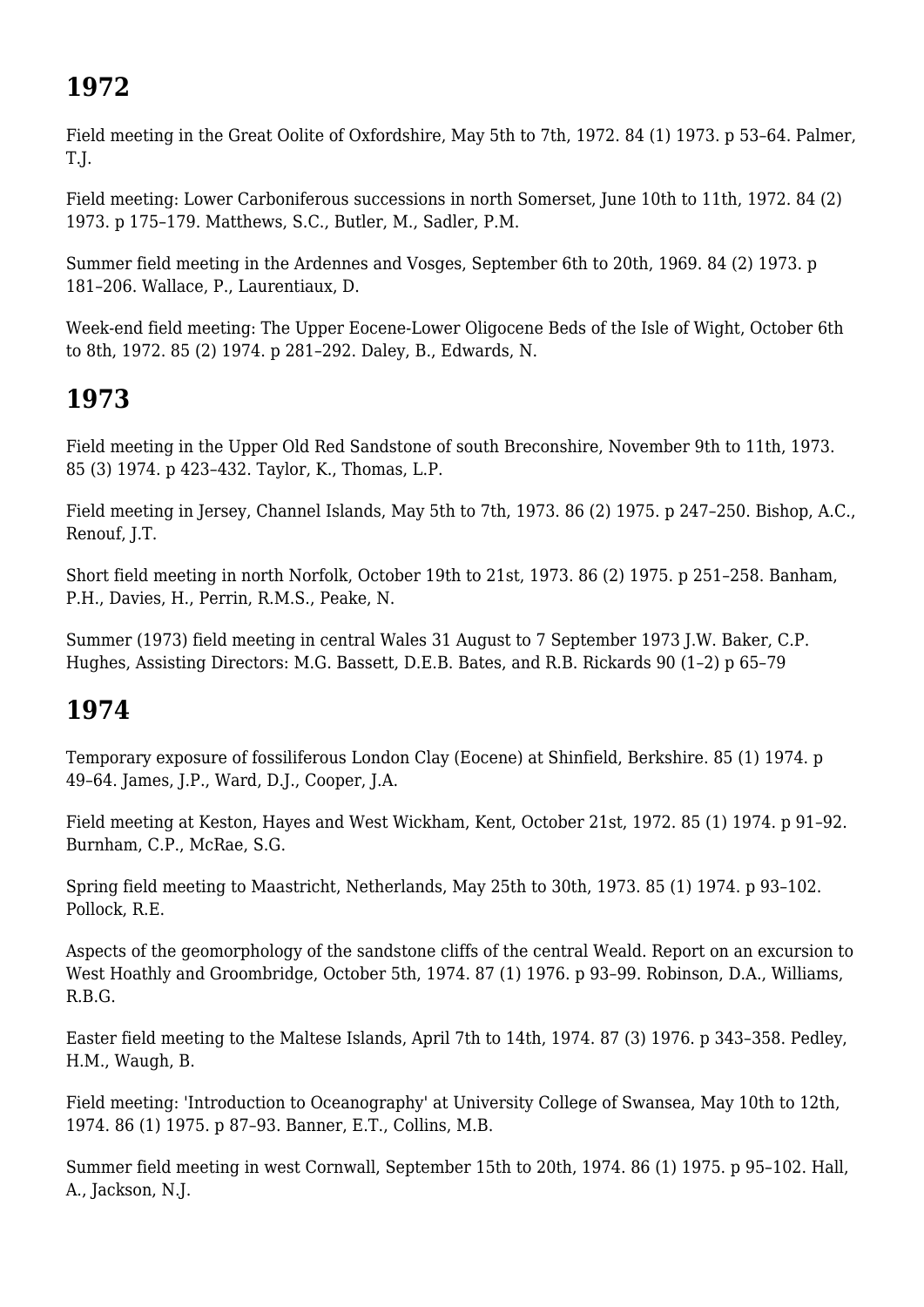# **1972**

Field meeting in the Great Oolite of Oxfordshire, May 5th to 7th, 1972. 84 (1) 1973. p 53–64. Palmer, T.J.

Field meeting: Lower Carboniferous successions in north Somerset, June 10th to 11th, 1972. 84 (2) 1973. p 175–179. Matthews, S.C., Butler, M., Sadler, P.M.

Summer field meeting in the Ardennes and Vosges, September 6th to 20th, 1969. 84 (2) 1973. p 181–206. Wallace, P., Laurentiaux, D.

Week-end field meeting: The Upper Eocene-Lower Oligocene Beds of the Isle of Wight, October 6th to 8th, 1972. 85 (2) 1974. p 281–292. Daley, B., Edwards, N.

# **1973**

Field meeting in the Upper Old Red Sandstone of south Breconshire, November 9th to 11th, 1973. 85 (3) 1974. p 423–432. Taylor, K., Thomas, L.P.

Field meeting in Jersey, Channel Islands, May 5th to 7th, 1973. 86 (2) 1975. p 247–250. Bishop, A.C., Renouf, J.T.

Short field meeting in north Norfolk, October 19th to 21st, 1973. 86 (2) 1975. p 251–258. Banham, P.H., Davies, H., Perrin, R.M.S., Peake, N.

Summer (1973) field meeting in central Wales 31 August to 7 September 1973 J.W. Baker, C.P. Hughes, Assisting Directors: M.G. Bassett, D.E.B. Bates, and R.B. Rickards 90 (1–2) p 65–79

# **1974**

Temporary exposure of fossiliferous London Clay (Eocene) at Shinfield, Berkshire. 85 (1) 1974. p 49–64. James, J.P., Ward, D.J., Cooper, J.A.

Field meeting at Keston, Hayes and West Wickham, Kent, October 21st, 1972. 85 (1) 1974. p 91–92. Burnham, C.P., McRae, S.G.

Spring field meeting to Maastricht, Netherlands, May 25th to 30th, 1973. 85 (1) 1974. p 93–102. Pollock, R.E.

Aspects of the geomorphology of the sandstone cliffs of the central Weald. Report on an excursion to West Hoathly and Groombridge, October 5th, 1974. 87 (1) 1976. p 93–99. Robinson, D.A., Williams, R.B.G.

Easter field meeting to the Maltese Islands, April 7th to 14th, 1974. 87 (3) 1976. p 343–358. Pedley, H.M., Waugh, B.

Field meeting: 'Introduction to Oceanography' at University College of Swansea, May 10th to 12th, 1974. 86 (1) 1975. p 87–93. Banner, E.T., Collins, M.B.

Summer field meeting in west Cornwall, September 15th to 20th, 1974. 86 (1) 1975. p 95–102. Hall, A., Jackson, N.J.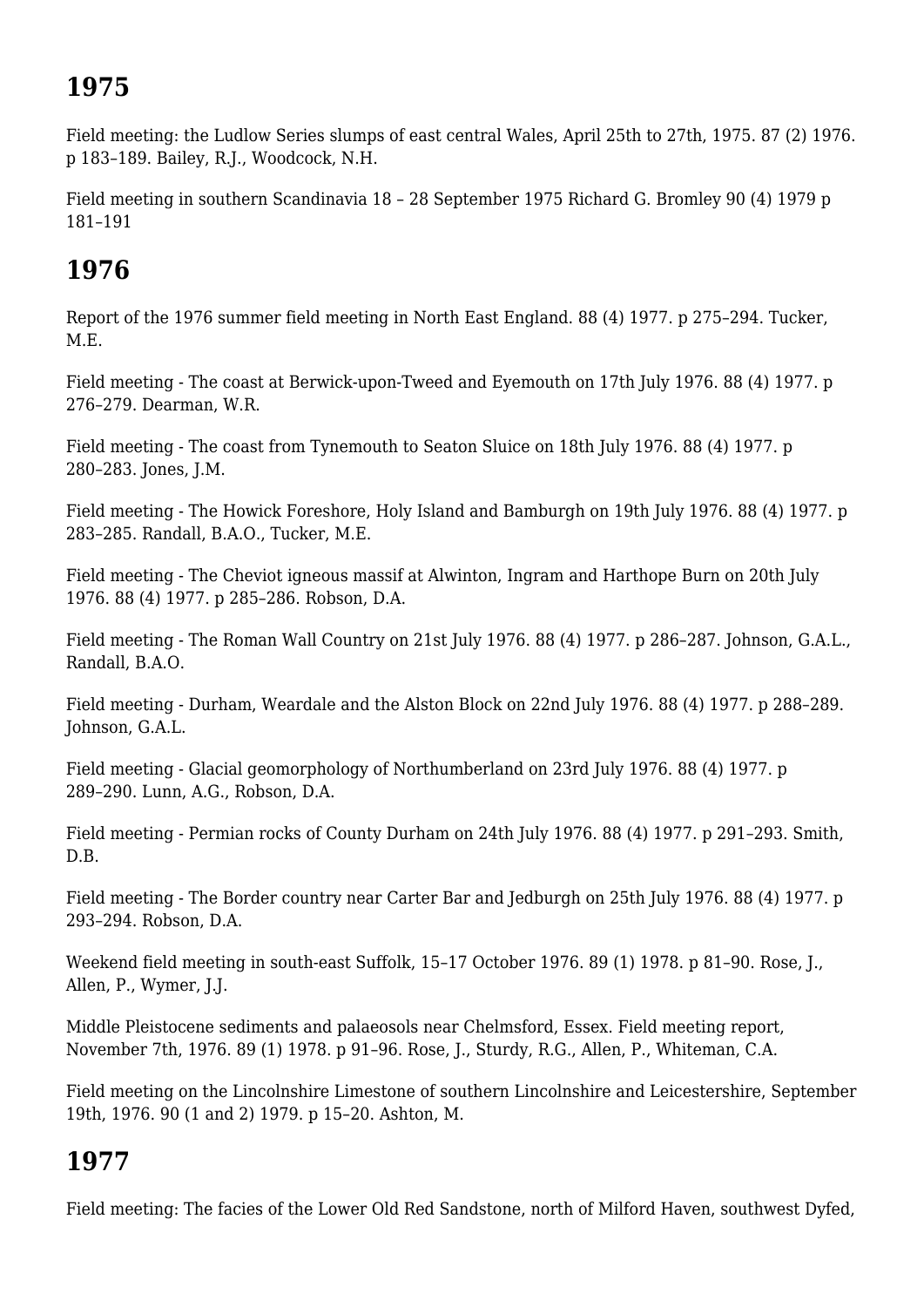# **1975**

Field meeting: the Ludlow Series slumps of east central Wales, April 25th to 27th, 1975. 87 (2) 1976. p 183–189. Bailey, R.J., Woodcock, N.H.

Field meeting in southern Scandinavia 18 – 28 September 1975 Richard G. Bromley 90 (4) 1979 p 181–191

## **1976**

Report of the 1976 summer field meeting in North East England. 88 (4) 1977. p 275–294. Tucker, M.E.

Field meeting - The coast at Berwick-upon-Tweed and Eyemouth on 17th July 1976. 88 (4) 1977. p 276–279. Dearman, W.R.

Field meeting - The coast from Tynemouth to Seaton Sluice on 18th July 1976. 88 (4) 1977. p 280–283. Jones, J.M.

Field meeting - The Howick Foreshore, Holy Island and Bamburgh on 19th July 1976. 88 (4) 1977. p 283–285. Randall, B.A.O., Tucker, M.E.

Field meeting - The Cheviot igneous massif at Alwinton, Ingram and Harthope Burn on 20th July 1976. 88 (4) 1977. p 285–286. Robson, D.A.

Field meeting - The Roman Wall Country on 21st July 1976. 88 (4) 1977. p 286–287. Johnson, G.A.L., Randall, B.A.O.

Field meeting - Durham, Weardale and the Alston Block on 22nd July 1976. 88 (4) 1977. p 288–289. Johnson, G.A.L.

Field meeting - Glacial geomorphology of Northumberland on 23rd July 1976. 88 (4) 1977. p 289–290. Lunn, A.G., Robson, D.A.

Field meeting - Permian rocks of County Durham on 24th July 1976. 88 (4) 1977. p 291–293. Smith, D.B.

Field meeting - The Border country near Carter Bar and Jedburgh on 25th July 1976. 88 (4) 1977. p 293–294. Robson, D.A.

Weekend field meeting in south-east Suffolk, 15–17 October 1976. 89 (1) 1978. p 81–90. Rose, J., Allen, P., Wymer, J.J.

Middle Pleistocene sediments and palaeosols near Chelmsford, Essex. Field meeting report, November 7th, 1976. 89 (1) 1978. p 91–96. Rose, J., Sturdy, R.G., Allen, P., Whiteman, C.A.

Field meeting on the Lincolnshire Limestone of southern Lincolnshire and Leicestershire, September 19th, 1976. 90 (1 and 2) 1979. p 15–20. Ashton, M.

#### **1977**

Field meeting: The facies of the Lower Old Red Sandstone, north of Milford Haven, southwest Dyfed,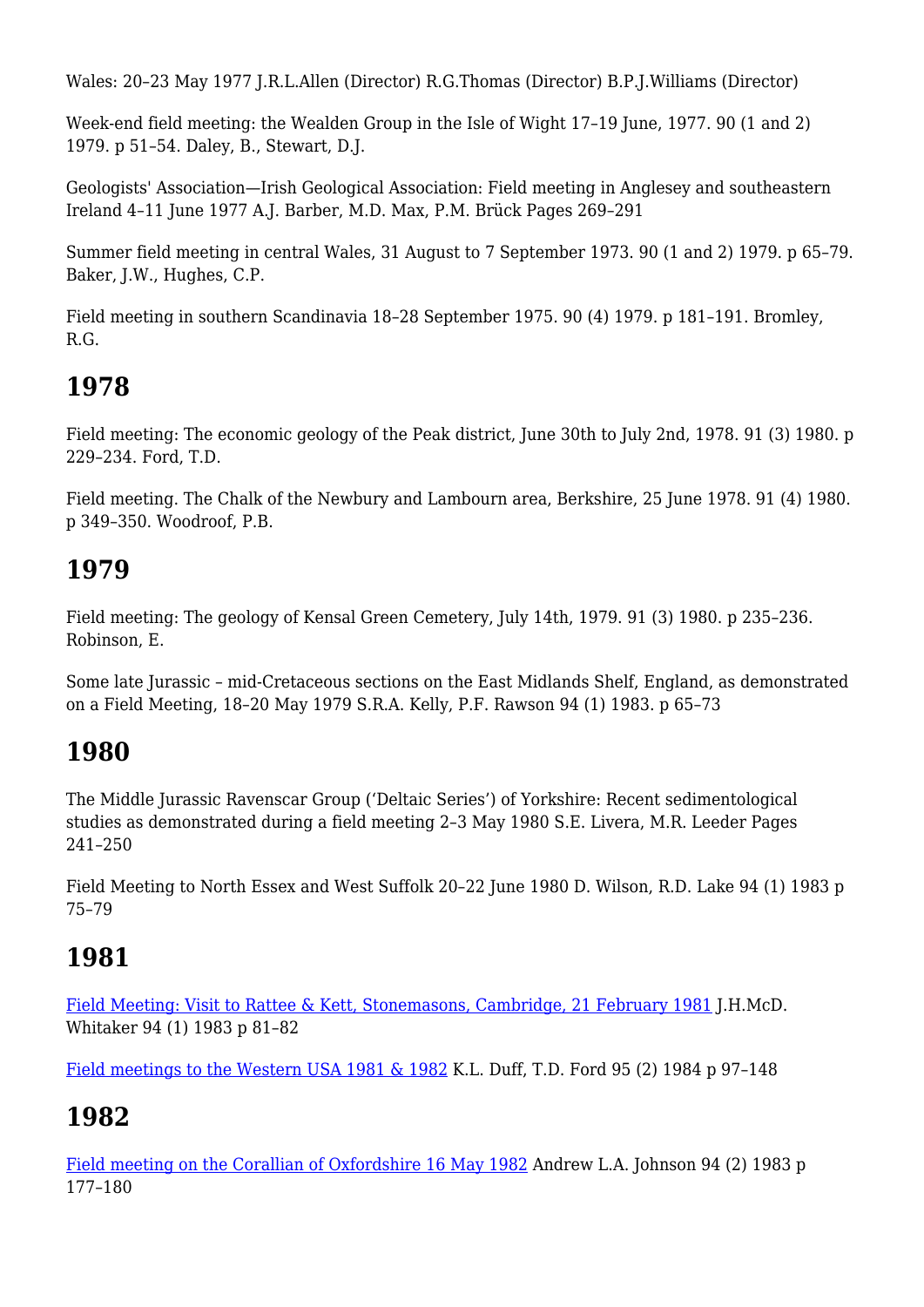Wales: 20–23 May 1977 J.R.L.Allen (Director) R.G.Thomas (Director) B.P.J.Williams (Director)

Week-end field meeting: the Wealden Group in the Isle of Wight 17–19 June, 1977. 90 (1 and 2) 1979. p 51–54. Daley, B., Stewart, D.J.

Geologists' Association—Irish Geological Association: Field meeting in Anglesey and southeastern Ireland 4–11 June 1977 A.J. Barber, M.D. Max, P.M. Brück Pages 269–291

Summer field meeting in central Wales, 31 August to 7 September 1973. 90 (1 and 2) 1979. p 65–79. Baker, J.W., Hughes, C.P.

Field meeting in southern Scandinavia 18–28 September 1975. 90 (4) 1979. p 181–191. Bromley, R.G.

### **1978**

Field meeting: The economic geology of the Peak district, June 30th to July 2nd, 1978. 91 (3) 1980. p 229–234. Ford, T.D.

Field meeting. The Chalk of the Newbury and Lambourn area, Berkshire, 25 June 1978. 91 (4) 1980. p 349–350. Woodroof, P.B.

#### **1979**

Field meeting: The geology of Kensal Green Cemetery, July 14th, 1979. 91 (3) 1980. p 235–236. Robinson, E.

Some late Jurassic – mid-Cretaceous sections on the East Midlands Shelf, England, as demonstrated on a Field Meeting, 18–20 May 1979 S.R.A. Kelly, P.F. Rawson 94 (1) 1983. p 65–73

#### **1980**

The Middle Jurassic Ravenscar Group ('Deltaic Series') of Yorkshire: Recent sedimentological studies as demonstrated during a field meeting 2–3 May 1980 S.E. Livera, M.R. Leeder Pages 241–250

Field Meeting to North Essex and West Suffolk 20–22 June 1980 D. Wilson, R.D. Lake 94 (1) 1983 p 75–79

## **1981**

[Field Meeting: Visit to Rattee & Kett, Stonemasons, Cambridge, 21 February 1981](https://www.sciencedirect.com/science/article/abs/pii/S0016787883800303) J.H.McD. Whitaker 94 (1) 1983 p 81–82

[Field meetings to the Western USA 1981 & 1982](https://www.sciencedirect.com/science/article/abs/pii/S0016787884800012) K.L. Duff, T.D. Ford 95 (2) 1984 p 97–148

## **1982**

[Field meeting on the Corallian of Oxfordshire 16 May 1982](https://www.sciencedirect.com/science/article/abs/pii/S001678788380008X) Andrew L.A. Johnson 94 (2) 1983 p 177–180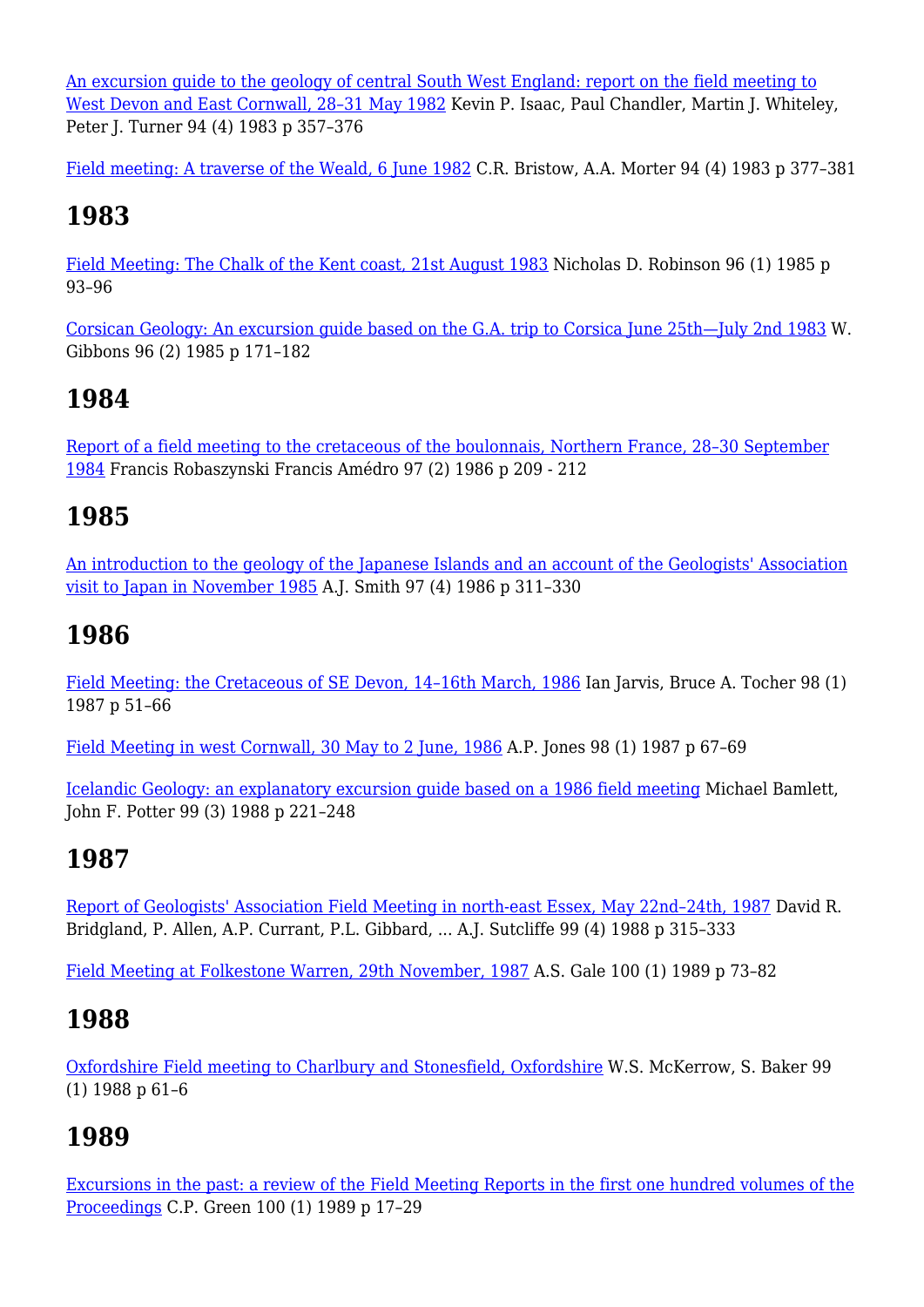[An excursion guide to the geology of central South West England: report on the field meeting to](https://www.sciencedirect.com/science/article/abs/pii/S0016787883800170) [West Devon and East Cornwall, 28–31 May 1982](https://www.sciencedirect.com/science/article/abs/pii/S0016787883800170) Kevin P. Isaac, Paul Chandler, Martin J. Whiteley, Peter J. Turner 94 (4) 1983 p 357–376

[Field meeting: A traverse of the Weald, 6 June 1982](https://www.sciencedirect.com/science/article/abs/pii/S0016787883800182) C.R. Bristow, A.A. Morter 94 (4) 1983 p 377–381

## **1983**

[Field Meeting: The Chalk of the Kent coast, 21st August 1983](https://www.sciencedirect.com/science/article/abs/pii/S0016787885800171) Nicholas D. Robinson 96 (1) 1985 p 93–96

[Corsican Geology: An excursion guide based on the G.A. trip to Corsica June 25th—July 2nd 1983](https://www.sciencedirect.com/science/article/abs/pii/S0016787885800675) W. Gibbons 96 (2) 1985 p 171–182

## **1984**

[Report of a field meeting to the cretaceous of the boulonnais, Northern France, 28–30 September](https://www.sciencedirect.com/science/article/abs/pii/S0016787886800682) [1984](https://www.sciencedirect.com/science/article/abs/pii/S0016787886800682) Francis Robaszynski Francis Amédro 97 (2) 1986 p 209 - 212

#### **1985**

[An introduction to the geology of the Japanese Islands and an account of the Geologists' Association](https://www.sciencedirect.com/science/article/abs/pii/S0016787886800244) [visit to Japan in November 1985](https://www.sciencedirect.com/science/article/abs/pii/S0016787886800244) A.J. Smith 97 (4) 1986 p 311–330

### **1986**

[Field Meeting: the Cretaceous of SE Devon, 14–16th March, 1986](https://www.sciencedirect.com/science/article/abs/pii/S0016787887800184) Ian Jarvis, Bruce A. Tocher 98 (1) 1987 p 51–66

[Field Meeting in west Cornwall, 30 May to 2 June, 1986](https://www.sciencedirect.com/science/article/abs/pii/S0016787887800196) A.P. Jones 98 (1) 1987 p 67–69

[Icelandic Geology: an explanatory excursion guide based on a 1986 field meeting](https://www.sciencedirect.com/science/article/abs/pii/S0016787888800373) Michael Bamlett, John F. Potter 99 (3) 1988 p 221–248

#### **1987**

[Report of Geologists' Association Field Meeting in north-east Essex, May 22nd–24th, 1987](https://www.sciencedirect.com/science/article/abs/pii/S0016787888800567) David R. Bridgland, P. Allen, A.P. Currant, P.L. Gibbard, ... A.J. Sutcliffe 99 (4) 1988 p 315–333

[Field Meeting at Folkestone Warren, 29th November, 1987](https://www.sciencedirect.com/science/article/abs/pii/S001678788980063X) A.S. Gale 100 (1) 1989 p 73–82

#### **1988**

[Oxfordshire Field meeting to Charlbury and Stonesfield, Oxfordshire](https://www.sciencedirect.com/science/article/abs/pii/S0016787888800282) W.S. McKerrow, S. Baker 99 (1) 1988 p 61–6

## **1989**

[Excursions in the past: a review of the Field Meeting Reports in the first one hundred volumes of the](https://www.sciencedirect.com/science/article/abs/pii/S001678788980063X) [Proceedings](https://www.sciencedirect.com/science/article/abs/pii/S001678788980063X) C.P. Green 100 (1) 1989 p 17–29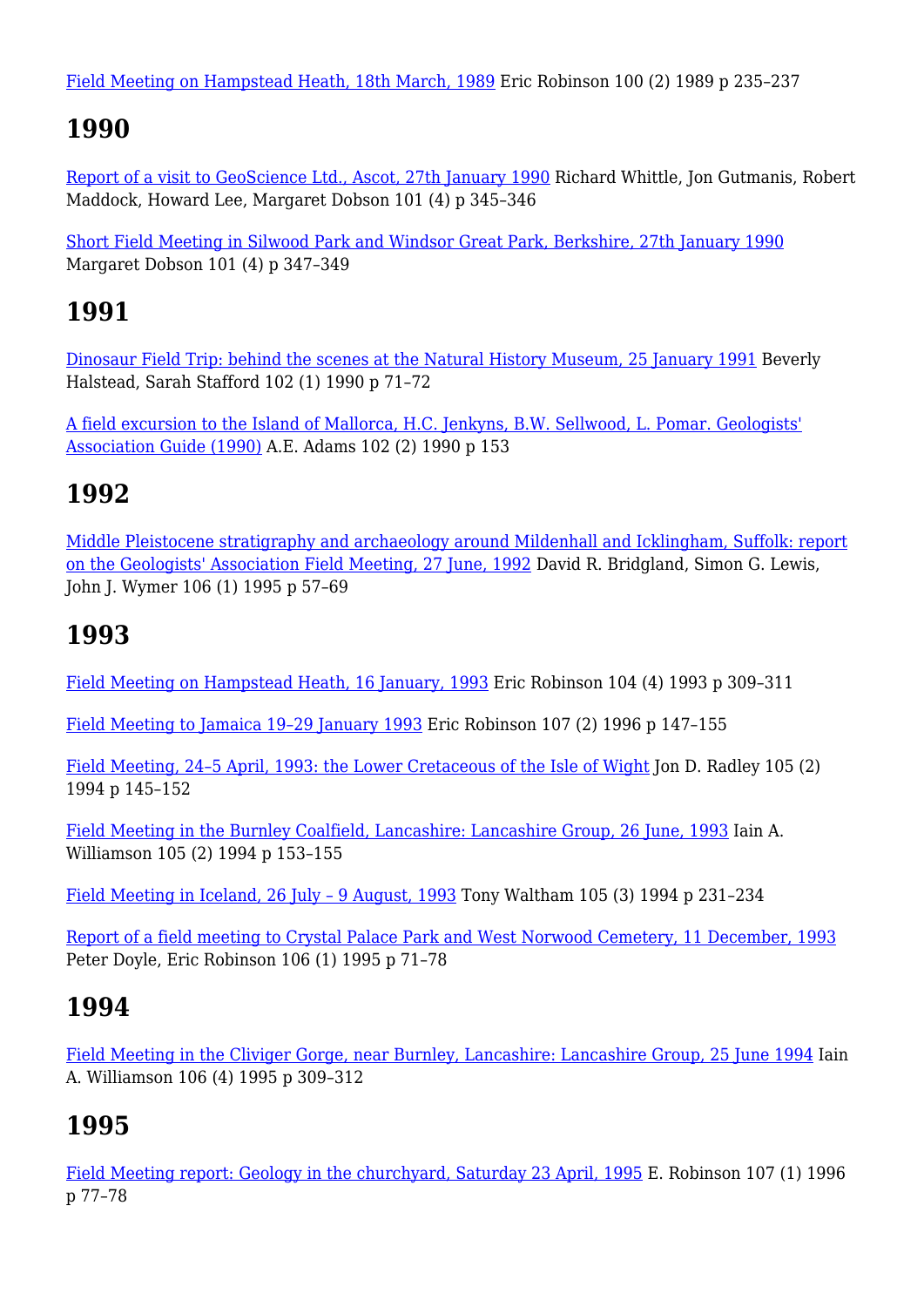[Field Meeting on Hampstead Heath, 18th March, 1989](https://www.sciencedirect.com/science/article/abs/pii/S0016787889800136) Eric Robinson 100 (2) 1989 p 235–237

### **1990**

[Report of a visit to GeoScience Ltd., Ascot, 27th January 1990](https://www.sciencedirect.com/science/article/abs/pii/S001678780880168X) Richard Whittle, Jon Gutmanis, Robert Maddock, Howard Lee, Margaret Dobson 101 (4) p 345–346

[Short Field Meeting in Silwood Park and Windsor Great Park, Berkshire, 27th January 1990](https://www.sciencedirect.com/science/article/abs/pii/S0016787808801691) Margaret Dobson 101 (4) p 347–349

### **1991**

[Dinosaur Field Trip: behind the scenes at the Natural History Museum, 25 January 1991](https://www.sciencedirect.com/science/article/abs/pii/S0016787808800594) Beverly Halstead, Sarah Stafford 102 (1) 1990 p 71–72

[A field excursion to the Island of Mallorca, H.C. Jenkyns, B.W. Sellwood, L. Pomar. Geologists'](https://www.sciencedirect.com/science/article/abs/pii/S0016787808800776) [Association Guide \(1990\)](https://www.sciencedirect.com/science/article/abs/pii/S0016787808800776) A.E. Adams 102 (2) 1990 p 153

### **1992**

[Middle Pleistocene stratigraphy and archaeology around Mildenhall and Icklingham, Suffolk: report](https://www.sciencedirect.com/science/article/abs/pii/S0016787808801034) [on the Geologists' Association Field Meeting, 27 June, 1992](https://www.sciencedirect.com/science/article/abs/pii/S0016787808801034) David R. Bridgland, Simon G. Lewis, John J. Wymer 106 (1) 1995 p 57–69

## **1993**

[Field Meeting on Hampstead Heath, 16 January, 1993](https://www.sciencedirect.com/science/article/abs/pii/S0016787808800491) Eric Robinson 104 (4) 1993 p 309–311

[Field Meeting to Jamaica 19–29 January 1993](https://www.sciencedirect.com/science/article/abs/pii/S0016787896800083) Eric Robinson 107 (2) 1996 p 147–155

[Field Meeting, 24–5 April, 1993: the Lower Cretaceous of the Isle of Wight](https://www.sciencedirect.com/science/article/abs/pii/S0016787808801125) Jon D. Radley 105 (2) 1994 p 145–152

[Field Meeting in the Burnley Coalfield, Lancashire: Lancashire Group, 26 June, 1993](https://www.sciencedirect.com/science/article/abs/pii/S0016787808801137) Iain A. Williamson 105 (2) 1994 p 153–155

[Field Meeting in Iceland, 26 July – 9 August, 1993](https://www.sciencedirect.com/science/article/abs/pii/S0016787808801228) Tony Waltham 105 (3) 1994 p 231–234

[Report of a field meeting to Crystal Palace Park and West Norwood Cemetery, 11 December, 1993](https://www.sciencedirect.com/science/article/abs/pii/S0016787808801046) Peter Doyle, Eric Robinson 106 (1) 1995 p 71–78

## **1994**

[Field Meeting in the Cliviger Gorge, near Burnley, Lancashire: Lancashire Group, 25 June 1994](https://www.sciencedirect.com/science/article/abs/pii/S001678780880243X) Iain A. Williamson 106 (4) 1995 p 309–312

## **1995**

[Field Meeting report: Geology in the churchyard, Saturday 23 April, 1995](https://www.sciencedirect.com/science/article/abs/pii/S001678789680071X) E. Robinson 107 (1) 1996 p 77–78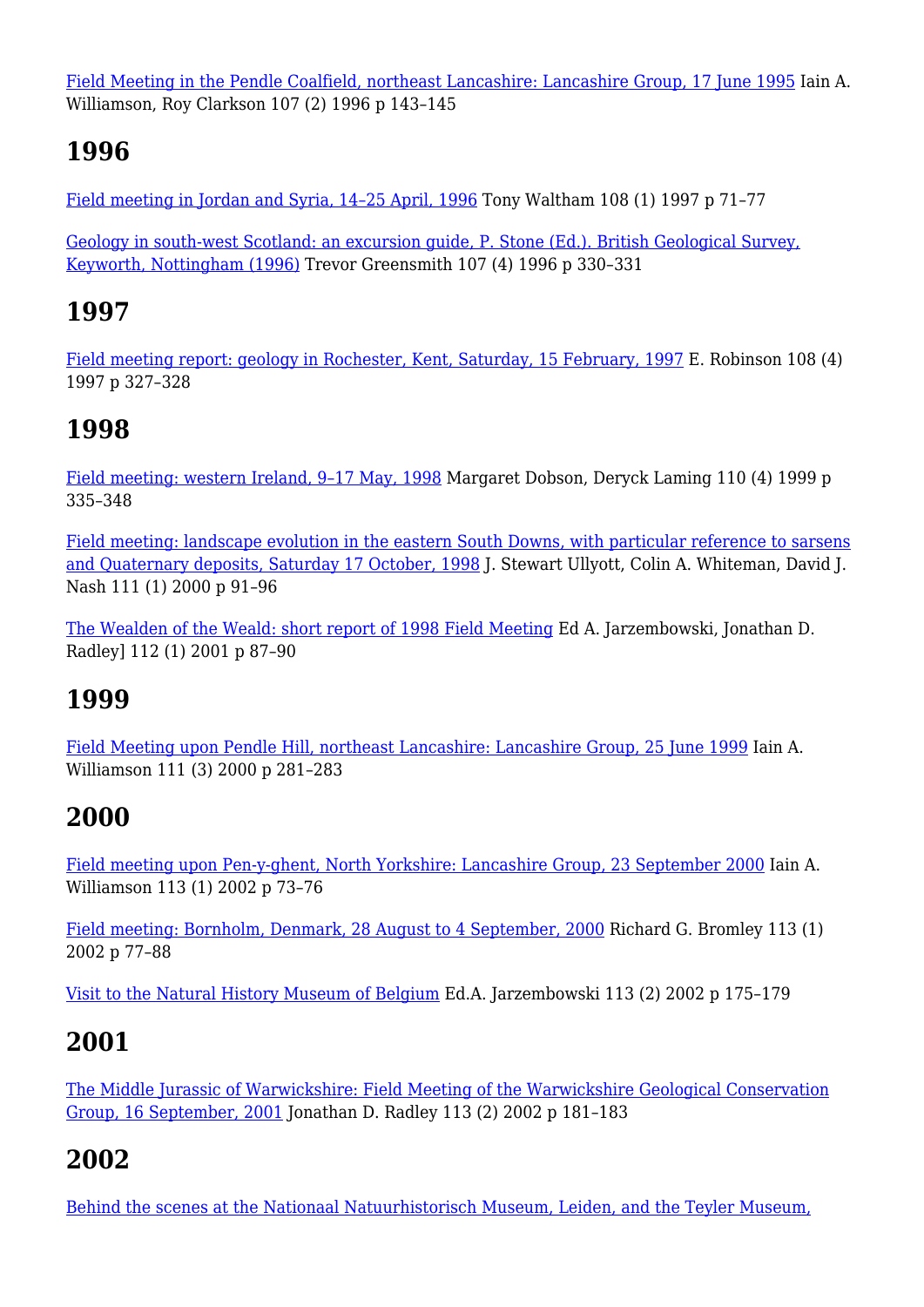[Field Meeting in the Pendle Coalfield, northeast Lancashire: Lancashire Group, 17 June 1995](https://www.sciencedirect.com/science/article/abs/pii/S0016787896800071) Iain A. Williamson, Roy Clarkson 107 (2) 1996 p 143–145

#### **1996**

[Field meeting in Jordan and Syria, 14–25 April, 1996](https://www.sciencedirect.com/science/article/abs/pii/S0016787897800077) Tony Waltham 108 (1) 1997 p 71–77

[Geology in south-west Scotland: an excursion guide, P. Stone \(Ed.\). British Geological Survey,](https://www.sciencedirect.com/science/article/abs/pii/S001678789680023X) [Keyworth, Nottingham \(1996\)](https://www.sciencedirect.com/science/article/abs/pii/S001678789680023X) Trevor Greensmith 107 (4) 1996 p 330–331

#### **1997**

[Field meeting report: geology in Rochester, Kent, Saturday, 15 February, 1997](https://www.sciencedirect.com/science/article/abs/pii/S0016787897800168) E. Robinson 108 (4) 1997 p 327–328

#### **1998**

[Field meeting: western Ireland, 9–17 May, 1998](https://www.sciencedirect.com/science/article/abs/pii/S0016787899800285) Margaret Dobson, Deryck Laming 110 (4) 1999 p 335–348

[Field meeting: landscape evolution in the eastern South Downs, with particular reference to sarsens](https://www.sciencedirect.com/science/article/abs/pii/S0016787800800401) [and Quaternary deposits, Saturday 17 October, 1998](https://www.sciencedirect.com/science/article/abs/pii/S0016787800800401) J. Stewart Ullyott, Colin A. Whiteman, David J. Nash 111 (1) 2000 p 91–96

[The Wealden of the Weald: short report of 1998 Field Meeting](https://www.sciencedirect.com/science/article/pii/S0016787801800535) Ed A. Jarzembowski, Jonathan D. Radley] 112 (1) 2001 p 87–90

## **1999**

[Field Meeting upon Pendle Hill, northeast Lancashire: Lancashire Group, 25 June 1999](https://www.sciencedirect.com/science/article/abs/pii/S0016787800800206) Iain A. Williamson 111 (3) 2000 p 281–283

# **2000**

[Field meeting upon Pen-y-ghent, North Yorkshire: Lancashire Group, 23 September 2000](https://www.sciencedirect.com/science/article/abs/pii/S0016787802800086) Iain A. Williamson 113 (1) 2002 p 73–76

[Field meeting: Bornholm, Denmark, 28 August to 4 September, 2000](https://www.sciencedirect.com/science/article/abs/pii/S0016787802800098) Richard G. Bromley 113 (1) 2002 p 77–88

[Visit to the Natural History Museum of Belgium](https://www.sciencedirect.com/science/article/abs/pii/S0016787802800207) Ed.A. Jarzembowski 113 (2) 2002 p 175–179

## **2001**

[The Middle Jurassic of Warwickshire: Field Meeting of the Warwickshire Geological Conservation](https://www.sciencedirect.com/science/article/abs/pii/S0016787802800219) [Group, 16 September, 2001](https://www.sciencedirect.com/science/article/abs/pii/S0016787802800219) Jonathan D. Radley 113 (2) 2002 p 181–183

## **2002**

[Behind the scenes at the Nationaal Natuurhistorisch Museum, Leiden, and the Teyler Museum,](https://www.sciencedirect.com/science/article/abs/pii/S0016787803800226)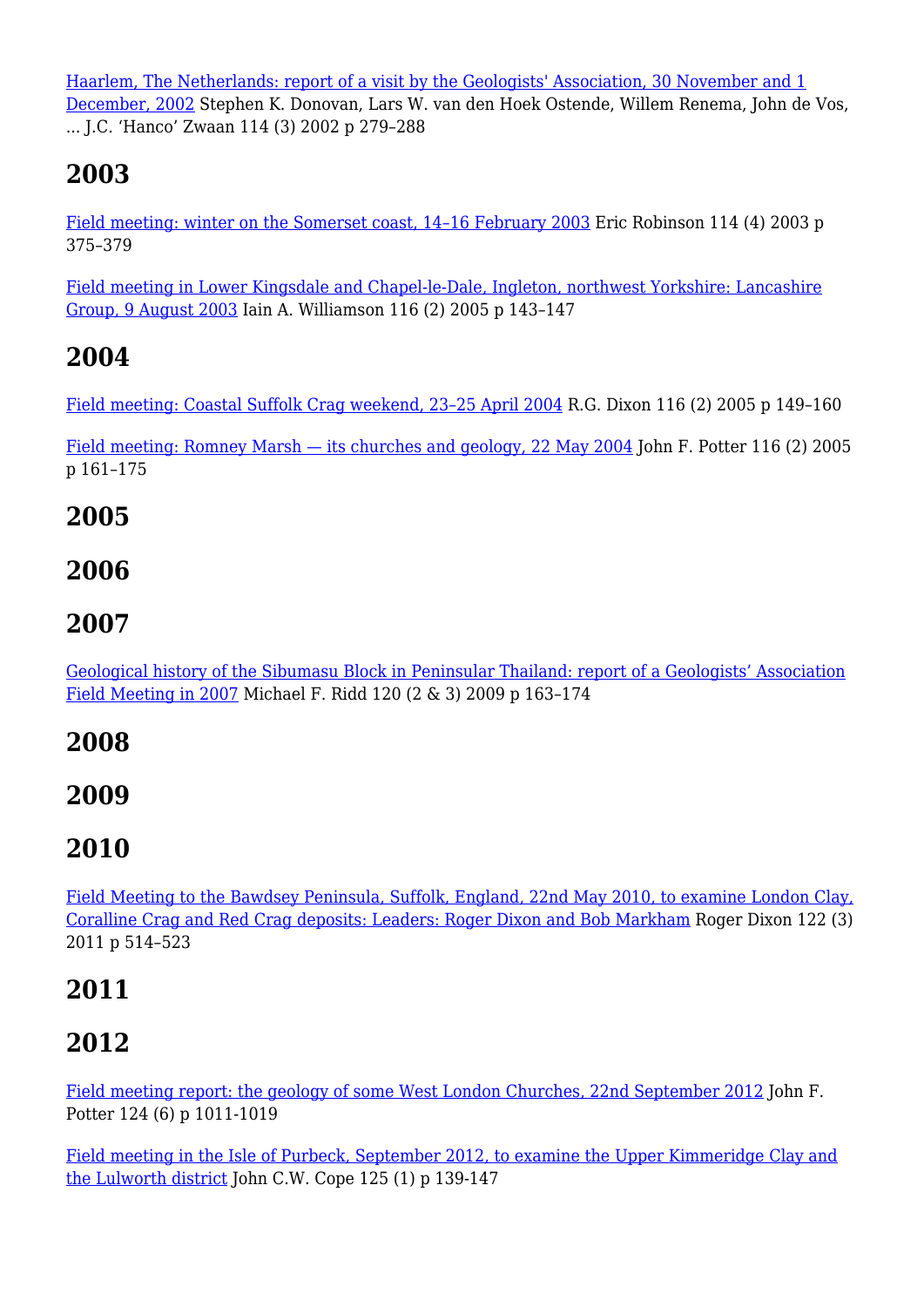[Haarlem, The Netherlands: report of a visit by the Geologists' Association, 30 November and 1](https://www.sciencedirect.com/science/article/abs/pii/S0016787803800226) [December, 2002](https://www.sciencedirect.com/science/article/abs/pii/S0016787803800226) Stephen K. Donovan, Lars W. van den Hoek Ostende, Willem Renema, John de Vos, ... J.C. 'Hanco' Zwaan 114 (3) 2002 p 279–288

# **2003**

[Field meeting: winter on the Somerset coast, 14–16 February 2003](https://www.sciencedirect.com/science/article/abs/pii/S0016787803800391) Eric Robinson 114 (4) 2003 p 375–379

[Field meeting in Lower Kingsdale and Chapel-le-Dale, Ingleton, northwest Yorkshire: Lancashire](https://www.sciencedirect.com/science/article/abs/pii/S0016787805800069) [Group, 9 August 2003](https://www.sciencedirect.com/science/article/abs/pii/S0016787805800069) Iain A. Williamson 116 (2) 2005 p 143–147

### **2004**

[Field meeting: Coastal Suffolk Crag weekend, 23–25 April 2004](https://www.sciencedirect.com/science/article/abs/pii/S0016787805800070) R.G. Dixon 116 (2) 2005 p 149–160

[Field meeting: Romney Marsh — its churches and geology, 22 May 2004](https://www.sciencedirect.com/science/article/abs/pii/S0016787805800082) John F. Potter 116 (2) 2005 p 161–175

#### **2005**

#### **2006**

#### **2007**

[Geological history of the Sibumasu Block in Peninsular Thailand: report of a Geologists' Association](https://www.sciencedirect.com/science/article/abs/pii/S001678780900042X) [Field Meeting in 2007](https://www.sciencedirect.com/science/article/abs/pii/S001678780900042X) Michael F. Ridd 120 (2 & 3) 2009 p 163–174

#### **2008**

#### **2009**

## **2010**

[Field Meeting to the Bawdsey Peninsula, Suffolk, England, 22nd May 2010, to examine London Clay,](https://www.sciencedirect.com/science/article/abs/pii/S0016787811000198) [Coralline Crag and Red Crag deposits: Leaders: Roger Dixon and Bob Markham](https://www.sciencedirect.com/science/article/abs/pii/S0016787811000198) Roger Dixon 122 (3) 2011 p 514–523

## **2011**

# **2012**

[Field meeting report: the geology of some West London Churches, 22nd September 2012](https://www.sciencedirect.com/science/article/abs/pii/S0016787813000023) John F. Potter 124 (6) p 1011-1019

[Field meeting in the Isle of Purbeck, September 2012, to examine the Upper Kimmeridge Clay and](https://www.sciencedirect.com/science/article/abs/pii/S0016787813000667) [the Lulworth district](https://www.sciencedirect.com/science/article/abs/pii/S0016787813000667) John C.W. Cope 125 (1) p 139-147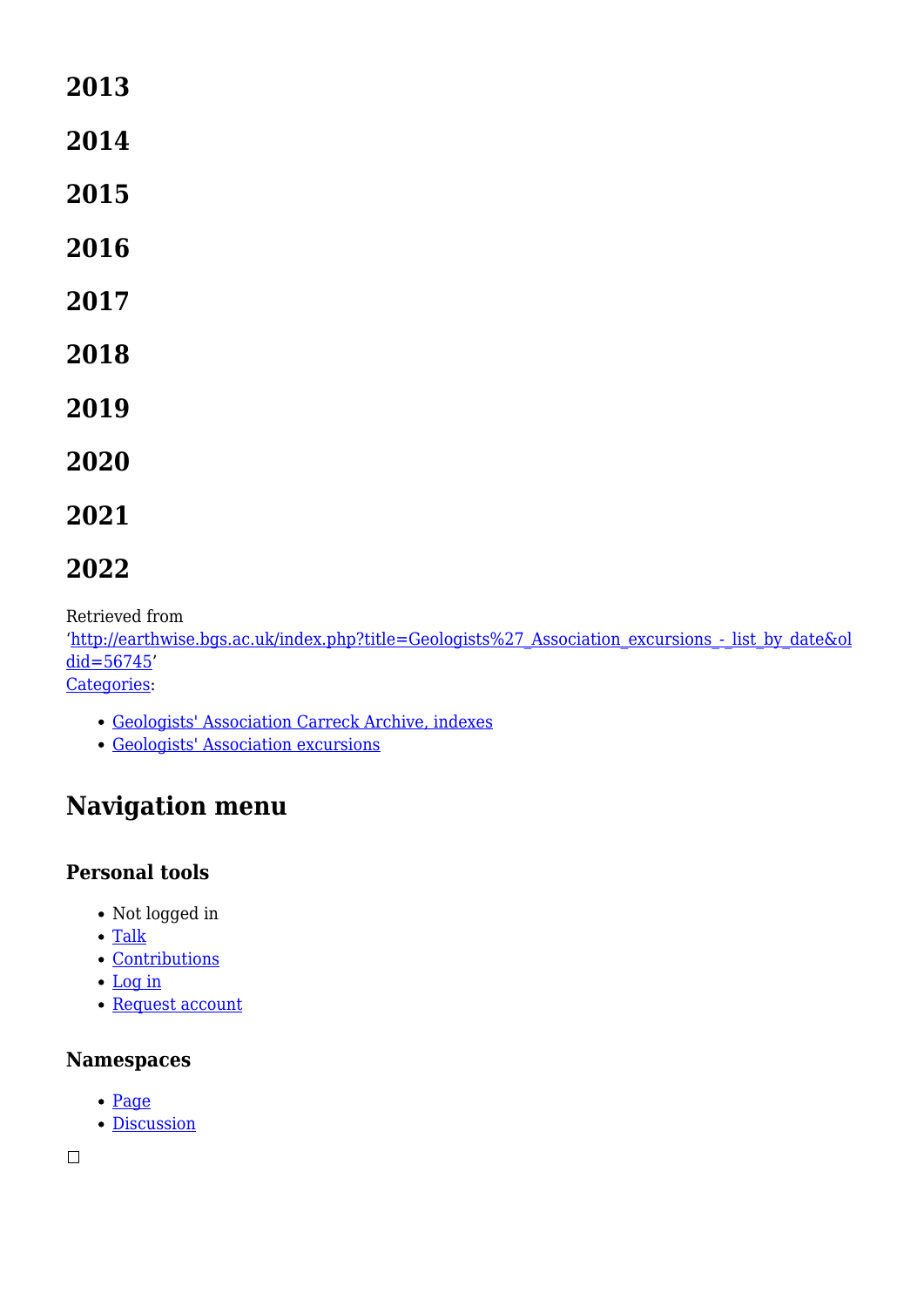#### **2013**

**2014**

- **2015**
- **2016**
- **2017**
- **2018**
- **2019**
- **2020**
- **2021**

#### **2022**

Retrieved from

'http://earthwise.bgs.ac.uk/index.php?title=Geologists%27 Association excursions - list by date&ol [did=56745](http://earthwise.bgs.ac.uk/index.php?title=Geologists%27_Association_excursions_-_list_by_date&oldid=56745)'

[Categories:](http://earthwise.bgs.ac.uk/index.php/Special:Categories)

- [Geologists' Association Carreck Archive, indexes](http://earthwise.bgs.ac.uk/index.php/Category:Geologists%27_Association_Carreck_Archive,_indexes)
- [Geologists' Association excursions](http://earthwise.bgs.ac.uk/index.php/Category:Geologists%27_Association_excursions)

# **Navigation menu**

#### **Personal tools**

- Not logged in
- [Talk](http://earthwise.bgs.ac.uk/index.php/Special:MyTalk)
- [Contributions](http://earthwise.bgs.ac.uk/index.php/Special:MyContributions)
- [Log in](http://earthwise.bgs.ac.uk/index.php?title=Special:UserLogin&returnto=Geologists%27+Association+excursions+-+list+by+date&returntoquery=action%3Dmpdf)
- [Request account](http://earthwise.bgs.ac.uk/index.php/Special:RequestAccount)

#### **Namespaces**

- [Page](http://earthwise.bgs.ac.uk/index.php/Geologists%27_Association_excursions_-_list_by_date)
- [Discussion](http://earthwise.bgs.ac.uk/index.php?title=Talk:Geologists%27_Association_excursions_-_list_by_date&action=edit&redlink=1)

 $\Box$